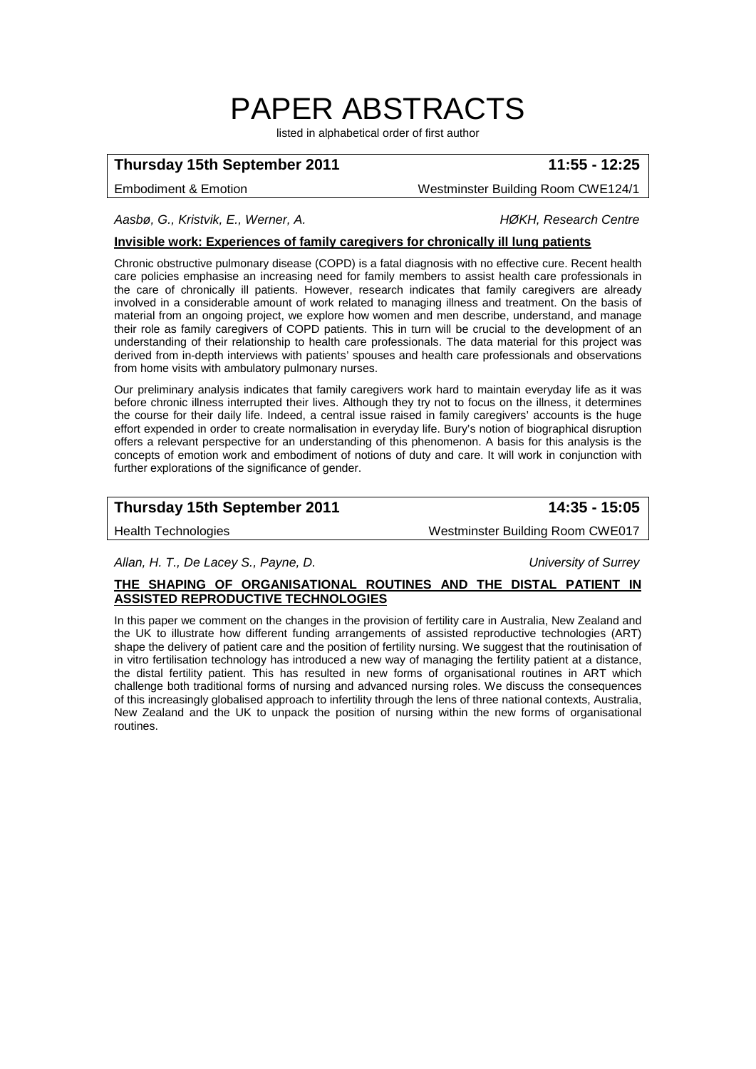# PAPER ABSTRACTS

listed in alphabetical order of first author

# **Thursday 15th September 2011 11:55 - 12:25**

Embodiment & Emotion Westminster Building Room CWE124/1

*Aasbø, G., Kristvik, E., Werner, A. HØKH, Research Centre*

### **Invisible work: Experiences of family caregivers for chronically ill lung patients**

Chronic obstructive pulmonary disease (COPD) is a fatal diagnosis with no effective cure. Recent health care policies emphasise an increasing need for family members to assist health care professionals in the care of chronically ill patients. However, research indicates that family caregivers are already involved in a considerable amount of work related to managing illness and treatment. On the basis of material from an ongoing project, we explore how women and men describe, understand, and manage their role as family caregivers of COPD patients. This in turn will be crucial to the development of an understanding of their relationship to health care professionals. The data material for this project was derived from in-depth interviews with patients' spouses and health care professionals and observations from home visits with ambulatory pulmonary nurses.

Our preliminary analysis indicates that family caregivers work hard to maintain everyday life as it was before chronic illness interrupted their lives. Although they try not to focus on the illness, it determines the course for their daily life. Indeed, a central issue raised in family caregivers' accounts is the huge effort expended in order to create normalisation in everyday life. Bury's notion of biographical disruption offers a relevant perspective for an understanding of this phenomenon. A basis for this analysis is the concepts of emotion work and embodiment of notions of duty and care. It will work in conjunction with further explorations of the significance of gender.

# **Thursday 15th September 2011 14:35 - 15:05**

Health Technologies Westminster Building Room CWE017

*Allan, H. T., De Lacey S., Payne, D. University of Surrey*

### **THE SHAPING OF ORGANISATIONAL ROUTINES AND THE DISTAL PATIENT IN ASSISTED REPRODUCTIVE TECHNOLOGIES**

In this paper we comment on the changes in the provision of fertility care in Australia, New Zealand and the UK to illustrate how different funding arrangements of assisted reproductive technologies (ART) shape the delivery of patient care and the position of fertility nursing. We suggest that the routinisation of in vitro fertilisation technology has introduced a new way of managing the fertility patient at a distance, the distal fertility patient. This has resulted in new forms of organisational routines in ART which challenge both traditional forms of nursing and advanced nursing roles. We discuss the consequences of this increasingly globalised approach to infertility through the lens of three national contexts, Australia, New Zealand and the UK to unpack the position of nursing within the new forms of organisational routines.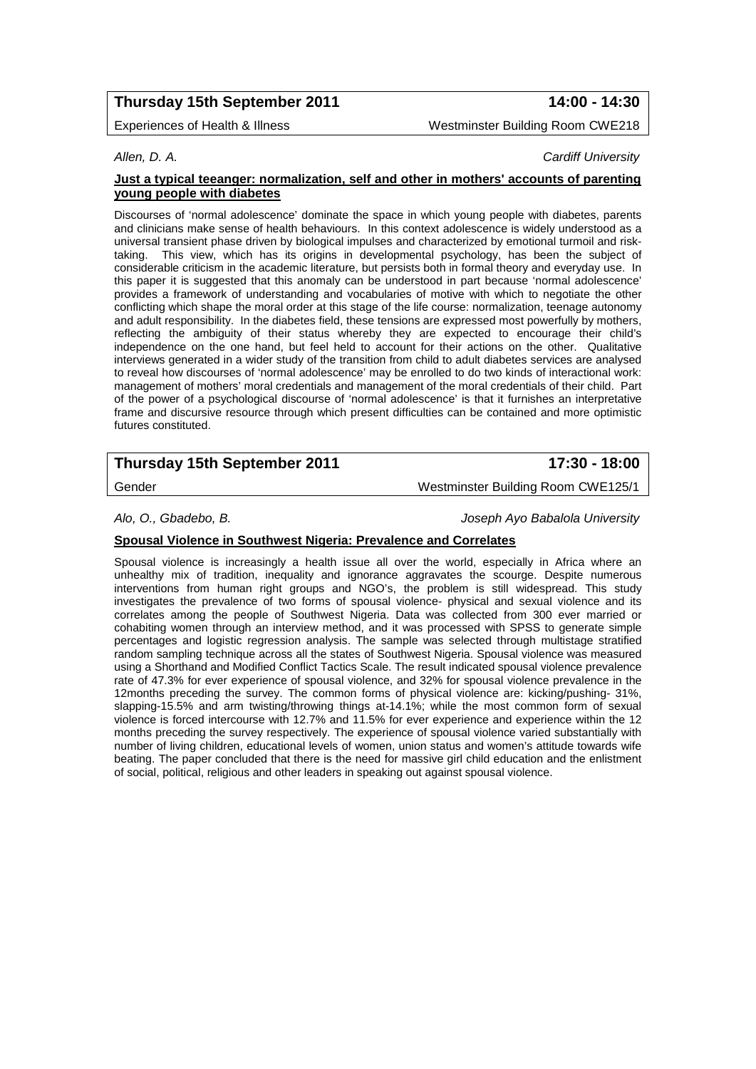# **Thursday 15th September 2011 14:00 - 14:30**

Experiences of Health & Illness Westminster Building Room CWE218

### *Allen, D. A. Cardiff University*

### **Just a typical teeanger: normalization, self and other in mothers' accounts of parenting young people with diabetes**

Discourses of 'normal adolescence' dominate the space in which young people with diabetes, parents and clinicians make sense of health behaviours. In this context adolescence is widely understood as a universal transient phase driven by biological impulses and characterized by emotional turmoil and risktaking. This view, which has its origins in developmental psychology, has been the subject of considerable criticism in the academic literature, but persists both in formal theory and everyday use. In this paper it is suggested that this anomaly can be understood in part because 'normal adolescence' provides a framework of understanding and vocabularies of motive with which to negotiate the other conflicting which shape the moral order at this stage of the life course: normalization, teenage autonomy and adult responsibility. In the diabetes field, these tensions are expressed most powerfully by mothers, reflecting the ambiguity of their status whereby they are expected to encourage their child's independence on the one hand, but feel held to account for their actions on the other. Qualitative interviews generated in a wider study of the transition from child to adult diabetes services are analysed to reveal how discourses of 'normal adolescence' may be enrolled to do two kinds of interactional work: management of mothers' moral credentials and management of the moral credentials of their child. Part of the power of a psychological discourse of 'normal adolescence' is that it furnishes an interpretative frame and discursive resource through which present difficulties can be contained and more optimistic futures constituted.

# **Thursday 15th September 2011 17:30 - 18:00**

Gender Westminster Building Room CWE125/1

*Alo, O., Gbadebo, B. Joseph Ayo Babalola University*

### **Spousal Violence in Southwest Nigeria: Prevalence and Correlates**

Spousal violence is increasingly a health issue all over the world, especially in Africa where an unhealthy mix of tradition, inequality and ignorance aggravates the scourge. Despite numerous interventions from human right groups and NGO's, the problem is still widespread. This study investigates the prevalence of two forms of spousal violence- physical and sexual violence and its correlates among the people of Southwest Nigeria. Data was collected from 300 ever married or cohabiting women through an interview method, and it was processed with SPSS to generate simple percentages and logistic regression analysis. The sample was selected through multistage stratified random sampling technique across all the states of Southwest Nigeria. Spousal violence was measured using a Shorthand and Modified Conflict Tactics Scale. The result indicated spousal violence prevalence rate of 47.3% for ever experience of spousal violence, and 32% for spousal violence prevalence in the 12months preceding the survey. The common forms of physical violence are: kicking/pushing- 31%, slapping-15.5% and arm twisting/throwing things at-14.1%; while the most common form of sexual violence is forced intercourse with 12.7% and 11.5% for ever experience and experience within the 12 months preceding the survey respectively. The experience of spousal violence varied substantially with number of living children, educational levels of women, union status and women's attitude towards wife beating. The paper concluded that there is the need for massive girl child education and the enlistment of social, political, religious and other leaders in speaking out against spousal violence.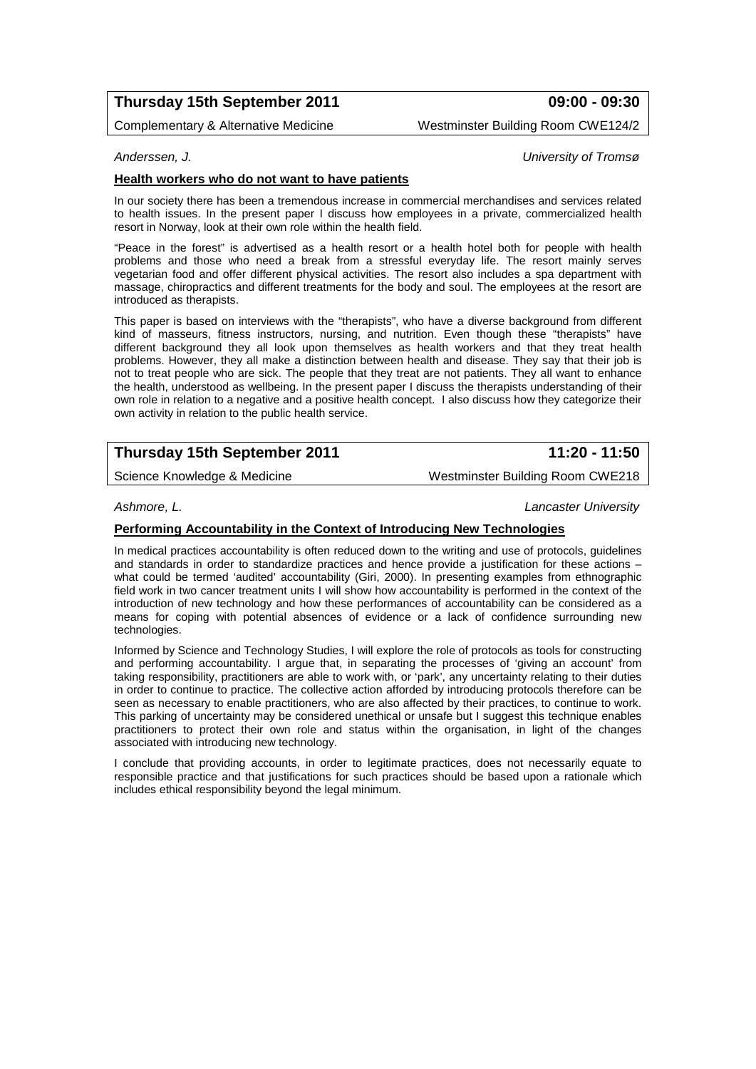# **Thursday 15th September 2011 09:00 - 09:30**

Complementary & Alternative Medicine Westminster Building Room CWE124/2

*Anderssen, J. University of Tromsø*

### **Health workers who do not want to have patients**

In our society there has been a tremendous increase in commercial merchandises and services related to health issues. In the present paper I discuss how employees in a private, commercialized health resort in Norway, look at their own role within the health field.

"Peace in the forest" is advertised as a health resort or a health hotel both for people with health problems and those who need a break from a stressful everyday life. The resort mainly serves vegetarian food and offer different physical activities. The resort also includes a spa department with massage, chiropractics and different treatments for the body and soul. The employees at the resort are introduced as therapists.

This paper is based on interviews with the "therapists", who have a diverse background from different kind of masseurs, fitness instructors, nursing, and nutrition. Even though these "therapists" have different background they all look upon themselves as health workers and that they treat health problems. However, they all make a distinction between health and disease. They say that their job is not to treat people who are sick. The people that they treat are not patients. They all want to enhance the health, understood as wellbeing. In the present paper I discuss the therapists understanding of their own role in relation to a negative and a positive health concept. I also discuss how they categorize their own activity in relation to the public health service.

# **Thursday 15th September 2011 11:20 - 11:50**

*Ashmore, L. Lancaster University*

### **Performing Accountability in the Context of Introducing New Technologies**

In medical practices accountability is often reduced down to the writing and use of protocols, guidelines and standards in order to standardize practices and hence provide a justification for these actions – what could be termed 'audited' accountability (Giri, 2000). In presenting examples from ethnographic field work in two cancer treatment units I will show how accountability is performed in the context of the introduction of new technology and how these performances of accountability can be considered as a means for coping with potential absences of evidence or a lack of confidence surrounding new technologies.

Informed by Science and Technology Studies, I will explore the role of protocols as tools for constructing and performing accountability. I argue that, in separating the processes of 'giving an account' from taking responsibility, practitioners are able to work with, or 'park', any uncertainty relating to their duties in order to continue to practice. The collective action afforded by introducing protocols therefore can be seen as necessary to enable practitioners, who are also affected by their practices, to continue to work. This parking of uncertainty may be considered unethical or unsafe but I suggest this technique enables practitioners to protect their own role and status within the organisation, in light of the changes associated with introducing new technology.

I conclude that providing accounts, in order to legitimate practices, does not necessarily equate to responsible practice and that justifications for such practices should be based upon a rationale which includes ethical responsibility beyond the legal minimum.

Science Knowledge & Medicine Messenger Mestminster Building Room CWE218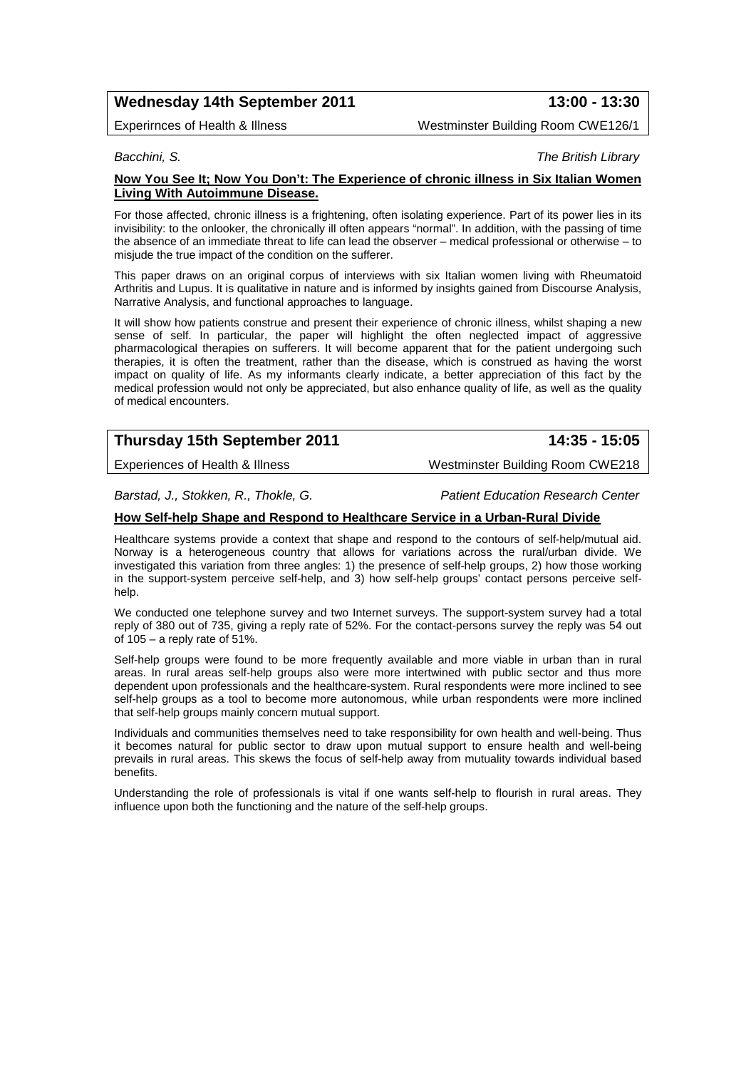# **Wednesday 14th September 2011 13:00 - 13:30**

Experirnces of Health & Illness Westminster Building Room CWE126/1

*Bacchini, S. The British Library* 

### **Now You See It; Now You Don't: The Experience of chronic illness in Six Italian Women Living With Autoimmune Disease.**

For those affected, chronic illness is a frightening, often isolating experience. Part of its power lies in its invisibility: to the onlooker, the chronically ill often appears "normal". In addition, with the passing of time the absence of an immediate threat to life can lead the observer – medical professional or otherwise – to misjude the true impact of the condition on the sufferer.

This paper draws on an original corpus of interviews with six Italian women living with Rheumatoid Arthritis and Lupus. It is qualitative in nature and is informed by insights gained from Discourse Analysis, Narrative Analysis, and functional approaches to language.

It will show how patients construe and present their experience of chronic illness, whilst shaping a new sense of self. In particular, the paper will highlight the often neglected impact of aggressive pharmacological therapies on sufferers. It will become apparent that for the patient undergoing such therapies, it is often the treatment, rather than the disease, which is construed as having the worst impact on quality of life. As my informants clearly indicate, a better appreciation of this fact by the medical profession would not only be appreciated, but also enhance quality of life, as well as the quality of medical encounters.

# **Thursday 15th September 2011 14:35 - 15:05**

Experiences of Health & Illness Westminster Building Room CWE218

*Barstad, J., Stokken, R., Thokle, G. Patient Education Research Center*

### **How Self-help Shape and Respond to Healthcare Service in a Urban-Rural Divide**

Healthcare systems provide a context that shape and respond to the contours of self-help/mutual aid. Norway is a heterogeneous country that allows for variations across the rural/urban divide. We investigated this variation from three angles: 1) the presence of self-help groups, 2) how those working in the support-system perceive self-help, and 3) how self-help groups' contact persons perceive selfhelp.

We conducted one telephone survey and two Internet surveys. The support-system survey had a total reply of 380 out of 735, giving a reply rate of 52%. For the contact-persons survey the reply was 54 out of  $105 - a$  reply rate of  $51\%$ .

Self-help groups were found to be more frequently available and more viable in urban than in rural areas. In rural areas self-help groups also were more intertwined with public sector and thus more dependent upon professionals and the healthcare-system. Rural respondents were more inclined to see self-help groups as a tool to become more autonomous, while urban respondents were more inclined that self-help groups mainly concern mutual support.

Individuals and communities themselves need to take responsibility for own health and well-being. Thus it becomes natural for public sector to draw upon mutual support to ensure health and well-being prevails in rural areas. This skews the focus of self-help away from mutuality towards individual based benefits.

Understanding the role of professionals is vital if one wants self-help to flourish in rural areas. They influence upon both the functioning and the nature of the self-help groups.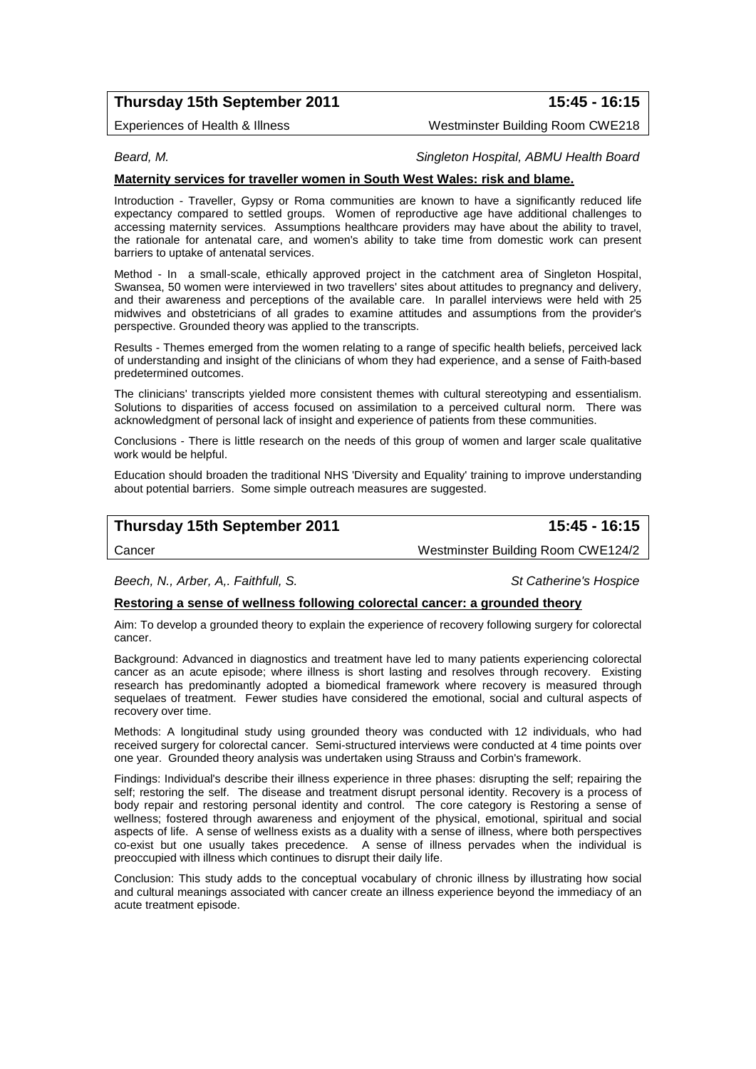# **Thursday 15th September 2011 15:45 - 16:15**

Experiences of Health & Illness Westminster Building Room CWE218

### *Beard, M. Singleton Hospital, ABMU Health Board*

### **Maternity services for traveller women in South West Wales: risk and blame.**

Introduction - Traveller, Gypsy or Roma communities are known to have a significantly reduced life expectancy compared to settled groups. Women of reproductive age have additional challenges to accessing maternity services. Assumptions healthcare providers may have about the ability to travel, the rationale for antenatal care, and women's ability to take time from domestic work can present barriers to uptake of antenatal services.

Method - In a small-scale, ethically approved project in the catchment area of Singleton Hospital, Swansea, 50 women were interviewed in two travellers' sites about attitudes to pregnancy and delivery, and their awareness and perceptions of the available care. In parallel interviews were held with 25 midwives and obstetricians of all grades to examine attitudes and assumptions from the provider's perspective. Grounded theory was applied to the transcripts.

Results - Themes emerged from the women relating to a range of specific health beliefs, perceived lack of understanding and insight of the clinicians of whom they had experience, and a sense of Faith-based predetermined outcomes.

The clinicians' transcripts yielded more consistent themes with cultural stereotyping and essentialism. Solutions to disparities of access focused on assimilation to a perceived cultural norm. There was acknowledgment of personal lack of insight and experience of patients from these communities.

Conclusions - There is little research on the needs of this group of women and larger scale qualitative work would be helpful.

Education should broaden the traditional NHS 'Diversity and Equality' training to improve understanding about potential barriers. Some simple outreach measures are suggested.

| Thursday 15th September 2011 | 15:45 - 16:15                      |
|------------------------------|------------------------------------|
| Cancer                       | Westminster Building Room CWE124/2 |

*Beech, N., Arber, A,. Faithfull, S. St Catherine's Hospice*

### **Restoring a sense of wellness following colorectal cancer: a grounded theory**

Aim: To develop a grounded theory to explain the experience of recovery following surgery for colorectal cancer.

Background: Advanced in diagnostics and treatment have led to many patients experiencing colorectal cancer as an acute episode; where illness is short lasting and resolves through recovery. Existing research has predominantly adopted a biomedical framework where recovery is measured through sequelaes of treatment. Fewer studies have considered the emotional, social and cultural aspects of recovery over time.

Methods: A longitudinal study using grounded theory was conducted with 12 individuals, who had received surgery for colorectal cancer. Semi-structured interviews were conducted at 4 time points over one year. Grounded theory analysis was undertaken using Strauss and Corbin's framework.

Findings: Individual's describe their illness experience in three phases: disrupting the self; repairing the self; restoring the self. The disease and treatment disrupt personal identity. Recovery is a process of body repair and restoring personal identity and control. The core category is Restoring a sense of wellness; fostered through awareness and enjoyment of the physical, emotional, spiritual and social aspects of life. A sense of wellness exists as a duality with a sense of illness, where both perspectives co-exist but one usually takes precedence. A sense of illness pervades when the individual is preoccupied with illness which continues to disrupt their daily life.

Conclusion: This study adds to the conceptual vocabulary of chronic illness by illustrating how social and cultural meanings associated with cancer create an illness experience beyond the immediacy of an acute treatment episode.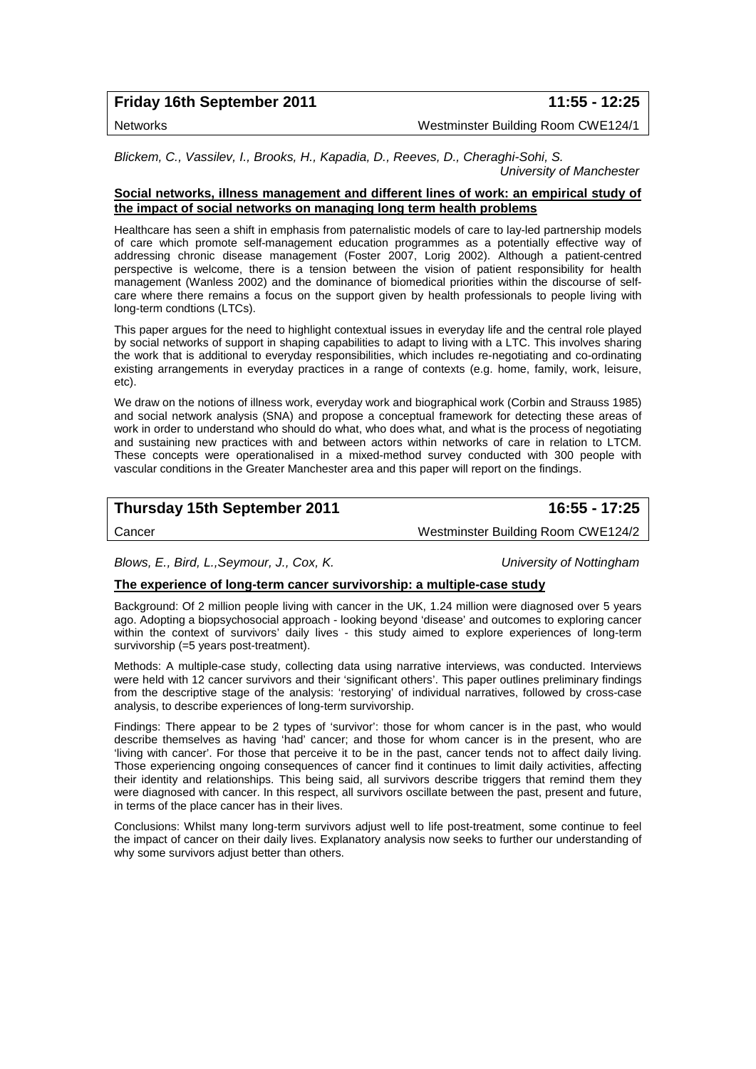**Friday 16th September 2011 11:55 - 12:25**

Networks Westminster Building Room CWE124/1

*Blickem, C., Vassilev, I., Brooks, H., Kapadia, D., Reeves, D., Cheraghi-Sohi, S. University of Manchester*

### **Social networks, illness management and different lines of work: an empirical study of the impact of social networks on managing long term health problems**

Healthcare has seen a shift in emphasis from paternalistic models of care to lay-led partnership models of care which promote self-management education programmes as a potentially effective way of addressing chronic disease management (Foster 2007, Lorig 2002). Although a patient-centred perspective is welcome, there is a tension between the vision of patient responsibility for health management (Wanless 2002) and the dominance of biomedical priorities within the discourse of selfcare where there remains a focus on the support given by health professionals to people living with long-term condtions (LTCs).

This paper argues for the need to highlight contextual issues in everyday life and the central role played by social networks of support in shaping capabilities to adapt to living with a LTC. This involves sharing the work that is additional to everyday responsibilities, which includes re-negotiating and co-ordinating existing arrangements in everyday practices in a range of contexts (e.g. home, family, work, leisure, etc).

We draw on the notions of illness work, everyday work and biographical work (Corbin and Strauss 1985) and social network analysis (SNA) and propose a conceptual framework for detecting these areas of work in order to understand who should do what, who does what, and what is the process of negotiating and sustaining new practices with and between actors within networks of care in relation to LTCM. These concepts were operationalised in a mixed-method survey conducted with 300 people with vascular conditions in the Greater Manchester area and this paper will report on the findings.

# **Thursday 15th September 2011 16:55 - 17:25**

Cancer Westminster Building Room CWE124/2

*Blows, E., Bird, L.,Seymour, J., Cox, K. University of Nottingham*

### **The experience of long-term cancer survivorship: a multiple-case study**

Background: Of 2 million people living with cancer in the UK, 1.24 million were diagnosed over 5 years ago. Adopting a biopsychosocial approach - looking beyond 'disease' and outcomes to exploring cancer within the context of survivors' daily lives - this study aimed to explore experiences of long-term survivorship (=5 years post-treatment).

Methods: A multiple-case study, collecting data using narrative interviews, was conducted. Interviews were held with 12 cancer survivors and their 'significant others'. This paper outlines preliminary findings from the descriptive stage of the analysis: 'restorying' of individual narratives, followed by cross-case analysis, to describe experiences of long-term survivorship.

Findings: There appear to be 2 types of 'survivor': those for whom cancer is in the past, who would describe themselves as having 'had' cancer; and those for whom cancer is in the present, who are 'living with cancer'. For those that perceive it to be in the past, cancer tends not to affect daily living. Those experiencing ongoing consequences of cancer find it continues to limit daily activities, affecting their identity and relationships. This being said, all survivors describe triggers that remind them they were diagnosed with cancer. In this respect, all survivors oscillate between the past, present and future, in terms of the place cancer has in their lives.

Conclusions: Whilst many long-term survivors adjust well to life post-treatment, some continue to feel the impact of cancer on their daily lives. Explanatory analysis now seeks to further our understanding of why some survivors adjust better than others.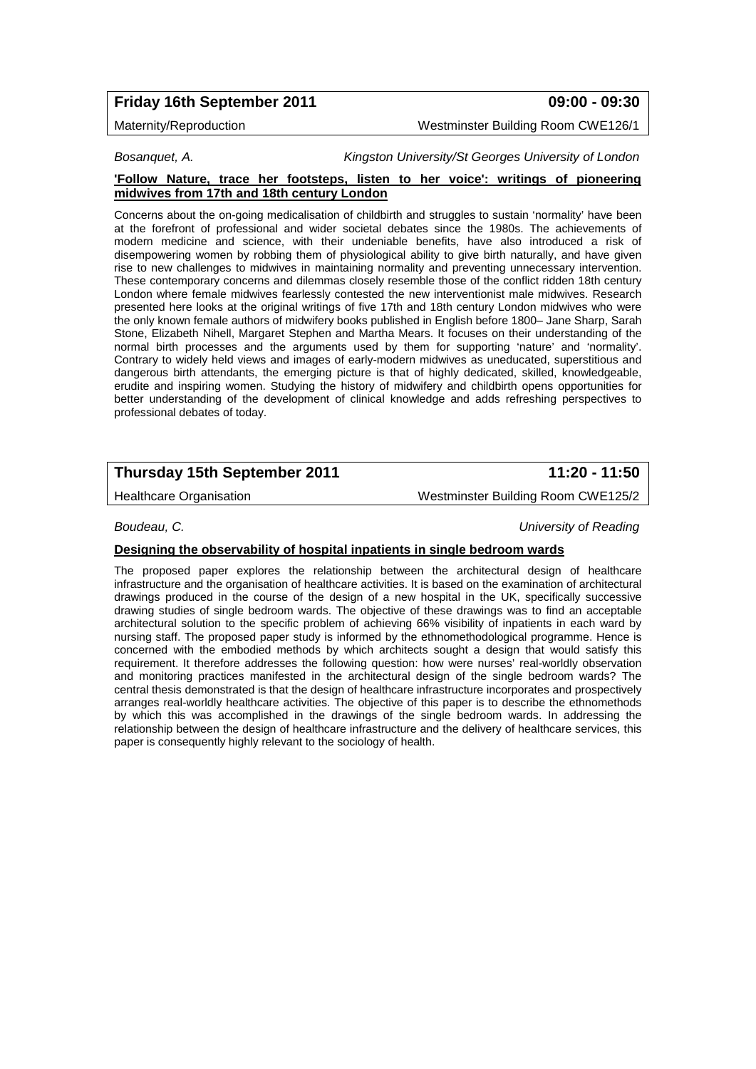# **Friday 16th September 2011 09:00 - 09:30**

Maternity/Reproduction Westminster Building Room CWE126/1

### *Bosanquet, A. Kingston University/St Georges University of London*

### **'Follow Nature, trace her footsteps, listen to her voice': writings of pioneering midwives from 17th and 18th century London**

Concerns about the on-going medicalisation of childbirth and struggles to sustain 'normality' have been at the forefront of professional and wider societal debates since the 1980s. The achievements of modern medicine and science, with their undeniable benefits, have also introduced a risk of disempowering women by robbing them of physiological ability to give birth naturally, and have given rise to new challenges to midwives in maintaining normality and preventing unnecessary intervention. These contemporary concerns and dilemmas closely resemble those of the conflict ridden 18th century London where female midwives fearlessly contested the new interventionist male midwives. Research presented here looks at the original writings of five 17th and 18th century London midwives who were the only known female authors of midwifery books published in English before 1800– Jane Sharp, Sarah Stone, Elizabeth Nihell, Margaret Stephen and Martha Mears. It focuses on their understanding of the normal birth processes and the arguments used by them for supporting 'nature' and 'normality'. Contrary to widely held views and images of early-modern midwives as uneducated, superstitious and dangerous birth attendants, the emerging picture is that of highly dedicated, skilled, knowledgeable, erudite and inspiring women. Studying the history of midwifery and childbirth opens opportunities for better understanding of the development of clinical knowledge and adds refreshing perspectives to professional debates of today.

# **Thursday 15th September 2011 11:20 - 11:50**

Healthcare Organisation Westminster Building Room CWE125/2

*Boudeau, C. University of Reading*

### **Designing the observability of hospital inpatients in single bedroom wards**

The proposed paper explores the relationship between the architectural design of healthcare infrastructure and the organisation of healthcare activities. It is based on the examination of architectural drawings produced in the course of the design of a new hospital in the UK, specifically successive drawing studies of single bedroom wards. The objective of these drawings was to find an acceptable architectural solution to the specific problem of achieving 66% visibility of inpatients in each ward by nursing staff. The proposed paper study is informed by the ethnomethodological programme. Hence is concerned with the embodied methods by which architects sought a design that would satisfy this requirement. It therefore addresses the following question: how were nurses' real-worldly observation and monitoring practices manifested in the architectural design of the single bedroom wards? The central thesis demonstrated is that the design of healthcare infrastructure incorporates and prospectively arranges real-worldly healthcare activities. The objective of this paper is to describe the ethnomethods by which this was accomplished in the drawings of the single bedroom wards. In addressing the relationship between the design of healthcare infrastructure and the delivery of healthcare services, this paper is consequently highly relevant to the sociology of health.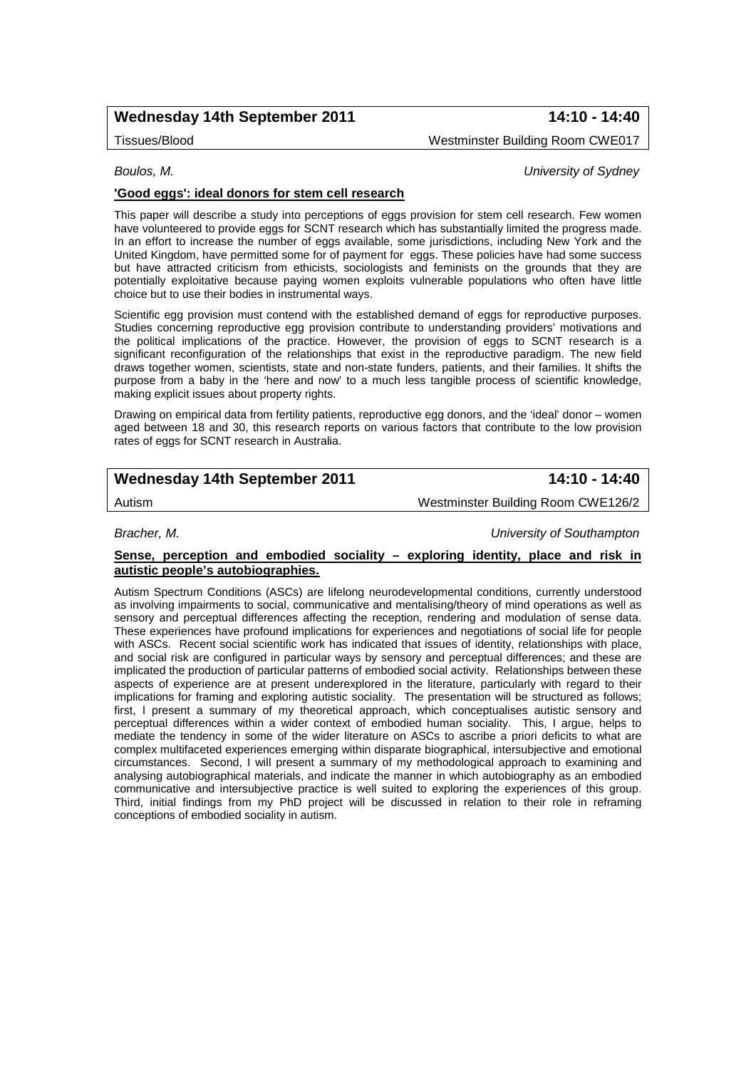# **Wednesday 14th September 2011 14:10 - 14:40**

Tissues/Blood Westminster Building Room CWE017

### *Boulos, M. University of Sydney*

### **'Good eggs': ideal donors for stem cell research**

This paper will describe a study into perceptions of eggs provision for stem cell research. Few women have volunteered to provide eggs for SCNT research which has substantially limited the progress made. In an effort to increase the number of eggs available, some jurisdictions, including New York and the United Kingdom, have permitted some for of payment for eggs. These policies have had some success but have attracted criticism from ethicists, sociologists and feminists on the grounds that they are potentially exploitative because paying women exploits vulnerable populations who often have little choice but to use their bodies in instrumental ways.

Scientific egg provision must contend with the established demand of eggs for reproductive purposes. Studies concerning reproductive egg provision contribute to understanding providers' motivations and the political implications of the practice. However, the provision of eggs to SCNT research is a significant reconfiguration of the relationships that exist in the reproductive paradigm. The new field draws together women, scientists, state and non-state funders, patients, and their families. It shifts the purpose from a baby in the 'here and now' to a much less tangible process of scientific knowledge, making explicit issues about property rights.

Drawing on empirical data from fertility patients, reproductive egg donors, and the 'ideal' donor – women aged between 18 and 30, this research reports on various factors that contribute to the low provision rates of eggs for SCNT research in Australia.

# **Wednesday 14th September 2011 14:10 - 14:40**

Autism Westminster Building Room CWE126/2

*Bracher, M. University of Southampton*

### **Sense, perception and embodied sociality – exploring identity, place and risk in autistic people's autobiographies.**

Autism Spectrum Conditions (ASCs) are lifelong neurodevelopmental conditions, currently understood as involving impairments to social, communicative and mentalising/theory of mind operations as well as sensory and perceptual differences affecting the reception, rendering and modulation of sense data. These experiences have profound implications for experiences and negotiations of social life for people with ASCs. Recent social scientific work has indicated that issues of identity, relationships with place, and social risk are configured in particular ways by sensory and perceptual differences; and these are implicated the production of particular patterns of embodied social activity. Relationships between these aspects of experience are at present underexplored in the literature, particularly with regard to their implications for framing and exploring autistic sociality. The presentation will be structured as follows; first, I present a summary of my theoretical approach, which conceptualises autistic sensory and perceptual differences within a wider context of embodied human sociality. This, I argue, helps to mediate the tendency in some of the wider literature on ASCs to ascribe a priori deficits to what are complex multifaceted experiences emerging within disparate biographical, intersubjective and emotional circumstances. Second, I will present a summary of my methodological approach to examining and analysing autobiographical materials, and indicate the manner in which autobiography as an embodied communicative and intersubjective practice is well suited to exploring the experiences of this group. Third, initial findings from my PhD project will be discussed in relation to their role in reframing conceptions of embodied sociality in autism.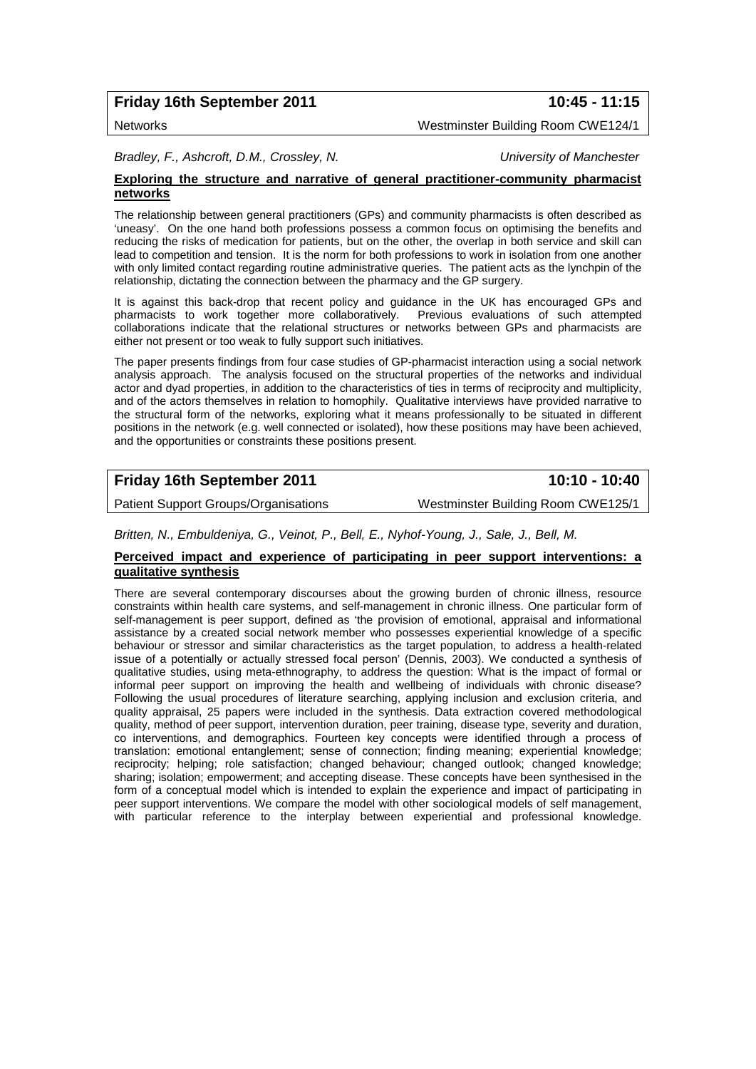# **Friday 16th September 2011 10:45 - 11:15**

Networks Westminster Building Room CWE124/1

*Bradley, F., Ashcroft, D.M., Crossley, N. University of Manchester*

### **Exploring the structure and narrative of general practitioner-community pharmacist networks**

The relationship between general practitioners (GPs) and community pharmacists is often described as 'uneasy'. On the one hand both professions possess a common focus on optimising the benefits and reducing the risks of medication for patients, but on the other, the overlap in both service and skill can lead to competition and tension. It is the norm for both professions to work in isolation from one another with only limited contact regarding routine administrative queries. The patient acts as the lynchpin of the relationship, dictating the connection between the pharmacy and the GP surgery.

It is against this back-drop that recent policy and guidance in the UK has encouraged GPs and pharmacists to work together more collaboratively. Previous evaluations of such attempted collaborations indicate that the relational structures or networks between GPs and pharmacists are either not present or too weak to fully support such initiatives.

The paper presents findings from four case studies of GP-pharmacist interaction using a social network analysis approach. The analysis focused on the structural properties of the networks and individual actor and dyad properties, in addition to the characteristics of ties in terms of reciprocity and multiplicity, and of the actors themselves in relation to homophily. Qualitative interviews have provided narrative to the structural form of the networks, exploring what it means professionally to be situated in different positions in the network (e.g. well connected or isolated), how these positions may have been achieved, and the opportunities or constraints these positions present.

# **Friday 16th September 2011 10:10 - 10:40**

Patient Support Groups/Organisations Westminster Building Room CWE125/1

*Britten, N., Embuldeniya, G., Veinot, P., Bell, E., Nyhof-Young, J., Sale, J., Bell, M.* 

### **Perceived impact and experience of participating in peer support interventions: a qualitative synthesis**

There are several contemporary discourses about the growing burden of chronic illness, resource constraints within health care systems, and self-management in chronic illness. One particular form of self-management is peer support, defined as 'the provision of emotional, appraisal and informational assistance by a created social network member who possesses experiential knowledge of a specific behaviour or stressor and similar characteristics as the target population, to address a health-related issue of a potentially or actually stressed focal person' (Dennis, 2003). We conducted a synthesis of qualitative studies, using meta-ethnography, to address the question: What is the impact of formal or informal peer support on improving the health and wellbeing of individuals with chronic disease? Following the usual procedures of literature searching, applying inclusion and exclusion criteria, and quality appraisal, 25 papers were included in the synthesis. Data extraction covered methodological quality, method of peer support, intervention duration, peer training, disease type, severity and duration, co interventions, and demographics. Fourteen key concepts were identified through a process of translation: emotional entanglement; sense of connection; finding meaning; experiential knowledge; reciprocity; helping; role satisfaction; changed behaviour; changed outlook; changed knowledge; sharing; isolation; empowerment; and accepting disease. These concepts have been synthesised in the form of a conceptual model which is intended to explain the experience and impact of participating in peer support interventions. We compare the model with other sociological models of self management, with particular reference to the interplay between experiential and professional knowledge.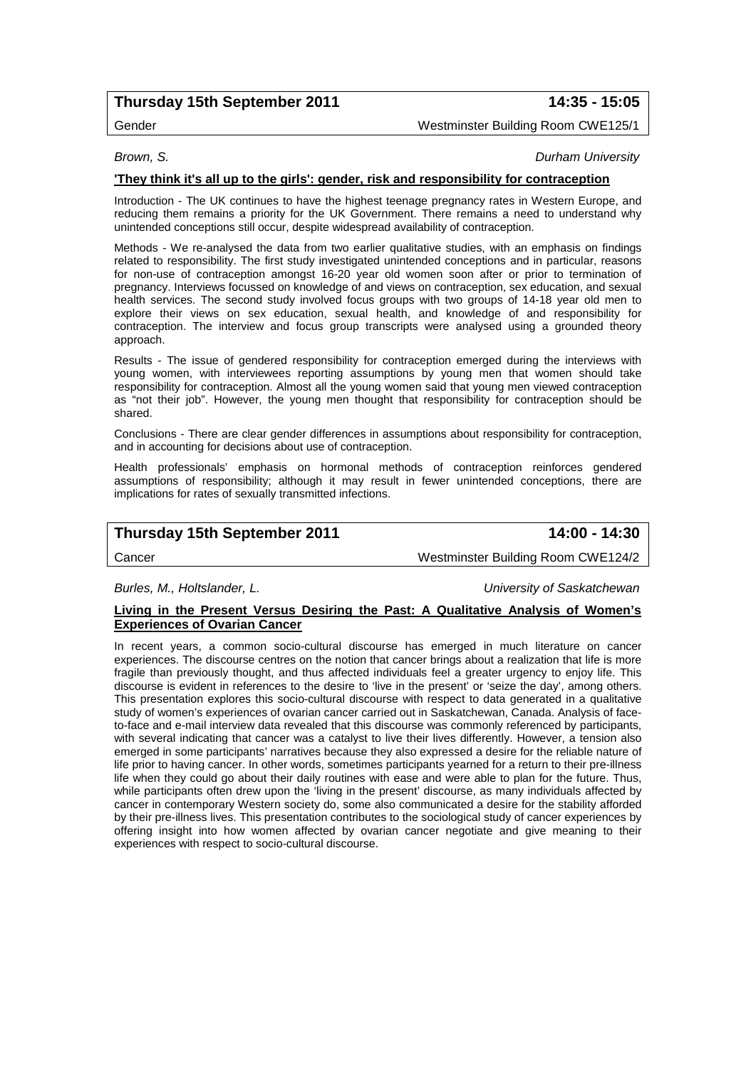# **Thursday 15th September 2011 14:35 - 15:05**

### Gender Westminster Building Room CWE125/1

### *Brown, S. Durham University*

### **'They think it's all up to the girls': gender, risk and responsibility for contraception**

Introduction - The UK continues to have the highest teenage pregnancy rates in Western Europe, and reducing them remains a priority for the UK Government. There remains a need to understand why unintended conceptions still occur, despite widespread availability of contraception.

Methods - We re-analysed the data from two earlier qualitative studies, with an emphasis on findings related to responsibility. The first study investigated unintended conceptions and in particular, reasons for non-use of contraception amongst 16-20 year old women soon after or prior to termination of pregnancy. Interviews focussed on knowledge of and views on contraception, sex education, and sexual health services. The second study involved focus groups with two groups of 14-18 year old men to explore their views on sex education, sexual health, and knowledge of and responsibility for contraception. The interview and focus group transcripts were analysed using a grounded theory approach.

Results - The issue of gendered responsibility for contraception emerged during the interviews with young women, with interviewees reporting assumptions by young men that women should take responsibility for contraception. Almost all the young women said that young men viewed contraception as "not their job". However, the young men thought that responsibility for contraception should be shared.

Conclusions - There are clear gender differences in assumptions about responsibility for contraception, and in accounting for decisions about use of contraception.

Health professionals' emphasis on hormonal methods of contraception reinforces gendered assumptions of responsibility; although it may result in fewer unintended conceptions, there are implications for rates of sexually transmitted infections.

# **Thursday 15th September 2011 14:00 - 14:30**

Cancer Westminster Building Room CWE124/2

*Burles, M., Holtslander, L. University of Saskatchewan*

### **Living in the Present Versus Desiring the Past: A Qualitative Analysis of Women's Experiences of Ovarian Cancer**

In recent years, a common socio-cultural discourse has emerged in much literature on cancer experiences. The discourse centres on the notion that cancer brings about a realization that life is more fragile than previously thought, and thus affected individuals feel a greater urgency to enjoy life. This discourse is evident in references to the desire to 'live in the present' or 'seize the day', among others. This presentation explores this socio-cultural discourse with respect to data generated in a qualitative study of women's experiences of ovarian cancer carried out in Saskatchewan, Canada. Analysis of faceto-face and e-mail interview data revealed that this discourse was commonly referenced by participants, with several indicating that cancer was a catalyst to live their lives differently. However, a tension also emerged in some participants' narratives because they also expressed a desire for the reliable nature of life prior to having cancer. In other words, sometimes participants yearned for a return to their pre-illness life when they could go about their daily routines with ease and were able to plan for the future. Thus, while participants often drew upon the 'living in the present' discourse, as many individuals affected by cancer in contemporary Western society do, some also communicated a desire for the stability afforded by their pre-illness lives. This presentation contributes to the sociological study of cancer experiences by offering insight into how women affected by ovarian cancer negotiate and give meaning to their experiences with respect to socio-cultural discourse.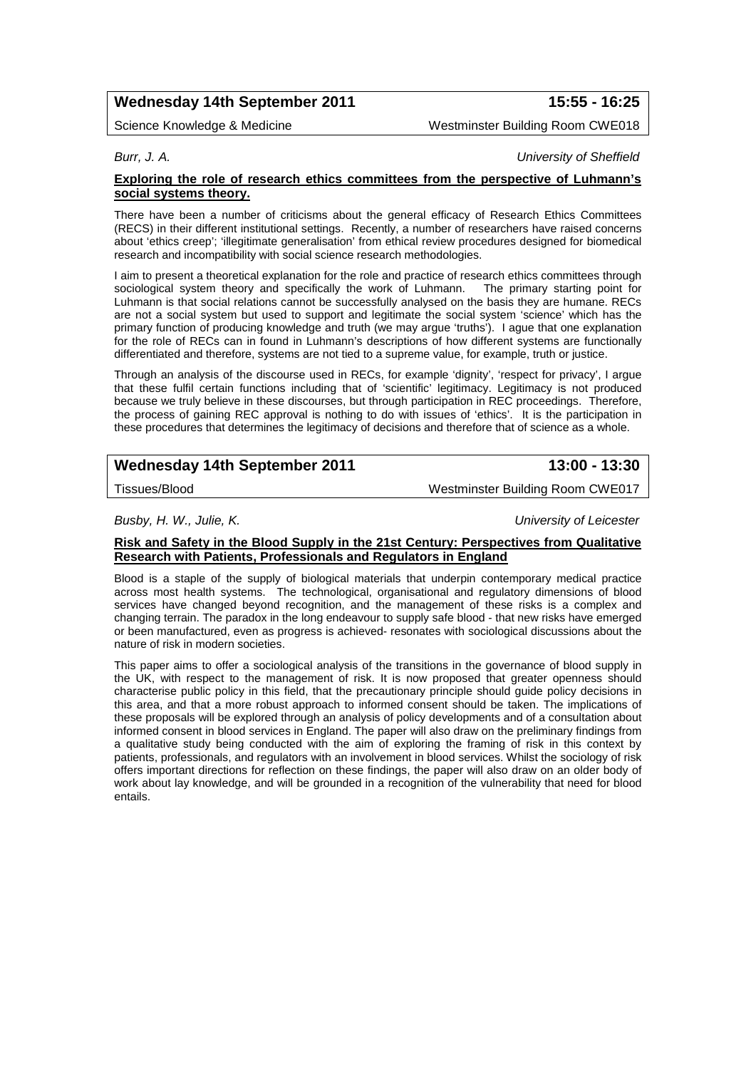# **Wednesday 14th September 2011 15:55 - 16:25**

Science Knowledge & Medicine New York Westminster Building Room CWE018

*Burr, J. A. University of Sheffield*

### **Exploring the role of research ethics committees from the perspective of Luhmann's social systems theory.**

There have been a number of criticisms about the general efficacy of Research Ethics Committees (RECS) in their different institutional settings. Recently, a number of researchers have raised concerns about 'ethics creep'; 'illegitimate generalisation' from ethical review procedures designed for biomedical research and incompatibility with social science research methodologies.

I aim to present a theoretical explanation for the role and practice of research ethics committees through sociological system theory and specifically the work of Luhmann. The primary starting point for sociological system theory and specifically the work of Luhmann. Luhmann is that social relations cannot be successfully analysed on the basis they are humane. RECs are not a social system but used to support and legitimate the social system 'science' which has the primary function of producing knowledge and truth (we may argue 'truths'). I ague that one explanation for the role of RECs can in found in Luhmann's descriptions of how different systems are functionally differentiated and therefore, systems are not tied to a supreme value, for example, truth or justice.

Through an analysis of the discourse used in RECs, for example 'dignity', 'respect for privacy', I argue that these fulfil certain functions including that of 'scientific' legitimacy. Legitimacy is not produced because we truly believe in these discourses, but through participation in REC proceedings. Therefore, the process of gaining REC approval is nothing to do with issues of 'ethics'. It is the participation in these procedures that determines the legitimacy of decisions and therefore that of science as a whole.

# **Wednesday 14th September 2011 13:00 - 13:30**

Tissues/Blood Westminster Building Room CWE017

*Busby, H. W., Julie, K. University of Leicester*

### **Risk and Safety in the Blood Supply in the 21st Century: Perspectives from Qualitative Research with Patients, Professionals and Regulators in England**

Blood is a staple of the supply of biological materials that underpin contemporary medical practice across most health systems. The technological, organisational and regulatory dimensions of blood services have changed beyond recognition, and the management of these risks is a complex and changing terrain. The paradox in the long endeavour to supply safe blood - that new risks have emerged or been manufactured, even as progress is achieved- resonates with sociological discussions about the nature of risk in modern societies.

This paper aims to offer a sociological analysis of the transitions in the governance of blood supply in the UK, with respect to the management of risk. It is now proposed that greater openness should characterise public policy in this field, that the precautionary principle should guide policy decisions in this area, and that a more robust approach to informed consent should be taken. The implications of these proposals will be explored through an analysis of policy developments and of a consultation about informed consent in blood services in England. The paper will also draw on the preliminary findings from a qualitative study being conducted with the aim of exploring the framing of risk in this context by patients, professionals, and regulators with an involvement in blood services. Whilst the sociology of risk offers important directions for reflection on these findings, the paper will also draw on an older body of work about lay knowledge, and will be grounded in a recognition of the vulnerability that need for blood entails.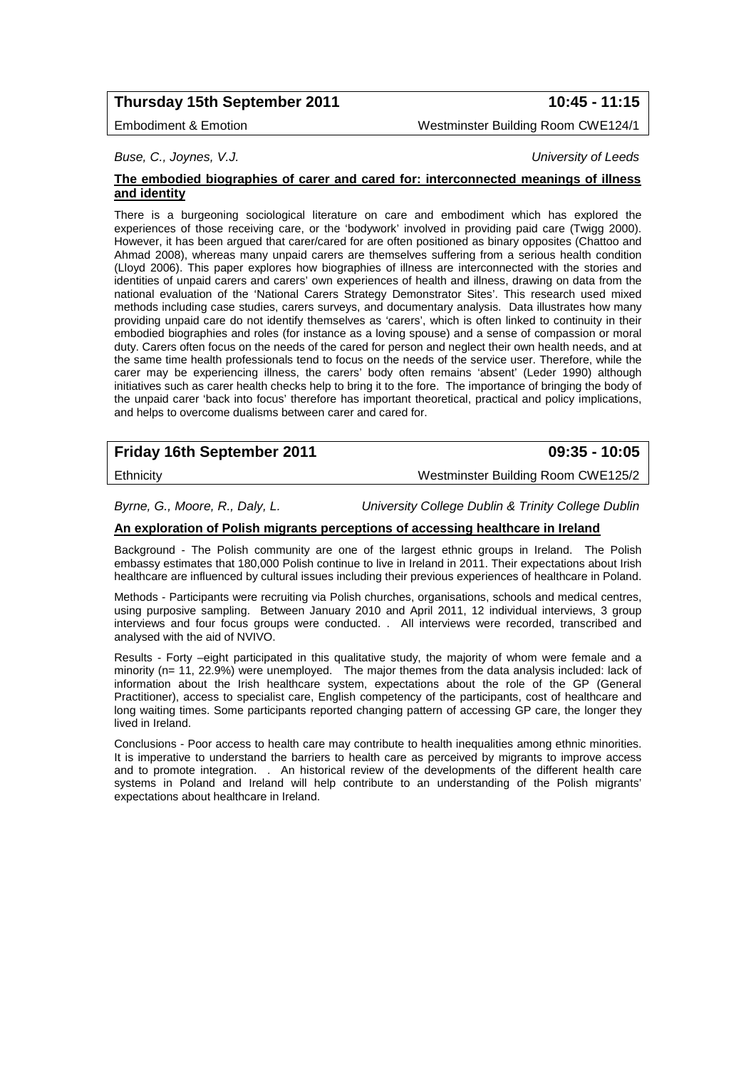# **Thursday 15th September 2011 10:45 - 11:15**

### Embodiment & Emotion Westminster Building Room CWE124/1

*Buse, C., Joynes, V.J. University of Leeds*

### **The embodied biographies of carer and cared for: interconnected meanings of illness and identity**

There is a burgeoning sociological literature on care and embodiment which has explored the experiences of those receiving care, or the 'bodywork' involved in providing paid care (Twigg 2000). However, it has been argued that carer/cared for are often positioned as binary opposites (Chattoo and Ahmad 2008), whereas many unpaid carers are themselves suffering from a serious health condition (Lloyd 2006). This paper explores how biographies of illness are interconnected with the stories and identities of unpaid carers and carers' own experiences of health and illness, drawing on data from the national evaluation of the 'National Carers Strategy Demonstrator Sites'. This research used mixed methods including case studies, carers surveys, and documentary analysis. Data illustrates how many providing unpaid care do not identify themselves as 'carers', which is often linked to continuity in their embodied biographies and roles (for instance as a loving spouse) and a sense of compassion or moral duty. Carers often focus on the needs of the cared for person and neglect their own health needs, and at the same time health professionals tend to focus on the needs of the service user. Therefore, while the carer may be experiencing illness, the carers' body often remains 'absent' (Leder 1990) although initiatives such as carer health checks help to bring it to the fore. The importance of bringing the body of the unpaid carer 'back into focus' therefore has important theoretical, practical and policy implications, and helps to overcome dualisms between carer and cared for.

# **Friday 16th September 2011 09:35 - 10:05**

Ethnicity Westminster Building Room CWE125/2

*Byrne, G., Moore, R., Daly, L. University College Dublin & Trinity College Dublin*

### **An exploration of Polish migrants perceptions of accessing healthcare in Ireland**

Background - The Polish community are one of the largest ethnic groups in Ireland. The Polish embassy estimates that 180,000 Polish continue to live in Ireland in 2011. Their expectations about Irish healthcare are influenced by cultural issues including their previous experiences of healthcare in Poland.

Methods - Participants were recruiting via Polish churches, organisations, schools and medical centres, using purposive sampling. Between January 2010 and April 2011, 12 individual interviews, 3 group interviews and four focus groups were conducted. . All interviews were recorded, transcribed and analysed with the aid of NVIVO.

Results - Forty –eight participated in this qualitative study, the majority of whom were female and a minority (n= 11, 22.9%) were unemployed. The major themes from the data analysis included: lack of information about the Irish healthcare system, expectations about the role of the GP (General Practitioner), access to specialist care, English competency of the participants, cost of healthcare and long waiting times. Some participants reported changing pattern of accessing GP care, the longer they lived in Ireland.

Conclusions - Poor access to health care may contribute to health inequalities among ethnic minorities. It is imperative to understand the barriers to health care as perceived by migrants to improve access and to promote integration. . An historical review of the developments of the different health care systems in Poland and Ireland will help contribute to an understanding of the Polish migrants' expectations about healthcare in Ireland.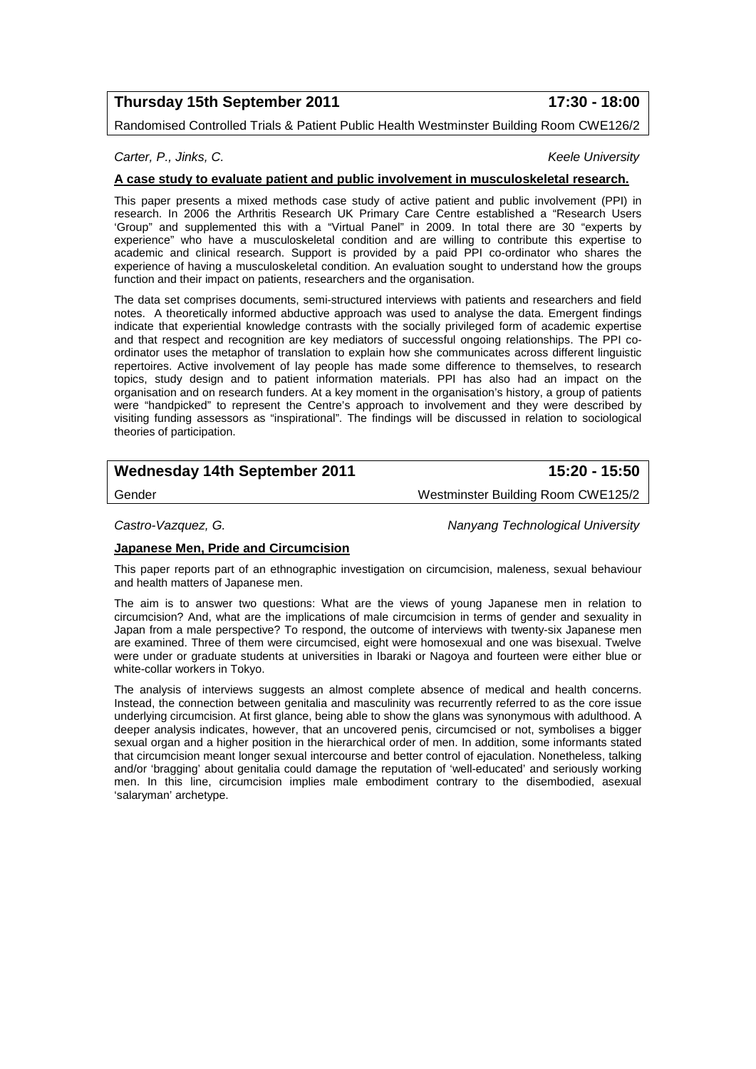# **Thursday 15th September 2011 17:30 - 18:00**

Randomised Controlled Trials & Patient Public Health Westminster Building Room CWE126/2

### *Carter, P., Jinks, C. Keele University*

### **A case study to evaluate patient and public involvement in musculoskeletal research.**

This paper presents a mixed methods case study of active patient and public involvement (PPI) in research. In 2006 the Arthritis Research UK Primary Care Centre established a "Research Users 'Group" and supplemented this with a "Virtual Panel" in 2009. In total there are 30 "experts by experience" who have a musculoskeletal condition and are willing to contribute this expertise to academic and clinical research. Support is provided by a paid PPI co-ordinator who shares the experience of having a musculoskeletal condition. An evaluation sought to understand how the groups function and their impact on patients, researchers and the organisation.

The data set comprises documents, semi-structured interviews with patients and researchers and field notes. A theoretically informed abductive approach was used to analyse the data. Emergent findings indicate that experiential knowledge contrasts with the socially privileged form of academic expertise and that respect and recognition are key mediators of successful ongoing relationships. The PPI coordinator uses the metaphor of translation to explain how she communicates across different linguistic repertoires. Active involvement of lay people has made some difference to themselves, to research topics, study design and to patient information materials. PPI has also had an impact on the organisation and on research funders. At a key moment in the organisation's history, a group of patients were "handpicked" to represent the Centre's approach to involvement and they were described by visiting funding assessors as "inspirational". The findings will be discussed in relation to sociological theories of participation.

# **Wednesday 14th September 2011 15:20 - 15:50**

Gender Westminster Building Room CWE125/2

*Castro-Vazquez, G. Nanyang Technological University*

### **Japanese Men, Pride and Circumcision**

This paper reports part of an ethnographic investigation on circumcision, maleness, sexual behaviour and health matters of Japanese men.

The aim is to answer two questions: What are the views of young Japanese men in relation to circumcision? And, what are the implications of male circumcision in terms of gender and sexuality in Japan from a male perspective? To respond, the outcome of interviews with twenty-six Japanese men are examined. Three of them were circumcised, eight were homosexual and one was bisexual. Twelve were under or graduate students at universities in Ibaraki or Nagoya and fourteen were either blue or white-collar workers in Tokyo.

The analysis of interviews suggests an almost complete absence of medical and health concerns. Instead, the connection between genitalia and masculinity was recurrently referred to as the core issue underlying circumcision. At first glance, being able to show the glans was synonymous with adulthood. A deeper analysis indicates, however, that an uncovered penis, circumcised or not, symbolises a bigger sexual organ and a higher position in the hierarchical order of men. In addition, some informants stated that circumcision meant longer sexual intercourse and better control of ejaculation. Nonetheless, talking and/or 'bragging' about genitalia could damage the reputation of 'well-educated' and seriously working men. In this line, circumcision implies male embodiment contrary to the disembodied, asexual 'salaryman' archetype.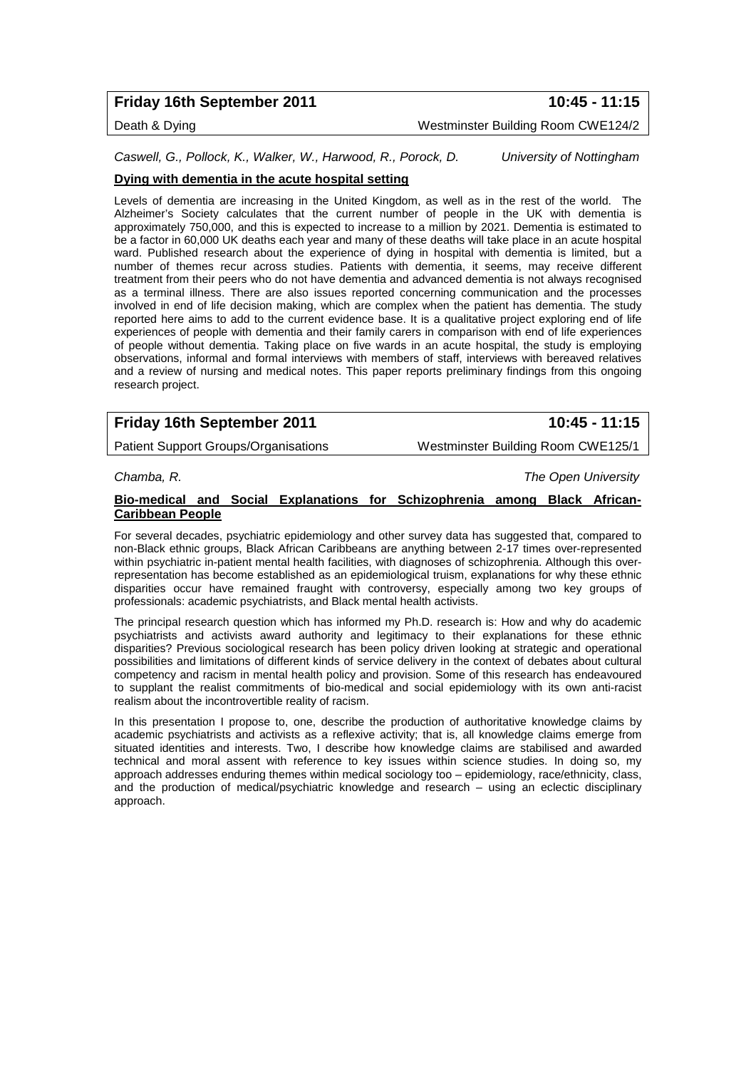# **Friday 16th September 2011 10:45 - 11:15**

# Death & Dying Westminster Building Room CWE124/2

*Caswell, G., Pollock, K., Walker, W., Harwood, R., Porock, D. University of Nottingham*

### **Dying with dementia in the acute hospital setting**

Levels of dementia are increasing in the United Kingdom, as well as in the rest of the world. The Alzheimer's Society calculates that the current number of people in the UK with dementia is approximately 750,000, and this is expected to increase to a million by 2021. Dementia is estimated to be a factor in 60,000 UK deaths each year and many of these deaths will take place in an acute hospital ward. Published research about the experience of dying in hospital with dementia is limited, but a number of themes recur across studies. Patients with dementia, it seems, may receive different treatment from their peers who do not have dementia and advanced dementia is not always recognised as a terminal illness. There are also issues reported concerning communication and the processes involved in end of life decision making, which are complex when the patient has dementia. The study reported here aims to add to the current evidence base. It is a qualitative project exploring end of life experiences of people with dementia and their family carers in comparison with end of life experiences of people without dementia. Taking place on five wards in an acute hospital, the study is employing observations, informal and formal interviews with members of staff, interviews with bereaved relatives and a review of nursing and medical notes. This paper reports preliminary findings from this ongoing research project.

# **Friday 16th September 2011 10:45 - 11:15**

Patient Support Groups/Organisations Westminster Building Room CWE125/1

*Chamba, R. The Open University*

### **Bio-medical and Social Explanations for Schizophrenia among Black African-Caribbean People**

For several decades, psychiatric epidemiology and other survey data has suggested that, compared to non-Black ethnic groups, Black African Caribbeans are anything between 2-17 times over-represented within psychiatric in-patient mental health facilities, with diagnoses of schizophrenia. Although this overrepresentation has become established as an epidemiological truism, explanations for why these ethnic disparities occur have remained fraught with controversy, especially among two key groups of professionals: academic psychiatrists, and Black mental health activists.

The principal research question which has informed my Ph.D. research is: How and why do academic psychiatrists and activists award authority and legitimacy to their explanations for these ethnic disparities? Previous sociological research has been policy driven looking at strategic and operational possibilities and limitations of different kinds of service delivery in the context of debates about cultural competency and racism in mental health policy and provision. Some of this research has endeavoured to supplant the realist commitments of bio-medical and social epidemiology with its own anti-racist realism about the incontrovertible reality of racism.

In this presentation I propose to, one, describe the production of authoritative knowledge claims by academic psychiatrists and activists as a reflexive activity; that is, all knowledge claims emerge from situated identities and interests. Two, I describe how knowledge claims are stabilised and awarded technical and moral assent with reference to key issues within science studies. In doing so, my approach addresses enduring themes within medical sociology too – epidemiology, race/ethnicity, class, and the production of medical/psychiatric knowledge and research – using an eclectic disciplinary approach.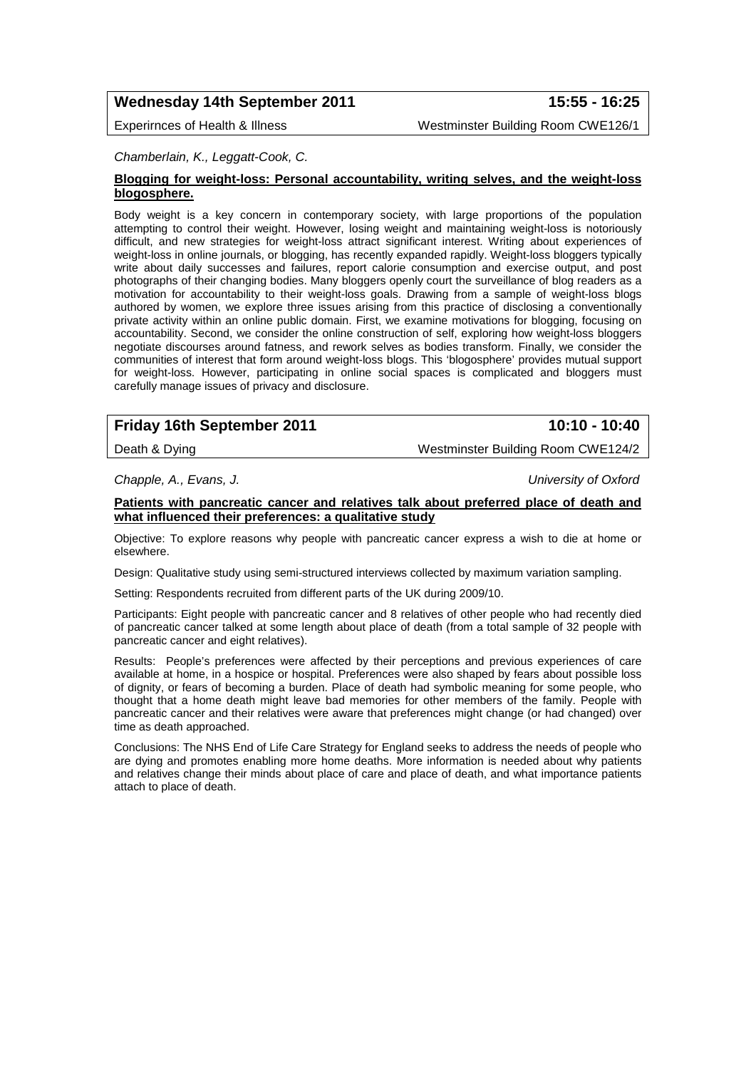# **Wednesday 14th September 2011 15:55 - 16:25**

Experirnces of Health & Illness Westminster Building Room CWE126/1

### *Chamberlain, K., Leggatt-Cook, C.*

### **Blogging for weight-loss: Personal accountability, writing selves, and the weight-loss blogosphere.**

Body weight is a key concern in contemporary society, with large proportions of the population attempting to control their weight. However, losing weight and maintaining weight-loss is notoriously difficult, and new strategies for weight-loss attract significant interest. Writing about experiences of weight-loss in online journals, or blogging, has recently expanded rapidly. Weight-loss bloggers typically write about daily successes and failures, report calorie consumption and exercise output, and post photographs of their changing bodies. Many bloggers openly court the surveillance of blog readers as a motivation for accountability to their weight-loss goals. Drawing from a sample of weight-loss blogs authored by women, we explore three issues arising from this practice of disclosing a conventionally private activity within an online public domain. First, we examine motivations for blogging, focusing on accountability. Second, we consider the online construction of self, exploring how weight-loss bloggers negotiate discourses around fatness, and rework selves as bodies transform. Finally, we consider the communities of interest that form around weight-loss blogs. This 'blogosphere' provides mutual support for weight-loss. However, participating in online social spaces is complicated and bloggers must carefully manage issues of privacy and disclosure.

# **Friday 16th September 2011 10:10 - 10:40**

Death & Dying Nestminster Building Room CWE124/2

*Chapple, A., Evans, J. University of Oxford*

### **Patients with pancreatic cancer and relatives talk about preferred place of death and what influenced their preferences: a qualitative study**

Objective: To explore reasons why people with pancreatic cancer express a wish to die at home or elsewhere.

Design: Qualitative study using semi-structured interviews collected by maximum variation sampling.

Setting: Respondents recruited from different parts of the UK during 2009/10.

Participants: Eight people with pancreatic cancer and 8 relatives of other people who had recently died of pancreatic cancer talked at some length about place of death (from a total sample of 32 people with pancreatic cancer and eight relatives).

Results: People's preferences were affected by their perceptions and previous experiences of care available at home, in a hospice or hospital. Preferences were also shaped by fears about possible loss of dignity, or fears of becoming a burden. Place of death had symbolic meaning for some people, who thought that a home death might leave bad memories for other members of the family. People with pancreatic cancer and their relatives were aware that preferences might change (or had changed) over time as death approached.

Conclusions: The NHS End of Life Care Strategy for England seeks to address the needs of people who are dying and promotes enabling more home deaths. More information is needed about why patients and relatives change their minds about place of care and place of death, and what importance patients attach to place of death.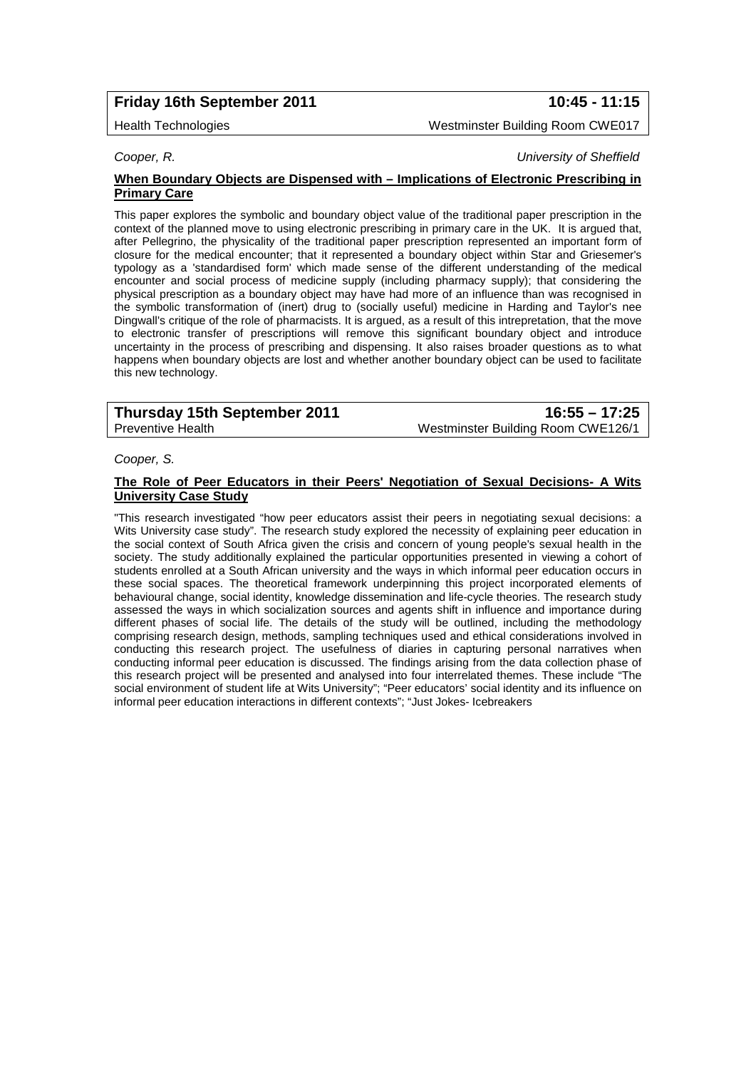# **Friday 16th September 2011 10:45 - 11:15**

Health Technologies Westminster Building Room CWE017

*Cooper, R. University of Sheffield*

### **When Boundary Objects are Dispensed with – Implications of Electronic Prescribing in Primary Care**

This paper explores the symbolic and boundary object value of the traditional paper prescription in the context of the planned move to using electronic prescribing in primary care in the UK. It is argued that, after Pellegrino, the physicality of the traditional paper prescription represented an important form of closure for the medical encounter; that it represented a boundary object within Star and Griesemer's typology as a 'standardised form' which made sense of the different understanding of the medical encounter and social process of medicine supply (including pharmacy supply); that considering the physical prescription as a boundary object may have had more of an influence than was recognised in the symbolic transformation of (inert) drug to (socially useful) medicine in Harding and Taylor's nee Dingwall's critique of the role of pharmacists. It is argued, as a result of this intrepretation, that the move to electronic transfer of prescriptions will remove this significant boundary object and introduce uncertainty in the process of prescribing and dispensing. It also raises broader questions as to what happens when boundary objects are lost and whether another boundary object can be used to facilitate this new technology.

| Thursday 15th September 2011 | $16:55 - 17:25$                    |
|------------------------------|------------------------------------|
| Preventive Health            | Westminster Building Room CWE126/1 |

*Cooper, S.* 

### **The Role of Peer Educators in their Peers' Negotiation of Sexual Decisions- A Wits University Case Study**

"This research investigated "how peer educators assist their peers in negotiating sexual decisions: a Wits University case study". The research study explored the necessity of explaining peer education in the social context of South Africa given the crisis and concern of young people's sexual health in the society. The study additionally explained the particular opportunities presented in viewing a cohort of students enrolled at a South African university and the ways in which informal peer education occurs in these social spaces. The theoretical framework underpinning this project incorporated elements of behavioural change, social identity, knowledge dissemination and life-cycle theories. The research study assessed the ways in which socialization sources and agents shift in influence and importance during different phases of social life. The details of the study will be outlined, including the methodology comprising research design, methods, sampling techniques used and ethical considerations involved in conducting this research project. The usefulness of diaries in capturing personal narratives when conducting informal peer education is discussed. The findings arising from the data collection phase of this research project will be presented and analysed into four interrelated themes. These include "The social environment of student life at Wits University"; "Peer educators' social identity and its influence on informal peer education interactions in different contexts"; "Just Jokes- Icebreakers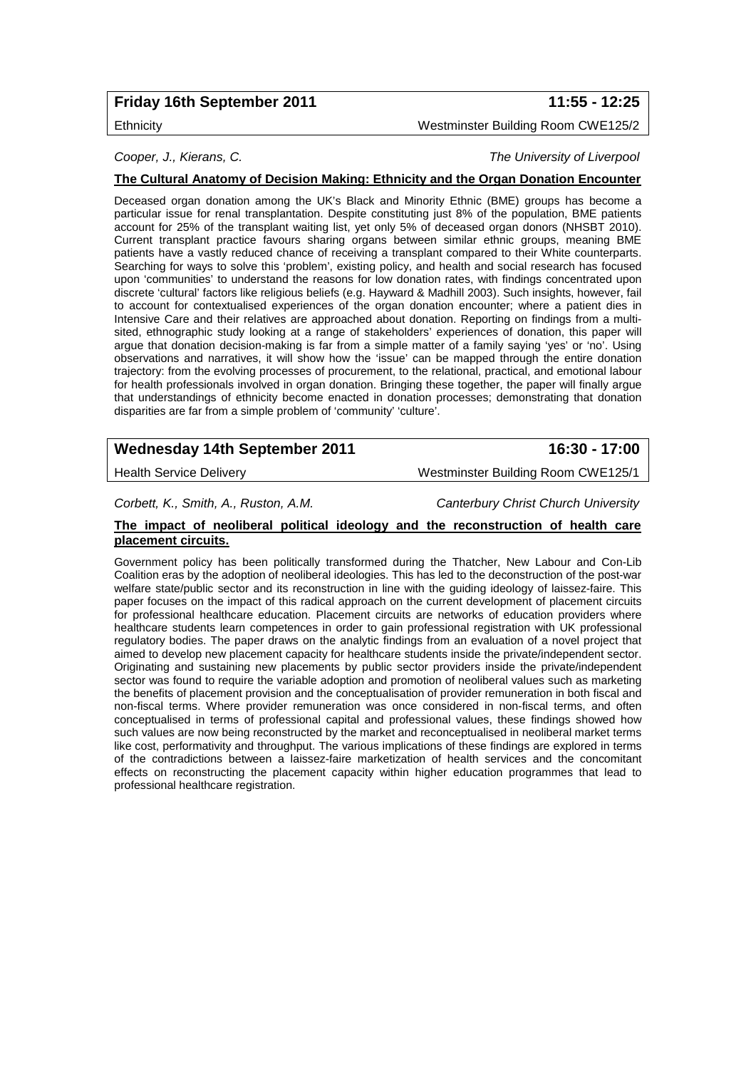# **Friday 16th September 2011 11:55 - 12:25**

Ethnicity Westminster Building Room CWE125/2

*Cooper, J., Kierans, C. The University of Liverpool*

### **The Cultural Anatomy of Decision Making: Ethnicity and the Organ Donation Encounter**

Deceased organ donation among the UK's Black and Minority Ethnic (BME) groups has become a particular issue for renal transplantation. Despite constituting just 8% of the population, BME patients account for 25% of the transplant waiting list, yet only 5% of deceased organ donors (NHSBT 2010). Current transplant practice favours sharing organs between similar ethnic groups, meaning BME patients have a vastly reduced chance of receiving a transplant compared to their White counterparts. Searching for ways to solve this 'problem', existing policy, and health and social research has focused upon 'communities' to understand the reasons for low donation rates, with findings concentrated upon discrete 'cultural' factors like religious beliefs (e.g. Hayward & Madhill 2003). Such insights, however, fail to account for contextualised experiences of the organ donation encounter; where a patient dies in Intensive Care and their relatives are approached about donation. Reporting on findings from a multisited, ethnographic study looking at a range of stakeholders' experiences of donation, this paper will argue that donation decision-making is far from a simple matter of a family saying 'yes' or 'no'. Using observations and narratives, it will show how the 'issue' can be mapped through the entire donation trajectory: from the evolving processes of procurement, to the relational, practical, and emotional labour for health professionals involved in organ donation. Bringing these together, the paper will finally argue that understandings of ethnicity become enacted in donation processes; demonstrating that donation disparities are far from a simple problem of 'community' 'culture'.

# **Wednesday 14th September 2011 16:30 - 17:00**

Health Service Delivery Westminster Building Room CWE125/1

*Corbett, K., Smith, A., Ruston, A.M. Canterbury Christ Church University*

### **The impact of neoliberal political ideology and the reconstruction of health care placement circuits.**

Government policy has been politically transformed during the Thatcher, New Labour and Con-Lib Coalition eras by the adoption of neoliberal ideologies. This has led to the deconstruction of the post-war welfare state/public sector and its reconstruction in line with the guiding ideology of laissez-faire. This paper focuses on the impact of this radical approach on the current development of placement circuits for professional healthcare education. Placement circuits are networks of education providers where healthcare students learn competences in order to gain professional registration with UK professional regulatory bodies. The paper draws on the analytic findings from an evaluation of a novel project that aimed to develop new placement capacity for healthcare students inside the private/independent sector. Originating and sustaining new placements by public sector providers inside the private/independent sector was found to require the variable adoption and promotion of neoliberal values such as marketing the benefits of placement provision and the conceptualisation of provider remuneration in both fiscal and non-fiscal terms. Where provider remuneration was once considered in non-fiscal terms, and often conceptualised in terms of professional capital and professional values, these findings showed how such values are now being reconstructed by the market and reconceptualised in neoliberal market terms like cost, performativity and throughput. The various implications of these findings are explored in terms of the contradictions between a laissez-faire marketization of health services and the concomitant effects on reconstructing the placement capacity within higher education programmes that lead to professional healthcare registration.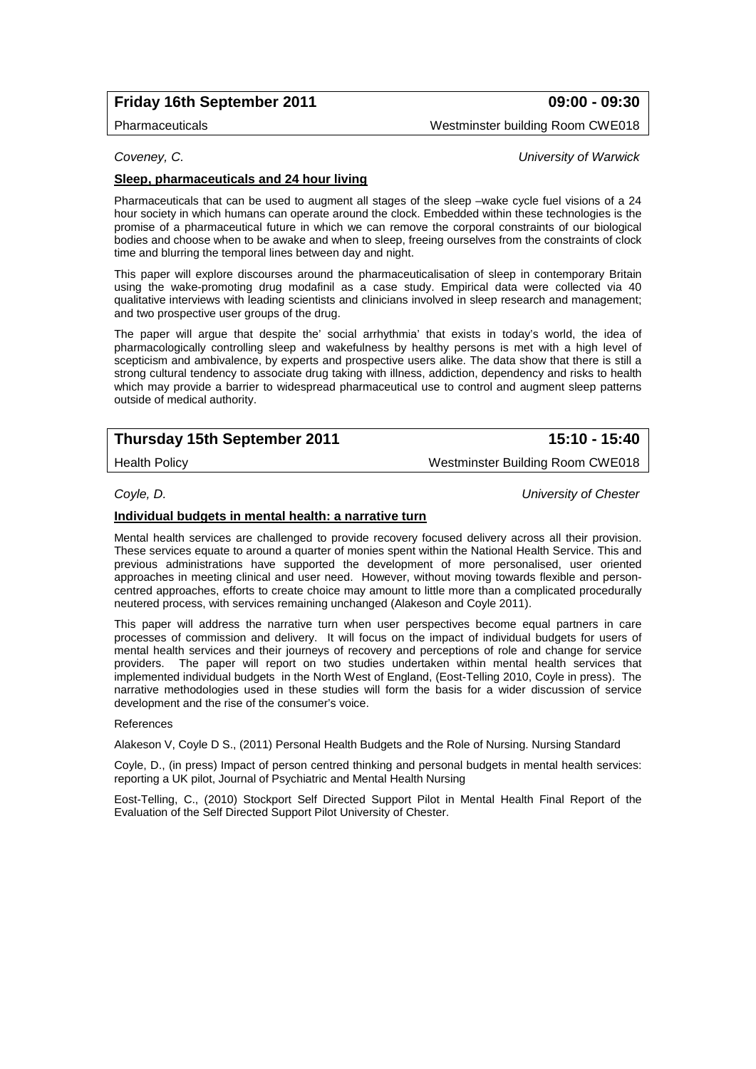# **Friday 16th September 2011 09:00 - 09:30**

Pharmaceuticals Westminster building Room CWE018

*Coveney, C. University of Warwick*

### **Sleep, pharmaceuticals and 24 hour living**

Pharmaceuticals that can be used to augment all stages of the sleep –wake cycle fuel visions of a 24 hour society in which humans can operate around the clock. Embedded within these technologies is the promise of a pharmaceutical future in which we can remove the corporal constraints of our biological bodies and choose when to be awake and when to sleep, freeing ourselves from the constraints of clock time and blurring the temporal lines between day and night.

This paper will explore discourses around the pharmaceuticalisation of sleep in contemporary Britain using the wake-promoting drug modafinil as a case study. Empirical data were collected via 40 qualitative interviews with leading scientists and clinicians involved in sleep research and management; and two prospective user groups of the drug.

The paper will argue that despite the' social arrhythmia' that exists in today's world, the idea of pharmacologically controlling sleep and wakefulness by healthy persons is met with a high level of scepticism and ambivalence, by experts and prospective users alike. The data show that there is still a strong cultural tendency to associate drug taking with illness, addiction, dependency and risks to health which may provide a barrier to widespread pharmaceutical use to control and augment sleep patterns outside of medical authority.

# **Thursday 15th September 2011 15:10 - 15:40**

Health Policy Westminster Building Room CWE018

*Coyle, D. University of Chester*

### **Individual budgets in mental health: a narrative turn**

Mental health services are challenged to provide recovery focused delivery across all their provision. These services equate to around a quarter of monies spent within the National Health Service. This and previous administrations have supported the development of more personalised, user oriented approaches in meeting clinical and user need. However, without moving towards flexible and personcentred approaches, efforts to create choice may amount to little more than a complicated procedurally neutered process, with services remaining unchanged (Alakeson and Coyle 2011).

This paper will address the narrative turn when user perspectives become equal partners in care processes of commission and delivery. It will focus on the impact of individual budgets for users of mental health services and their journeys of recovery and perceptions of role and change for service<br>providers. The paper will report on two studies undertaken within mental health services that The paper will report on two studies undertaken within mental health services that implemented individual budgets in the North West of England, (Eost-Telling 2010, Coyle in press). The narrative methodologies used in these studies will form the basis for a wider discussion of service development and the rise of the consumer's voice.

### References

Alakeson V, Coyle D S., (2011) Personal Health Budgets and the Role of Nursing. Nursing Standard

Coyle, D., (in press) Impact of person centred thinking and personal budgets in mental health services: reporting a UK pilot, Journal of Psychiatric and Mental Health Nursing

Eost-Telling, C., (2010) Stockport Self Directed Support Pilot in Mental Health Final Report of the Evaluation of the Self Directed Support Pilot University of Chester.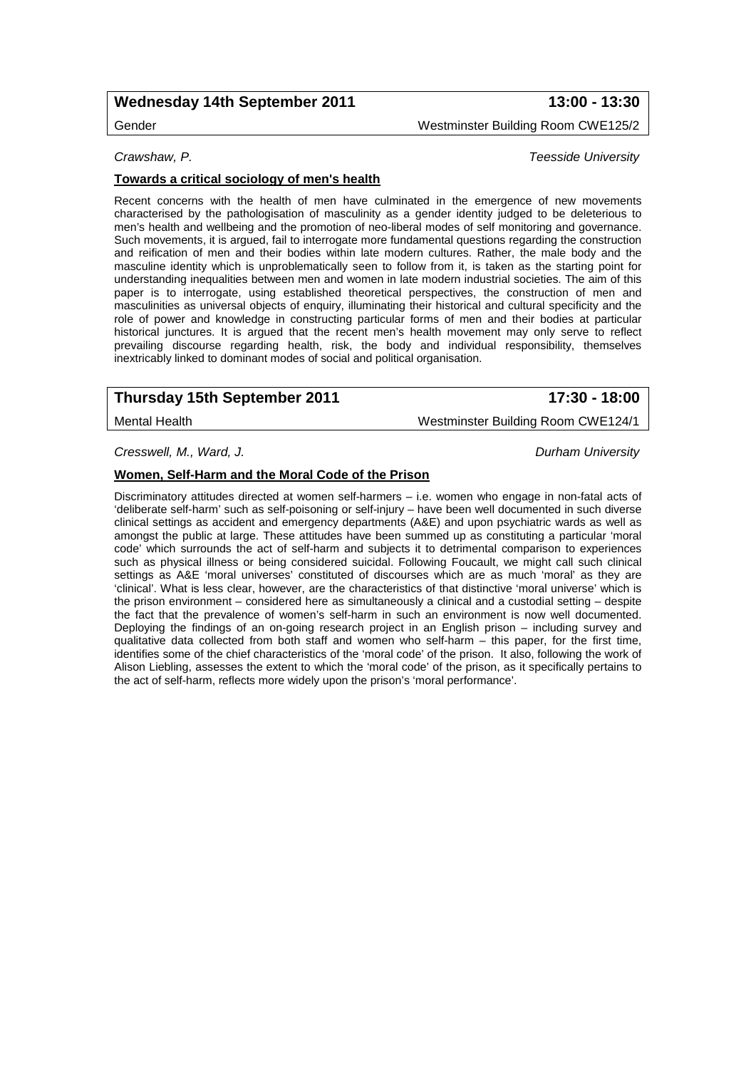# **Wednesday 14th September 2011 13:00 - 13:30**

Gender Westminster Building Room CWE125/2

*Crawshaw, P. Teesside University*

### **Towards a critical sociology of men's health**

Recent concerns with the health of men have culminated in the emergence of new movements characterised by the pathologisation of masculinity as a gender identity judged to be deleterious to men's health and wellbeing and the promotion of neo-liberal modes of self monitoring and governance. Such movements, it is argued, fail to interrogate more fundamental questions regarding the construction and reification of men and their bodies within late modern cultures. Rather, the male body and the masculine identity which is unproblematically seen to follow from it, is taken as the starting point for understanding inequalities between men and women in late modern industrial societies. The aim of this paper is to interrogate, using established theoretical perspectives, the construction of men and masculinities as universal objects of enquiry, illuminating their historical and cultural specificity and the role of power and knowledge in constructing particular forms of men and their bodies at particular historical junctures. It is argued that the recent men's health movement may only serve to reflect prevailing discourse regarding health, risk, the body and individual responsibility, themselves inextricably linked to dominant modes of social and political organisation.

# **Thursday 15th September 2011 17:30 - 18:00**

Mental Health Westminster Building Room CWE124/1

*Cresswell, M., Ward, J. Durham University*

### **Women, Self-Harm and the Moral Code of the Prison**

Discriminatory attitudes directed at women self-harmers – i.e. women who engage in non-fatal acts of 'deliberate self-harm' such as self-poisoning or self-injury – have been well documented in such diverse clinical settings as accident and emergency departments (A&E) and upon psychiatric wards as well as amongst the public at large. These attitudes have been summed up as constituting a particular 'moral code' which surrounds the act of self-harm and subjects it to detrimental comparison to experiences such as physical illness or being considered suicidal. Following Foucault, we might call such clinical settings as A&E 'moral universes' constituted of discourses which are as much 'moral' as they are 'clinical'. What is less clear, however, are the characteristics of that distinctive 'moral universe' which is the prison environment – considered here as simultaneously a clinical and a custodial setting – despite the fact that the prevalence of women's self-harm in such an environment is now well documented. Deploying the findings of an on-going research project in an English prison – including survey and qualitative data collected from both staff and women who self-harm – this paper, for the first time, identifies some of the chief characteristics of the 'moral code' of the prison. It also, following the work of Alison Liebling, assesses the extent to which the 'moral code' of the prison, as it specifically pertains to the act of self-harm, reflects more widely upon the prison's 'moral performance'.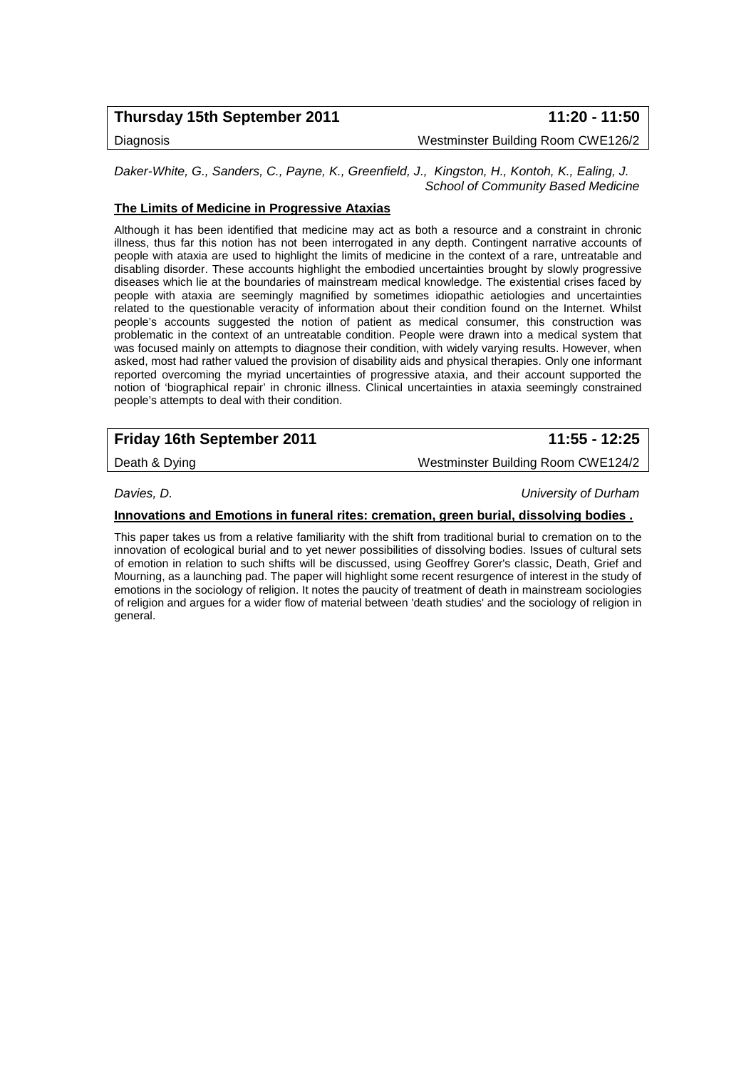# **Thursday 15th September 2011 11:20 - 11:50**

Diagnosis Westminster Building Room CWE126/2

*Daker-White, G., Sanders, C., Payne, K., Greenfield, J., Kingston, H., Kontoh, K., Ealing, J. School of Community Based Medicine*

### **The Limits of Medicine in Progressive Ataxias**

Although it has been identified that medicine may act as both a resource and a constraint in chronic illness, thus far this notion has not been interrogated in any depth. Contingent narrative accounts of people with ataxia are used to highlight the limits of medicine in the context of a rare, untreatable and disabling disorder. These accounts highlight the embodied uncertainties brought by slowly progressive diseases which lie at the boundaries of mainstream medical knowledge. The existential crises faced by people with ataxia are seemingly magnified by sometimes idiopathic aetiologies and uncertainties related to the questionable veracity of information about their condition found on the Internet. Whilst people's accounts suggested the notion of patient as medical consumer, this construction was problematic in the context of an untreatable condition. People were drawn into a medical system that was focused mainly on attempts to diagnose their condition, with widely varying results. However, when asked, most had rather valued the provision of disability aids and physical therapies. Only one informant reported overcoming the myriad uncertainties of progressive ataxia, and their account supported the notion of 'biographical repair' in chronic illness. Clinical uncertainties in ataxia seemingly constrained people's attempts to deal with their condition.

| <b>Friday 16th September 2011</b> | 11:55 - 12:25 |
|-----------------------------------|---------------|
|                                   |               |

Death & Dying Westminster Building Room CWE124/2

*Davies, D. University of Durham*

**Innovations and Emotions in funeral rites: cremation, green burial, dissolving bodies .**

This paper takes us from a relative familiarity with the shift from traditional burial to cremation on to the innovation of ecological burial and to yet newer possibilities of dissolving bodies. Issues of cultural sets of emotion in relation to such shifts will be discussed, using Geoffrey Gorer's classic, Death, Grief and Mourning, as a launching pad. The paper will highlight some recent resurgence of interest in the study of emotions in the sociology of religion. It notes the paucity of treatment of death in mainstream sociologies of religion and argues for a wider flow of material between 'death studies' and the sociology of religion in general.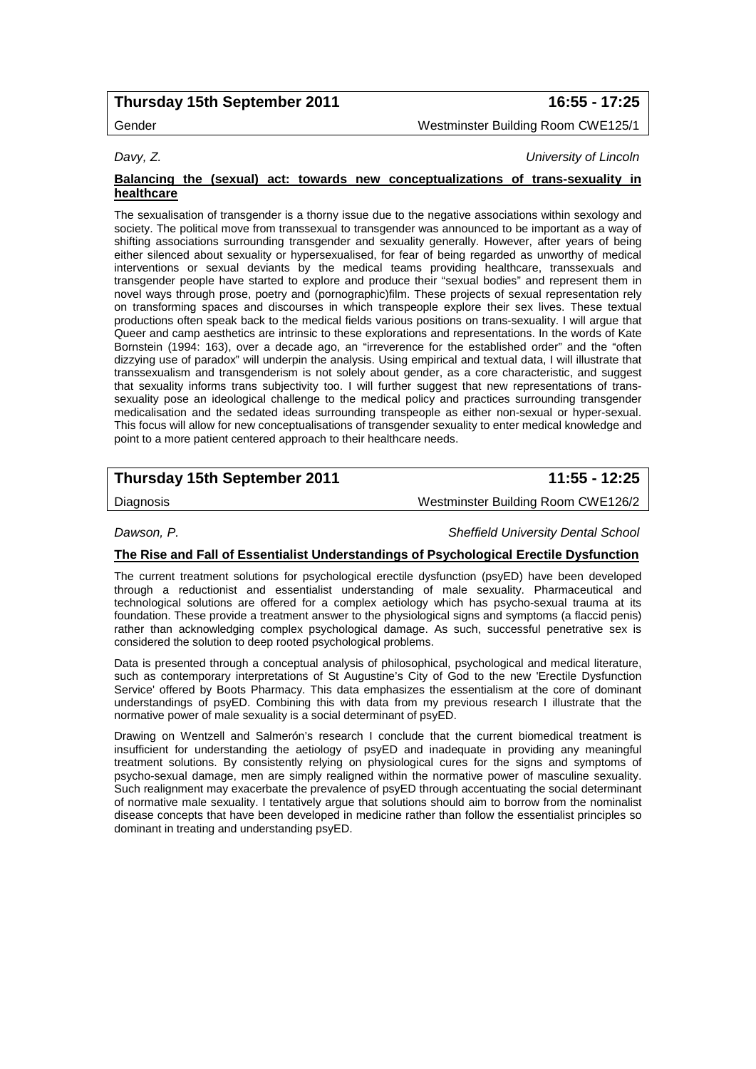# **Thursday 15th September 2011 16:55 - 17:25**

Gender Westminster Building Room CWE125/1

*Davy, Z. University of Lincoln*

### **Balancing the (sexual) act: towards new conceptualizations of trans-sexuality in healthcare**

The sexualisation of transgender is a thorny issue due to the negative associations within sexology and society. The political move from transsexual to transgender was announced to be important as a way of shifting associations surrounding transgender and sexuality generally. However, after years of being either silenced about sexuality or hypersexualised, for fear of being regarded as unworthy of medical interventions or sexual deviants by the medical teams providing healthcare, transsexuals and transgender people have started to explore and produce their "sexual bodies" and represent them in novel ways through prose, poetry and (pornographic)film. These projects of sexual representation rely on transforming spaces and discourses in which transpeople explore their sex lives. These textual productions often speak back to the medical fields various positions on trans-sexuality. I will argue that Queer and camp aesthetics are intrinsic to these explorations and representations. In the words of Kate Bornstein (1994: 163), over a decade ago, an "irreverence for the established order" and the "often dizzying use of paradox" will underpin the analysis. Using empirical and textual data, I will illustrate that transsexualism and transgenderism is not solely about gender, as a core characteristic, and suggest that sexuality informs trans subjectivity too. I will further suggest that new representations of transsexuality pose an ideological challenge to the medical policy and practices surrounding transgender medicalisation and the sedated ideas surrounding transpeople as either non-sexual or hyper-sexual. This focus will allow for new conceptualisations of transgender sexuality to enter medical knowledge and point to a more patient centered approach to their healthcare needs.

# **Thursday 15th September 2011 11:55 - 12:25**

Diagnosis Westminster Building Room CWE126/2

*Dawson, P. Sheffield University Dental School*

### **The Rise and Fall of Essentialist Understandings of Psychological Erectile Dysfunction**

The current treatment solutions for psychological erectile dysfunction (psyED) have been developed through a reductionist and essentialist understanding of male sexuality. Pharmaceutical and technological solutions are offered for a complex aetiology which has psycho-sexual trauma at its foundation. These provide a treatment answer to the physiological signs and symptoms (a flaccid penis) rather than acknowledging complex psychological damage. As such, successful penetrative sex is considered the solution to deep rooted psychological problems.

Data is presented through a conceptual analysis of philosophical, psychological and medical literature, such as contemporary interpretations of St Augustine's City of God to the new 'Erectile Dysfunction Service' offered by Boots Pharmacy. This data emphasizes the essentialism at the core of dominant understandings of psyED. Combining this with data from my previous research I illustrate that the normative power of male sexuality is a social determinant of psyED.

Drawing on Wentzell and Salmerón's research I conclude that the current biomedical treatment is insufficient for understanding the aetiology of psyED and inadequate in providing any meaningful treatment solutions. By consistently relying on physiological cures for the signs and symptoms of psycho-sexual damage, men are simply realigned within the normative power of masculine sexuality. Such realignment may exacerbate the prevalence of psyED through accentuating the social determinant of normative male sexuality. I tentatively argue that solutions should aim to borrow from the nominalist disease concepts that have been developed in medicine rather than follow the essentialist principles so dominant in treating and understanding psyED.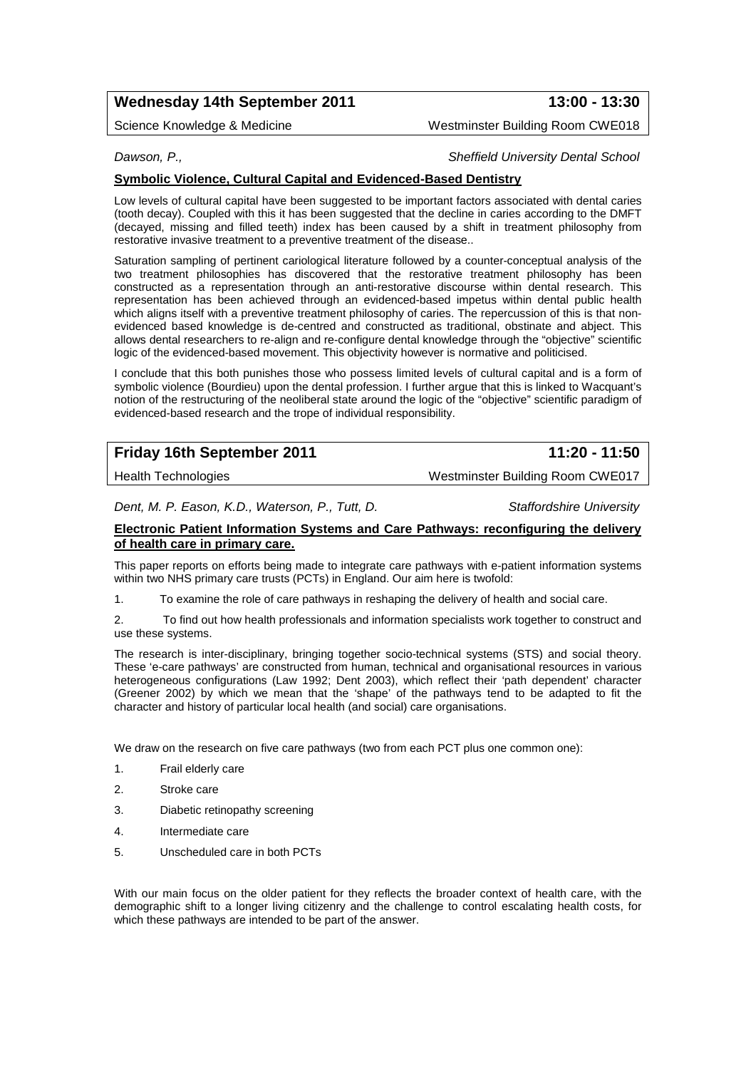# **Wednesday 14th September 2011 13:00 - 13:30**

Science Knowledge & Medicine Westminster Building Room CWE018

### *Dawson, P., Sheffield University Dental School*

### **Symbolic Violence, Cultural Capital and Evidenced-Based Dentistry**

Low levels of cultural capital have been suggested to be important factors associated with dental caries (tooth decay). Coupled with this it has been suggested that the decline in caries according to the DMFT (decayed, missing and filled teeth) index has been caused by a shift in treatment philosophy from restorative invasive treatment to a preventive treatment of the disease..

Saturation sampling of pertinent cariological literature followed by a counter-conceptual analysis of the two treatment philosophies has discovered that the restorative treatment philosophy has been constructed as a representation through an anti-restorative discourse within dental research. This representation has been achieved through an evidenced-based impetus within dental public health which aligns itself with a preventive treatment philosophy of caries. The repercussion of this is that nonevidenced based knowledge is de-centred and constructed as traditional, obstinate and abject. This allows dental researchers to re-align and re-configure dental knowledge through the "objective" scientific logic of the evidenced-based movement. This objectivity however is normative and politicised.

I conclude that this both punishes those who possess limited levels of cultural capital and is a form of symbolic violence (Bourdieu) upon the dental profession. I further argue that this is linked to Wacquant's notion of the restructuring of the neoliberal state around the logic of the "objective" scientific paradigm of evidenced-based research and the trope of individual responsibility.

|  | <b>Friday 16th September 2011</b> |  |
|--|-----------------------------------|--|
|  |                                   |  |

**Friday 16th September 2011 11:20 - 11:50**

Health Technologies Westminster Building Room CWE017

*Dent, M. P. Eason, K.D., Waterson, P., Tutt, D. Staffordshire University*

**Electronic Patient Information Systems and Care Pathways: reconfiguring the delivery of health care in primary care.** 

This paper reports on efforts being made to integrate care pathways with e-patient information systems within two NHS primary care trusts (PCTs) in England. Our aim here is twofold:

1. To examine the role of care pathways in reshaping the delivery of health and social care.

2. To find out how health professionals and information specialists work together to construct and use these systems.

The research is inter-disciplinary, bringing together socio-technical systems (STS) and social theory. These 'e-care pathways' are constructed from human, technical and organisational resources in various heterogeneous configurations (Law 1992; Dent 2003), which reflect their 'path dependent' character (Greener 2002) by which we mean that the 'shape' of the pathways tend to be adapted to fit the character and history of particular local health (and social) care organisations.

We draw on the research on five care pathways (two from each PCT plus one common one):

- 1. Frail elderly care
- 2. Stroke care
- 3. Diabetic retinopathy screening
- 4. Intermediate care
- 5. Unscheduled care in both PCTs

With our main focus on the older patient for they reflects the broader context of health care, with the demographic shift to a longer living citizenry and the challenge to control escalating health costs, for which these pathways are intended to be part of the answer.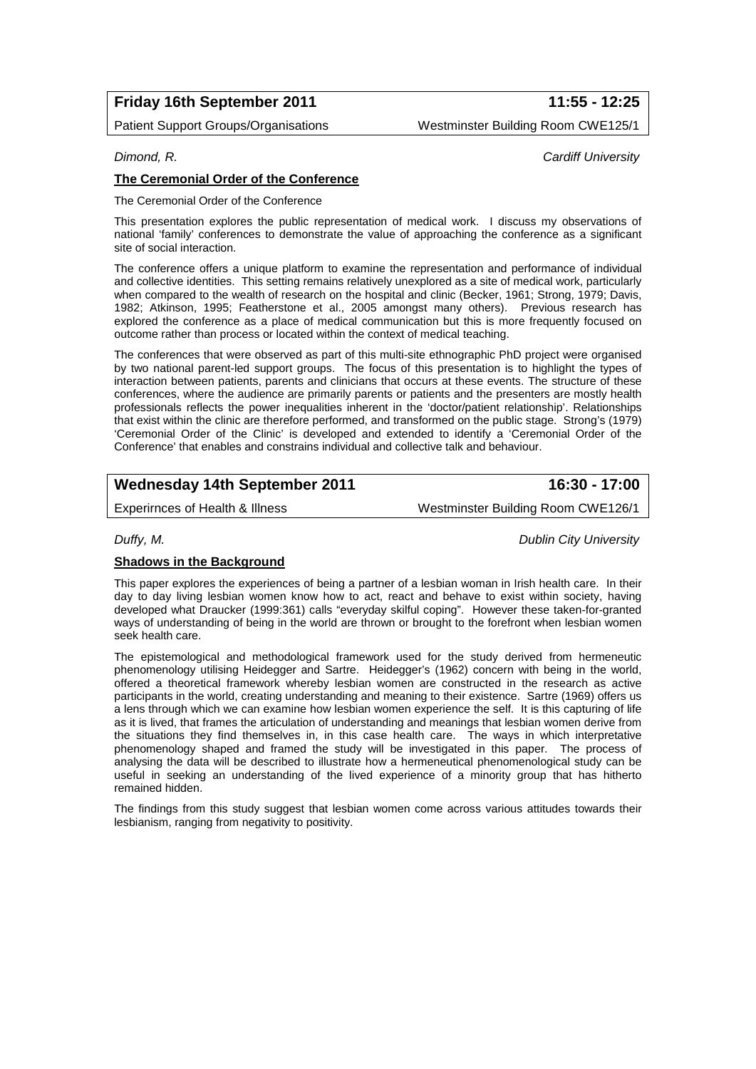# **Friday 16th September 2011 11:55 - 12:25**

Patient Support Groups/Organisations Westminster Building Room CWE125/1

### *Dimond, R. Cardiff University*

### **The Ceremonial Order of the Conference**

The Ceremonial Order of the Conference

This presentation explores the public representation of medical work. I discuss my observations of national 'family' conferences to demonstrate the value of approaching the conference as a significant site of social interaction.

The conference offers a unique platform to examine the representation and performance of individual and collective identities. This setting remains relatively unexplored as a site of medical work, particularly when compared to the wealth of research on the hospital and clinic (Becker, 1961; Strong, 1979; Davis, 1982; Atkinson, 1995; Featherstone et al., 2005 amongst many others). Previous research has explored the conference as a place of medical communication but this is more frequently focused on outcome rather than process or located within the context of medical teaching.

The conferences that were observed as part of this multi-site ethnographic PhD project were organised by two national parent-led support groups. The focus of this presentation is to highlight the types of interaction between patients, parents and clinicians that occurs at these events. The structure of these conferences, where the audience are primarily parents or patients and the presenters are mostly health professionals reflects the power inequalities inherent in the 'doctor/patient relationship'. Relationships that exist within the clinic are therefore performed, and transformed on the public stage. Strong's (1979) 'Ceremonial Order of the Clinic' is developed and extended to identify a 'Ceremonial Order of the Conference' that enables and constrains individual and collective talk and behaviour.

# **Wednesday 14th September 2011 16:30 - 17:00**

Experirnces of Health & Illness Westminster Building Room CWE126/1

*Duffy, M. Dublin City University*

### **Shadows in the Background**

This paper explores the experiences of being a partner of a lesbian woman in Irish health care. In their day to day living lesbian women know how to act, react and behave to exist within society, having developed what Draucker (1999:361) calls "everyday skilful coping". However these taken-for-granted ways of understanding of being in the world are thrown or brought to the forefront when lesbian women seek health care.

The epistemological and methodological framework used for the study derived from hermeneutic phenomenology utilising Heidegger and Sartre. Heidegger's (1962) concern with being in the world, offered a theoretical framework whereby lesbian women are constructed in the research as active participants in the world, creating understanding and meaning to their existence. Sartre (1969) offers us a lens through which we can examine how lesbian women experience the self. It is this capturing of life as it is lived, that frames the articulation of understanding and meanings that lesbian women derive from the situations they find themselves in, in this case health care. The ways in which interpretative phenomenology shaped and framed the study will be investigated in this paper. The process of analysing the data will be described to illustrate how a hermeneutical phenomenological study can be useful in seeking an understanding of the lived experience of a minority group that has hitherto remained hidden.

The findings from this study suggest that lesbian women come across various attitudes towards their lesbianism, ranging from negativity to positivity.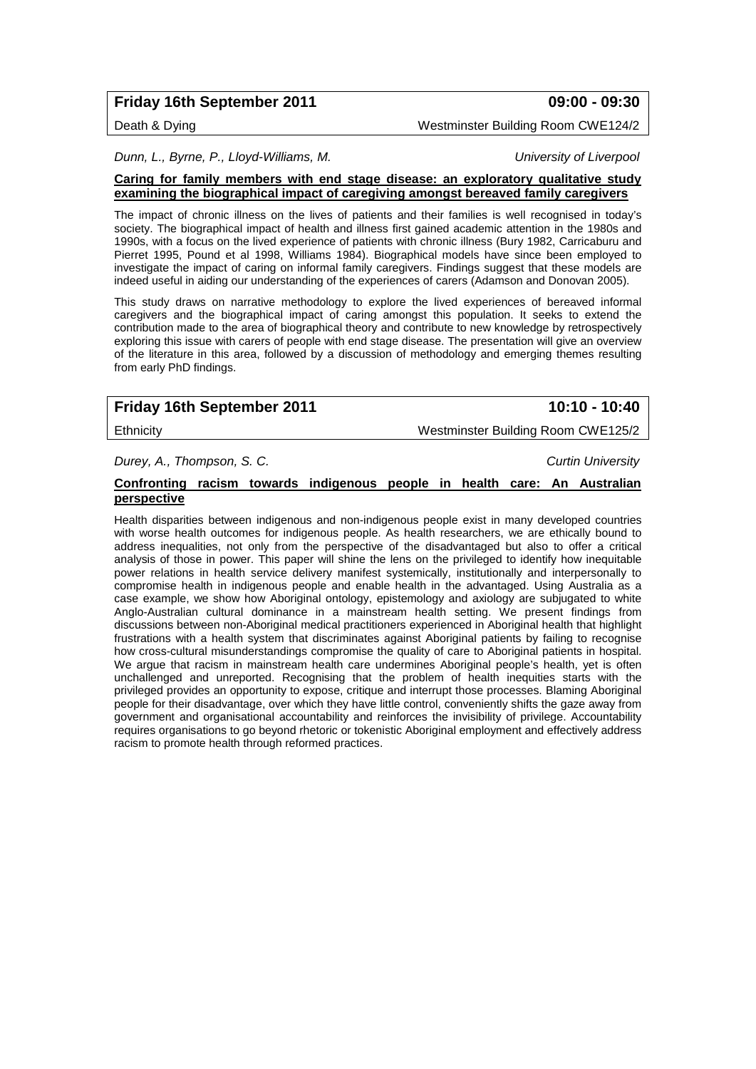# **Friday 16th September 2011 09:00 - 09:30**

Death & Dying Westminster Building Room CWE124/2

*Dunn, L., Byrne, P., Lloyd-Williams, M. University of Liverpool*

### **Caring for family members with end stage disease: an exploratory qualitative study examining the biographical impact of caregiving amongst bereaved family caregivers**

The impact of chronic illness on the lives of patients and their families is well recognised in today's society. The biographical impact of health and illness first gained academic attention in the 1980s and 1990s, with a focus on the lived experience of patients with chronic illness (Bury 1982, Carricaburu and Pierret 1995, Pound et al 1998, Williams 1984). Biographical models have since been employed to investigate the impact of caring on informal family caregivers. Findings suggest that these models are indeed useful in aiding our understanding of the experiences of carers (Adamson and Donovan 2005).

This study draws on narrative methodology to explore the lived experiences of bereaved informal caregivers and the biographical impact of caring amongst this population. It seeks to extend the contribution made to the area of biographical theory and contribute to new knowledge by retrospectively exploring this issue with carers of people with end stage disease. The presentation will give an overview of the literature in this area, followed by a discussion of methodology and emerging themes resulting from early PhD findings.

# **Friday 16th September 2011 10:10 - 10:40**

Ethnicity Westminster Building Room CWE125/2

*Durey, A., Thompson, S. C. Curtin University*

### **Confronting racism towards indigenous people in health care: An Australian perspective**

Health disparities between indigenous and non-indigenous people exist in many developed countries with worse health outcomes for indigenous people. As health researchers, we are ethically bound to address inequalities, not only from the perspective of the disadvantaged but also to offer a critical analysis of those in power. This paper will shine the lens on the privileged to identify how inequitable power relations in health service delivery manifest systemically, institutionally and interpersonally to compromise health in indigenous people and enable health in the advantaged. Using Australia as a case example, we show how Aboriginal ontology, epistemology and axiology are subjugated to white Anglo-Australian cultural dominance in a mainstream health setting. We present findings from discussions between non-Aboriginal medical practitioners experienced in Aboriginal health that highlight frustrations with a health system that discriminates against Aboriginal patients by failing to recognise how cross-cultural misunderstandings compromise the quality of care to Aboriginal patients in hospital. We arque that racism in mainstream health care undermines Aboriginal people's health, yet is often unchallenged and unreported. Recognising that the problem of health inequities starts with the privileged provides an opportunity to expose, critique and interrupt those processes. Blaming Aboriginal people for their disadvantage, over which they have little control, conveniently shifts the gaze away from government and organisational accountability and reinforces the invisibility of privilege. Accountability requires organisations to go beyond rhetoric or tokenistic Aboriginal employment and effectively address racism to promote health through reformed practices.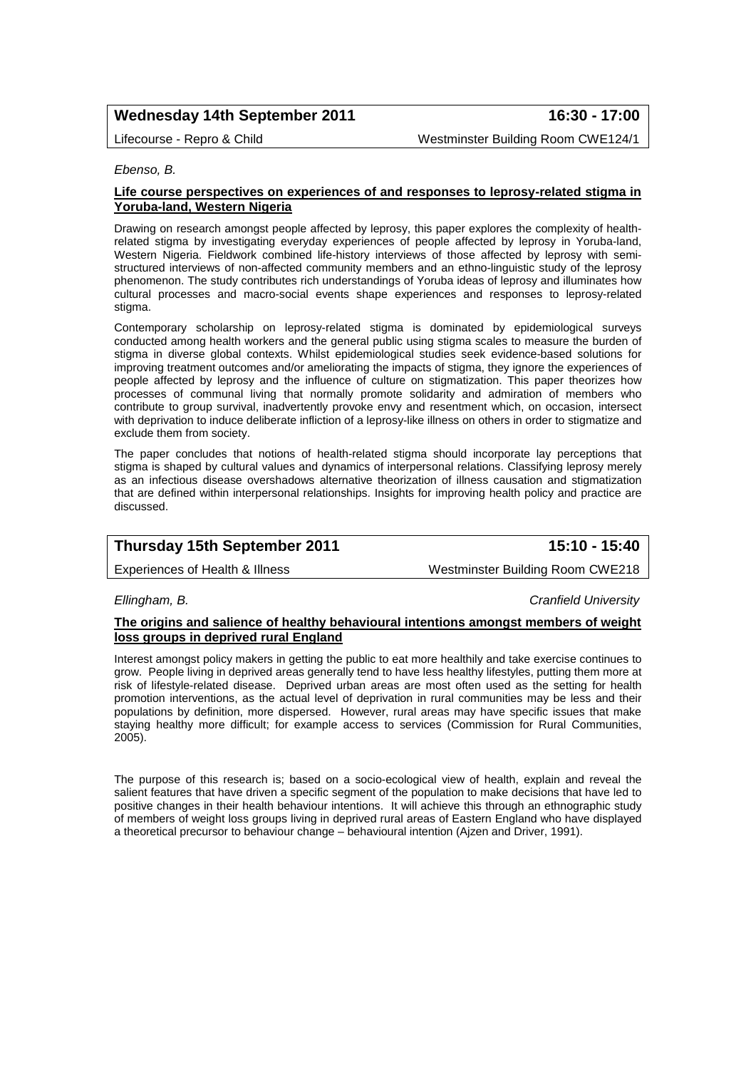# **Wednesday 14th September 2011 16:30 - 17:00**

Lifecourse - Repro & Child Westminster Building Room CWE124/1

*Ebenso, B.* 

### **Life course perspectives on experiences of and responses to leprosy-related stigma in Yoruba-land, Western Nigeria**

Drawing on research amongst people affected by leprosy, this paper explores the complexity of healthrelated stigma by investigating everyday experiences of people affected by leprosy in Yoruba-land, Western Nigeria. Fieldwork combined life-history interviews of those affected by leprosy with semistructured interviews of non-affected community members and an ethno-linguistic study of the leprosy phenomenon. The study contributes rich understandings of Yoruba ideas of leprosy and illuminates how cultural processes and macro-social events shape experiences and responses to leprosy-related stigma.

Contemporary scholarship on leprosy-related stigma is dominated by epidemiological surveys conducted among health workers and the general public using stigma scales to measure the burden of stigma in diverse global contexts. Whilst epidemiological studies seek evidence-based solutions for improving treatment outcomes and/or ameliorating the impacts of stigma, they ignore the experiences of people affected by leprosy and the influence of culture on stigmatization. This paper theorizes how processes of communal living that normally promote solidarity and admiration of members who contribute to group survival, inadvertently provoke envy and resentment which, on occasion, intersect with deprivation to induce deliberate infliction of a leprosy-like illness on others in order to stigmatize and exclude them from society.

The paper concludes that notions of health-related stigma should incorporate lay perceptions that stigma is shaped by cultural values and dynamics of interpersonal relations. Classifying leprosy merely as an infectious disease overshadows alternative theorization of illness causation and stigmatization that are defined within interpersonal relationships. Insights for improving health policy and practice are discussed.

|  | <b>Thursday 15th September 2011</b> | 15:10 - 15:40 |
|--|-------------------------------------|---------------|
|--|-------------------------------------|---------------|

Experiences of Health & Illness Westminster Building Room CWE218

*Ellingham, B. Cranfield University*

### **The origins and salience of healthy behavioural intentions amongst members of weight loss groups in deprived rural England**

Interest amongst policy makers in getting the public to eat more healthily and take exercise continues to grow. People living in deprived areas generally tend to have less healthy lifestyles, putting them more at risk of lifestyle-related disease. Deprived urban areas are most often used as the setting for health promotion interventions, as the actual level of deprivation in rural communities may be less and their populations by definition, more dispersed. However, rural areas may have specific issues that make staying healthy more difficult; for example access to services (Commission for Rural Communities, 2005).

The purpose of this research is; based on a socio-ecological view of health, explain and reveal the salient features that have driven a specific segment of the population to make decisions that have led to positive changes in their health behaviour intentions. It will achieve this through an ethnographic study of members of weight loss groups living in deprived rural areas of Eastern England who have displayed a theoretical precursor to behaviour change – behavioural intention (Ajzen and Driver, 1991).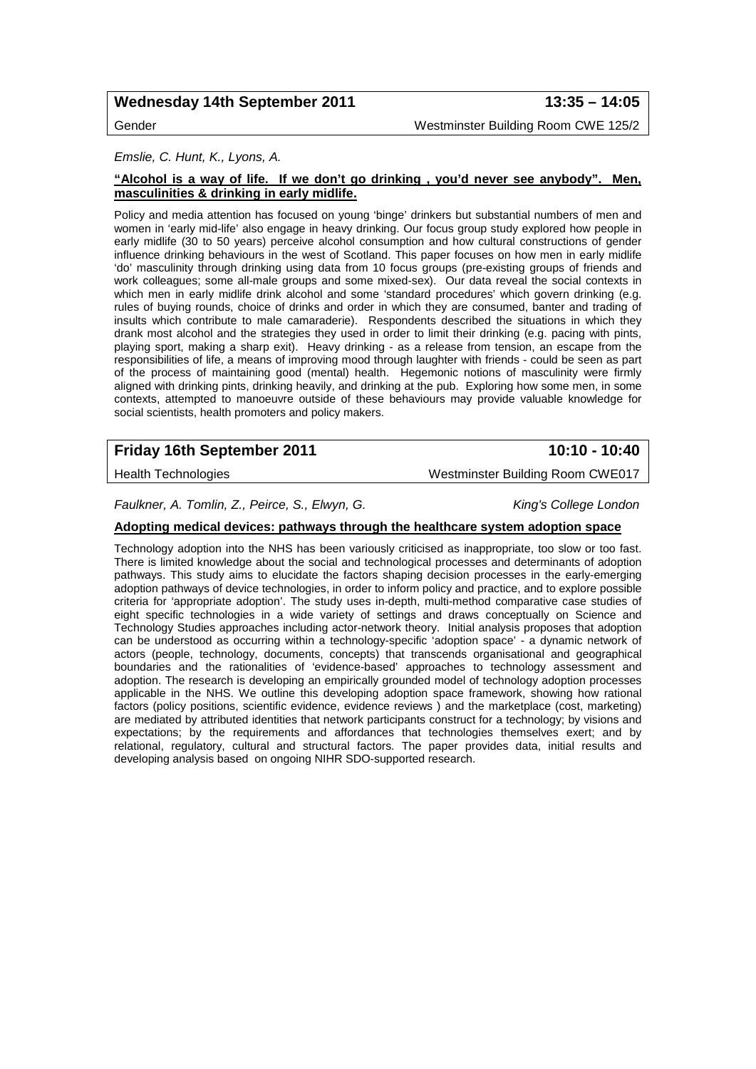# **Wednesday 14th September 2011 13:35 – 14:05**

Gender Westminster Building Room CWE 125/2

### *Emslie, C. Hunt, K., Lyons, A.*

### **"Alcohol is a way of life. If we don't go drinking , you'd never see anybody". Men, masculinities & drinking in early midlife.**

Policy and media attention has focused on young 'binge' drinkers but substantial numbers of men and women in 'early mid-life' also engage in heavy drinking. Our focus group study explored how people in early midlife (30 to 50 years) perceive alcohol consumption and how cultural constructions of gender influence drinking behaviours in the west of Scotland. This paper focuses on how men in early midlife 'do' masculinity through drinking using data from 10 focus groups (pre-existing groups of friends and work colleagues; some all-male groups and some mixed-sex). Our data reveal the social contexts in which men in early midlife drink alcohol and some 'standard procedures' which govern drinking (e.g. rules of buying rounds, choice of drinks and order in which they are consumed, banter and trading of insults which contribute to male camaraderie). Respondents described the situations in which they drank most alcohol and the strategies they used in order to limit their drinking (e.g. pacing with pints, playing sport, making a sharp exit). Heavy drinking - as a release from tension, an escape from the responsibilities of life, a means of improving mood through laughter with friends - could be seen as part of the process of maintaining good (mental) health. Hegemonic notions of masculinity were firmly aligned with drinking pints, drinking heavily, and drinking at the pub. Exploring how some men, in some contexts, attempted to manoeuvre outside of these behaviours may provide valuable knowledge for social scientists, health promoters and policy makers.

# **Friday 16th September 2011 10:10 - 10:40**

Health Technologies Westminster Building Room CWE017

*Faulkner, A. Tomlin, Z., Peirce, S., Elwyn, G. King's College London*

### **Adopting medical devices: pathways through the healthcare system adoption space**

Technology adoption into the NHS has been variously criticised as inappropriate, too slow or too fast. There is limited knowledge about the social and technological processes and determinants of adoption pathways. This study aims to elucidate the factors shaping decision processes in the early-emerging adoption pathways of device technologies, in order to inform policy and practice, and to explore possible criteria for 'appropriate adoption'. The study uses in-depth, multi-method comparative case studies of eight specific technologies in a wide variety of settings and draws conceptually on Science and Technology Studies approaches including actor-network theory. Initial analysis proposes that adoption can be understood as occurring within a technology-specific 'adoption space' - a dynamic network of actors (people, technology, documents, concepts) that transcends organisational and geographical boundaries and the rationalities of 'evidence-based' approaches to technology assessment and adoption. The research is developing an empirically grounded model of technology adoption processes applicable in the NHS. We outline this developing adoption space framework, showing how rational factors (policy positions, scientific evidence, evidence reviews ) and the marketplace (cost, marketing) are mediated by attributed identities that network participants construct for a technology; by visions and expectations; by the requirements and affordances that technologies themselves exert; and by relational, regulatory, cultural and structural factors. The paper provides data, initial results and developing analysis based on ongoing NIHR SDO-supported research.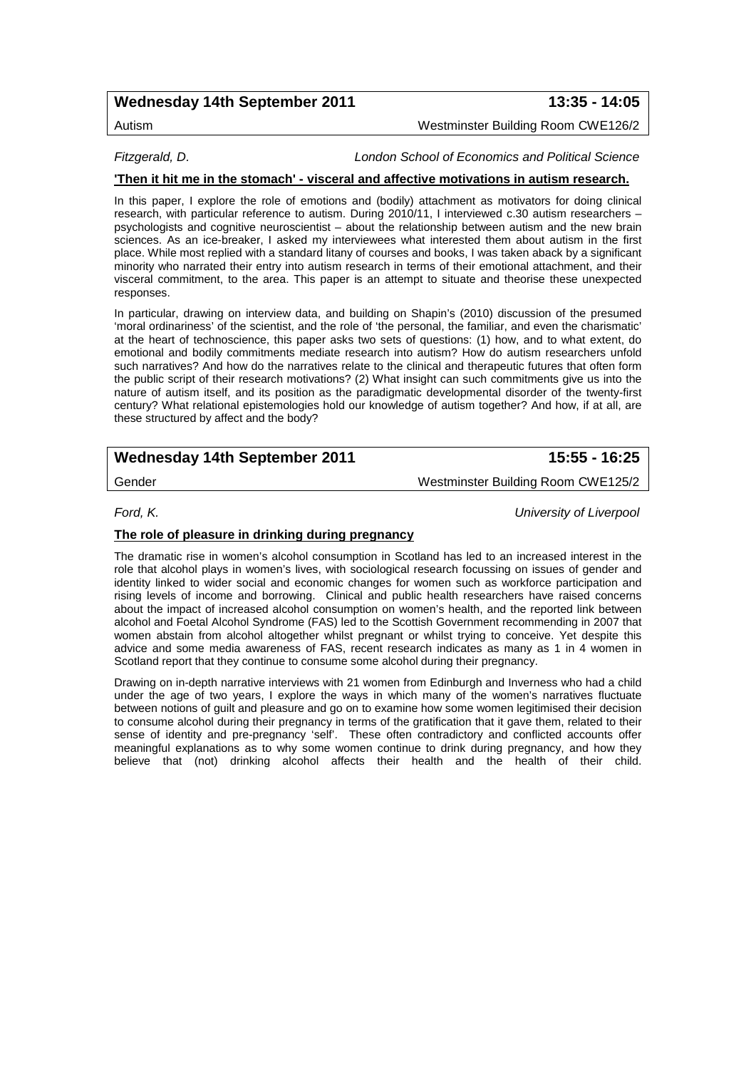# **Wednesday 14th September 2011 13:35 - 14:05**

Autism Westminster Building Room CWE126/2

*Fitzgerald, D. London School of Economics and Political Science*

### **'Then it hit me in the stomach' - visceral and affective motivations in autism research.**

In this paper, I explore the role of emotions and (bodily) attachment as motivators for doing clinical research, with particular reference to autism. During 2010/11, I interviewed c.30 autism researchers – psychologists and cognitive neuroscientist – about the relationship between autism and the new brain sciences. As an ice-breaker, I asked my interviewees what interested them about autism in the first place. While most replied with a standard litany of courses and books, I was taken aback by a significant minority who narrated their entry into autism research in terms of their emotional attachment, and their visceral commitment, to the area. This paper is an attempt to situate and theorise these unexpected responses.

In particular, drawing on interview data, and building on Shapin's (2010) discussion of the presumed 'moral ordinariness' of the scientist, and the role of 'the personal, the familiar, and even the charismatic' at the heart of technoscience, this paper asks two sets of questions: (1) how, and to what extent, do emotional and bodily commitments mediate research into autism? How do autism researchers unfold such narratives? And how do the narratives relate to the clinical and therapeutic futures that often form the public script of their research motivations? (2) What insight can such commitments give us into the nature of autism itself, and its position as the paradigmatic developmental disorder of the twenty-first century? What relational epistemologies hold our knowledge of autism together? And how, if at all, are these structured by affect and the body?

# **Wednesday 14th September 2011 15:55 - 16:25**

Gender Westminster Building Room CWE125/2

*Ford, K. University of Liverpool*

### **The role of pleasure in drinking during pregnancy**

The dramatic rise in women's alcohol consumption in Scotland has led to an increased interest in the role that alcohol plays in women's lives, with sociological research focussing on issues of gender and identity linked to wider social and economic changes for women such as workforce participation and rising levels of income and borrowing. Clinical and public health researchers have raised concerns about the impact of increased alcohol consumption on women's health, and the reported link between alcohol and Foetal Alcohol Syndrome (FAS) led to the Scottish Government recommending in 2007 that women abstain from alcohol altogether whilst pregnant or whilst trying to conceive. Yet despite this advice and some media awareness of FAS, recent research indicates as many as 1 in 4 women in Scotland report that they continue to consume some alcohol during their pregnancy.

Drawing on in-depth narrative interviews with 21 women from Edinburgh and Inverness who had a child under the age of two years, I explore the ways in which many of the women's narratives fluctuate between notions of guilt and pleasure and go on to examine how some women legitimised their decision to consume alcohol during their pregnancy in terms of the gratification that it gave them, related to their sense of identity and pre-pregnancy 'self'. These often contradictory and conflicted accounts offer meaningful explanations as to why some women continue to drink during pregnancy, and how they believe that (not) drinking alcohol affects their health and the health of their child.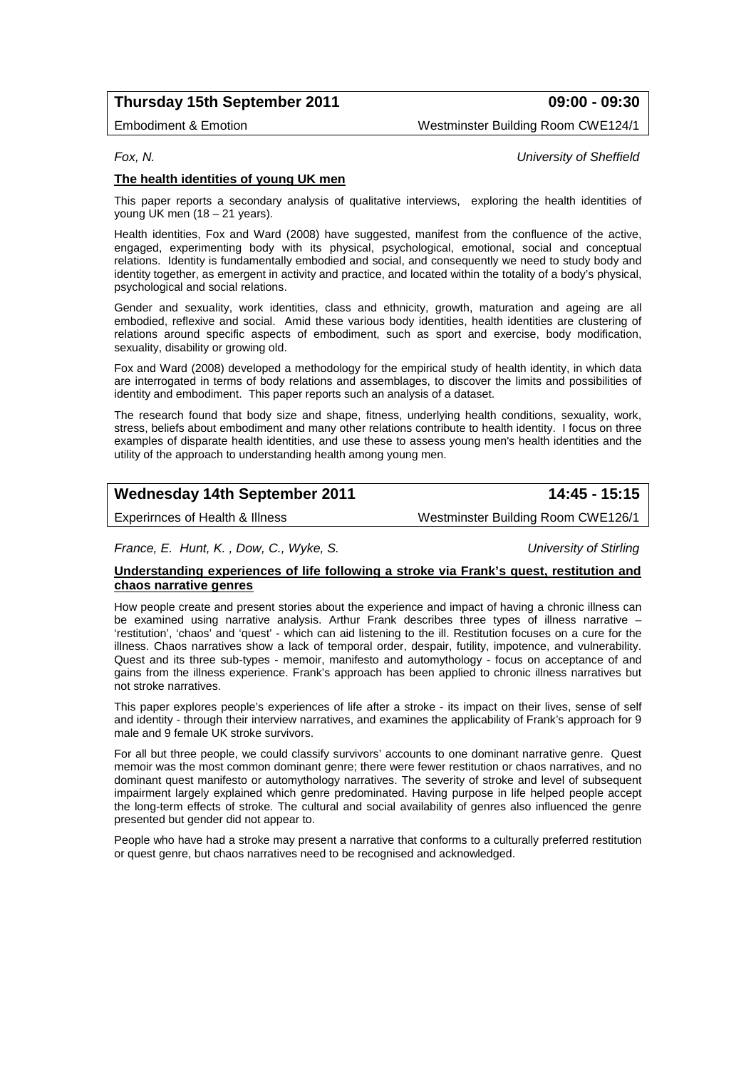# **Thursday 15th September 2011 09:00 - 09:30**

Embodiment & Emotion Westminster Building Room CWE124/1

*Fox, N. University of Sheffield*

### **The health identities of young UK men**

This paper reports a secondary analysis of qualitative interviews, exploring the health identities of young UK men (18 – 21 years).

Health identities, Fox and Ward (2008) have suggested, manifest from the confluence of the active, engaged, experimenting body with its physical, psychological, emotional, social and conceptual relations. Identity is fundamentally embodied and social, and consequently we need to study body and identity together, as emergent in activity and practice, and located within the totality of a body's physical, psychological and social relations.

Gender and sexuality, work identities, class and ethnicity, growth, maturation and ageing are all embodied, reflexive and social. Amid these various body identities, health identities are clustering of relations around specific aspects of embodiment, such as sport and exercise, body modification, sexuality, disability or growing old.

Fox and Ward (2008) developed a methodology for the empirical study of health identity, in which data are interrogated in terms of body relations and assemblages, to discover the limits and possibilities of identity and embodiment. This paper reports such an analysis of a dataset.

The research found that body size and shape, fitness, underlying health conditions, sexuality, work, stress, beliefs about embodiment and many other relations contribute to health identity. I focus on three examples of disparate health identities, and use these to assess young men's health identities and the utility of the approach to understanding health among young men.

# **Wednesday 14th September 2011 14:45 - 15:15**

Experirnces of Health & Illness Westminster Building Room CWE126/1

*France, E. Hunt, K. , Dow, C., Wyke, S. University of Stirling*

### **Understanding experiences of life following a stroke via Frank's quest, restitution and chaos narrative genres**

How people create and present stories about the experience and impact of having a chronic illness can be examined using narrative analysis. Arthur Frank describes three types of illness narrative – 'restitution', 'chaos' and 'quest' - which can aid listening to the ill. Restitution focuses on a cure for the illness. Chaos narratives show a lack of temporal order, despair, futility, impotence, and vulnerability. Quest and its three sub-types - memoir, manifesto and automythology - focus on acceptance of and gains from the illness experience. Frank's approach has been applied to chronic illness narratives but not stroke narratives.

This paper explores people's experiences of life after a stroke - its impact on their lives, sense of self and identity - through their interview narratives, and examines the applicability of Frank's approach for 9 male and 9 female UK stroke survivors.

For all but three people, we could classify survivors' accounts to one dominant narrative genre. Quest memoir was the most common dominant genre; there were fewer restitution or chaos narratives, and no dominant quest manifesto or automythology narratives. The severity of stroke and level of subsequent impairment largely explained which genre predominated. Having purpose in life helped people accept the long-term effects of stroke. The cultural and social availability of genres also influenced the genre presented but gender did not appear to.

People who have had a stroke may present a narrative that conforms to a culturally preferred restitution or quest genre, but chaos narratives need to be recognised and acknowledged.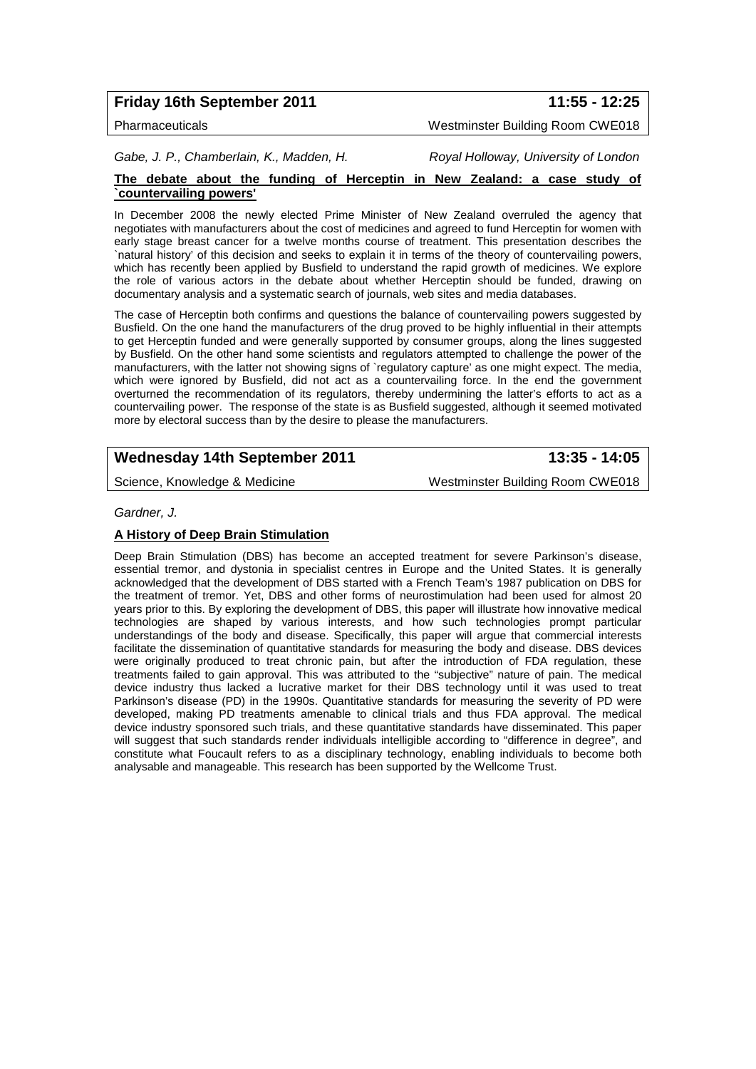# **Friday 16th September 2011 11:55 - 12:25**

Pharmaceuticals Westminster Building Room CWE018

*Gabe, J. P., Chamberlain, K., Madden, H. Royal Holloway, University of London*

### **The debate about the funding of Herceptin in New Zealand: a case study of `countervailing powers'**

In December 2008 the newly elected Prime Minister of New Zealand overruled the agency that negotiates with manufacturers about the cost of medicines and agreed to fund Herceptin for women with early stage breast cancer for a twelve months course of treatment. This presentation describes the `natural history' of this decision and seeks to explain it in terms of the theory of countervailing powers, which has recently been applied by Busfield to understand the rapid growth of medicines. We explore the role of various actors in the debate about whether Herceptin should be funded, drawing on documentary analysis and a systematic search of journals, web sites and media databases.

The case of Herceptin both confirms and questions the balance of countervailing powers suggested by Busfield. On the one hand the manufacturers of the drug proved to be highly influential in their attempts to get Herceptin funded and were generally supported by consumer groups, along the lines suggested by Busfield. On the other hand some scientists and regulators attempted to challenge the power of the manufacturers, with the latter not showing signs of `regulatory capture' as one might expect. The media, which were ignored by Busfield, did not act as a countervailing force. In the end the government overturned the recommendation of its regulators, thereby undermining the latter's efforts to act as a countervailing power. The response of the state is as Busfield suggested, although it seemed motivated more by electoral success than by the desire to please the manufacturers.

# **Wednesday 14th September 2011 13:35 - 14:05**

Science, Knowledge & Medicine Matchester Building Room CWE018

*Gardner, J.*

### **A History of Deep Brain Stimulation**

Deep Brain Stimulation (DBS) has become an accepted treatment for severe Parkinson's disease, essential tremor, and dystonia in specialist centres in Europe and the United States. It is generally acknowledged that the development of DBS started with a French Team's 1987 publication on DBS for the treatment of tremor. Yet, DBS and other forms of neurostimulation had been used for almost 20 years prior to this. By exploring the development of DBS, this paper will illustrate how innovative medical technologies are shaped by various interests, and how such technologies prompt particular understandings of the body and disease. Specifically, this paper will argue that commercial interests facilitate the dissemination of quantitative standards for measuring the body and disease. DBS devices were originally produced to treat chronic pain, but after the introduction of FDA regulation, these treatments failed to gain approval. This was attributed to the "subjective" nature of pain. The medical device industry thus lacked a lucrative market for their DBS technology until it was used to treat Parkinson's disease (PD) in the 1990s. Quantitative standards for measuring the severity of PD were developed, making PD treatments amenable to clinical trials and thus FDA approval. The medical device industry sponsored such trials, and these quantitative standards have disseminated. This paper will suggest that such standards render individuals intelligible according to "difference in degree", and constitute what Foucault refers to as a disciplinary technology, enabling individuals to become both analysable and manageable. This research has been supported by the Wellcome Trust.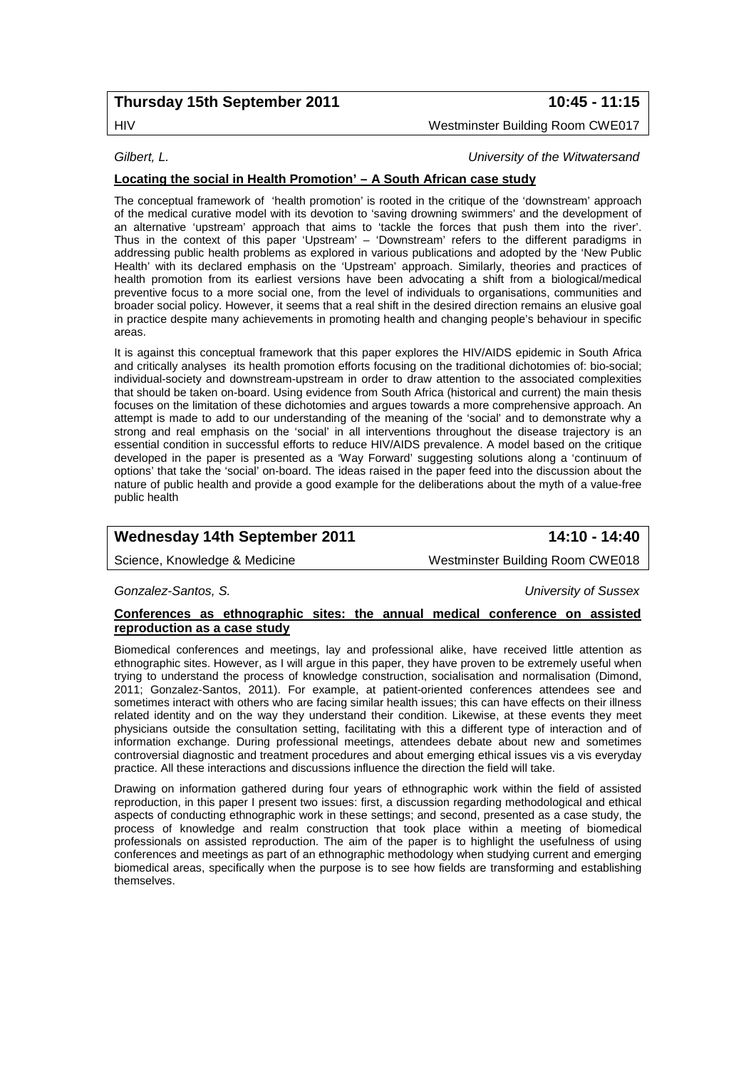# **Thursday 15th September 2011 10:45 - 11:15**

# HIV Westminster Building Room CWE017

*Gilbert, L. University of the Witwatersand*

### **Locating the social in Health Promotion' – A South African case study**

The conceptual framework of 'health promotion' is rooted in the critique of the 'downstream' approach of the medical curative model with its devotion to 'saving drowning swimmers' and the development of an alternative 'upstream' approach that aims to 'tackle the forces that push them into the river'. Thus in the context of this paper 'Upstream' – 'Downstream' refers to the different paradigms in addressing public health problems as explored in various publications and adopted by the 'New Public Health' with its declared emphasis on the 'Upstream' approach. Similarly, theories and practices of health promotion from its earliest versions have been advocating a shift from a biological/medical preventive focus to a more social one, from the level of individuals to organisations, communities and broader social policy. However, it seems that a real shift in the desired direction remains an elusive goal in practice despite many achievements in promoting health and changing people's behaviour in specific areas.

It is against this conceptual framework that this paper explores the HIV/AIDS epidemic in South Africa and critically analyses its health promotion efforts focusing on the traditional dichotomies of: bio-social; individual-society and downstream-upstream in order to draw attention to the associated complexities that should be taken on-board. Using evidence from South Africa (historical and current) the main thesis focuses on the limitation of these dichotomies and argues towards a more comprehensive approach. An attempt is made to add to our understanding of the meaning of the 'social' and to demonstrate why a strong and real emphasis on the 'social' in all interventions throughout the disease trajectory is an essential condition in successful efforts to reduce HIV/AIDS prevalence. A model based on the critique developed in the paper is presented as a 'Way Forward' suggesting solutions along a 'continuum of options' that take the 'social' on-board. The ideas raised in the paper feed into the discussion about the nature of public health and provide a good example for the deliberations about the myth of a value-free public health

# **Wednesday 14th September 2011 14:10 - 14:40**

Science, Knowledge & Medicine Westminster Building Room CWE018

### *Gonzalez-Santos, S. University of Sussex*

### **Conferences as ethnographic sites: the annual medical conference on assisted reproduction as a case study**

Biomedical conferences and meetings, lay and professional alike, have received little attention as ethnographic sites. However, as I will argue in this paper, they have proven to be extremely useful when trying to understand the process of knowledge construction, socialisation and normalisation (Dimond, 2011; Gonzalez-Santos, 2011). For example, at patient-oriented conferences attendees see and sometimes interact with others who are facing similar health issues; this can have effects on their illness related identity and on the way they understand their condition. Likewise, at these events they meet physicians outside the consultation setting, facilitating with this a different type of interaction and of information exchange. During professional meetings, attendees debate about new and sometimes controversial diagnostic and treatment procedures and about emerging ethical issues vis a vis everyday practice. All these interactions and discussions influence the direction the field will take.

Drawing on information gathered during four years of ethnographic work within the field of assisted reproduction, in this paper I present two issues: first, a discussion regarding methodological and ethical aspects of conducting ethnographic work in these settings; and second, presented as a case study, the process of knowledge and realm construction that took place within a meeting of biomedical professionals on assisted reproduction. The aim of the paper is to highlight the usefulness of using conferences and meetings as part of an ethnographic methodology when studying current and emerging biomedical areas, specifically when the purpose is to see how fields are transforming and establishing themselves.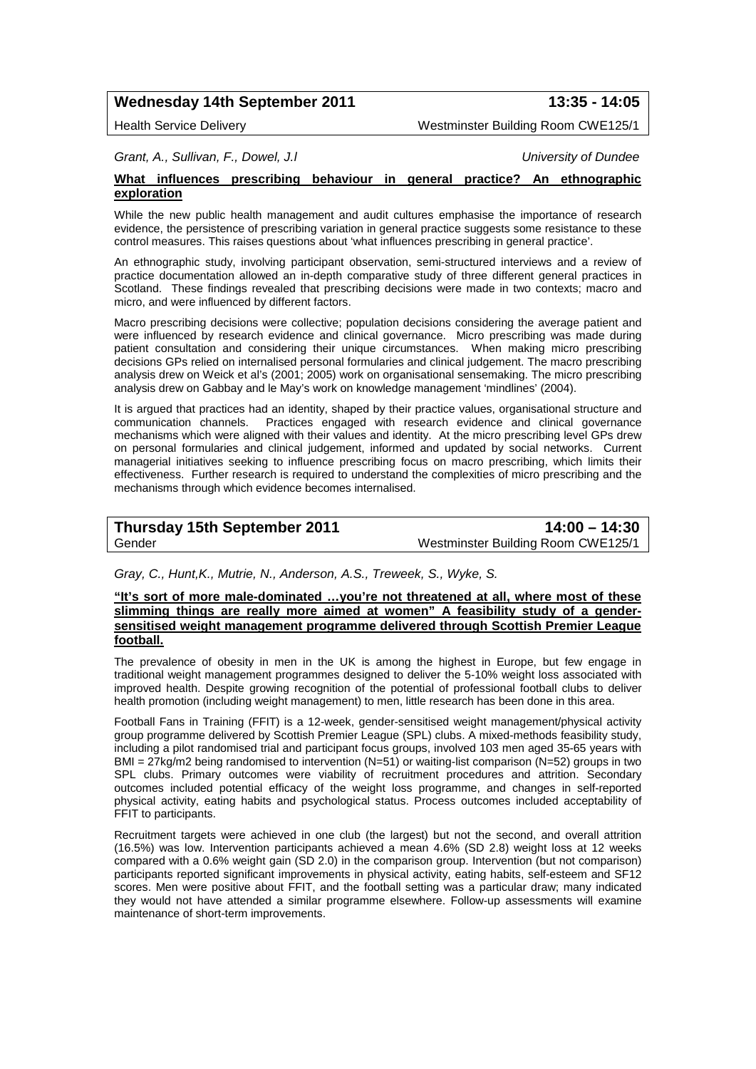# **Wednesday 14th September 2011 13:35 - 14:05**

Health Service Delivery Westminster Building Room CWE125/1

*Grant, A., Sullivan, F., Dowel, J.l University of Dundee*

### **What influences prescribing behaviour in general practice? An ethnographic exploration**

While the new public health management and audit cultures emphasise the importance of research evidence, the persistence of prescribing variation in general practice suggests some resistance to these control measures. This raises questions about 'what influences prescribing in general practice'.

An ethnographic study, involving participant observation, semi-structured interviews and a review of practice documentation allowed an in-depth comparative study of three different general practices in Scotland. These findings revealed that prescribing decisions were made in two contexts; macro and micro, and were influenced by different factors.

Macro prescribing decisions were collective; population decisions considering the average patient and were influenced by research evidence and clinical governance. Micro prescribing was made during patient consultation and considering their unique circumstances. When making micro prescribing decisions GPs relied on internalised personal formularies and clinical judgement. The macro prescribing analysis drew on Weick et al's (2001; 2005) work on organisational sensemaking. The micro prescribing analysis drew on Gabbay and le May's work on knowledge management 'mindlines' (2004).

It is argued that practices had an identity, shaped by their practice values, organisational structure and communication channels. Practices engaged with research evidence and clinical governance mechanisms which were aligned with their values and identity. At the micro prescribing level GPs drew on personal formularies and clinical judgement, informed and updated by social networks. Current managerial initiatives seeking to influence prescribing focus on macro prescribing, which limits their effectiveness. Further research is required to understand the complexities of micro prescribing and the mechanisms through which evidence becomes internalised.

| <b>Thursday 15th September 2011</b> | $14:00 - 14:30$                    |
|-------------------------------------|------------------------------------|
| Gender                              | Westminster Building Room CWE125/1 |

*Gray, C., Hunt,K., Mutrie, N., Anderson, A.S., Treweek, S., Wyke, S.*

### **"It's sort of more male-dominated …you're not threatened at all, where most of these slimming things are really more aimed at women" A feasibility study of a gendersensitised weight management programme delivered through Scottish Premier League football.**

The prevalence of obesity in men in the UK is among the highest in Europe, but few engage in traditional weight management programmes designed to deliver the 5-10% weight loss associated with improved health. Despite growing recognition of the potential of professional football clubs to deliver health promotion (including weight management) to men, little research has been done in this area.

Football Fans in Training (FFIT) is a 12-week, gender-sensitised weight management/physical activity group programme delivered by Scottish Premier League (SPL) clubs. A mixed-methods feasibility study, including a pilot randomised trial and participant focus groups, involved 103 men aged 35-65 years with BMI = 27kg/m2 being randomised to intervention (N=51) or waiting-list comparison (N=52) groups in two SPL clubs. Primary outcomes were viability of recruitment procedures and attrition. Secondary outcomes included potential efficacy of the weight loss programme, and changes in self-reported physical activity, eating habits and psychological status. Process outcomes included acceptability of FFIT to participants.

Recruitment targets were achieved in one club (the largest) but not the second, and overall attrition (16.5%) was low. Intervention participants achieved a mean 4.6% (SD 2.8) weight loss at 12 weeks compared with a 0.6% weight gain (SD 2.0) in the comparison group. Intervention (but not comparison) participants reported significant improvements in physical activity, eating habits, self-esteem and SF12 scores. Men were positive about FFIT, and the football setting was a particular draw; many indicated they would not have attended a similar programme elsewhere. Follow-up assessments will examine maintenance of short-term improvements.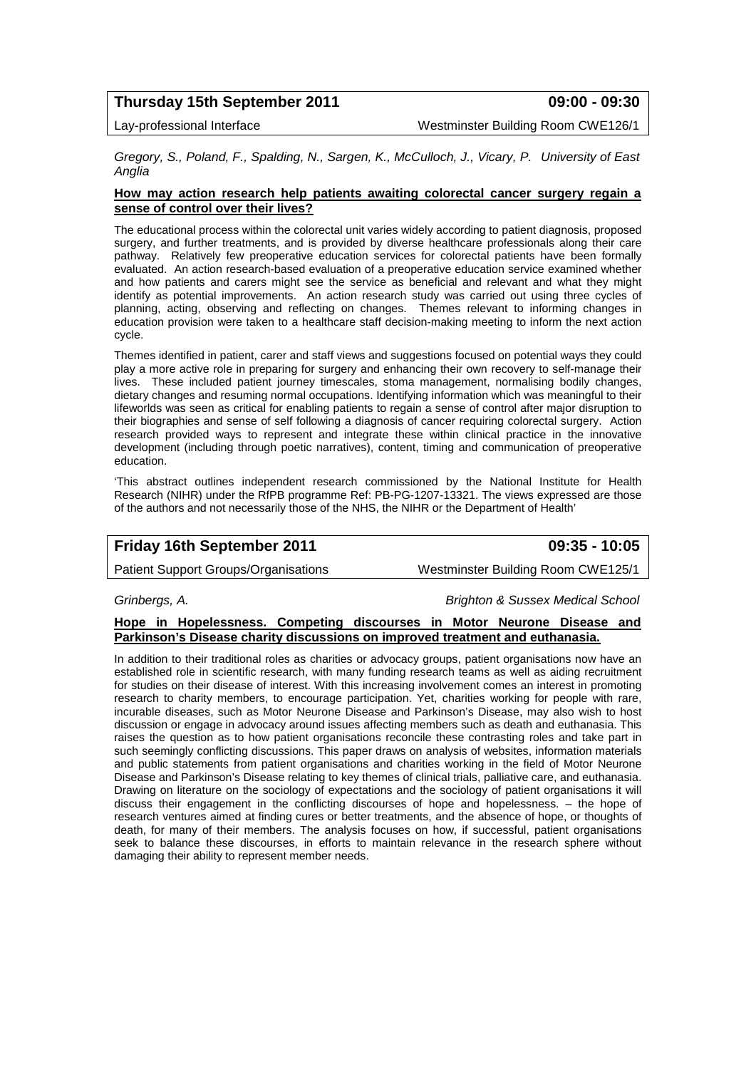# **Thursday 15th September 2011 09:00 - 09:30**

Lay-professional Interface Westminster Building Room CWE126/1

*Gregory, S., Poland, F., Spalding, N., Sargen, K., McCulloch, J., Vicary, P. University of East Anglia*

### **How may action research help patients awaiting colorectal cancer surgery regain a sense of control over their lives?**

The educational process within the colorectal unit varies widely according to patient diagnosis, proposed surgery, and further treatments, and is provided by diverse healthcare professionals along their care pathway. Relatively few preoperative education services for colorectal patients have been formally evaluated. An action research-based evaluation of a preoperative education service examined whether and how patients and carers might see the service as beneficial and relevant and what they might identify as potential improvements. An action research study was carried out using three cycles of planning, acting, observing and reflecting on changes. Themes relevant to informing changes in education provision were taken to a healthcare staff decision-making meeting to inform the next action cycle.

Themes identified in patient, carer and staff views and suggestions focused on potential ways they could play a more active role in preparing for surgery and enhancing their own recovery to self-manage their lives. These included patient journey timescales, stoma management, normalising bodily changes, dietary changes and resuming normal occupations. Identifying information which was meaningful to their lifeworlds was seen as critical for enabling patients to regain a sense of control after major disruption to their biographies and sense of self following a diagnosis of cancer requiring colorectal surgery. Action research provided ways to represent and integrate these within clinical practice in the innovative development (including through poetic narratives), content, timing and communication of preoperative education.

'This abstract outlines independent research commissioned by the National Institute for Health Research (NIHR) under the RfPB programme Ref: PB-PG-1207-13321. The views expressed are those of the authors and not necessarily those of the NHS, the NIHR or the Department of Health'

# **Friday 16th September 2011 09:35 - 10:05**

Patient Support Groups/Organisations Westminster Building Room CWE125/1

*Grinbergs, A. Brighton & Sussex Medical School*

### **Hope in Hopelessness. Competing discourses in Motor Neurone Disease and Parkinson's Disease charity discussions on improved treatment and euthanasia.**

In addition to their traditional roles as charities or advocacy groups, patient organisations now have an established role in scientific research, with many funding research teams as well as aiding recruitment for studies on their disease of interest. With this increasing involvement comes an interest in promoting research to charity members, to encourage participation. Yet, charities working for people with rare, incurable diseases, such as Motor Neurone Disease and Parkinson's Disease, may also wish to host discussion or engage in advocacy around issues affecting members such as death and euthanasia. This raises the question as to how patient organisations reconcile these contrasting roles and take part in such seemingly conflicting discussions. This paper draws on analysis of websites, information materials and public statements from patient organisations and charities working in the field of Motor Neurone Disease and Parkinson's Disease relating to key themes of clinical trials, palliative care, and euthanasia. Drawing on literature on the sociology of expectations and the sociology of patient organisations it will discuss their engagement in the conflicting discourses of hope and hopelessness. – the hope of research ventures aimed at finding cures or better treatments, and the absence of hope, or thoughts of death, for many of their members. The analysis focuses on how, if successful, patient organisations seek to balance these discourses, in efforts to maintain relevance in the research sphere without damaging their ability to represent member needs.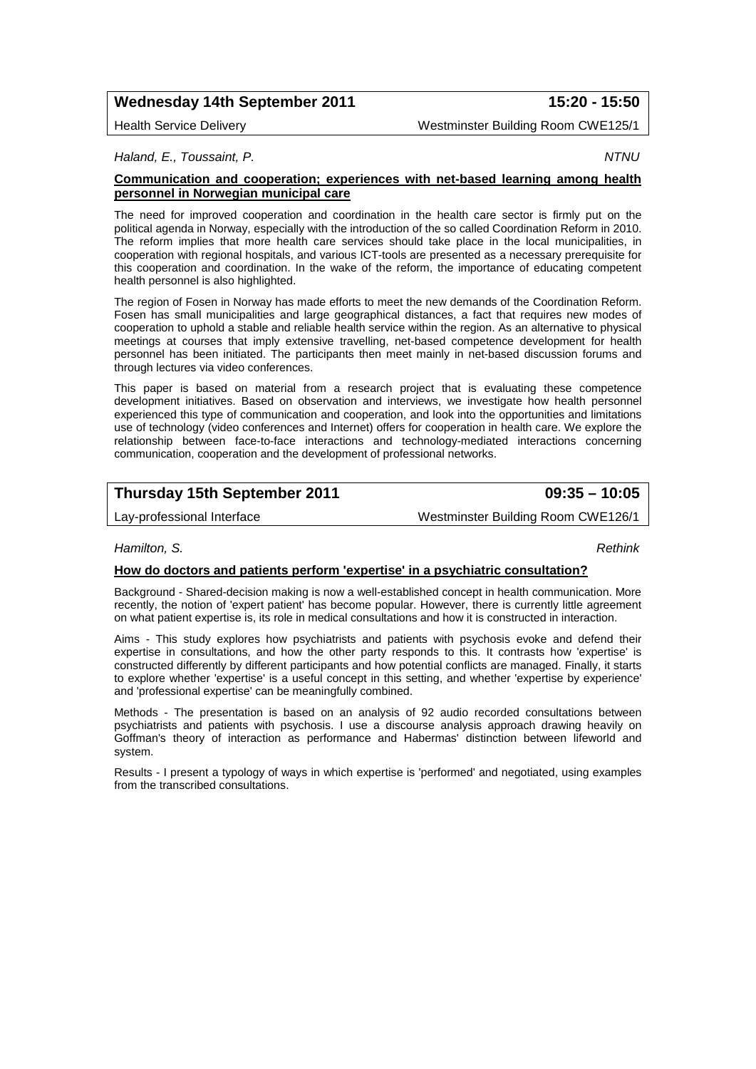# **Wednesday 14th September 2011 15:20 - 15:50**

### Health Service Delivery Westminster Building Room CWE125/1

*Haland, E., Toussaint, P. NTNU*

### **Communication and cooperation; experiences with net-based learning among health personnel in Norwegian municipal care**

The need for improved cooperation and coordination in the health care sector is firmly put on the political agenda in Norway, especially with the introduction of the so called Coordination Reform in 2010. The reform implies that more health care services should take place in the local municipalities, in cooperation with regional hospitals, and various ICT-tools are presented as a necessary prerequisite for this cooperation and coordination. In the wake of the reform, the importance of educating competent health personnel is also highlighted.

The region of Fosen in Norway has made efforts to meet the new demands of the Coordination Reform. Fosen has small municipalities and large geographical distances, a fact that requires new modes of cooperation to uphold a stable and reliable health service within the region. As an alternative to physical meetings at courses that imply extensive travelling, net-based competence development for health personnel has been initiated. The participants then meet mainly in net-based discussion forums and through lectures via video conferences.

This paper is based on material from a research project that is evaluating these competence development initiatives. Based on observation and interviews, we investigate how health personnel experienced this type of communication and cooperation, and look into the opportunities and limitations use of technology (video conferences and Internet) offers for cooperation in health care. We explore the relationship between face-to-face interactions and technology-mediated interactions concerning communication, cooperation and the development of professional networks.

# **Thursday 15th September 2011 09:35 – 10:05**

Lay-professional Interface Westminster Building Room CWE126/1

### *Hamilton, S. Rethink*

### **How do doctors and patients perform 'expertise' in a psychiatric consultation?**

Background - Shared-decision making is now a well-established concept in health communication. More recently, the notion of 'expert patient' has become popular. However, there is currently little agreement on what patient expertise is, its role in medical consultations and how it is constructed in interaction.

Aims - This study explores how psychiatrists and patients with psychosis evoke and defend their expertise in consultations, and how the other party responds to this. It contrasts how 'expertise' is constructed differently by different participants and how potential conflicts are managed. Finally, it starts to explore whether 'expertise' is a useful concept in this setting, and whether 'expertise by experience' and 'professional expertise' can be meaningfully combined.

Methods - The presentation is based on an analysis of 92 audio recorded consultations between psychiatrists and patients with psychosis. I use a discourse analysis approach drawing heavily on Goffman's theory of interaction as performance and Habermas' distinction between lifeworld and system.

Results - I present a typology of ways in which expertise is 'performed' and negotiated, using examples from the transcribed consultations.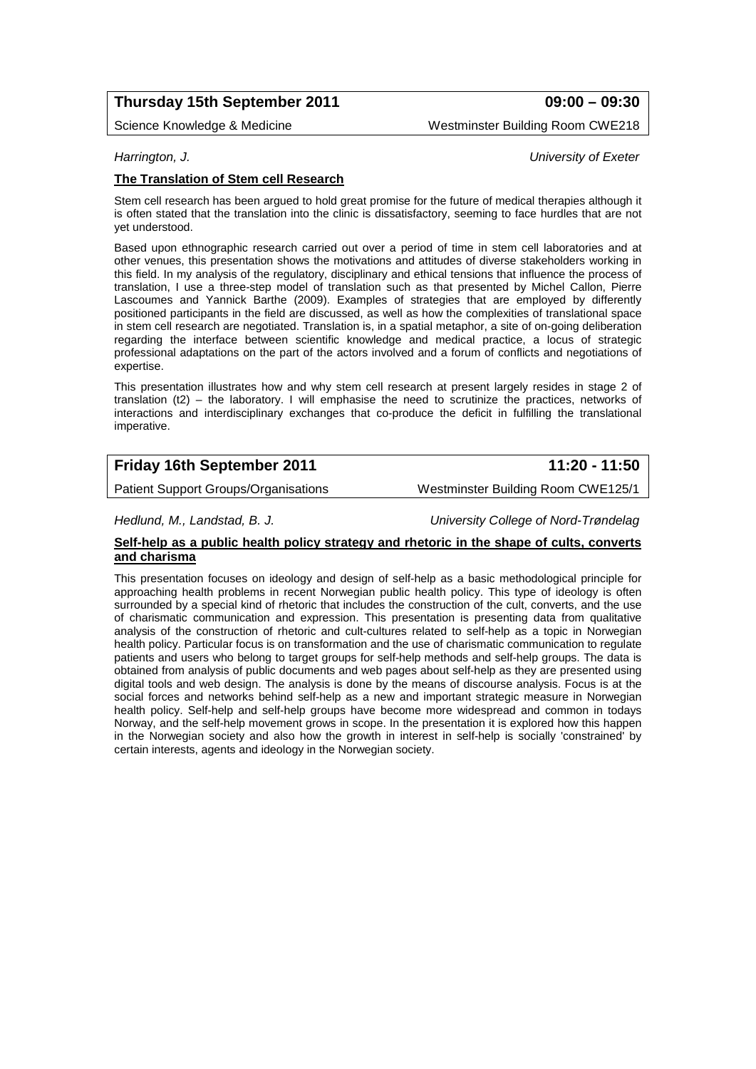# **Thursday 15th September 2011 09:00 – 09:30**

Science Knowledge & Medicine Westminster Building Room CWE218

### *Harrington, J. University of Exeter*

### **The Translation of Stem cell Research**

Stem cell research has been argued to hold great promise for the future of medical therapies although it is often stated that the translation into the clinic is dissatisfactory, seeming to face hurdles that are not yet understood.

Based upon ethnographic research carried out over a period of time in stem cell laboratories and at other venues, this presentation shows the motivations and attitudes of diverse stakeholders working in this field. In my analysis of the regulatory, disciplinary and ethical tensions that influence the process of translation, I use a three-step model of translation such as that presented by Michel Callon, Pierre Lascoumes and Yannick Barthe (2009). Examples of strategies that are employed by differently positioned participants in the field are discussed, as well as how the complexities of translational space in stem cell research are negotiated. Translation is, in a spatial metaphor, a site of on-going deliberation regarding the interface between scientific knowledge and medical practice, a locus of strategic professional adaptations on the part of the actors involved and a forum of conflicts and negotiations of expertise.

This presentation illustrates how and why stem cell research at present largely resides in stage 2 of translation (t2) – the laboratory. I will emphasise the need to scrutinize the practices, networks of interactions and interdisciplinary exchanges that co-produce the deficit in fulfilling the translational imperative.

# **Friday 16th September 2011 11:20 - 11:50**

Patient Support Groups/Organisations Westminster Building Room CWE125/1

*Hedlund, M., Landstad, B. J. University College of Nord-Trøndelag*

### **Self-help as a public health policy strategy and rhetoric in the shape of cults, converts and charisma**

This presentation focuses on ideology and design of self-help as a basic methodological principle for approaching health problems in recent Norwegian public health policy. This type of ideology is often surrounded by a special kind of rhetoric that includes the construction of the cult, converts, and the use of charismatic communication and expression. This presentation is presenting data from qualitative analysis of the construction of rhetoric and cult-cultures related to self-help as a topic in Norwegian health policy. Particular focus is on transformation and the use of charismatic communication to regulate patients and users who belong to target groups for self-help methods and self-help groups. The data is obtained from analysis of public documents and web pages about self-help as they are presented using digital tools and web design. The analysis is done by the means of discourse analysis. Focus is at the social forces and networks behind self-help as a new and important strategic measure in Norwegian health policy. Self-help and self-help groups have become more widespread and common in todays Norway, and the self-help movement grows in scope. In the presentation it is explored how this happen in the Norwegian society and also how the growth in interest in self-help is socially 'constrained' by certain interests, agents and ideology in the Norwegian society.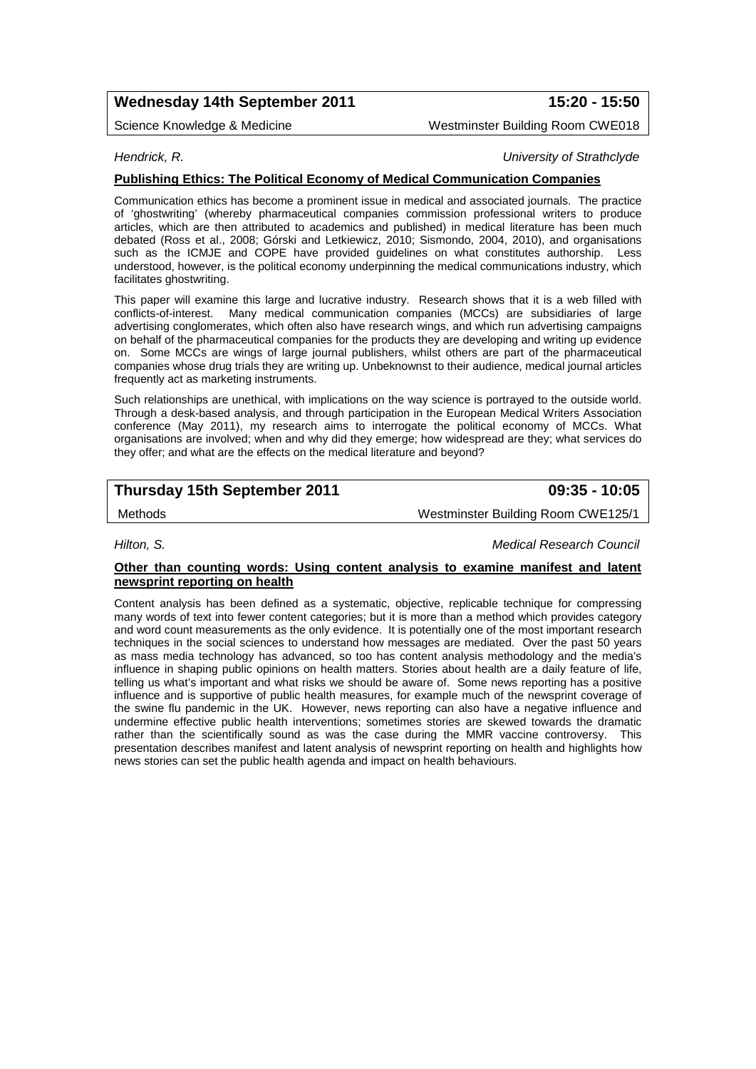# **Wednesday 14th September 2011 15:20 - 15:50**

Science Knowledge & Medicine New York Westminster Building Room CWE018

### *Hendrick, R. University of Strathclyde*

### **Publishing Ethics: The Political Economy of Medical Communication Companies**

Communication ethics has become a prominent issue in medical and associated journals. The practice of 'ghostwriting' (whereby pharmaceutical companies commission professional writers to produce articles, which are then attributed to academics and published) in medical literature has been much debated (Ross et al., 2008; Górski and Letkiewicz, 2010; Sismondo, 2004, 2010), and organisations such as the ICMJE and COPE have provided guidelines on what constitutes authorship. Less understood, however, is the political economy underpinning the medical communications industry, which facilitates ghostwriting.

This paper will examine this large and lucrative industry. Research shows that it is a web filled with conflicts-of-interest. Many medical communication companies (MCCs) are subsidiaries of large advertising conglomerates, which often also have research wings, and which run advertising campaigns on behalf of the pharmaceutical companies for the products they are developing and writing up evidence on. Some MCCs are wings of large journal publishers, whilst others are part of the pharmaceutical companies whose drug trials they are writing up. Unbeknownst to their audience, medical journal articles frequently act as marketing instruments.

Such relationships are unethical, with implications on the way science is portrayed to the outside world. Through a desk-based analysis, and through participation in the European Medical Writers Association conference (May 2011), my research aims to interrogate the political economy of MCCs. What organisations are involved; when and why did they emerge; how widespread are they; what services do they offer; and what are the effects on the medical literature and beyond?

# **Thursday 15th September 2011 09:35 - 10:05**

Methods Westminster Building Room CWE125/1

*Hilton, S. Medical Research Council*

### **Other than counting words: Using content analysis to examine manifest and latent newsprint reporting on health**

Content analysis has been defined as a systematic, objective, replicable technique for compressing many words of text into fewer content categories; but it is more than a method which provides category and word count measurements as the only evidence. It is potentially one of the most important research techniques in the social sciences to understand how messages are mediated. Over the past 50 years as mass media technology has advanced, so too has content analysis methodology and the media's influence in shaping public opinions on health matters. Stories about health are a daily feature of life, telling us what's important and what risks we should be aware of. Some news reporting has a positive influence and is supportive of public health measures, for example much of the newsprint coverage of the swine flu pandemic in the UK. However, news reporting can also have a negative influence and undermine effective public health interventions; sometimes stories are skewed towards the dramatic rather than the scientifically sound as was the case during the MMR vaccine controversy. This presentation describes manifest and latent analysis of newsprint reporting on health and highlights how news stories can set the public health agenda and impact on health behaviours.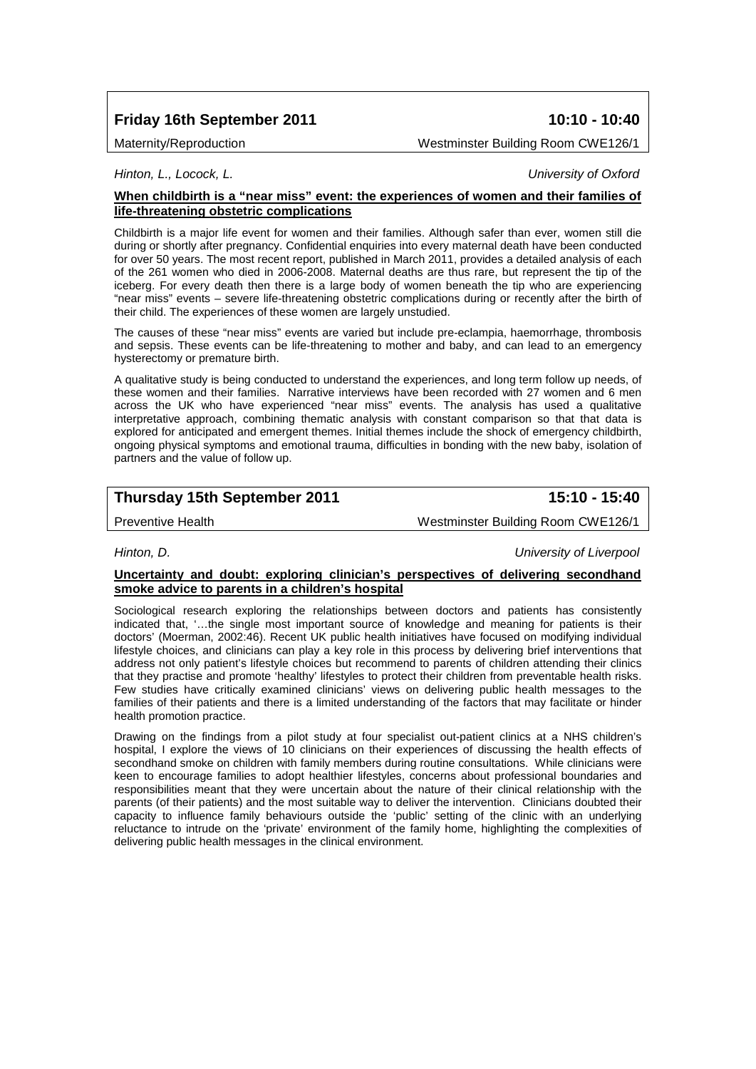# **Friday 16th September 2011 10:10 - 10:40**

Maternity/Reproduction Westminster Building Room CWE126/1

*Hinton, L., Locock, L. University of Oxford*

### **When childbirth is a "near miss" event: the experiences of women and their families of life-threatening obstetric complications**

Childbirth is a major life event for women and their families. Although safer than ever, women still die during or shortly after pregnancy. Confidential enquiries into every maternal death have been conducted for over 50 years. The most recent report, published in March 2011, provides a detailed analysis of each of the 261 women who died in 2006-2008. Maternal deaths are thus rare, but represent the tip of the iceberg. For every death then there is a large body of women beneath the tip who are experiencing "near miss" events – severe life-threatening obstetric complications during or recently after the birth of their child. The experiences of these women are largely unstudied.

The causes of these "near miss" events are varied but include pre-eclampia, haemorrhage, thrombosis and sepsis. These events can be life-threatening to mother and baby, and can lead to an emergency hysterectomy or premature birth.

A qualitative study is being conducted to understand the experiences, and long term follow up needs, of these women and their families. Narrative interviews have been recorded with 27 women and 6 men across the UK who have experienced "near miss" events. The analysis has used a qualitative interpretative approach, combining thematic analysis with constant comparison so that that data is explored for anticipated and emergent themes. Initial themes include the shock of emergency childbirth, ongoing physical symptoms and emotional trauma, difficulties in bonding with the new baby, isolation of partners and the value of follow up.

# **Thursday 15th September 2011 15:10 - 15:40**

Preventive Health Westminster Building Room CWE126/1

*Hinton, D. University of Liverpool*

### **Uncertainty and doubt: exploring clinician's perspectives of delivering secondhand smoke advice to parents in a children's hospital**

Sociological research exploring the relationships between doctors and patients has consistently indicated that, '…the single most important source of knowledge and meaning for patients is their doctors' (Moerman, 2002:46). Recent UK public health initiatives have focused on modifying individual lifestyle choices, and clinicians can play a key role in this process by delivering brief interventions that address not only patient's lifestyle choices but recommend to parents of children attending their clinics that they practise and promote 'healthy' lifestyles to protect their children from preventable health risks. Few studies have critically examined clinicians' views on delivering public health messages to the families of their patients and there is a limited understanding of the factors that may facilitate or hinder health promotion practice.

Drawing on the findings from a pilot study at four specialist out-patient clinics at a NHS children's hospital, I explore the views of 10 clinicians on their experiences of discussing the health effects of secondhand smoke on children with family members during routine consultations. While clinicians were keen to encourage families to adopt healthier lifestyles, concerns about professional boundaries and responsibilities meant that they were uncertain about the nature of their clinical relationship with the parents (of their patients) and the most suitable way to deliver the intervention. Clinicians doubted their capacity to influence family behaviours outside the 'public' setting of the clinic with an underlying reluctance to intrude on the 'private' environment of the family home, highlighting the complexities of delivering public health messages in the clinical environment.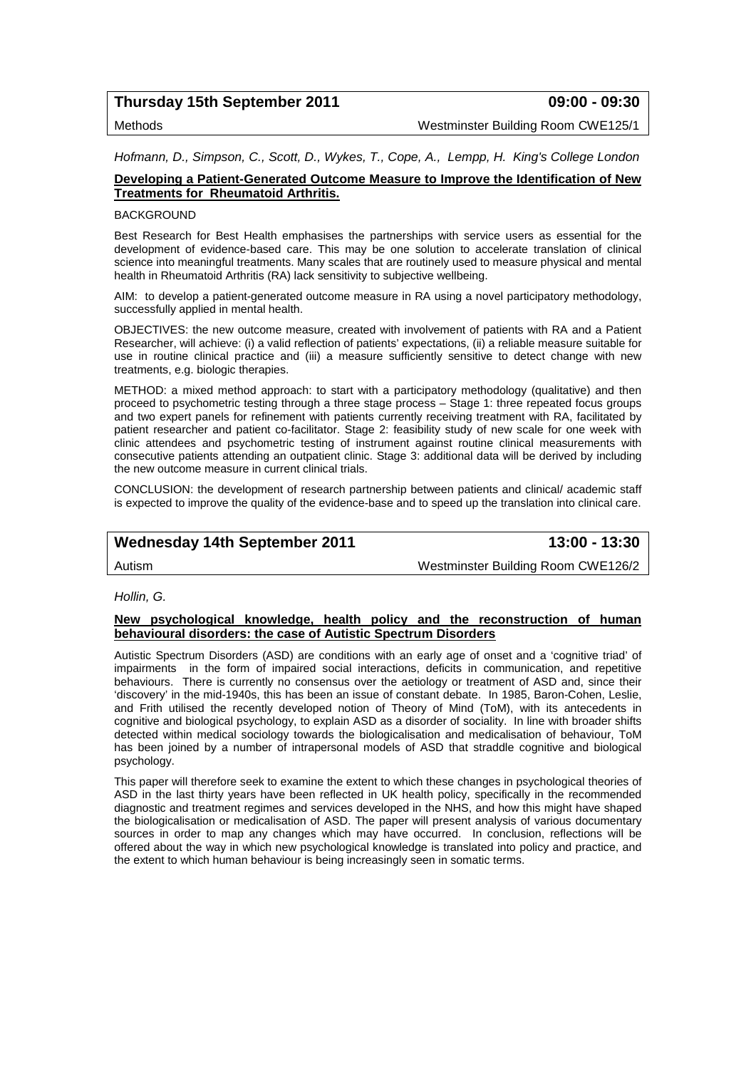# **Thursday 15th September 2011 09:00 - 09:30**

Methods Westminster Building Room CWE125/1

*Hofmann, D., Simpson, C., Scott, D., Wykes, T., Cope, A., Lempp, H. King's College London*

### **Developing a Patient-Generated Outcome Measure to Improve the Identification of New Treatments for Rheumatoid Arthritis.**

#### **BACKGROUND**

Best Research for Best Health emphasises the partnerships with service users as essential for the development of evidence-based care. This may be one solution to accelerate translation of clinical science into meaningful treatments. Many scales that are routinely used to measure physical and mental health in Rheumatoid Arthritis (RA) lack sensitivity to subjective wellbeing.

AIM: to develop a patient-generated outcome measure in RA using a novel participatory methodology, successfully applied in mental health.

OBJECTIVES: the new outcome measure, created with involvement of patients with RA and a Patient Researcher, will achieve: (i) a valid reflection of patients' expectations, (ii) a reliable measure suitable for use in routine clinical practice and (iii) a measure sufficiently sensitive to detect change with new treatments, e.g. biologic therapies.

METHOD: a mixed method approach: to start with a participatory methodology (qualitative) and then proceed to psychometric testing through a three stage process – Stage 1: three repeated focus groups and two expert panels for refinement with patients currently receiving treatment with RA, facilitated by patient researcher and patient co-facilitator. Stage 2: feasibility study of new scale for one week with clinic attendees and psychometric testing of instrument against routine clinical measurements with consecutive patients attending an outpatient clinic. Stage 3: additional data will be derived by including the new outcome measure in current clinical trials.

CONCLUSION: the development of research partnership between patients and clinical/ academic staff is expected to improve the quality of the evidence-base and to speed up the translation into clinical care.

## **Wednesday 14th September 2011 13:00 - 13:30**

Autism Westminster Building Room CWE126/2

#### *Hollin, G.*

### **New psychological knowledge, health policy and the reconstruction of human behavioural disorders: the case of Autistic Spectrum Disorders**

Autistic Spectrum Disorders (ASD) are conditions with an early age of onset and a 'cognitive triad' of impairments in the form of impaired social interactions, deficits in communication, and repetitive behaviours. There is currently no consensus over the aetiology or treatment of ASD and, since their 'discovery' in the mid-1940s, this has been an issue of constant debate. In 1985, Baron-Cohen, Leslie, and Frith utilised the recently developed notion of Theory of Mind (ToM), with its antecedents in cognitive and biological psychology, to explain ASD as a disorder of sociality. In line with broader shifts detected within medical sociology towards the biologicalisation and medicalisation of behaviour, ToM has been joined by a number of intrapersonal models of ASD that straddle cognitive and biological psychology.

This paper will therefore seek to examine the extent to which these changes in psychological theories of ASD in the last thirty years have been reflected in UK health policy, specifically in the recommended diagnostic and treatment regimes and services developed in the NHS, and how this might have shaped the biologicalisation or medicalisation of ASD. The paper will present analysis of various documentary sources in order to map any changes which may have occurred. In conclusion, reflections will be offered about the way in which new psychological knowledge is translated into policy and practice, and the extent to which human behaviour is being increasingly seen in somatic terms.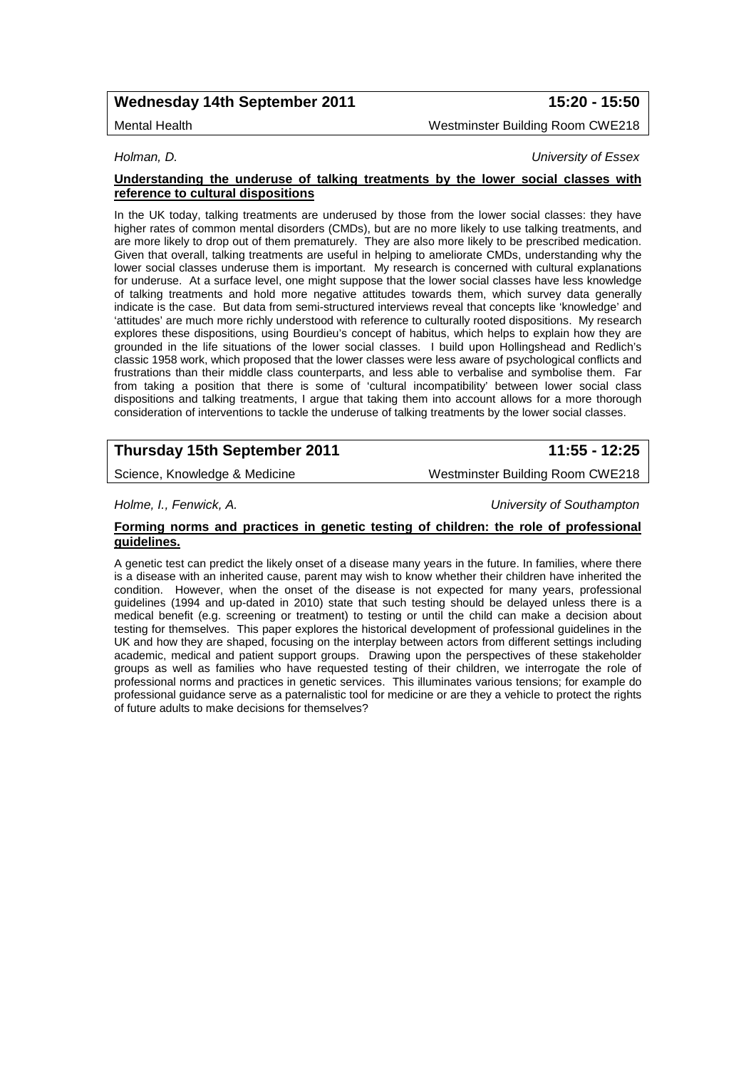# **Wednesday 14th September 2011 15:20 - 15:50**

Mental Health Westminster Building Room CWE218

*Holman, D. University of Essex*

#### **Understanding the underuse of talking treatments by the lower social classes with reference to cultural dispositions**

In the UK today, talking treatments are underused by those from the lower social classes: they have higher rates of common mental disorders (CMDs), but are no more likely to use talking treatments, and are more likely to drop out of them prematurely. They are also more likely to be prescribed medication. Given that overall, talking treatments are useful in helping to ameliorate CMDs, understanding why the lower social classes underuse them is important. My research is concerned with cultural explanations for underuse. At a surface level, one might suppose that the lower social classes have less knowledge of talking treatments and hold more negative attitudes towards them, which survey data generally indicate is the case. But data from semi-structured interviews reveal that concepts like 'knowledge' and 'attitudes' are much more richly understood with reference to culturally rooted dispositions. My research explores these dispositions, using Bourdieu's concept of habitus, which helps to explain how they are grounded in the life situations of the lower social classes. I build upon Hollingshead and Redlich's classic 1958 work, which proposed that the lower classes were less aware of psychological conflicts and frustrations than their middle class counterparts, and less able to verbalise and symbolise them. Far from taking a position that there is some of 'cultural incompatibility' between lower social class dispositions and talking treatments, I argue that taking them into account allows for a more thorough consideration of interventions to tackle the underuse of talking treatments by the lower social classes.

# **Thursday 15th September 2011 11:55 - 12:25**

Science, Knowledge & Medicine Westminster Building Room CWE218

*Holme, I., Fenwick, A. University of Southampton*

**Forming norms and practices in genetic testing of children: the role of professional guidelines.** 

A genetic test can predict the likely onset of a disease many years in the future. In families, where there is a disease with an inherited cause, parent may wish to know whether their children have inherited the condition. However, when the onset of the disease is not expected for many years, professional guidelines (1994 and up-dated in 2010) state that such testing should be delayed unless there is a medical benefit (e.g. screening or treatment) to testing or until the child can make a decision about testing for themselves. This paper explores the historical development of professional guidelines in the UK and how they are shaped, focusing on the interplay between actors from different settings including academic, medical and patient support groups. Drawing upon the perspectives of these stakeholder groups as well as families who have requested testing of their children, we interrogate the role of professional norms and practices in genetic services. This illuminates various tensions; for example do professional guidance serve as a paternalistic tool for medicine or are they a vehicle to protect the rights of future adults to make decisions for themselves?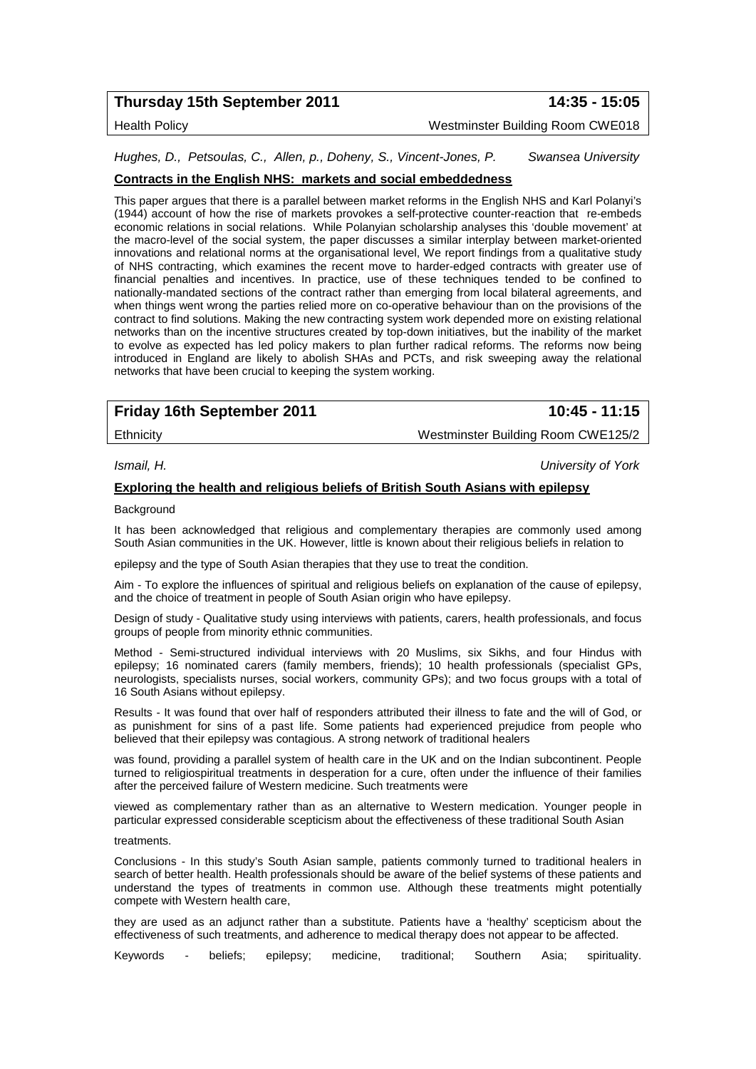# **Thursday 15th September 2011 14:35 - 15:05**

Health Policy Westminster Building Room CWE018

*Hughes, D., Petsoulas, C., Allen, p., Doheny, S., Vincent-Jones, P. Swansea University*

### **Contracts in the English NHS: markets and social embeddedness**

This paper argues that there is a parallel between market reforms in the English NHS and Karl Polanyi's (1944) account of how the rise of markets provokes a self-protective counter-reaction that re-embeds economic relations in social relations. While Polanyian scholarship analyses this 'double movement' at the macro-level of the social system, the paper discusses a similar interplay between market-oriented innovations and relational norms at the organisational level, We report findings from a qualitative study of NHS contracting, which examines the recent move to harder-edged contracts with greater use of financial penalties and incentives. In practice, use of these techniques tended to be confined to nationally-mandated sections of the contract rather than emerging from local bilateral agreements, and when things went wrong the parties relied more on co-operative behaviour than on the provisions of the contract to find solutions. Making the new contracting system work depended more on existing relational networks than on the incentive structures created by top-down initiatives, but the inability of the market to evolve as expected has led policy makers to plan further radical reforms. The reforms now being introduced in England are likely to abolish SHAs and PCTs, and risk sweeping away the relational networks that have been crucial to keeping the system working.

# **Friday 16th September 2011 10:45 - 11:15**

Ethnicity Westminster Building Room CWE125/2

*Ismail, H. University of York*

#### **Exploring the health and religious beliefs of British South Asians with epilepsy**

Background

It has been acknowledged that religious and complementary therapies are commonly used among South Asian communities in the UK. However, little is known about their religious beliefs in relation to

epilepsy and the type of South Asian therapies that they use to treat the condition.

Aim - To explore the influences of spiritual and religious beliefs on explanation of the cause of epilepsy, and the choice of treatment in people of South Asian origin who have epilepsy.

Design of study - Qualitative study using interviews with patients, carers, health professionals, and focus groups of people from minority ethnic communities.

Method - Semi-structured individual interviews with 20 Muslims, six Sikhs, and four Hindus with epilepsy; 16 nominated carers (family members, friends); 10 health professionals (specialist GPs, neurologists, specialists nurses, social workers, community GPs); and two focus groups with a total of 16 South Asians without epilepsy.

Results - It was found that over half of responders attributed their illness to fate and the will of God, or as punishment for sins of a past life. Some patients had experienced prejudice from people who believed that their epilepsy was contagious. A strong network of traditional healers

was found, providing a parallel system of health care in the UK and on the Indian subcontinent. People turned to religiospiritual treatments in desperation for a cure, often under the influence of their families after the perceived failure of Western medicine. Such treatments were

viewed as complementary rather than as an alternative to Western medication. Younger people in particular expressed considerable scepticism about the effectiveness of these traditional South Asian

#### treatments.

Conclusions - In this study's South Asian sample, patients commonly turned to traditional healers in search of better health. Health professionals should be aware of the belief systems of these patients and understand the types of treatments in common use. Although these treatments might potentially compete with Western health care,

they are used as an adjunct rather than a substitute. Patients have a 'healthy' scepticism about the effectiveness of such treatments, and adherence to medical therapy does not appear to be affected.

Keywords - beliefs; epilepsy; medicine, traditional; Southern Asia; spirituality.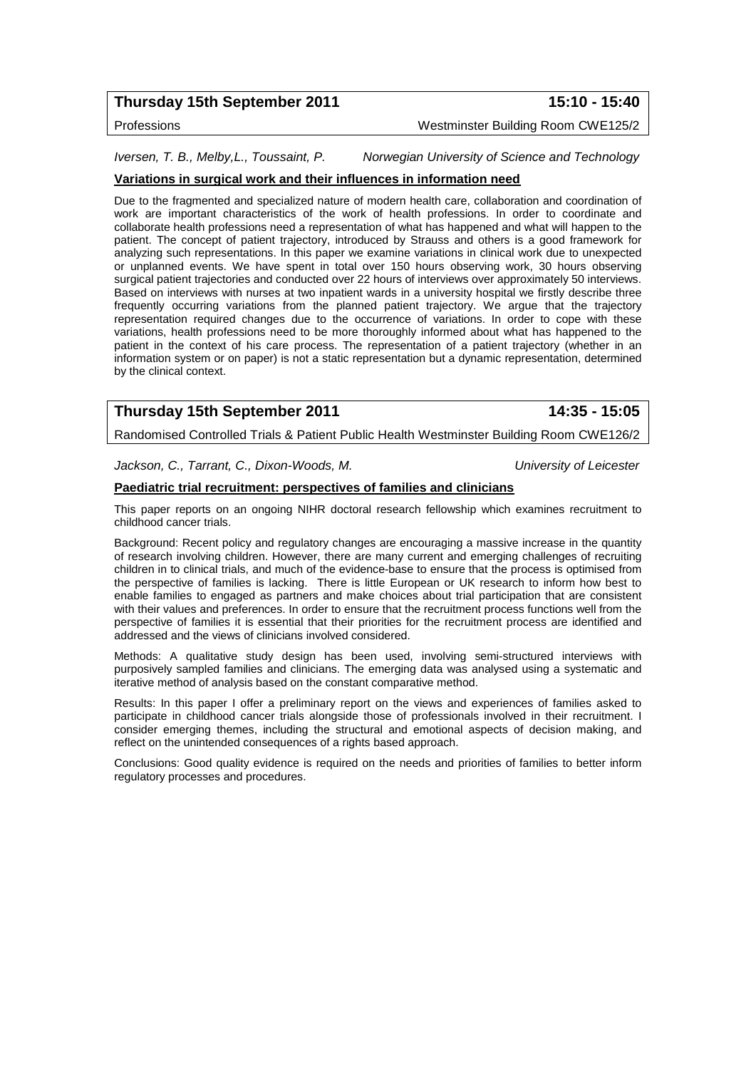# **Thursday 15th September 2011 15:10 - 15:40**

Professions Westminster Building Room CWE125/2

*Iversen, T. B., Melby,L., Toussaint, P. Norwegian University of Science and Technology*

### **Variations in surgical work and their influences in information need**

Due to the fragmented and specialized nature of modern health care, collaboration and coordination of work are important characteristics of the work of health professions. In order to coordinate and collaborate health professions need a representation of what has happened and what will happen to the patient. The concept of patient trajectory, introduced by Strauss and others is a good framework for analyzing such representations. In this paper we examine variations in clinical work due to unexpected or unplanned events. We have spent in total over 150 hours observing work, 30 hours observing surgical patient trajectories and conducted over 22 hours of interviews over approximately 50 interviews. Based on interviews with nurses at two inpatient wards in a university hospital we firstly describe three frequently occurring variations from the planned patient trajectory. We argue that the trajectory representation required changes due to the occurrence of variations. In order to cope with these variations, health professions need to be more thoroughly informed about what has happened to the patient in the context of his care process. The representation of a patient trajectory (whether in an information system or on paper) is not a static representation but a dynamic representation, determined by the clinical context.

# **Thursday 15th September 2011 14:35 - 15:05**

Randomised Controlled Trials & Patient Public Health Westminster Building Room CWE126/2

*Jackson, C., Tarrant, C., Dixon-Woods, M. University of Leicester*

#### **Paediatric trial recruitment: perspectives of families and clinicians**

This paper reports on an ongoing NIHR doctoral research fellowship which examines recruitment to childhood cancer trials.

Background: Recent policy and regulatory changes are encouraging a massive increase in the quantity of research involving children. However, there are many current and emerging challenges of recruiting children in to clinical trials, and much of the evidence-base to ensure that the process is optimised from the perspective of families is lacking. There is little European or UK research to inform how best to enable families to engaged as partners and make choices about trial participation that are consistent with their values and preferences. In order to ensure that the recruitment process functions well from the perspective of families it is essential that their priorities for the recruitment process are identified and addressed and the views of clinicians involved considered.

Methods: A qualitative study design has been used, involving semi-structured interviews with purposively sampled families and clinicians. The emerging data was analysed using a systematic and iterative method of analysis based on the constant comparative method.

Results: In this paper I offer a preliminary report on the views and experiences of families asked to participate in childhood cancer trials alongside those of professionals involved in their recruitment. I consider emerging themes, including the structural and emotional aspects of decision making, and reflect on the unintended consequences of a rights based approach.

Conclusions: Good quality evidence is required on the needs and priorities of families to better inform regulatory processes and procedures.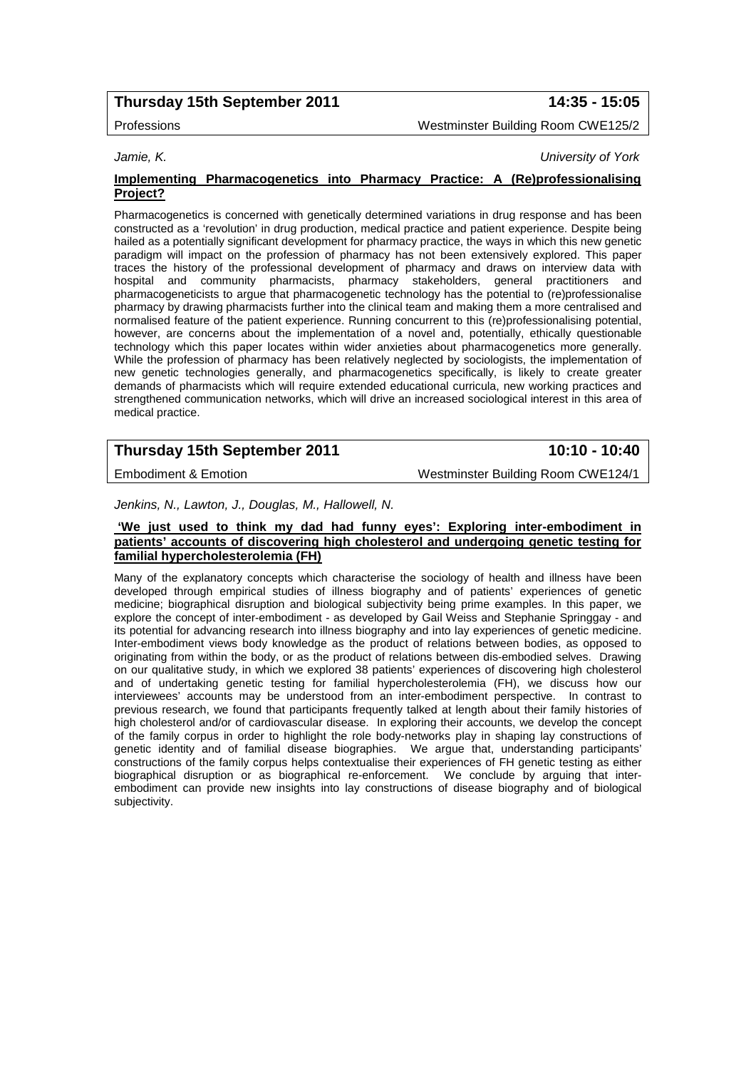# **Thursday 15th September 2011 14:35 - 15:05**

Professions Westminster Building Room CWE125/2

*Jamie, K. University of York*

#### **Implementing Pharmacogenetics into Pharmacy Practice: A (Re)professionalising Project?**

Pharmacogenetics is concerned with genetically determined variations in drug response and has been constructed as a 'revolution' in drug production, medical practice and patient experience. Despite being hailed as a potentially significant development for pharmacy practice, the ways in which this new genetic paradigm will impact on the profession of pharmacy has not been extensively explored. This paper traces the history of the professional development of pharmacy and draws on interview data with hospital and community pharmacists, pharmacy stakeholders, general practitioners and pharmacogeneticists to argue that pharmacogenetic technology has the potential to (re)professionalise pharmacy by drawing pharmacists further into the clinical team and making them a more centralised and normalised feature of the patient experience. Running concurrent to this (re)professionalising potential, however, are concerns about the implementation of a novel and, potentially, ethically questionable technology which this paper locates within wider anxieties about pharmacogenetics more generally. While the profession of pharmacy has been relatively neglected by sociologists, the implementation of new genetic technologies generally, and pharmacogenetics specifically, is likely to create greater demands of pharmacists which will require extended educational curricula, new working practices and strengthened communication networks, which will drive an increased sociological interest in this area of medical practice.

# **Thursday 15th September 2011 10:10 - 10:40**

Embodiment & Emotion Westminster Building Room CWE124/1

*Jenkins, N., Lawton, J., Douglas, M., Hallowell, N.*

#### **'We just used to think my dad had funny eyes': Exploring inter-embodiment in patients' accounts of discovering high cholesterol and undergoing genetic testing for familial hypercholesterolemia (FH)**

Many of the explanatory concepts which characterise the sociology of health and illness have been developed through empirical studies of illness biography and of patients' experiences of genetic medicine; biographical disruption and biological subjectivity being prime examples. In this paper, we explore the concept of inter-embodiment - as developed by Gail Weiss and Stephanie Springgay - and its potential for advancing research into illness biography and into lay experiences of genetic medicine. Inter-embodiment views body knowledge as the product of relations between bodies, as opposed to originating from within the body, or as the product of relations between dis-embodied selves. Drawing on our qualitative study, in which we explored 38 patients' experiences of discovering high cholesterol and of undertaking genetic testing for familial hypercholesterolemia (FH), we discuss how our interviewees' accounts may be understood from an inter-embodiment perspective. In contrast to previous research, we found that participants frequently talked at length about their family histories of high cholesterol and/or of cardiovascular disease. In exploring their accounts, we develop the concept of the family corpus in order to highlight the role body-networks play in shaping lay constructions of genetic identity and of familial disease biographies. We argue that, understanding participants' constructions of the family corpus helps contextualise their experiences of FH genetic testing as either biographical disruption or as biographical re-enforcement. We conclude by arguing that interembodiment can provide new insights into lay constructions of disease biography and of biological subjectivity.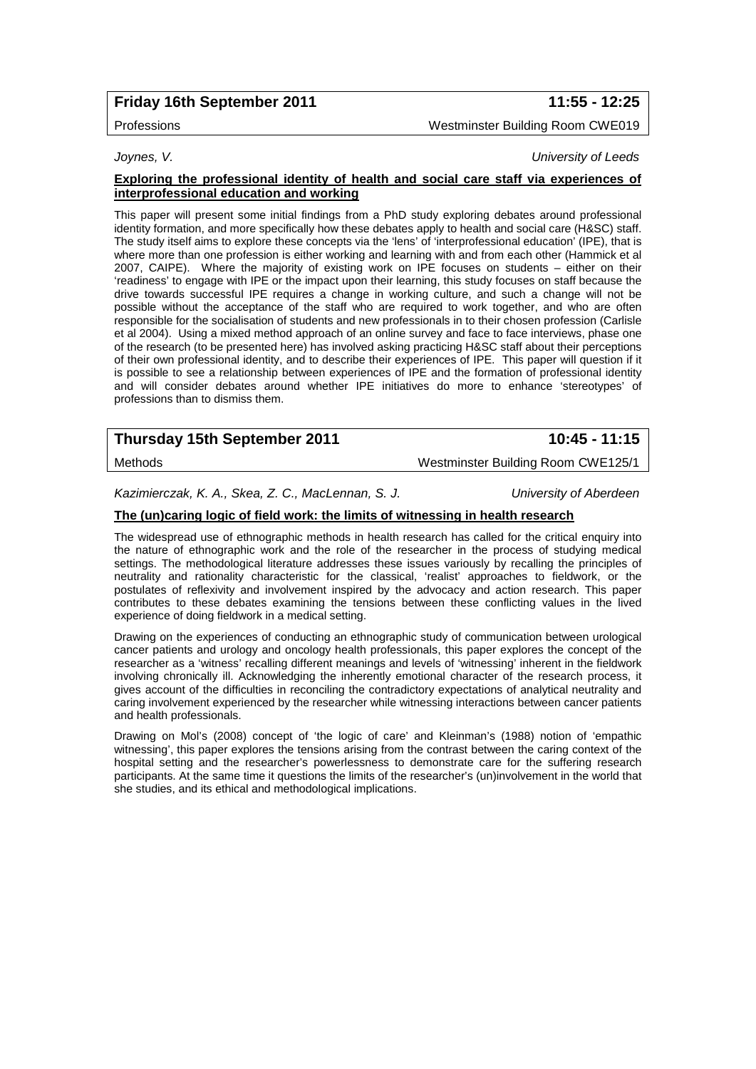# **Friday 16th September 2011 11:55 - 12:25**

# Professions Westminster Building Room CWE019

*Joynes, V. University of Leeds*

#### **Exploring the professional identity of health and social care staff via experiences of interprofessional education and working**

This paper will present some initial findings from a PhD study exploring debates around professional identity formation, and more specifically how these debates apply to health and social care (H&SC) staff. The study itself aims to explore these concepts via the 'lens' of 'interprofessional education' (IPE), that is where more than one profession is either working and learning with and from each other (Hammick et al 2007, CAIPE). Where the majority of existing work on IPE focuses on students – either on their 'readiness' to engage with IPE or the impact upon their learning, this study focuses on staff because the drive towards successful IPE requires a change in working culture, and such a change will not be possible without the acceptance of the staff who are required to work together, and who are often responsible for the socialisation of students and new professionals in to their chosen profession (Carlisle et al 2004). Using a mixed method approach of an online survey and face to face interviews, phase one of the research (to be presented here) has involved asking practicing H&SC staff about their perceptions of their own professional identity, and to describe their experiences of IPE. This paper will question if it is possible to see a relationship between experiences of IPE and the formation of professional identity and will consider debates around whether IPE initiatives do more to enhance 'stereotypes' of professions than to dismiss them.

# **Thursday 15th September 2011 10:45 - 11:15**

# Methods Westminster Building Room CWE125/1

*Kazimierczak, K. A., Skea, Z. C., MacLennan, S. J. University of Aberdeen*

### **The (un)caring logic of field work: the limits of witnessing in health research**

The widespread use of ethnographic methods in health research has called for the critical enquiry into the nature of ethnographic work and the role of the researcher in the process of studying medical settings. The methodological literature addresses these issues variously by recalling the principles of neutrality and rationality characteristic for the classical, 'realist' approaches to fieldwork, or the postulates of reflexivity and involvement inspired by the advocacy and action research. This paper contributes to these debates examining the tensions between these conflicting values in the lived experience of doing fieldwork in a medical setting.

Drawing on the experiences of conducting an ethnographic study of communication between urological cancer patients and urology and oncology health professionals, this paper explores the concept of the researcher as a 'witness' recalling different meanings and levels of 'witnessing' inherent in the fieldwork involving chronically ill. Acknowledging the inherently emotional character of the research process, it gives account of the difficulties in reconciling the contradictory expectations of analytical neutrality and caring involvement experienced by the researcher while witnessing interactions between cancer patients and health professionals.

Drawing on Mol's (2008) concept of 'the logic of care' and Kleinman's (1988) notion of 'empathic witnessing', this paper explores the tensions arising from the contrast between the caring context of the hospital setting and the researcher's powerlessness to demonstrate care for the suffering research participants. At the same time it questions the limits of the researcher's (un)involvement in the world that she studies, and its ethical and methodological implications.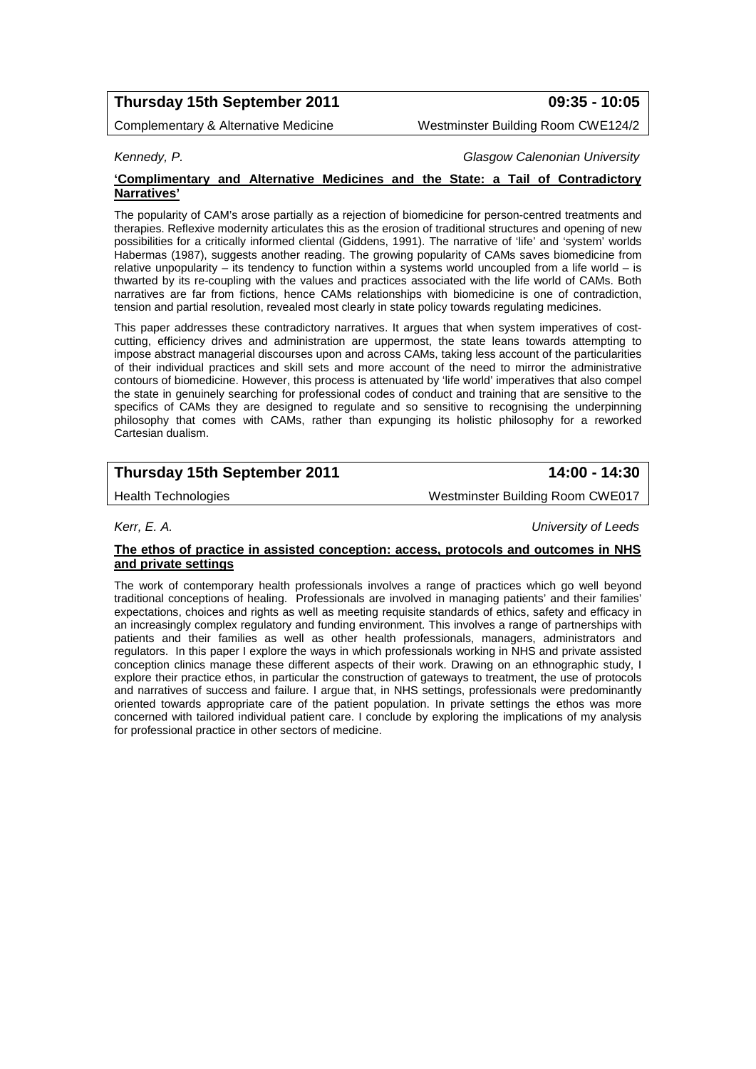# **Thursday 15th September 2011 09:35 - 10:05**

Complementary & Alternative Medicine Westminster Building Room CWE124/2

*Kennedy, P. Glasgow Calenonian University*

#### **'Complimentary and Alternative Medicines and the State: a Tail of Contradictory Narratives'**

The popularity of CAM's arose partially as a rejection of biomedicine for person-centred treatments and therapies. Reflexive modernity articulates this as the erosion of traditional structures and opening of new possibilities for a critically informed cliental (Giddens, 1991). The narrative of 'life' and 'system' worlds Habermas (1987), suggests another reading. The growing popularity of CAMs saves biomedicine from relative unpopularity – its tendency to function within a systems world uncoupled from a life world – is thwarted by its re-coupling with the values and practices associated with the life world of CAMs. Both narratives are far from fictions, hence CAMs relationships with biomedicine is one of contradiction, tension and partial resolution, revealed most clearly in state policy towards regulating medicines.

This paper addresses these contradictory narratives. It argues that when system imperatives of costcutting, efficiency drives and administration are uppermost, the state leans towards attempting to impose abstract managerial discourses upon and across CAMs, taking less account of the particularities of their individual practices and skill sets and more account of the need to mirror the administrative contours of biomedicine. However, this process is attenuated by 'life world' imperatives that also compel the state in genuinely searching for professional codes of conduct and training that are sensitive to the specifics of CAMs they are designed to regulate and so sensitive to recognising the underpinning philosophy that comes with CAMs, rather than expunging its holistic philosophy for a reworked Cartesian dualism.

# **Thursday 15th September 2011 14:00 - 14:30**

Health Technologies Westminster Building Room CWE017

*Kerr, E. A. University of Leeds*

### **The ethos of practice in assisted conception: access, protocols and outcomes in NHS and private settings**

The work of contemporary health professionals involves a range of practices which go well beyond traditional conceptions of healing. Professionals are involved in managing patients' and their families' expectations, choices and rights as well as meeting requisite standards of ethics, safety and efficacy in an increasingly complex regulatory and funding environment. This involves a range of partnerships with patients and their families as well as other health professionals, managers, administrators and regulators. In this paper I explore the ways in which professionals working in NHS and private assisted conception clinics manage these different aspects of their work. Drawing on an ethnographic study, I explore their practice ethos, in particular the construction of gateways to treatment, the use of protocols and narratives of success and failure. I argue that, in NHS settings, professionals were predominantly oriented towards appropriate care of the patient population. In private settings the ethos was more concerned with tailored individual patient care. I conclude by exploring the implications of my analysis for professional practice in other sectors of medicine.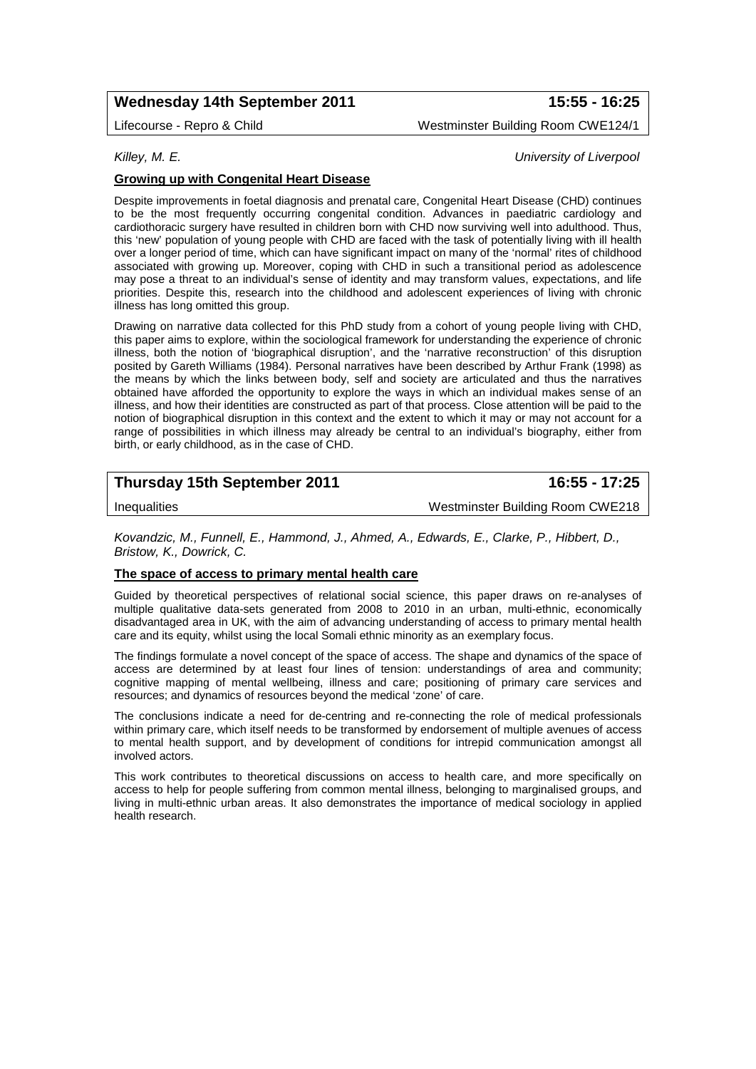# **Wednesday 14th September 2011 15:55 - 16:25**

Lifecourse - Repro & Child Westminster Building Room CWE124/1

# *Killey, M. E. University of Liverpool*

### **Growing up with Congenital Heart Disease**

Despite improvements in foetal diagnosis and prenatal care, Congenital Heart Disease (CHD) continues to be the most frequently occurring congenital condition. Advances in paediatric cardiology and cardiothoracic surgery have resulted in children born with CHD now surviving well into adulthood. Thus, this 'new' population of young people with CHD are faced with the task of potentially living with ill health over a longer period of time, which can have significant impact on many of the 'normal' rites of childhood associated with growing up. Moreover, coping with CHD in such a transitional period as adolescence may pose a threat to an individual's sense of identity and may transform values, expectations, and life priorities. Despite this, research into the childhood and adolescent experiences of living with chronic illness has long omitted this group.

Drawing on narrative data collected for this PhD study from a cohort of young people living with CHD, this paper aims to explore, within the sociological framework for understanding the experience of chronic illness, both the notion of 'biographical disruption', and the 'narrative reconstruction' of this disruption posited by Gareth Williams (1984). Personal narratives have been described by Arthur Frank (1998) as the means by which the links between body, self and society are articulated and thus the narratives obtained have afforded the opportunity to explore the ways in which an individual makes sense of an illness, and how their identities are constructed as part of that process. Close attention will be paid to the notion of biographical disruption in this context and the extent to which it may or may not account for a range of possibilities in which illness may already be central to an individual's biography, either from birth, or early childhood, as in the case of CHD.

# **Thursday 15th September 2011 16:55 - 17:25**

Inequalities Westminster Building Room CWE218

*Kovandzic, M., Funnell, E., Hammond, J., Ahmed, A., Edwards, E., Clarke, P., Hibbert, D., Bristow, K., Dowrick, C.*

### **The space of access to primary mental health care**

Guided by theoretical perspectives of relational social science, this paper draws on re-analyses of multiple qualitative data-sets generated from 2008 to 2010 in an urban, multi-ethnic, economically disadvantaged area in UK, with the aim of advancing understanding of access to primary mental health care and its equity, whilst using the local Somali ethnic minority as an exemplary focus.

The findings formulate a novel concept of the space of access. The shape and dynamics of the space of access are determined by at least four lines of tension: understandings of area and community; cognitive mapping of mental wellbeing, illness and care; positioning of primary care services and resources; and dynamics of resources beyond the medical 'zone' of care.

The conclusions indicate a need for de-centring and re-connecting the role of medical professionals within primary care, which itself needs to be transformed by endorsement of multiple avenues of access to mental health support, and by development of conditions for intrepid communication amongst all involved actors.

This work contributes to theoretical discussions on access to health care, and more specifically on access to help for people suffering from common mental illness, belonging to marginalised groups, and living in multi-ethnic urban areas. It also demonstrates the importance of medical sociology in applied health research.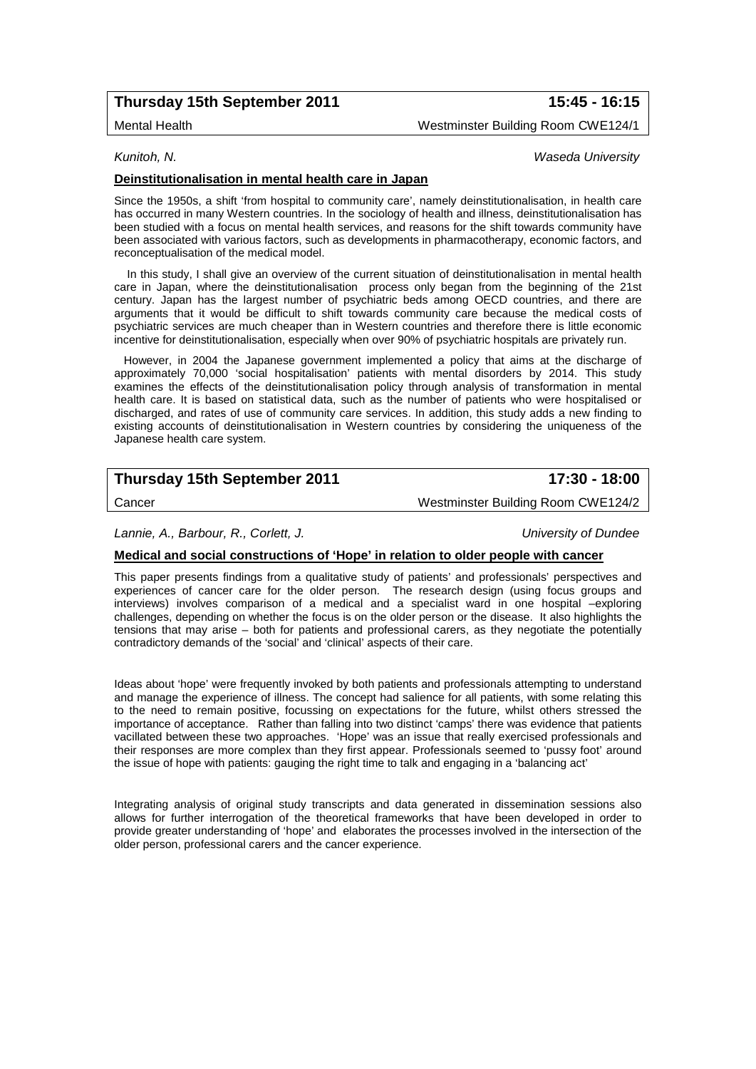# **Thursday 15th September 2011 15:45 - 16:15**

Mental Health Westminster Building Room CWE124/1

*Kunitoh, N. Waseda University*

#### **Deinstitutionalisation in mental health care in Japan**

Since the 1950s, a shift 'from hospital to community care', namely deinstitutionalisation, in health care has occurred in many Western countries. In the sociology of health and illness, deinstitutionalisation has been studied with a focus on mental health services, and reasons for the shift towards community have been associated with various factors, such as developments in pharmacotherapy, economic factors, and reconceptualisation of the medical model.

 In this study, I shall give an overview of the current situation of deinstitutionalisation in mental health care in Japan, where the deinstitutionalisation process only began from the beginning of the 21st century. Japan has the largest number of psychiatric beds among OECD countries, and there are arguments that it would be difficult to shift towards community care because the medical costs of psychiatric services are much cheaper than in Western countries and therefore there is little economic incentive for deinstitutionalisation, especially when over 90% of psychiatric hospitals are privately run.

 However, in 2004 the Japanese government implemented a policy that aims at the discharge of approximately 70,000 'social hospitalisation' patients with mental disorders by 2014. This study examines the effects of the deinstitutionalisation policy through analysis of transformation in mental health care. It is based on statistical data, such as the number of patients who were hospitalised or discharged, and rates of use of community care services. In addition, this study adds a new finding to existing accounts of deinstitutionalisation in Western countries by considering the uniqueness of the Japanese health care system.

# **Thursday 15th September 2011 17:30 - 18:00**

Cancer Westminster Building Room CWE124/2

*Lannie, A., Barbour, R., Corlett, J. University of Dundee*

#### **Medical and social constructions of 'Hope' in relation to older people with cancer**

This paper presents findings from a qualitative study of patients' and professionals' perspectives and experiences of cancer care for the older person. The research design (using focus groups and interviews) involves comparison of a medical and a specialist ward in one hospital –exploring challenges, depending on whether the focus is on the older person or the disease. It also highlights the tensions that may arise – both for patients and professional carers, as they negotiate the potentially contradictory demands of the 'social' and 'clinical' aspects of their care.

Ideas about 'hope' were frequently invoked by both patients and professionals attempting to understand and manage the experience of illness. The concept had salience for all patients, with some relating this to the need to remain positive, focussing on expectations for the future, whilst others stressed the importance of acceptance. Rather than falling into two distinct 'camps' there was evidence that patients vacillated between these two approaches. 'Hope' was an issue that really exercised professionals and their responses are more complex than they first appear. Professionals seemed to 'pussy foot' around the issue of hope with patients: gauging the right time to talk and engaging in a 'balancing act'

Integrating analysis of original study transcripts and data generated in dissemination sessions also allows for further interrogation of the theoretical frameworks that have been developed in order to provide greater understanding of 'hope' and elaborates the processes involved in the intersection of the older person, professional carers and the cancer experience.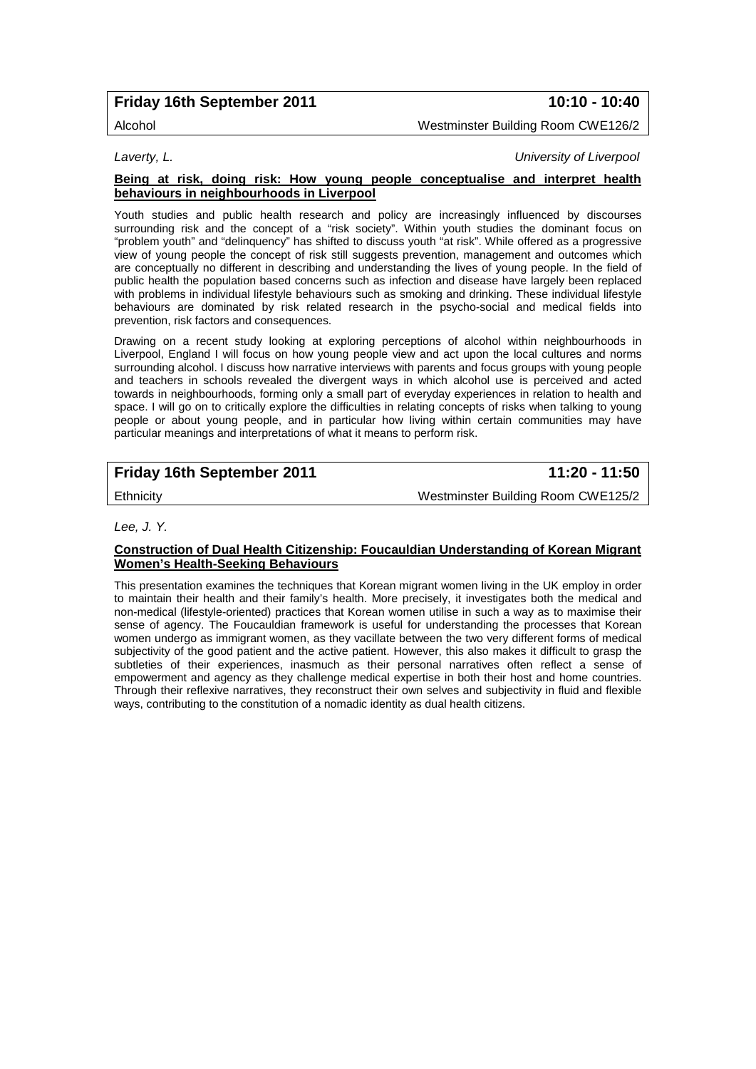# **Friday 16th September 2011 10:10 - 10:40**

Alcohol Westminster Building Room CWE126/2

*Laverty, L. University of Liverpool*

#### **Being at risk, doing risk: How young people conceptualise and interpret health behaviours in neighbourhoods in Liverpool**

Youth studies and public health research and policy are increasingly influenced by discourses surrounding risk and the concept of a "risk society". Within youth studies the dominant focus on "problem youth" and "delinquency" has shifted to discuss youth "at risk". While offered as a progressive view of young people the concept of risk still suggests prevention, management and outcomes which are conceptually no different in describing and understanding the lives of young people. In the field of public health the population based concerns such as infection and disease have largely been replaced with problems in individual lifestyle behaviours such as smoking and drinking. These individual lifestyle behaviours are dominated by risk related research in the psycho-social and medical fields into prevention, risk factors and consequences.

Drawing on a recent study looking at exploring perceptions of alcohol within neighbourhoods in Liverpool, England I will focus on how young people view and act upon the local cultures and norms surrounding alcohol. I discuss how narrative interviews with parents and focus groups with young people and teachers in schools revealed the divergent ways in which alcohol use is perceived and acted towards in neighbourhoods, forming only a small part of everyday experiences in relation to health and space. I will go on to critically explore the difficulties in relating concepts of risks when talking to young people or about young people, and in particular how living within certain communities may have particular meanings and interpretations of what it means to perform risk.

# **Friday 16th September 2011 11:20 - 11:50**

Ethnicity Westminster Building Room CWE125/2

*Lee, J. Y.* 

### **Construction of Dual Health Citizenship: Foucauldian Understanding of Korean Migrant Women's Health-Seeking Behaviours**

This presentation examines the techniques that Korean migrant women living in the UK employ in order to maintain their health and their family's health. More precisely, it investigates both the medical and non-medical (lifestyle-oriented) practices that Korean women utilise in such a way as to maximise their sense of agency. The Foucauldian framework is useful for understanding the processes that Korean women undergo as immigrant women, as they vacillate between the two very different forms of medical subjectivity of the good patient and the active patient. However, this also makes it difficult to grasp the subtleties of their experiences, inasmuch as their personal narratives often reflect a sense of empowerment and agency as they challenge medical expertise in both their host and home countries. Through their reflexive narratives, they reconstruct their own selves and subjectivity in fluid and flexible ways, contributing to the constitution of a nomadic identity as dual health citizens.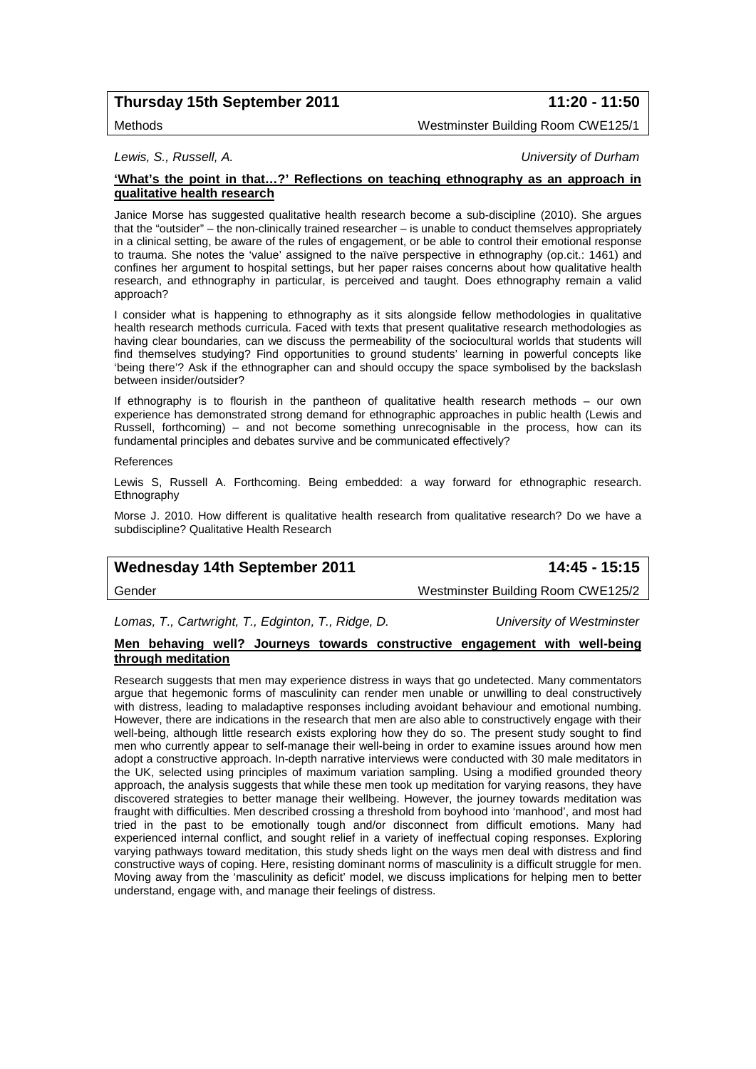# **Thursday 15th September 2011 11:20 - 11:50**

Methods Westminster Building Room CWE125/1

*Lewis, S., Russell, A. University of Durham*

### **'What's the point in that…?' Reflections on teaching ethnography as an approach in qualitative health research**

Janice Morse has suggested qualitative health research become a sub-discipline (2010). She argues that the "outsider" – the non-clinically trained researcher – is unable to conduct themselves appropriately in a clinical setting, be aware of the rules of engagement, or be able to control their emotional response to trauma. She notes the 'value' assigned to the naïve perspective in ethnography (op.cit.: 1461) and confines her argument to hospital settings, but her paper raises concerns about how qualitative health research, and ethnography in particular, is perceived and taught. Does ethnography remain a valid approach?

I consider what is happening to ethnography as it sits alongside fellow methodologies in qualitative health research methods curricula. Faced with texts that present qualitative research methodologies as having clear boundaries, can we discuss the permeability of the sociocultural worlds that students will find themselves studying? Find opportunities to ground students' learning in powerful concepts like 'being there'? Ask if the ethnographer can and should occupy the space symbolised by the backslash between insider/outsider?

If ethnography is to flourish in the pantheon of qualitative health research methods – our own experience has demonstrated strong demand for ethnographic approaches in public health (Lewis and Russell, forthcoming) – and not become something unrecognisable in the process, how can its fundamental principles and debates survive and be communicated effectively?

References

Lewis S, Russell A. Forthcoming. Being embedded: a way forward for ethnographic research. **Ethnography** 

Morse J. 2010. How different is qualitative health research from qualitative research? Do we have a subdiscipline? Qualitative Health Research

# **Wednesday 14th September 2011 14:45 - 15:15**

Gender Westminster Building Room CWE125/2

*Lomas, T., Cartwright, T., Edginton, T., Ridge, D. University of Westminster*

### **Men behaving well? Journeys towards constructive engagement with well-being through meditation**

Research suggests that men may experience distress in ways that go undetected. Many commentators argue that hegemonic forms of masculinity can render men unable or unwilling to deal constructively with distress, leading to maladaptive responses including avoidant behaviour and emotional numbing. However, there are indications in the research that men are also able to constructively engage with their well-being, although little research exists exploring how they do so. The present study sought to find men who currently appear to self-manage their well-being in order to examine issues around how men adopt a constructive approach. In-depth narrative interviews were conducted with 30 male meditators in the UK, selected using principles of maximum variation sampling. Using a modified grounded theory approach, the analysis suggests that while these men took up meditation for varying reasons, they have discovered strategies to better manage their wellbeing. However, the journey towards meditation was fraught with difficulties. Men described crossing a threshold from boyhood into 'manhood', and most had tried in the past to be emotionally tough and/or disconnect from difficult emotions. Many had experienced internal conflict, and sought relief in a variety of ineffectual coping responses. Exploring varying pathways toward meditation, this study sheds light on the ways men deal with distress and find constructive ways of coping. Here, resisting dominant norms of masculinity is a difficult struggle for men. Moving away from the 'masculinity as deficit' model, we discuss implications for helping men to better understand, engage with, and manage their feelings of distress.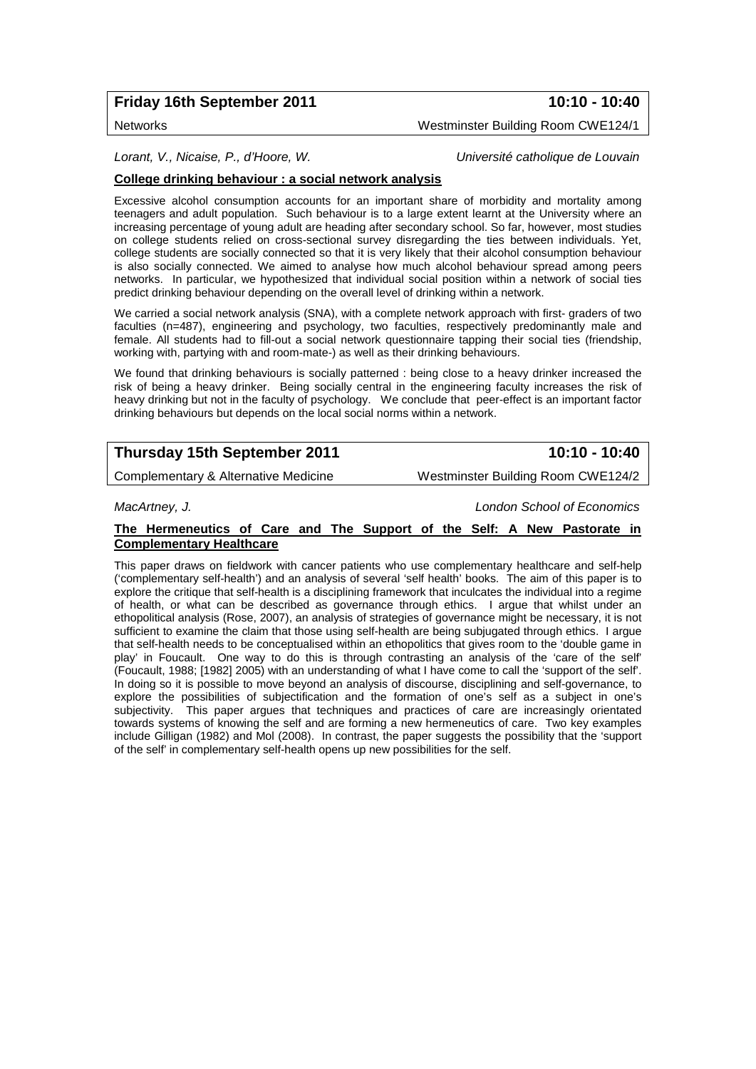# **Friday 16th September 2011 10:10 - 10:40**

Networks Westminster Building Room CWE124/1

*Lorant, V., Nicaise, P., d'Hoore, W. Université catholique de Louvain*

### **College drinking behaviour : a social network analysis**

Excessive alcohol consumption accounts for an important share of morbidity and mortality among teenagers and adult population. Such behaviour is to a large extent learnt at the University where an increasing percentage of young adult are heading after secondary school. So far, however, most studies on college students relied on cross-sectional survey disregarding the ties between individuals. Yet, college students are socially connected so that it is very likely that their alcohol consumption behaviour is also socially connected. We aimed to analyse how much alcohol behaviour spread among peers networks. In particular, we hypothesized that individual social position within a network of social ties predict drinking behaviour depending on the overall level of drinking within a network.

We carried a social network analysis (SNA), with a complete network approach with first- graders of two faculties (n=487), engineering and psychology, two faculties, respectively predominantly male and female. All students had to fill-out a social network questionnaire tapping their social ties (friendship, working with, partying with and room-mate-) as well as their drinking behaviours.

We found that drinking behaviours is socially patterned : being close to a heavy drinker increased the risk of being a heavy drinker. Being socially central in the engineering faculty increases the risk of heavy drinking but not in the faculty of psychology. We conclude that peer-effect is an important factor drinking behaviours but depends on the local social norms within a network.

# **Thursday 15th September 2011 10:10 - 10:40**

Complementary & Alternative Medicine Westminster Building Room CWE124/2

*MacArtney, J. London School of Economics*

### **The Hermeneutics of Care and The Support of the Self: A New Pastorate in Complementary Healthcare**

This paper draws on fieldwork with cancer patients who use complementary healthcare and self-help ('complementary self-health') and an analysis of several 'self health' books. The aim of this paper is to explore the critique that self-health is a disciplining framework that inculcates the individual into a regime of health, or what can be described as governance through ethics. I argue that whilst under an ethopolitical analysis (Rose, 2007), an analysis of strategies of governance might be necessary, it is not sufficient to examine the claim that those using self-health are being subjugated through ethics. I argue that self-health needs to be conceptualised within an ethopolitics that gives room to the 'double game in play' in Foucault. One way to do this is through contrasting an analysis of the 'care of the self' (Foucault, 1988; [1982] 2005) with an understanding of what I have come to call the 'support of the self'. In doing so it is possible to move beyond an analysis of discourse, disciplining and self-governance, to explore the possibilities of subjectification and the formation of one's self as a subject in one's subjectivity. This paper argues that techniques and practices of care are increasingly orientated towards systems of knowing the self and are forming a new hermeneutics of care. Two key examples include Gilligan (1982) and Mol (2008). In contrast, the paper suggests the possibility that the 'support of the self' in complementary self-health opens up new possibilities for the self.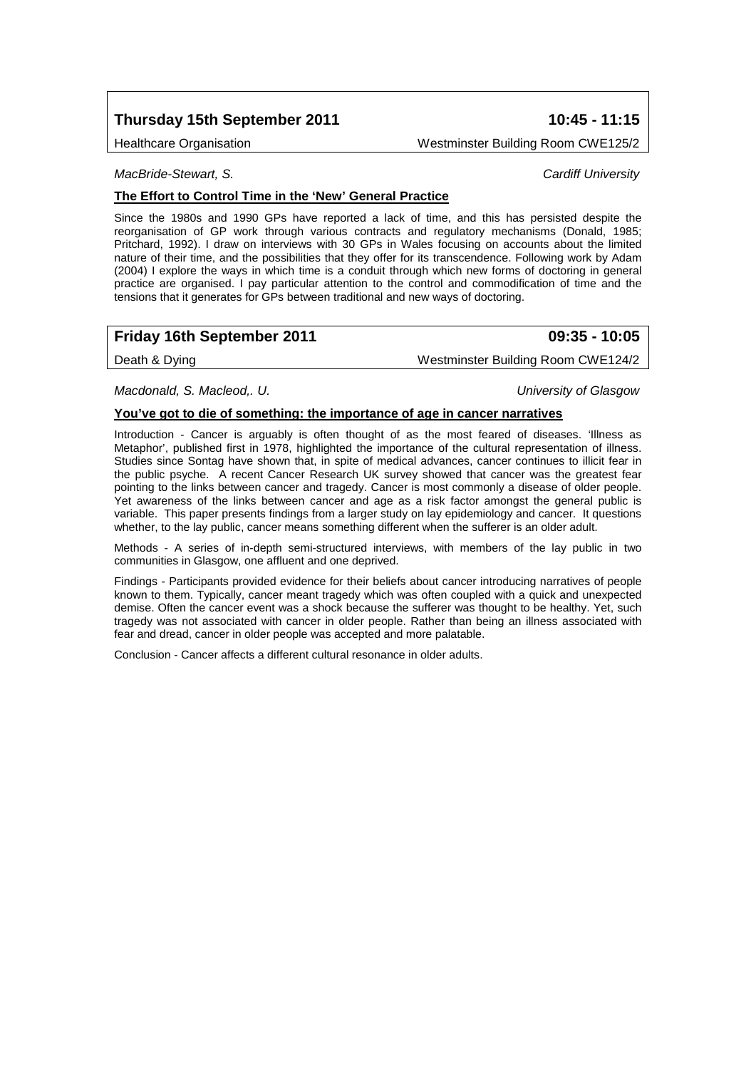# **Thursday 15th September 2011 10:45 - 11:15**

Healthcare Organisation Westminster Building Room CWE125/2

*MacBride-Stewart, S. Cardiff University*

### **The Effort to Control Time in the 'New' General Practice**

Since the 1980s and 1990 GPs have reported a lack of time, and this has persisted despite the reorganisation of GP work through various contracts and regulatory mechanisms (Donald, 1985; Pritchard, 1992). I draw on interviews with 30 GPs in Wales focusing on accounts about the limited nature of their time, and the possibilities that they offer for its transcendence. Following work by Adam (2004) I explore the ways in which time is a conduit through which new forms of doctoring in general practice are organised. I pay particular attention to the control and commodification of time and the tensions that it generates for GPs between traditional and new ways of doctoring.

# **Friday 16th September 2011 09:35 - 10:05**

Death & Dying Nestminster Building Room CWE124/2

*Macdonald, S. Macleod,. U. University of Glasgow*

#### **You've got to die of something: the importance of age in cancer narratives**

Introduction - Cancer is arguably is often thought of as the most feared of diseases. 'Illness as Metaphor', published first in 1978, highlighted the importance of the cultural representation of illness. Studies since Sontag have shown that, in spite of medical advances, cancer continues to illicit fear in the public psyche. A recent Cancer Research UK survey showed that cancer was the greatest fear pointing to the links between cancer and tragedy. Cancer is most commonly a disease of older people. Yet awareness of the links between cancer and age as a risk factor amongst the general public is variable. This paper presents findings from a larger study on lay epidemiology and cancer. It questions whether, to the lay public, cancer means something different when the sufferer is an older adult.

Methods - A series of in-depth semi-structured interviews, with members of the lay public in two communities in Glasgow, one affluent and one deprived.

Findings - Participants provided evidence for their beliefs about cancer introducing narratives of people known to them. Typically, cancer meant tragedy which was often coupled with a quick and unexpected demise. Often the cancer event was a shock because the sufferer was thought to be healthy. Yet, such tragedy was not associated with cancer in older people. Rather than being an illness associated with fear and dread, cancer in older people was accepted and more palatable.

Conclusion - Cancer affects a different cultural resonance in older adults.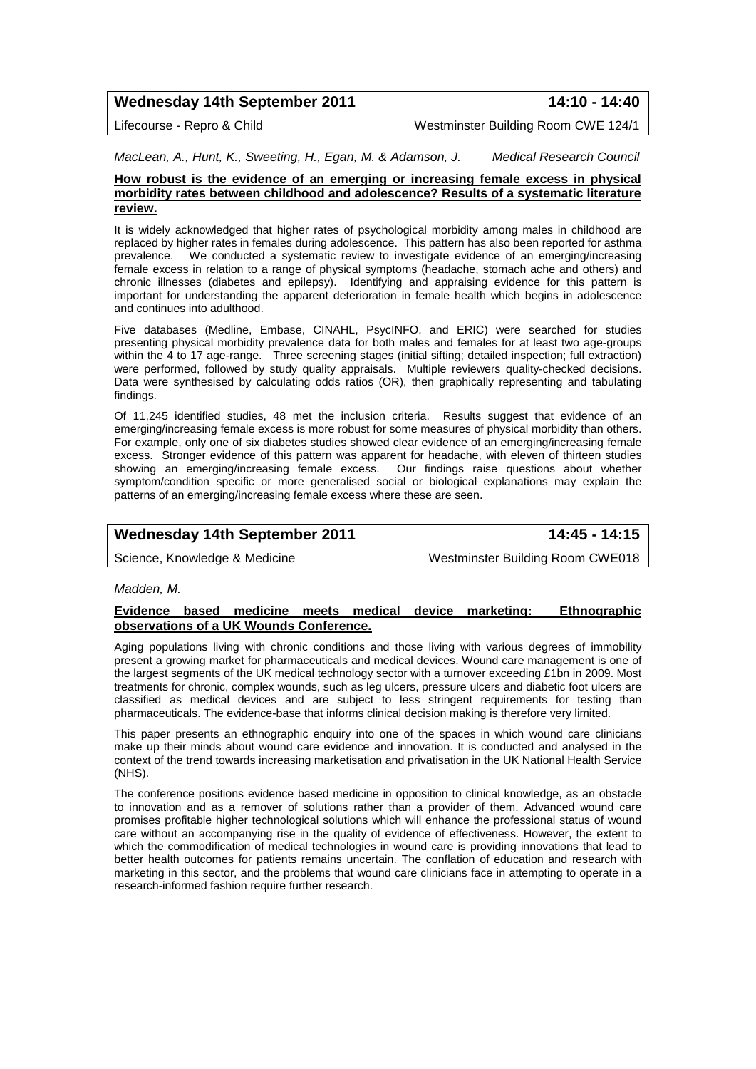# **Wednesday 14th September 2011 14:10 - 14:40**

Lifecourse - Repro & Child Westminster Building Room CWE 124/1

*MacLean, A., Hunt, K., Sweeting, H., Egan, M. & Adamson, J. Medical Research Council*

#### **How robust is the evidence of an emerging or increasing female excess in physical morbidity rates between childhood and adolescence? Results of a systematic literature review.**

It is widely acknowledged that higher rates of psychological morbidity among males in childhood are replaced by higher rates in females during adolescence. This pattern has also been reported for asthma prevalence. We conducted a systematic review to investigate evidence of an emerging/increasing We conducted a systematic review to investigate evidence of an emerging/increasing female excess in relation to a range of physical symptoms (headache, stomach ache and others) and chronic illnesses (diabetes and epilepsy). Identifying and appraising evidence for this pattern is important for understanding the apparent deterioration in female health which begins in adolescence and continues into adulthood.

Five databases (Medline, Embase, CINAHL, PsycINFO, and ERIC) were searched for studies presenting physical morbidity prevalence data for both males and females for at least two age-groups within the 4 to 17 age-range. Three screening stages (initial sifting; detailed inspection; full extraction) were performed, followed by study quality appraisals. Multiple reviewers quality-checked decisions. Data were synthesised by calculating odds ratios (OR), then graphically representing and tabulating findings.

Of 11,245 identified studies, 48 met the inclusion criteria. Results suggest that evidence of an emerging/increasing female excess is more robust for some measures of physical morbidity than others. For example, only one of six diabetes studies showed clear evidence of an emerging/increasing female excess. Stronger evidence of this pattern was apparent for headache, with eleven of thirteen studies showing an emerging/increasing female excess. Our findings raise questions about whether symptom/condition specific or more generalised social or biological explanations may explain the patterns of an emerging/increasing female excess where these are seen.

# **Wednesday 14th September 2011 14:45 - 14:15**

Science, Knowledge & Medicine Westminster Building Room CWE018

#### *Madden, M.*

#### **Evidence based medicine meets medical device marketing: Ethnographic observations of a UK Wounds Conference.**

Aging populations living with chronic conditions and those living with various degrees of immobility present a growing market for pharmaceuticals and medical devices. Wound care management is one of the largest segments of the UK medical technology sector with a turnover exceeding £1bn in 2009. Most treatments for chronic, complex wounds, such as leg ulcers, pressure ulcers and diabetic foot ulcers are classified as medical devices and are subject to less stringent requirements for testing than pharmaceuticals. The evidence-base that informs clinical decision making is therefore very limited.

This paper presents an ethnographic enquiry into one of the spaces in which wound care clinicians make up their minds about wound care evidence and innovation. It is conducted and analysed in the context of the trend towards increasing marketisation and privatisation in the UK National Health Service (NHS).

The conference positions evidence based medicine in opposition to clinical knowledge, as an obstacle to innovation and as a remover of solutions rather than a provider of them. Advanced wound care promises profitable higher technological solutions which will enhance the professional status of wound care without an accompanying rise in the quality of evidence of effectiveness. However, the extent to which the commodification of medical technologies in wound care is providing innovations that lead to better health outcomes for patients remains uncertain. The conflation of education and research with marketing in this sector, and the problems that wound care clinicians face in attempting to operate in a research-informed fashion require further research.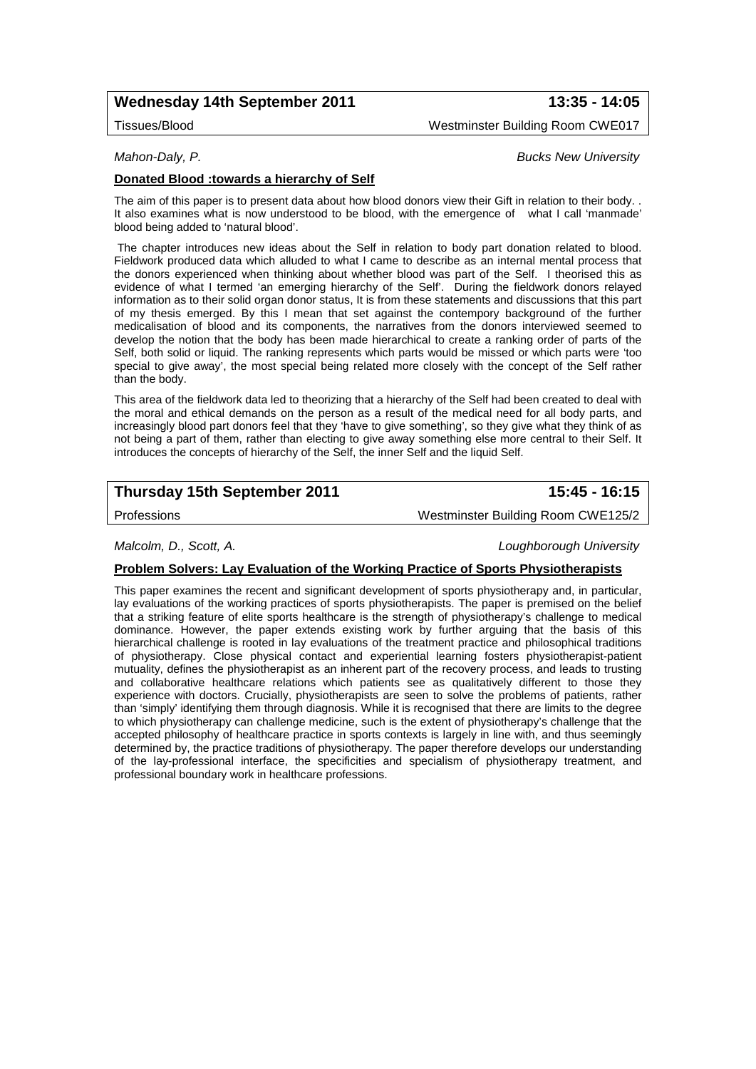# **Wednesday 14th September 2011 13:35 - 14:05**

Tissues/Blood Westminster Building Room CWE017

### *Mahon-Daly, P. Bucks New University*

### **Donated Blood :towards a hierarchy of Self**

The aim of this paper is to present data about how blood donors view their Gift in relation to their body. . It also examines what is now understood to be blood, with the emergence of what I call 'manmade' blood being added to 'natural blood'.

The chapter introduces new ideas about the Self in relation to body part donation related to blood. Fieldwork produced data which alluded to what I came to describe as an internal mental process that the donors experienced when thinking about whether blood was part of the Self. I theorised this as evidence of what I termed 'an emerging hierarchy of the Self'. During the fieldwork donors relayed information as to their solid organ donor status, It is from these statements and discussions that this part of my thesis emerged. By this I mean that set against the contempory background of the further medicalisation of blood and its components, the narratives from the donors interviewed seemed to develop the notion that the body has been made hierarchical to create a ranking order of parts of the Self, both solid or liquid. The ranking represents which parts would be missed or which parts were 'too special to give away', the most special being related more closely with the concept of the Self rather than the body.

This area of the fieldwork data led to theorizing that a hierarchy of the Self had been created to deal with the moral and ethical demands on the person as a result of the medical need for all body parts, and increasingly blood part donors feel that they 'have to give something', so they give what they think of as not being a part of them, rather than electing to give away something else more central to their Self. It introduces the concepts of hierarchy of the Self, the inner Self and the liquid Self.

# **Thursday 15th September 2011 15:45 - 16:15**

Professions Westminster Building Room CWE125/2

*Malcolm, D., Scott, A. Loughborough University*

#### **Problem Solvers: Lay Evaluation of the Working Practice of Sports Physiotherapists**

This paper examines the recent and significant development of sports physiotherapy and, in particular, lay evaluations of the working practices of sports physiotherapists. The paper is premised on the belief that a striking feature of elite sports healthcare is the strength of physiotherapy's challenge to medical dominance. However, the paper extends existing work by further arguing that the basis of this hierarchical challenge is rooted in lay evaluations of the treatment practice and philosophical traditions of physiotherapy. Close physical contact and experiential learning fosters physiotherapist-patient mutuality, defines the physiotherapist as an inherent part of the recovery process, and leads to trusting and collaborative healthcare relations which patients see as qualitatively different to those they experience with doctors. Crucially, physiotherapists are seen to solve the problems of patients, rather than 'simply' identifying them through diagnosis. While it is recognised that there are limits to the degree to which physiotherapy can challenge medicine, such is the extent of physiotherapy's challenge that the accepted philosophy of healthcare practice in sports contexts is largely in line with, and thus seemingly determined by, the practice traditions of physiotherapy. The paper therefore develops our understanding of the lay-professional interface, the specificities and specialism of physiotherapy treatment, and professional boundary work in healthcare professions.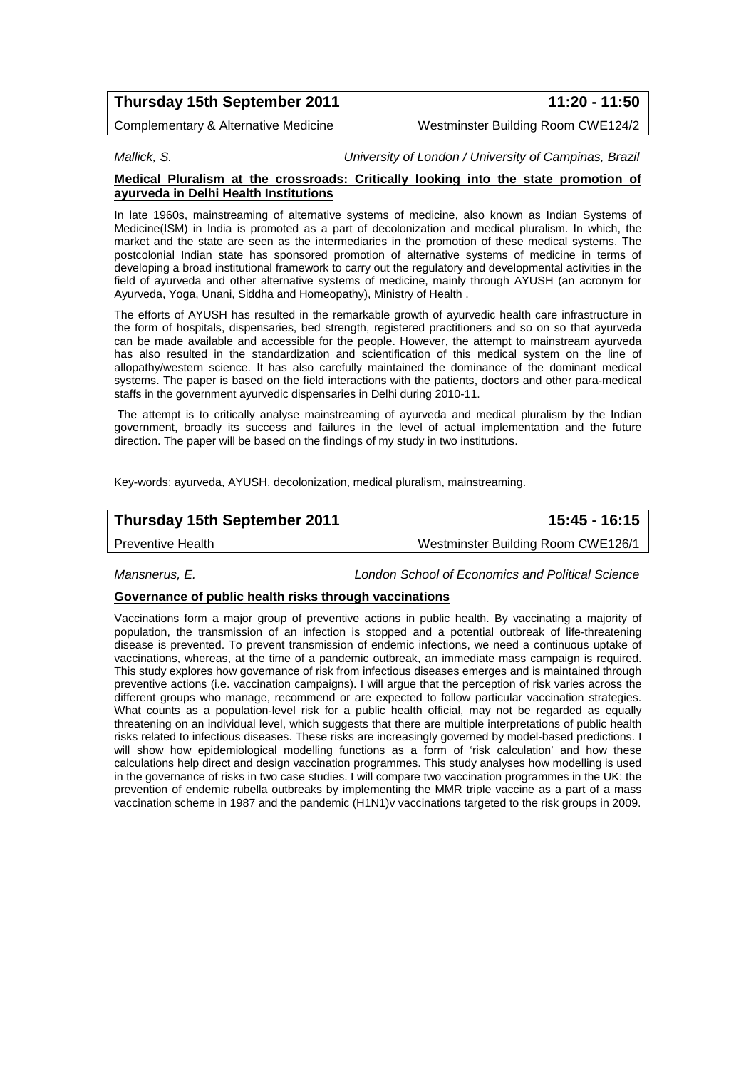# **Thursday 15th September 2011 11:20 - 11:50**

Complementary & Alternative Medicine Westminster Building Room CWE124/2

*Mallick, S. University of London / University of Campinas, Brazil*

#### **Medical Pluralism at the crossroads: Critically looking into the state promotion of ayurveda in Delhi Health Institutions**

In late 1960s, mainstreaming of alternative systems of medicine, also known as Indian Systems of Medicine(ISM) in India is promoted as a part of decolonization and medical pluralism. In which, the market and the state are seen as the intermediaries in the promotion of these medical systems. The postcolonial Indian state has sponsored promotion of alternative systems of medicine in terms of developing a broad institutional framework to carry out the regulatory and developmental activities in the field of ayurveda and other alternative systems of medicine, mainly through AYUSH (an acronym for Ayurveda, Yoga, Unani, Siddha and Homeopathy), Ministry of Health .

The efforts of AYUSH has resulted in the remarkable growth of ayurvedic health care infrastructure in the form of hospitals, dispensaries, bed strength, registered practitioners and so on so that ayurveda can be made available and accessible for the people. However, the attempt to mainstream ayurveda has also resulted in the standardization and scientification of this medical system on the line of allopathy/western science. It has also carefully maintained the dominance of the dominant medical systems. The paper is based on the field interactions with the patients, doctors and other para-medical staffs in the government ayurvedic dispensaries in Delhi during 2010-11.

The attempt is to critically analyse mainstreaming of ayurveda and medical pluralism by the Indian government, broadly its success and failures in the level of actual implementation and the future direction. The paper will be based on the findings of my study in two institutions.

Key-words: ayurveda, AYUSH, decolonization, medical pluralism, mainstreaming.

# **Thursday 15th September 2011 15:45 - 16:15**

Preventive Health Westminster Building Room CWE126/1

*Mansnerus, E. London School of Economics and Political Science*

#### **Governance of public health risks through vaccinations**

Vaccinations form a major group of preventive actions in public health. By vaccinating a majority of population, the transmission of an infection is stopped and a potential outbreak of life-threatening disease is prevented. To prevent transmission of endemic infections, we need a continuous uptake of vaccinations, whereas, at the time of a pandemic outbreak, an immediate mass campaign is required. This study explores how governance of risk from infectious diseases emerges and is maintained through preventive actions (i.e. vaccination campaigns). I will argue that the perception of risk varies across the different groups who manage, recommend or are expected to follow particular vaccination strategies. What counts as a population-level risk for a public health official, may not be regarded as equally threatening on an individual level, which suggests that there are multiple interpretations of public health risks related to infectious diseases. These risks are increasingly governed by model-based predictions. I will show how epidemiological modelling functions as a form of 'risk calculation' and how these calculations help direct and design vaccination programmes. This study analyses how modelling is used in the governance of risks in two case studies. I will compare two vaccination programmes in the UK: the prevention of endemic rubella outbreaks by implementing the MMR triple vaccine as a part of a mass vaccination scheme in 1987 and the pandemic (H1N1)v vaccinations targeted to the risk groups in 2009.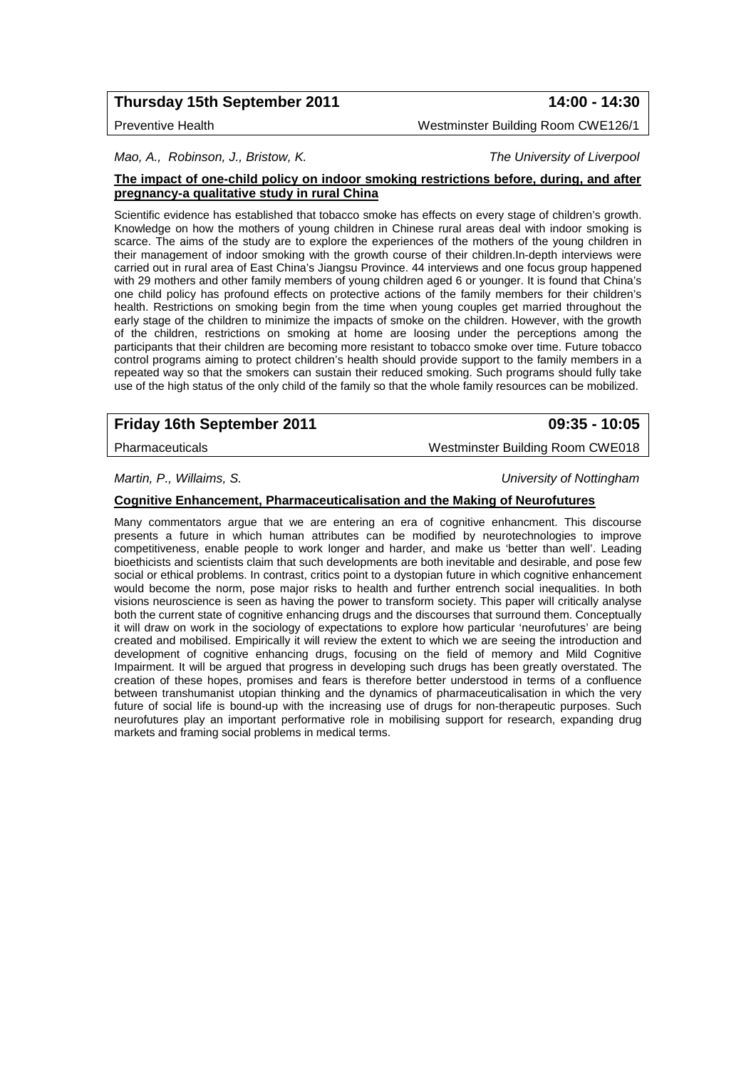# **Thursday 15th September 2011 14:00 - 14:30**

*Mao, A., Robinson, J., Bristow, K. The University of Liverpool*

#### **The impact of one-child policy on indoor smoking restrictions before, during, and after pregnancy-a qualitative study in rural China**

Scientific evidence has established that tobacco smoke has effects on every stage of children's growth. Knowledge on how the mothers of young children in Chinese rural areas deal with indoor smoking is scarce. The aims of the study are to explore the experiences of the mothers of the young children in their management of indoor smoking with the growth course of their children.In-depth interviews were carried out in rural area of East China's Jiangsu Province. 44 interviews and one focus group happened with 29 mothers and other family members of young children aged 6 or younger. It is found that China's one child policy has profound effects on protective actions of the family members for their children's health. Restrictions on smoking begin from the time when young couples get married throughout the early stage of the children to minimize the impacts of smoke on the children. However, with the growth of the children, restrictions on smoking at home are loosing under the perceptions among the participants that their children are becoming more resistant to tobacco smoke over time. Future tobacco control programs aiming to protect children's health should provide support to the family members in a repeated way so that the smokers can sustain their reduced smoking. Such programs should fully take use of the high status of the only child of the family so that the whole family resources can be mobilized.

# **Friday 16th September 2011 09:35 - 10:05**

Pharmaceuticals Westminster Building Room CWE018

*Martin, P., Willaims, S. University of Nottingham*

**Cognitive Enhancement, Pharmaceuticalisation and the Making of Neurofutures**

Many commentators argue that we are entering an era of cognitive enhancment. This discourse presents a future in which human attributes can be modified by neurotechnologies to improve competitiveness, enable people to work longer and harder, and make us 'better than well'. Leading bioethicists and scientists claim that such developments are both inevitable and desirable, and pose few social or ethical problems. In contrast, critics point to a dystopian future in which cognitive enhancement would become the norm, pose major risks to health and further entrench social inequalities. In both visions neuroscience is seen as having the power to transform society. This paper will critically analyse both the current state of cognitive enhancing drugs and the discourses that surround them. Conceptually it will draw on work in the sociology of expectations to explore how particular 'neurofutures' are being created and mobilised. Empirically it will review the extent to which we are seeing the introduction and development of cognitive enhancing drugs, focusing on the field of memory and Mild Cognitive Impairment. It will be argued that progress in developing such drugs has been greatly overstated. The creation of these hopes, promises and fears is therefore better understood in terms of a confluence between transhumanist utopian thinking and the dynamics of pharmaceuticalisation in which the very future of social life is bound-up with the increasing use of drugs for non-therapeutic purposes. Such neurofutures play an important performative role in mobilising support for research, expanding drug markets and framing social problems in medical terms.

Preventive Health Westminster Building Room CWE126/1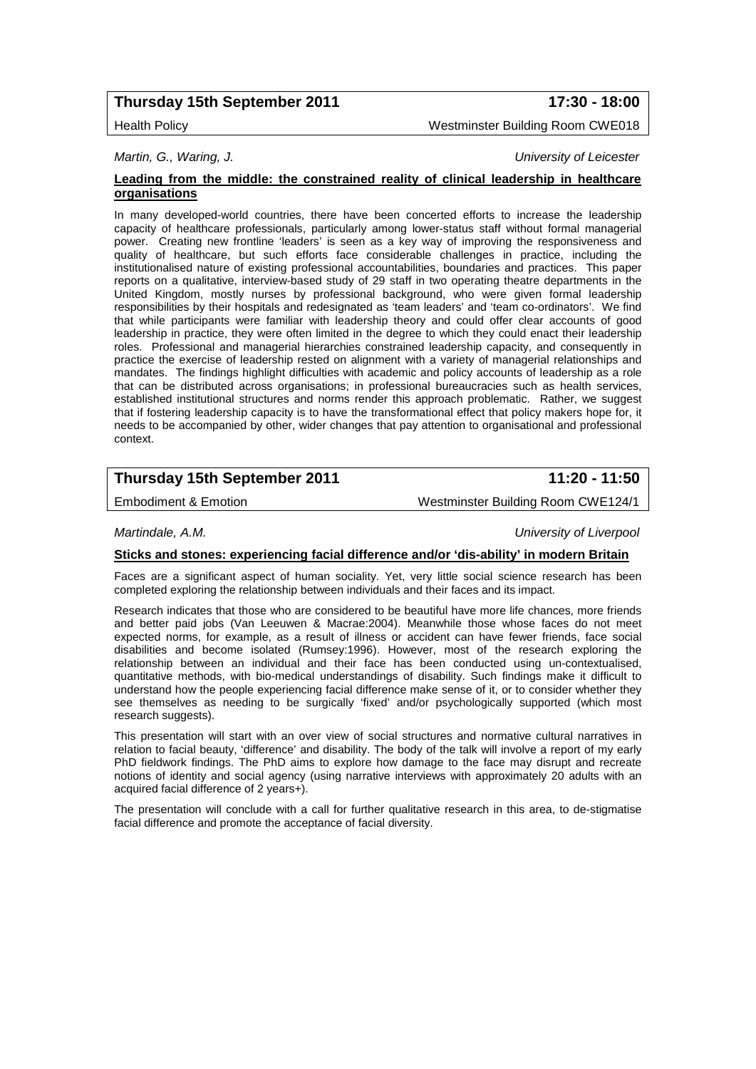# **Thursday 15th September 2011 17:30 - 18:00**

Health Policy Westminster Building Room CWE018

*Martin, G., Waring, J. University of Leicester*

#### **Leading from the middle: the constrained reality of clinical leadership in healthcare organisations**

In many developed-world countries, there have been concerted efforts to increase the leadership capacity of healthcare professionals, particularly among lower-status staff without formal managerial power. Creating new frontline 'leaders' is seen as a key way of improving the responsiveness and quality of healthcare, but such efforts face considerable challenges in practice, including the institutionalised nature of existing professional accountabilities, boundaries and practices. This paper reports on a qualitative, interview-based study of 29 staff in two operating theatre departments in the United Kingdom, mostly nurses by professional background, who were given formal leadership responsibilities by their hospitals and redesignated as 'team leaders' and 'team co-ordinators'. We find that while participants were familiar with leadership theory and could offer clear accounts of good leadership in practice, they were often limited in the degree to which they could enact their leadership roles. Professional and managerial hierarchies constrained leadership capacity, and consequently in practice the exercise of leadership rested on alignment with a variety of managerial relationships and mandates. The findings highlight difficulties with academic and policy accounts of leadership as a role that can be distributed across organisations; in professional bureaucracies such as health services, established institutional structures and norms render this approach problematic. Rather, we suggest that if fostering leadership capacity is to have the transformational effect that policy makers hope for, it needs to be accompanied by other, wider changes that pay attention to organisational and professional context.

# **Thursday 15th September 2011 11:20 - 11:50**

Embodiment & Emotion Westminster Building Room CWE124/1

*Martindale, A.M. University of Liverpool*

#### **Sticks and stones: experiencing facial difference and/or 'dis-ability' in modern Britain**

Faces are a significant aspect of human sociality. Yet, very little social science research has been completed exploring the relationship between individuals and their faces and its impact.

Research indicates that those who are considered to be beautiful have more life chances, more friends and better paid jobs (Van Leeuwen & Macrae:2004). Meanwhile those whose faces do not meet expected norms, for example, as a result of illness or accident can have fewer friends, face social disabilities and become isolated (Rumsey:1996). However, most of the research exploring the relationship between an individual and their face has been conducted using un-contextualised, quantitative methods, with bio-medical understandings of disability. Such findings make it difficult to understand how the people experiencing facial difference make sense of it, or to consider whether they see themselves as needing to be surgically 'fixed' and/or psychologically supported (which most research suggests).

This presentation will start with an over view of social structures and normative cultural narratives in relation to facial beauty, 'difference' and disability. The body of the talk will involve a report of my early PhD fieldwork findings. The PhD aims to explore how damage to the face may disrupt and recreate notions of identity and social agency (using narrative interviews with approximately 20 adults with an acquired facial difference of 2 years+).

The presentation will conclude with a call for further qualitative research in this area, to de-stigmatise facial difference and promote the acceptance of facial diversity.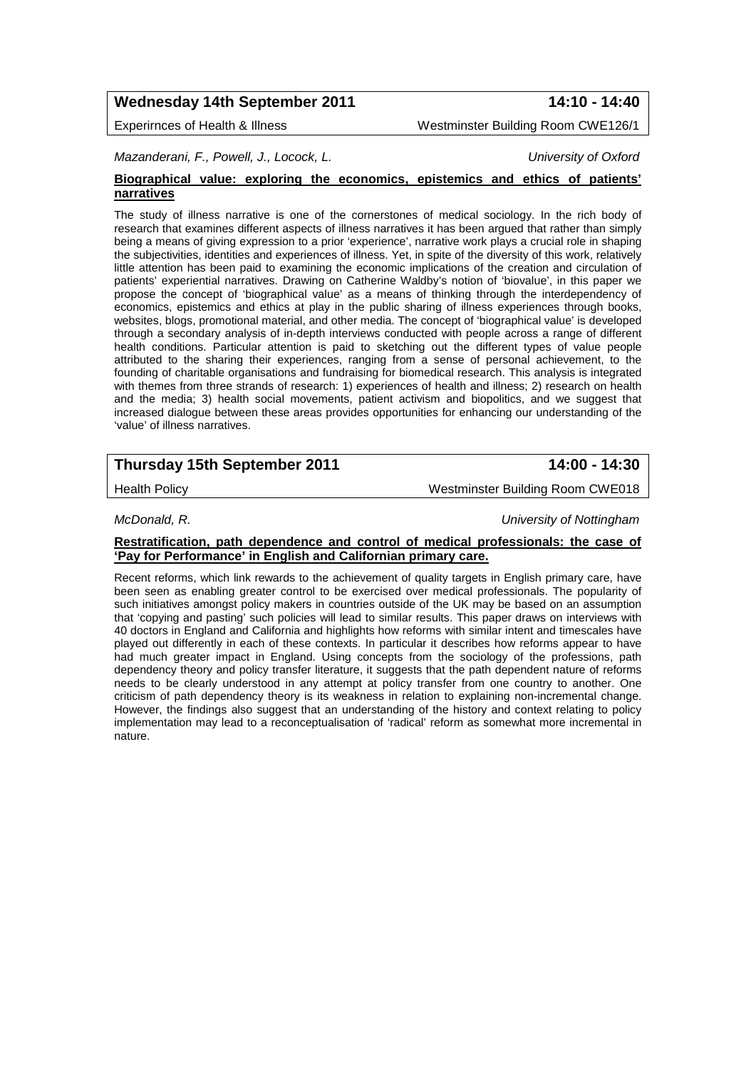# **Wednesday 14th September 2011 14:10 - 14:40**

Experirnces of Health & Illness Westminster Building Room CWE126/1

*Mazanderani, F., Powell, J., Locock, L. University of Oxford*

#### **Biographical value: exploring the economics, epistemics and ethics of patients' narratives**

The study of illness narrative is one of the cornerstones of medical sociology. In the rich body of research that examines different aspects of illness narratives it has been argued that rather than simply being a means of giving expression to a prior 'experience', narrative work plays a crucial role in shaping the subjectivities, identities and experiences of illness. Yet, in spite of the diversity of this work, relatively little attention has been paid to examining the economic implications of the creation and circulation of patients' experiential narratives. Drawing on Catherine Waldby's notion of 'biovalue', in this paper we propose the concept of 'biographical value' as a means of thinking through the interdependency of economics, epistemics and ethics at play in the public sharing of illness experiences through books, websites, blogs, promotional material, and other media. The concept of 'biographical value' is developed through a secondary analysis of in-depth interviews conducted with people across a range of different health conditions. Particular attention is paid to sketching out the different types of value people attributed to the sharing their experiences, ranging from a sense of personal achievement, to the founding of charitable organisations and fundraising for biomedical research. This analysis is integrated with themes from three strands of research: 1) experiences of health and illness; 2) research on health and the media; 3) health social movements, patient activism and biopolitics, and we suggest that increased dialogue between these areas provides opportunities for enhancing our understanding of the 'value' of illness narratives.

# **Thursday 15th September 2011 14:00 - 14:30**

Health Policy **Material Contract Policy** Westminster Building Room CWE018

*McDonald, R. University of Nottingham*

### **Restratification, path dependence and control of medical professionals: the case of 'Pay for Performance' in English and Californian primary care.**

Recent reforms, which link rewards to the achievement of quality targets in English primary care, have been seen as enabling greater control to be exercised over medical professionals. The popularity of such initiatives amongst policy makers in countries outside of the UK may be based on an assumption that 'copying and pasting' such policies will lead to similar results. This paper draws on interviews with 40 doctors in England and California and highlights how reforms with similar intent and timescales have played out differently in each of these contexts. In particular it describes how reforms appear to have had much greater impact in England. Using concepts from the sociology of the professions, path dependency theory and policy transfer literature, it suggests that the path dependent nature of reforms needs to be clearly understood in any attempt at policy transfer from one country to another. One criticism of path dependency theory is its weakness in relation to explaining non-incremental change. However, the findings also suggest that an understanding of the history and context relating to policy implementation may lead to a reconceptualisation of 'radical' reform as somewhat more incremental in nature.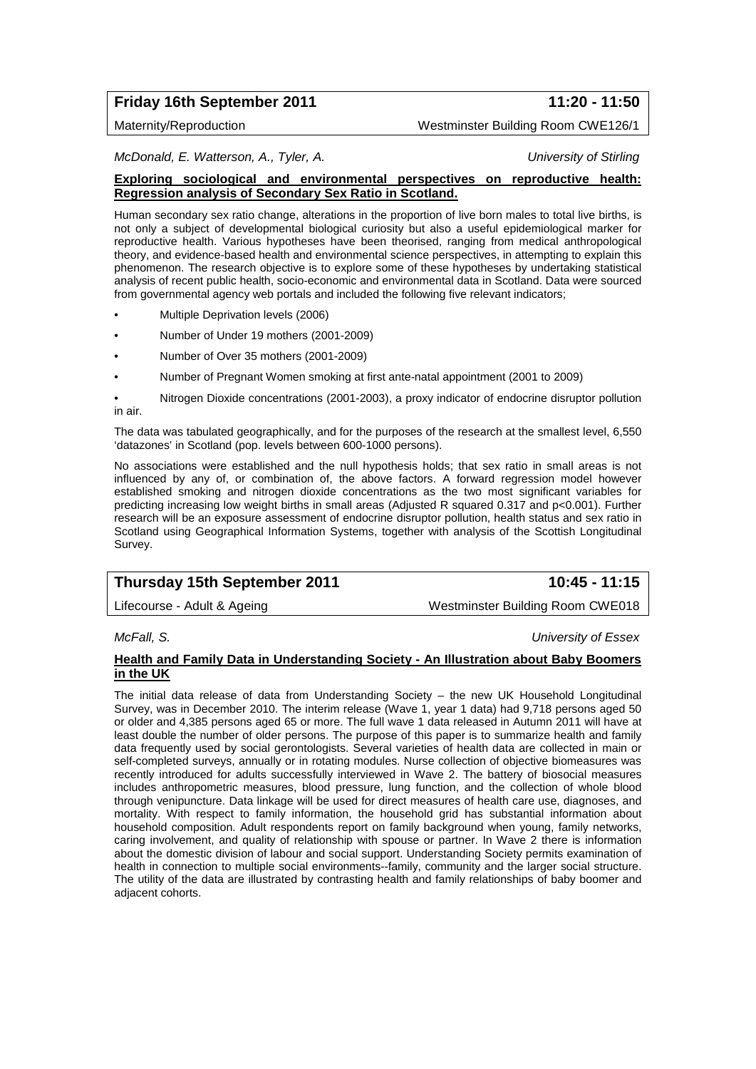# **Friday 16th September 2011 11:20 - 11:50**

Maternity/Reproduction Westminster Building Room CWE126/1

*McDonald, E. Watterson, A., Tyler, A. University of Stirling*

#### **Exploring sociological and environmental perspectives on reproductive health: Regression analysis of Secondary Sex Ratio in Scotland.**

Human secondary sex ratio change, alterations in the proportion of live born males to total live births, is not only a subject of developmental biological curiosity but also a useful epidemiological marker for reproductive health. Various hypotheses have been theorised, ranging from medical anthropological theory, and evidence-based health and environmental science perspectives, in attempting to explain this phenomenon. The research objective is to explore some of these hypotheses by undertaking statistical analysis of recent public health, socio-economic and environmental data in Scotland. Data were sourced from governmental agency web portals and included the following five relevant indicators;

- Multiple Deprivation levels (2006)
- Number of Under 19 mothers (2001-2009)
- Number of Over 35 mothers (2001-2009)
- Number of Pregnant Women smoking at first ante-natal appointment (2001 to 2009)

• Nitrogen Dioxide concentrations (2001-2003), a proxy indicator of endocrine disruptor pollution in air.

The data was tabulated geographically, and for the purposes of the research at the smallest level, 6,550 'datazones' in Scotland (pop. levels between 600-1000 persons).

No associations were established and the null hypothesis holds; that sex ratio in small areas is not influenced by any of, or combination of, the above factors. A forward regression model however established smoking and nitrogen dioxide concentrations as the two most significant variables for predicting increasing low weight births in small areas (Adjusted R squared 0.317 and p<0.001). Further research will be an exposure assessment of endocrine disruptor pollution, health status and sex ratio in Scotland using Geographical Information Systems, together with analysis of the Scottish Longitudinal Survey.

# **Thursday 15th September 2011 10:45 - 11:15**

Lifecourse - Adult & Ageing Material Mestminster Building Room CWE018

*McFall, S. University of Essex*

### **Health and Family Data in Understanding Society - An Illustration about Baby Boomers in the UK**

The initial data release of data from Understanding Society – the new UK Household Longitudinal Survey, was in December 2010. The interim release (Wave 1, year 1 data) had 9,718 persons aged 50 or older and 4,385 persons aged 65 or more. The full wave 1 data released in Autumn 2011 will have at least double the number of older persons. The purpose of this paper is to summarize health and family data frequently used by social gerontologists. Several varieties of health data are collected in main or self-completed surveys, annually or in rotating modules. Nurse collection of objective biomeasures was recently introduced for adults successfully interviewed in Wave 2. The battery of biosocial measures includes anthropometric measures, blood pressure, lung function, and the collection of whole blood through venipuncture. Data linkage will be used for direct measures of health care use, diagnoses, and mortality. With respect to family information, the household grid has substantial information about household composition. Adult respondents report on family background when young, family networks, caring involvement, and quality of relationship with spouse or partner. In Wave 2 there is information about the domestic division of labour and social support. Understanding Society permits examination of health in connection to multiple social environments--family, community and the larger social structure. The utility of the data are illustrated by contrasting health and family relationships of baby boomer and adjacent cohorts.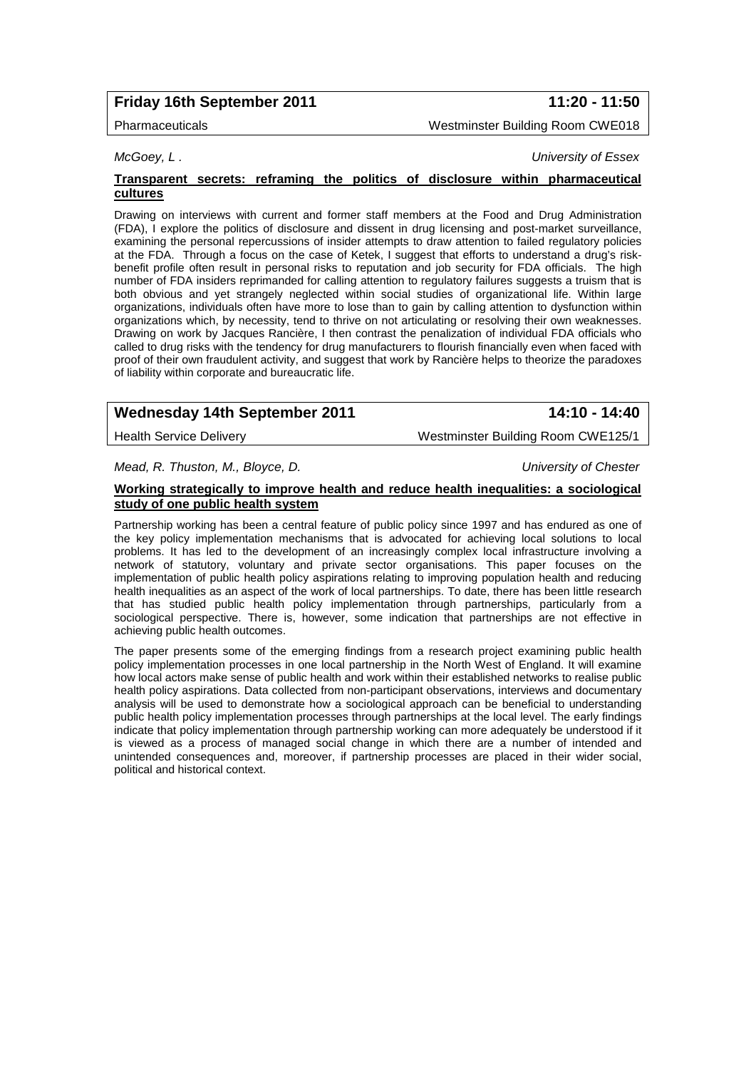# **Friday 16th September 2011 11:20 - 11:50**

### Pharmaceuticals Westminster Building Room CWE018

*McGoey, L . University of Essex*

#### **Transparent secrets: reframing the politics of disclosure within pharmaceutical cultures**

Drawing on interviews with current and former staff members at the Food and Drug Administration (FDA), I explore the politics of disclosure and dissent in drug licensing and post-market surveillance, examining the personal repercussions of insider attempts to draw attention to failed regulatory policies at the FDA. Through a focus on the case of Ketek, I suggest that efforts to understand a drug's riskbenefit profile often result in personal risks to reputation and job security for FDA officials. The high number of FDA insiders reprimanded for calling attention to regulatory failures suggests a truism that is both obvious and yet strangely neglected within social studies of organizational life. Within large organizations, individuals often have more to lose than to gain by calling attention to dysfunction within organizations which, by necessity, tend to thrive on not articulating or resolving their own weaknesses. Drawing on work by Jacques Rancière, I then contrast the penalization of individual FDA officials who called to drug risks with the tendency for drug manufacturers to flourish financially even when faced with proof of their own fraudulent activity, and suggest that work by Rancière helps to theorize the paradoxes of liability within corporate and bureaucratic life.

# **Wednesday 14th September 2011 14:10 - 14:40**

Health Service Delivery **Westminster Building Room CWE125/1** 

*Mead, R. Thuston, M., Bloyce, D. University of Chester*

# **Working strategically to improve health and reduce health inequalities: a sociological study of one public health system**

Partnership working has been a central feature of public policy since 1997 and has endured as one of the key policy implementation mechanisms that is advocated for achieving local solutions to local problems. It has led to the development of an increasingly complex local infrastructure involving a network of statutory, voluntary and private sector organisations. This paper focuses on the implementation of public health policy aspirations relating to improving population health and reducing health inequalities as an aspect of the work of local partnerships. To date, there has been little research that has studied public health policy implementation through partnerships, particularly from a sociological perspective. There is, however, some indication that partnerships are not effective in achieving public health outcomes.

The paper presents some of the emerging findings from a research project examining public health policy implementation processes in one local partnership in the North West of England. It will examine how local actors make sense of public health and work within their established networks to realise public health policy aspirations. Data collected from non-participant observations, interviews and documentary analysis will be used to demonstrate how a sociological approach can be beneficial to understanding public health policy implementation processes through partnerships at the local level. The early findings indicate that policy implementation through partnership working can more adequately be understood if it is viewed as a process of managed social change in which there are a number of intended and unintended consequences and, moreover, if partnership processes are placed in their wider social, political and historical context.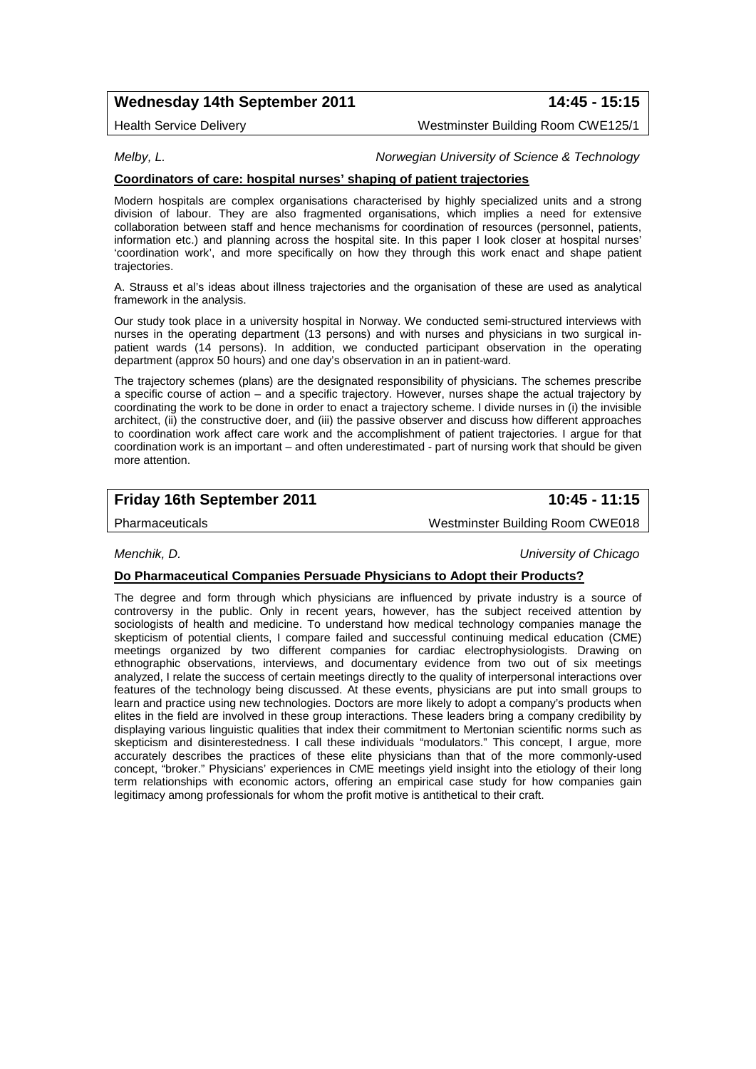# **Wednesday 14th September 2011 14:45 - 15:15**

Health Service Delivery Westminster Building Room CWE125/1

#### *Melby, L. Norwegian University of Science & Technology*

#### **Coordinators of care: hospital nurses' shaping of patient trajectories**

Modern hospitals are complex organisations characterised by highly specialized units and a strong division of labour. They are also fragmented organisations, which implies a need for extensive collaboration between staff and hence mechanisms for coordination of resources (personnel, patients, information etc.) and planning across the hospital site. In this paper I look closer at hospital nurses' 'coordination work', and more specifically on how they through this work enact and shape patient trajectories.

A. Strauss et al's ideas about illness trajectories and the organisation of these are used as analytical framework in the analysis.

Our study took place in a university hospital in Norway. We conducted semi-structured interviews with nurses in the operating department (13 persons) and with nurses and physicians in two surgical inpatient wards (14 persons). In addition, we conducted participant observation in the operating department (approx 50 hours) and one day's observation in an in patient-ward.

The trajectory schemes (plans) are the designated responsibility of physicians. The schemes prescribe a specific course of action – and a specific trajectory. However, nurses shape the actual trajectory by coordinating the work to be done in order to enact a trajectory scheme. I divide nurses in (i) the invisible architect, (ii) the constructive doer, and (iii) the passive observer and discuss how different approaches to coordination work affect care work and the accomplishment of patient trajectories. I argue for that coordination work is an important – and often underestimated - part of nursing work that should be given more attention.

## **Friday 16th September 2011 10:45 - 11:15**

Pharmaceuticals Westminster Building Room CWE018

*Menchik, D. University of Chicago*

#### **Do Pharmaceutical Companies Persuade Physicians to Adopt their Products?**

The degree and form through which physicians are influenced by private industry is a source of controversy in the public. Only in recent years, however, has the subject received attention by sociologists of health and medicine. To understand how medical technology companies manage the skepticism of potential clients, I compare failed and successful continuing medical education (CME) meetings organized by two different companies for cardiac electrophysiologists. Drawing on ethnographic observations, interviews, and documentary evidence from two out of six meetings analyzed, I relate the success of certain meetings directly to the quality of interpersonal interactions over features of the technology being discussed. At these events, physicians are put into small groups to learn and practice using new technologies. Doctors are more likely to adopt a company's products when elites in the field are involved in these group interactions. These leaders bring a company credibility by displaying various linguistic qualities that index their commitment to Mertonian scientific norms such as skepticism and disinterestedness. I call these individuals "modulators." This concept, I argue, more accurately describes the practices of these elite physicians than that of the more commonly-used concept, "broker." Physicians' experiences in CME meetings yield insight into the etiology of their long term relationships with economic actors, offering an empirical case study for how companies gain legitimacy among professionals for whom the profit motive is antithetical to their craft.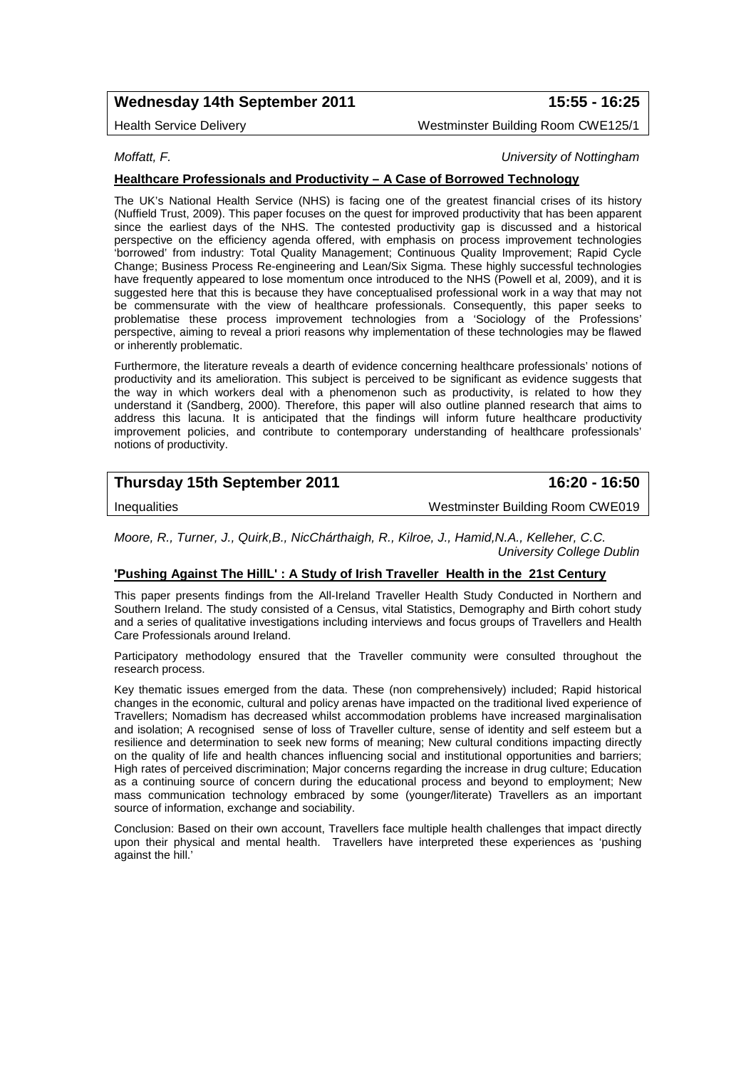# **Wednesday 14th September 2011 15:55 - 16:25**

Health Service Delivery Westminster Building Room CWE125/1

*Moffatt, F. University of Nottingham*

### **Healthcare Professionals and Productivity – A Case of Borrowed Technology**

The UK's National Health Service (NHS) is facing one of the greatest financial crises of its history (Nuffield Trust, 2009). This paper focuses on the quest for improved productivity that has been apparent since the earliest days of the NHS. The contested productivity gap is discussed and a historical perspective on the efficiency agenda offered, with emphasis on process improvement technologies 'borrowed' from industry: Total Quality Management; Continuous Quality Improvement; Rapid Cycle Change; Business Process Re-engineering and Lean/Six Sigma. These highly successful technologies have frequently appeared to lose momentum once introduced to the NHS (Powell et al, 2009), and it is suggested here that this is because they have conceptualised professional work in a way that may not be commensurate with the view of healthcare professionals. Consequently, this paper seeks to problematise these process improvement technologies from a 'Sociology of the Professions' perspective, aiming to reveal a priori reasons why implementation of these technologies may be flawed or inherently problematic.

Furthermore, the literature reveals a dearth of evidence concerning healthcare professionals' notions of productivity and its amelioration. This subject is perceived to be significant as evidence suggests that the way in which workers deal with a phenomenon such as productivity, is related to how they understand it (Sandberg, 2000). Therefore, this paper will also outline planned research that aims to address this lacuna. It is anticipated that the findings will inform future healthcare productivity improvement policies, and contribute to contemporary understanding of healthcare professionals' notions of productivity.

# **Thursday 15th September 2011 16:20 - 16:50**

Inequalities Westminster Building Room CWE019

*Moore, R., Turner, J., Quirk,B., NicChárthaigh, R., Kilroe, J., Hamid,N.A., Kelleher, C.C. University College Dublin*

#### **'Pushing Against The HillL' : A Study of Irish Traveller Health in the 21st Century**

This paper presents findings from the All-Ireland Traveller Health Study Conducted in Northern and Southern Ireland. The study consisted of a Census, vital Statistics, Demography and Birth cohort study and a series of qualitative investigations including interviews and focus groups of Travellers and Health Care Professionals around Ireland.

Participatory methodology ensured that the Traveller community were consulted throughout the research process.

Key thematic issues emerged from the data. These (non comprehensively) included; Rapid historical changes in the economic, cultural and policy arenas have impacted on the traditional lived experience of Travellers; Nomadism has decreased whilst accommodation problems have increased marginalisation and isolation; A recognised sense of loss of Traveller culture, sense of identity and self esteem but a resilience and determination to seek new forms of meaning; New cultural conditions impacting directly on the quality of life and health chances influencing social and institutional opportunities and barriers; High rates of perceived discrimination; Major concerns regarding the increase in drug culture; Education as a continuing source of concern during the educational process and beyond to employment; New mass communication technology embraced by some (younger/literate) Travellers as an important source of information, exchange and sociability.

Conclusion: Based on their own account, Travellers face multiple health challenges that impact directly upon their physical and mental health. Travellers have interpreted these experiences as 'pushing against the hill.'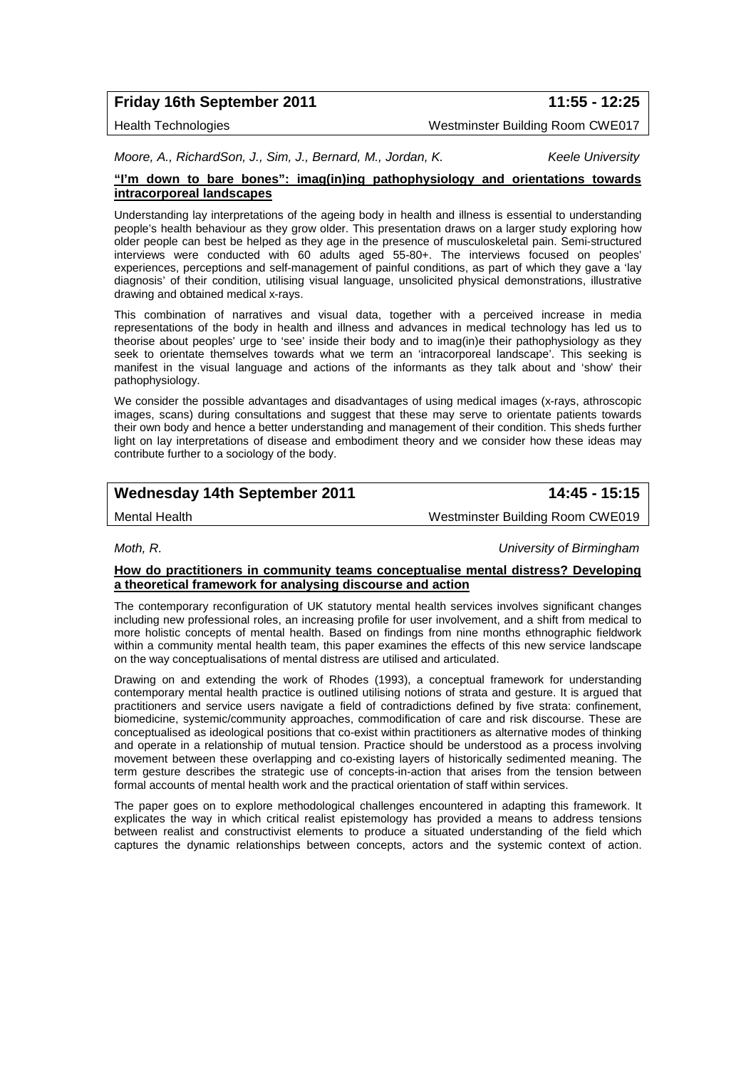# **Friday 16th September 2011 11:55 - 12:25**

Health Technologies Westminster Building Room CWE017

*Moore, A., RichardSon, J., Sim, J., Bernard, M., Jordan, K. Keele University*

#### **"I'm down to bare bones": imag(in)ing pathophysiology and orientations towards intracorporeal landscapes**

Understanding lay interpretations of the ageing body in health and illness is essential to understanding people's health behaviour as they grow older. This presentation draws on a larger study exploring how older people can best be helped as they age in the presence of musculoskeletal pain. Semi-structured interviews were conducted with 60 adults aged 55-80+. The interviews focused on peoples' experiences, perceptions and self-management of painful conditions, as part of which they gave a 'lay diagnosis' of their condition, utilising visual language, unsolicited physical demonstrations, illustrative drawing and obtained medical x-rays.

This combination of narratives and visual data, together with a perceived increase in media representations of the body in health and illness and advances in medical technology has led us to theorise about peoples' urge to 'see' inside their body and to imag(in)e their pathophysiology as they seek to orientate themselves towards what we term an 'intracorporeal landscape'. This seeking is manifest in the visual language and actions of the informants as they talk about and 'show' their pathophysiology.

We consider the possible advantages and disadvantages of using medical images (x-rays, athroscopic images, scans) during consultations and suggest that these may serve to orientate patients towards their own body and hence a better understanding and management of their condition. This sheds further light on lay interpretations of disease and embodiment theory and we consider how these ideas may contribute further to a sociology of the body.

# **Wednesday 14th September 2011 14:45 - 15:15**

Mental Health Westminster Building Room CWE019

*Moth, R. University of Birmingham*

#### **How do practitioners in community teams conceptualise mental distress? Developing a theoretical framework for analysing discourse and action**

The contemporary reconfiguration of UK statutory mental health services involves significant changes including new professional roles, an increasing profile for user involvement, and a shift from medical to more holistic concepts of mental health. Based on findings from nine months ethnographic fieldwork within a community mental health team, this paper examines the effects of this new service landscape on the way conceptualisations of mental distress are utilised and articulated.

Drawing on and extending the work of Rhodes (1993), a conceptual framework for understanding contemporary mental health practice is outlined utilising notions of strata and gesture. It is argued that practitioners and service users navigate a field of contradictions defined by five strata: confinement, biomedicine, systemic/community approaches, commodification of care and risk discourse. These are conceptualised as ideological positions that co-exist within practitioners as alternative modes of thinking and operate in a relationship of mutual tension. Practice should be understood as a process involving movement between these overlapping and co-existing layers of historically sedimented meaning. The term gesture describes the strategic use of concepts-in-action that arises from the tension between formal accounts of mental health work and the practical orientation of staff within services.

The paper goes on to explore methodological challenges encountered in adapting this framework. It explicates the way in which critical realist epistemology has provided a means to address tensions between realist and constructivist elements to produce a situated understanding of the field which captures the dynamic relationships between concepts, actors and the systemic context of action.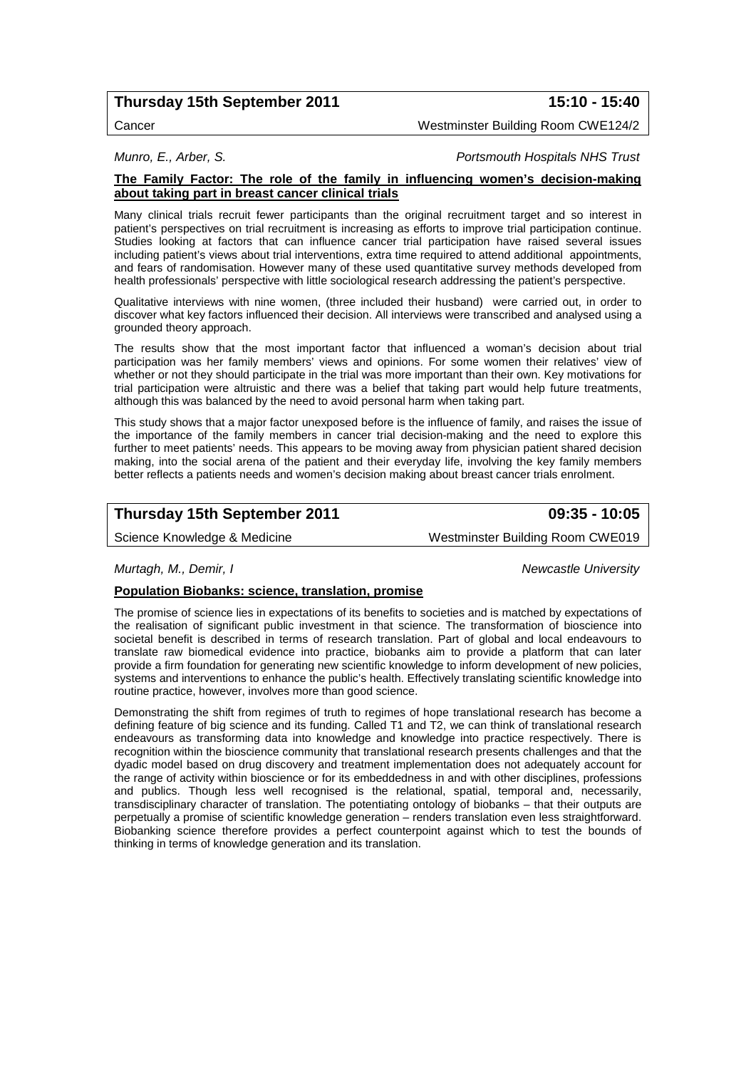# **Thursday 15th September 2011 15:10 - 15:40**

Cancer Westminster Building Room CWE124/2

*Munro, E., Arber, S. Portsmouth Hospitals NHS Trust*

#### **The Family Factor: The role of the family in influencing women's decision-making about taking part in breast cancer clinical trials**

Many clinical trials recruit fewer participants than the original recruitment target and so interest in patient's perspectives on trial recruitment is increasing as efforts to improve trial participation continue. Studies looking at factors that can influence cancer trial participation have raised several issues including patient's views about trial interventions, extra time required to attend additional appointments, and fears of randomisation. However many of these used quantitative survey methods developed from health professionals' perspective with little sociological research addressing the patient's perspective.

Qualitative interviews with nine women, (three included their husband) were carried out, in order to discover what key factors influenced their decision. All interviews were transcribed and analysed using a grounded theory approach.

The results show that the most important factor that influenced a woman's decision about trial participation was her family members' views and opinions. For some women their relatives' view of whether or not they should participate in the trial was more important than their own. Key motivations for trial participation were altruistic and there was a belief that taking part would help future treatments, although this was balanced by the need to avoid personal harm when taking part.

This study shows that a major factor unexposed before is the influence of family, and raises the issue of the importance of the family members in cancer trial decision-making and the need to explore this further to meet patients' needs. This appears to be moving away from physician patient shared decision making, into the social arena of the patient and their everyday life, involving the key family members better reflects a patients needs and women's decision making about breast cancer trials enrolment.

# **Thursday 15th September 2011 09:35 - 10:05**

Science Knowledge & Medicine Westminster Building Room CWE019

#### *Murtagh, M., Demir, I Newcastle University*

#### **Population Biobanks: science, translation, promise**

The promise of science lies in expectations of its benefits to societies and is matched by expectations of the realisation of significant public investment in that science. The transformation of bioscience into societal benefit is described in terms of research translation. Part of global and local endeavours to translate raw biomedical evidence into practice, biobanks aim to provide a platform that can later provide a firm foundation for generating new scientific knowledge to inform development of new policies, systems and interventions to enhance the public's health. Effectively translating scientific knowledge into routine practice, however, involves more than good science.

Demonstrating the shift from regimes of truth to regimes of hope translational research has become a defining feature of big science and its funding. Called T1 and T2, we can think of translational research endeavours as transforming data into knowledge and knowledge into practice respectively. There is recognition within the bioscience community that translational research presents challenges and that the dyadic model based on drug discovery and treatment implementation does not adequately account for the range of activity within bioscience or for its embeddedness in and with other disciplines, professions and publics. Though less well recognised is the relational, spatial, temporal and, necessarily, transdisciplinary character of translation. The potentiating ontology of biobanks – that their outputs are perpetually a promise of scientific knowledge generation – renders translation even less straightforward. Biobanking science therefore provides a perfect counterpoint against which to test the bounds of thinking in terms of knowledge generation and its translation.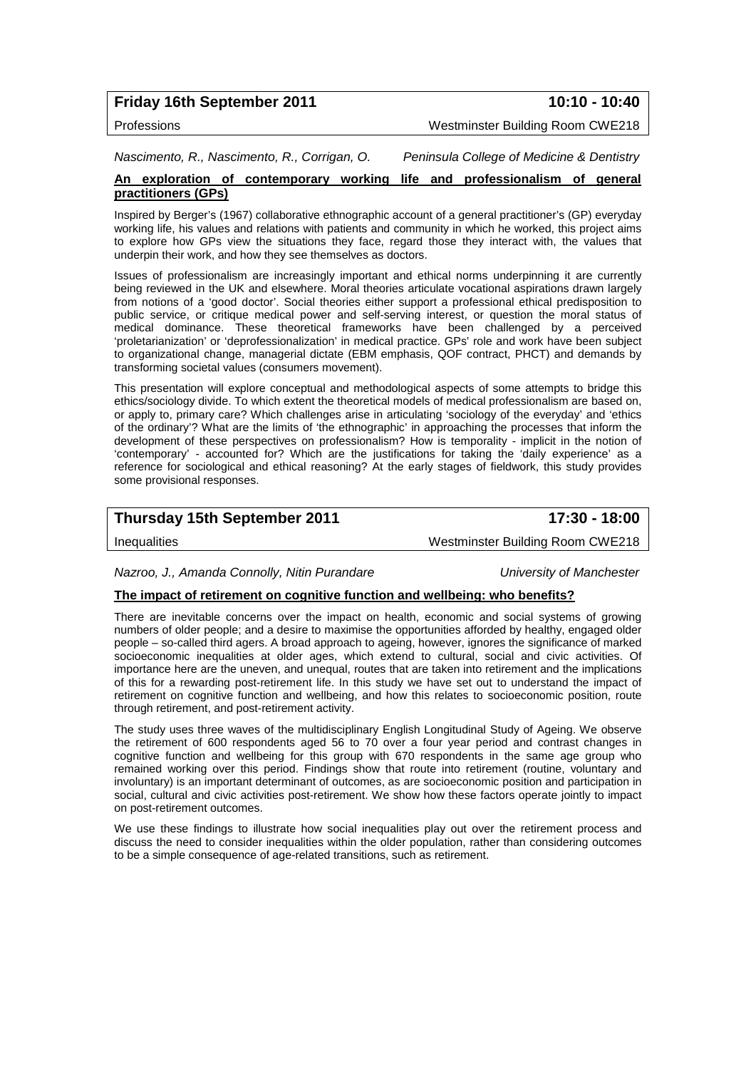|  | <b>Friday 16th September 2011</b> |  |
|--|-----------------------------------|--|
|--|-----------------------------------|--|

**Friday 16th September 2011 10:10 - 10:40**

Professions Westminster Building Room CWE218

*Nascimento, R., Nascimento, R., Corrigan, O. Peninsula College of Medicine & Dentistry*

### **An exploration of contemporary working life and professionalism of general practitioners (GPs)**

Inspired by Berger's (1967) collaborative ethnographic account of a general practitioner's (GP) everyday working life, his values and relations with patients and community in which he worked, this project aims to explore how GPs view the situations they face, regard those they interact with, the values that underpin their work, and how they see themselves as doctors.

Issues of professionalism are increasingly important and ethical norms underpinning it are currently being reviewed in the UK and elsewhere. Moral theories articulate vocational aspirations drawn largely from notions of a 'good doctor'. Social theories either support a professional ethical predisposition to public service, or critique medical power and self-serving interest, or question the moral status of medical dominance. These theoretical frameworks have been challenged by a perceived 'proletarianization' or 'deprofessionalization' in medical practice. GPs' role and work have been subject to organizational change, managerial dictate (EBM emphasis, QOF contract, PHCT) and demands by transforming societal values (consumers movement).

This presentation will explore conceptual and methodological aspects of some attempts to bridge this ethics/sociology divide. To which extent the theoretical models of medical professionalism are based on, or apply to, primary care? Which challenges arise in articulating 'sociology of the everyday' and 'ethics of the ordinary'? What are the limits of 'the ethnographic' in approaching the processes that inform the development of these perspectives on professionalism? How is temporality - implicit in the notion of 'contemporary' - accounted for? Which are the justifications for taking the 'daily experience' as a reference for sociological and ethical reasoning? At the early stages of fieldwork, this study provides some provisional responses.

# **Thursday 15th September 2011 17:30 - 18:00**

Inequalities Westminster Building Room CWE218

*Nazroo, J., Amanda Connolly, Nitin Purandare University of Manchester*

#### **The impact of retirement on cognitive function and wellbeing: who benefits?**

There are inevitable concerns over the impact on health, economic and social systems of growing numbers of older people; and a desire to maximise the opportunities afforded by healthy, engaged older people – so-called third agers. A broad approach to ageing, however, ignores the significance of marked socioeconomic inequalities at older ages, which extend to cultural, social and civic activities. Of importance here are the uneven, and unequal, routes that are taken into retirement and the implications of this for a rewarding post-retirement life. In this study we have set out to understand the impact of retirement on cognitive function and wellbeing, and how this relates to socioeconomic position, route through retirement, and post-retirement activity.

The study uses three waves of the multidisciplinary English Longitudinal Study of Ageing. We observe the retirement of 600 respondents aged 56 to 70 over a four year period and contrast changes in cognitive function and wellbeing for this group with 670 respondents in the same age group who remained working over this period. Findings show that route into retirement (routine, voluntary and involuntary) is an important determinant of outcomes, as are socioeconomic position and participation in social, cultural and civic activities post-retirement. We show how these factors operate jointly to impact on post-retirement outcomes.

We use these findings to illustrate how social inequalities play out over the retirement process and discuss the need to consider inequalities within the older population, rather than considering outcomes to be a simple consequence of age-related transitions, such as retirement.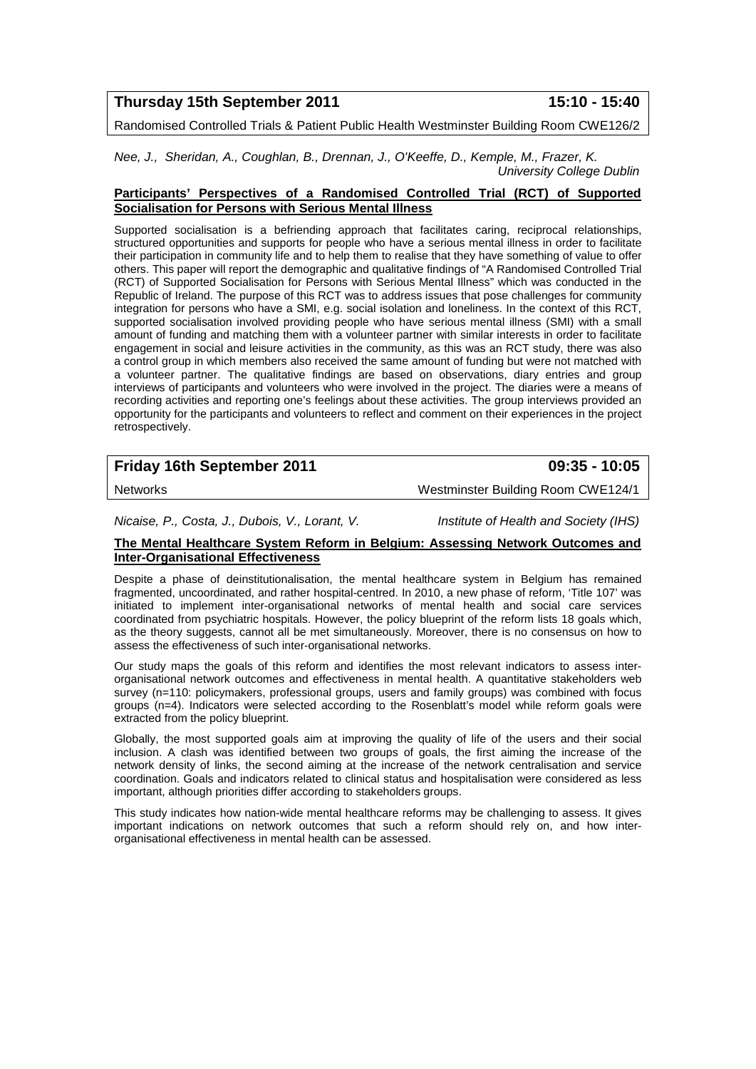### **Thursday 15th September 2011 15:10 - 15:40**

Randomised Controlled Trials & Patient Public Health Westminster Building Room CWE126/2

*Nee, J., Sheridan, A., Coughlan, B., Drennan, J., O'Keeffe, D., Kemple, M., Frazer, K. University College Dublin*

#### **Participants' Perspectives of a Randomised Controlled Trial (RCT) of Supported Socialisation for Persons with Serious Mental Illness**

Supported socialisation is a befriending approach that facilitates caring, reciprocal relationships, structured opportunities and supports for people who have a serious mental illness in order to facilitate their participation in community life and to help them to realise that they have something of value to offer others. This paper will report the demographic and qualitative findings of "A Randomised Controlled Trial (RCT) of Supported Socialisation for Persons with Serious Mental Illness" which was conducted in the Republic of Ireland. The purpose of this RCT was to address issues that pose challenges for community integration for persons who have a SMI, e.g. social isolation and loneliness. In the context of this RCT, supported socialisation involved providing people who have serious mental illness (SMI) with a small amount of funding and matching them with a volunteer partner with similar interests in order to facilitate engagement in social and leisure activities in the community, as this was an RCT study, there was also a control group in which members also received the same amount of funding but were not matched with a volunteer partner. The qualitative findings are based on observations, diary entries and group interviews of participants and volunteers who were involved in the project. The diaries were a means of recording activities and reporting one's feelings about these activities. The group interviews provided an opportunity for the participants and volunteers to reflect and comment on their experiences in the project retrospectively.

# **Friday 16th September 2011 09:35 - 10:05**

Networks Westminster Building Room CWE124/1

*Nicaise, P., Costa, J., Dubois, V., Lorant, V. Institute of Health and Society (IHS)*

#### **The Mental Healthcare System Reform in Belgium: Assessing Network Outcomes and Inter-Organisational Effectiveness**

Despite a phase of deinstitutionalisation, the mental healthcare system in Belgium has remained fragmented, uncoordinated, and rather hospital-centred. In 2010, a new phase of reform, 'Title 107' was initiated to implement inter-organisational networks of mental health and social care services coordinated from psychiatric hospitals. However, the policy blueprint of the reform lists 18 goals which, as the theory suggests, cannot all be met simultaneously. Moreover, there is no consensus on how to assess the effectiveness of such inter-organisational networks.

Our study maps the goals of this reform and identifies the most relevant indicators to assess interorganisational network outcomes and effectiveness in mental health. A quantitative stakeholders web survey (n=110: policymakers, professional groups, users and family groups) was combined with focus groups (n=4). Indicators were selected according to the Rosenblatt's model while reform goals were extracted from the policy blueprint.

Globally, the most supported goals aim at improving the quality of life of the users and their social inclusion. A clash was identified between two groups of goals, the first aiming the increase of the network density of links, the second aiming at the increase of the network centralisation and service coordination. Goals and indicators related to clinical status and hospitalisation were considered as less important, although priorities differ according to stakeholders groups.

This study indicates how nation-wide mental healthcare reforms may be challenging to assess. It gives important indications on network outcomes that such a reform should rely on, and how interorganisational effectiveness in mental health can be assessed.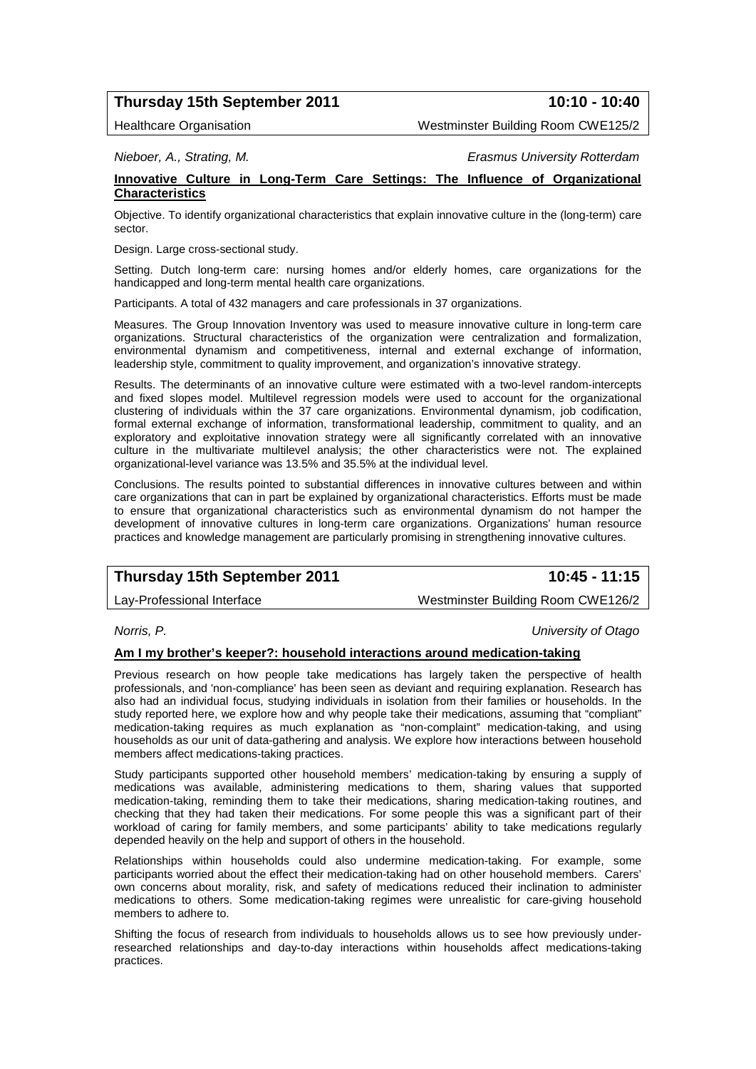# **Thursday 15th September 2011 10:10 - 10:40**

Healthcare Organisation Westminster Building Room CWE125/2

*Nieboer, A., Strating, M. Erasmus University Rotterdam*

# **Innovative Culture in Long-Term Care Settings: The Influence of Organizational Characteristics**

Objective. To identify organizational characteristics that explain innovative culture in the (long-term) care sector.

Design. Large cross-sectional study.

Setting. Dutch long-term care: nursing homes and/or elderly homes, care organizations for the handicapped and long-term mental health care organizations.

Participants. A total of 432 managers and care professionals in 37 organizations.

Measures. The Group Innovation Inventory was used to measure innovative culture in long-term care organizations. Structural characteristics of the organization were centralization and formalization, environmental dynamism and competitiveness, internal and external exchange of information, leadership style, commitment to quality improvement, and organization's innovative strategy.

Results. The determinants of an innovative culture were estimated with a two-level random-intercepts and fixed slopes model. Multilevel regression models were used to account for the organizational clustering of individuals within the 37 care organizations. Environmental dynamism, job codification, formal external exchange of information, transformational leadership, commitment to quality, and an exploratory and exploitative innovation strategy were all significantly correlated with an innovative culture in the multivariate multilevel analysis; the other characteristics were not. The explained organizational-level variance was 13.5% and 35.5% at the individual level.

Conclusions. The results pointed to substantial differences in innovative cultures between and within care organizations that can in part be explained by organizational characteristics. Efforts must be made to ensure that organizational characteristics such as environmental dynamism do not hamper the development of innovative cultures in long-term care organizations. Organizations' human resource practices and knowledge management are particularly promising in strengthening innovative cultures.

# **Thursday 15th September 2011 10:45 - 11:15**

Lay-Professional Interface Westminster Building Room CWE126/2

*Norris, P. University of Otago*

#### **Am I my brother's keeper?: household interactions around medication-taking**

Previous research on how people take medications has largely taken the perspective of health professionals, and 'non-compliance' has been seen as deviant and requiring explanation. Research has also had an individual focus, studying individuals in isolation from their families or households. In the study reported here, we explore how and why people take their medications, assuming that "compliant" medication-taking requires as much explanation as "non-complaint" medication-taking, and using households as our unit of data-gathering and analysis. We explore how interactions between household members affect medications-taking practices.

Study participants supported other household members' medication-taking by ensuring a supply of medications was available, administering medications to them, sharing values that supported medication-taking, reminding them to take their medications, sharing medication-taking routines, and checking that they had taken their medications. For some people this was a significant part of their workload of caring for family members, and some participants' ability to take medications regularly depended heavily on the help and support of others in the household.

Relationships within households could also undermine medication-taking. For example, some participants worried about the effect their medication-taking had on other household members. Carers' own concerns about morality, risk, and safety of medications reduced their inclination to administer medications to others. Some medication-taking regimes were unrealistic for care-giving household members to adhere to

Shifting the focus of research from individuals to households allows us to see how previously underresearched relationships and day-to-day interactions within households affect medications-taking practices.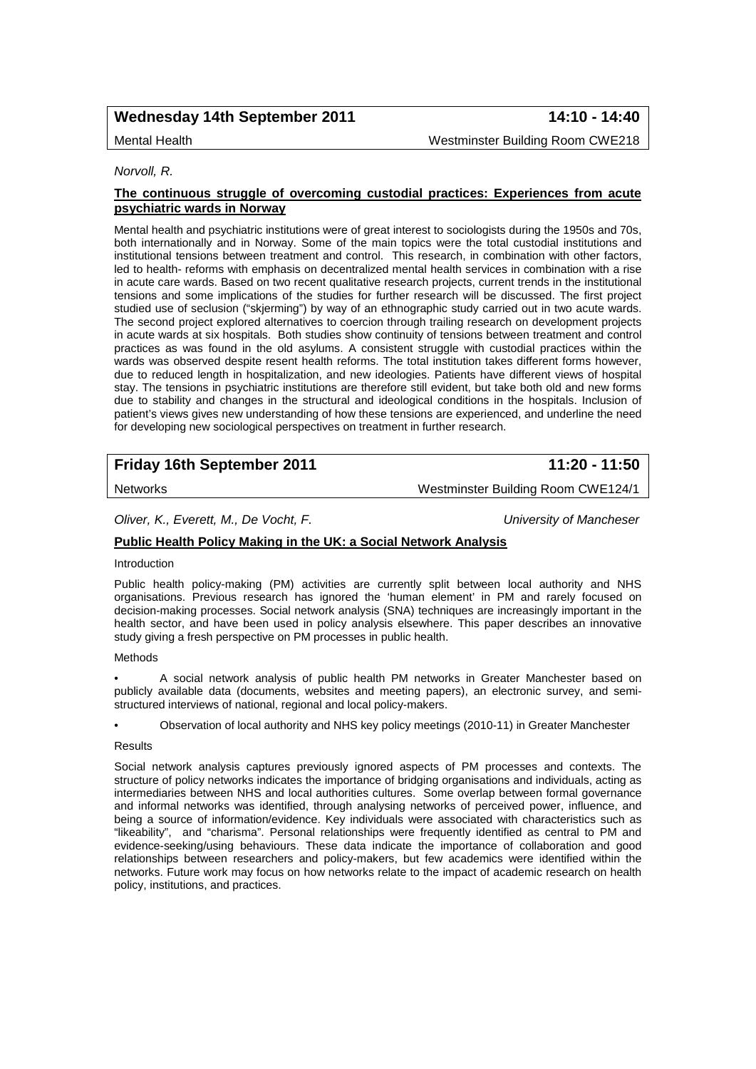# **Wednesday 14th September 2011 14:10 - 14:40**

Mental Health Westminster Building Room CWE218

#### *Norvoll, R.*

#### **The continuous struggle of overcoming custodial practices: Experiences from acute psychiatric wards in Norway**

Mental health and psychiatric institutions were of great interest to sociologists during the 1950s and 70s, both internationally and in Norway. Some of the main topics were the total custodial institutions and institutional tensions between treatment and control. This research, in combination with other factors, led to health- reforms with emphasis on decentralized mental health services in combination with a rise in acute care wards. Based on two recent qualitative research projects, current trends in the institutional tensions and some implications of the studies for further research will be discussed. The first project studied use of seclusion ("skjerming") by way of an ethnographic study carried out in two acute wards. The second project explored alternatives to coercion through trailing research on development projects in acute wards at six hospitals. Both studies show continuity of tensions between treatment and control practices as was found in the old asylums. A consistent struggle with custodial practices within the wards was observed despite resent health reforms. The total institution takes different forms however, due to reduced length in hospitalization, and new ideologies. Patients have different views of hospital stay. The tensions in psychiatric institutions are therefore still evident, but take both old and new forms due to stability and changes in the structural and ideological conditions in the hospitals. Inclusion of patient's views gives new understanding of how these tensions are experienced, and underline the need for developing new sociological perspectives on treatment in further research.

# **Friday 16th September 2011 11:20 - 11:50**

Networks Westminster Building Room CWE124/1

*Oliver, K., Everett, M., De Vocht, F. University of Mancheser*

### **Public Health Policy Making in the UK: a Social Network Analysis**

#### Introduction

Public health policy-making (PM) activities are currently split between local authority and NHS organisations. Previous research has ignored the 'human element' in PM and rarely focused on decision-making processes. Social network analysis (SNA) techniques are increasingly important in the health sector, and have been used in policy analysis elsewhere. This paper describes an innovative study giving a fresh perspective on PM processes in public health.

#### Methods

• A social network analysis of public health PM networks in Greater Manchester based on publicly available data (documents, websites and meeting papers), an electronic survey, and semistructured interviews of national, regional and local policy-makers.

• Observation of local authority and NHS key policy meetings (2010-11) in Greater Manchester

#### Results

Social network analysis captures previously ignored aspects of PM processes and contexts. The structure of policy networks indicates the importance of bridging organisations and individuals, acting as intermediaries between NHS and local authorities cultures. Some overlap between formal governance and informal networks was identified, through analysing networks of perceived power, influence, and being a source of information/evidence. Key individuals were associated with characteristics such as "likeability", and "charisma". Personal relationships were frequently identified as central to PM and evidence-seeking/using behaviours. These data indicate the importance of collaboration and good relationships between researchers and policy-makers, but few academics were identified within the networks. Future work may focus on how networks relate to the impact of academic research on health policy, institutions, and practices.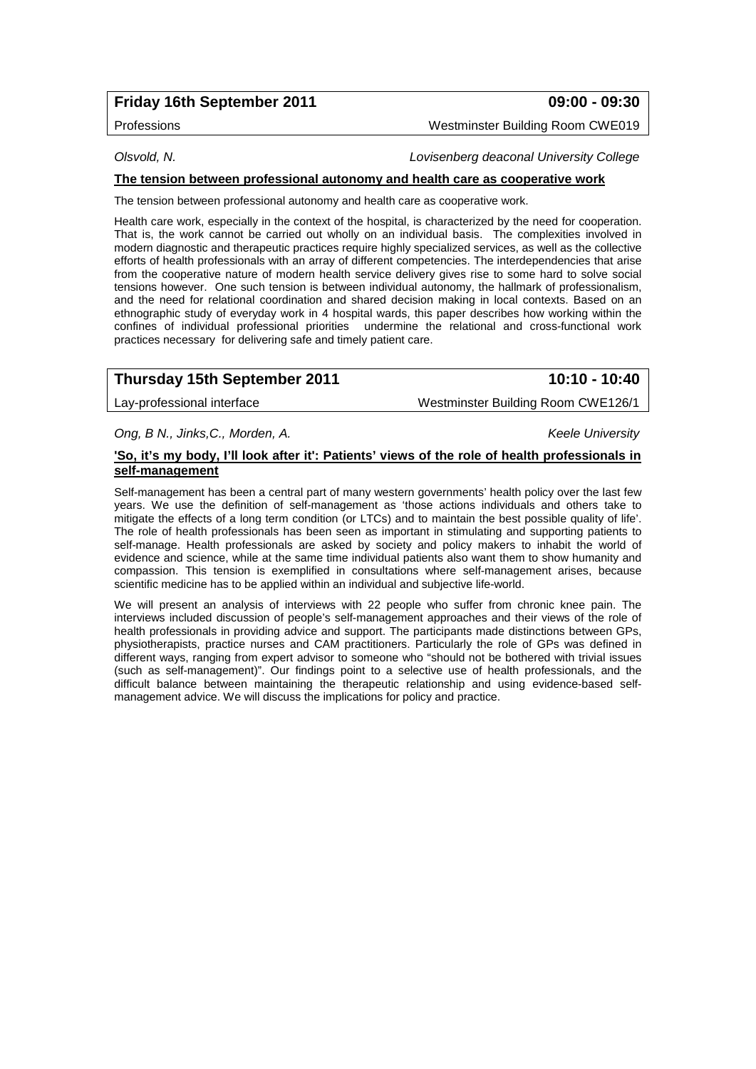# **Friday 16th September 2011 09:00 - 09:30**

Professions Westminster Building Room CWE019

*Olsvold, N. Lovisenberg deaconal University College*

### **The tension between professional autonomy and health care as cooperative work**

The tension between professional autonomy and health care as cooperative work.

Health care work, especially in the context of the hospital, is characterized by the need for cooperation. That is, the work cannot be carried out wholly on an individual basis. The complexities involved in modern diagnostic and therapeutic practices require highly specialized services, as well as the collective efforts of health professionals with an array of different competencies. The interdependencies that arise from the cooperative nature of modern health service delivery gives rise to some hard to solve social tensions however. One such tension is between individual autonomy, the hallmark of professionalism, and the need for relational coordination and shared decision making in local contexts. Based on an ethnographic study of everyday work in 4 hospital wards, this paper describes how working within the confines of individual professional priorities undermine the relational and cross-functional work practices necessary for delivering safe and timely patient care.

# **Thursday 15th September 2011 10:10 - 10:40**

Lay-professional interface Westminster Building Room CWE126/1

*Ong, B N., Jinks,C., Morden, A. Keele University*

#### **'So, it's my body, I'll look after it': Patients' views of the role of health professionals in self-management**

Self-management has been a central part of many western governments' health policy over the last few years. We use the definition of self-management as 'those actions individuals and others take to mitigate the effects of a long term condition (or LTCs) and to maintain the best possible quality of life'. The role of health professionals has been seen as important in stimulating and supporting patients to self-manage. Health professionals are asked by society and policy makers to inhabit the world of evidence and science, while at the same time individual patients also want them to show humanity and compassion. This tension is exemplified in consultations where self-management arises, because scientific medicine has to be applied within an individual and subjective life-world.

We will present an analysis of interviews with 22 people who suffer from chronic knee pain. The interviews included discussion of people's self-management approaches and their views of the role of health professionals in providing advice and support. The participants made distinctions between GPs, physiotherapists, practice nurses and CAM practitioners. Particularly the role of GPs was defined in different ways, ranging from expert advisor to someone who "should not be bothered with trivial issues (such as self-management)". Our findings point to a selective use of health professionals, and the difficult balance between maintaining the therapeutic relationship and using evidence-based selfmanagement advice. We will discuss the implications for policy and practice.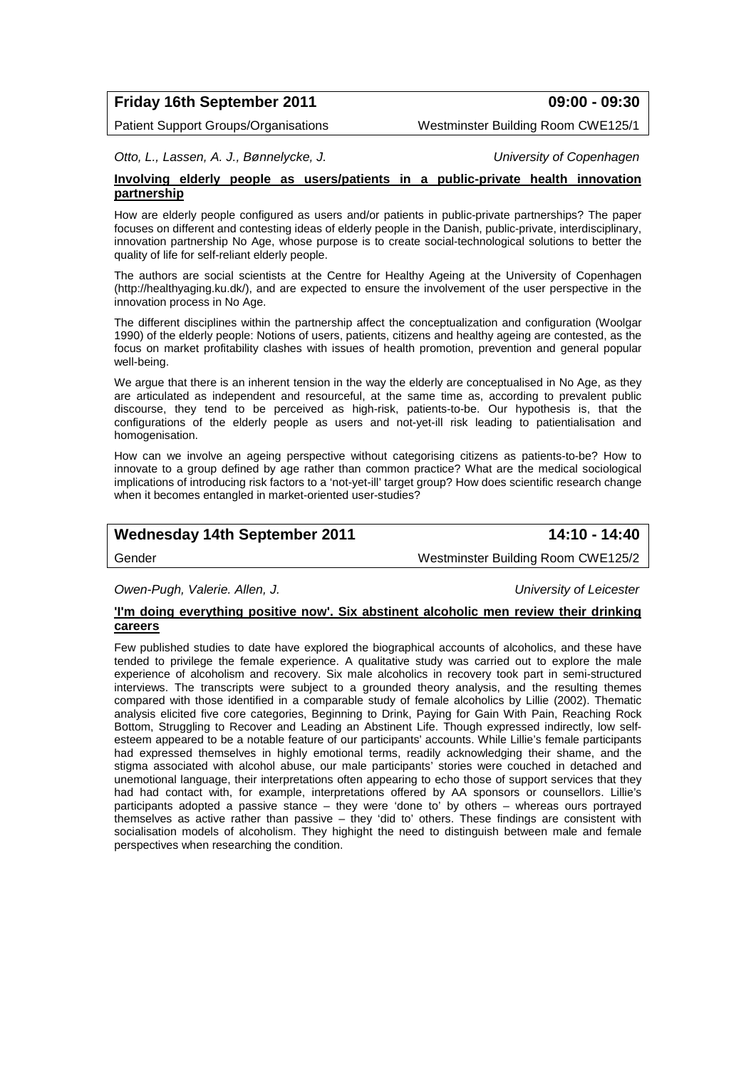# **Friday 16th September 2011 09:00 - 09:30**

Patient Support Groups/Organisations Westminster Building Room CWE125/1

*Otto, L., Lassen, A. J., Bønnelycke, J. University of Copenhagen*

#### **Involving elderly people as users/patients in a public-private health innovation partnership**

How are elderly people configured as users and/or patients in public-private partnerships? The paper focuses on different and contesting ideas of elderly people in the Danish, public-private, interdisciplinary, innovation partnership No Age, whose purpose is to create social-technological solutions to better the quality of life for self-reliant elderly people.

The authors are social scientists at the Centre for Healthy Ageing at the University of Copenhagen (http://healthyaging.ku.dk/), and are expected to ensure the involvement of the user perspective in the innovation process in No Age.

The different disciplines within the partnership affect the conceptualization and configuration (Woolgar 1990) of the elderly people: Notions of users, patients, citizens and healthy ageing are contested, as the focus on market profitability clashes with issues of health promotion, prevention and general popular well-being.

We argue that there is an inherent tension in the way the elderly are conceptualised in No Age, as they are articulated as independent and resourceful, at the same time as, according to prevalent public discourse, they tend to be perceived as high-risk, patients-to-be. Our hypothesis is, that the configurations of the elderly people as users and not-yet-ill risk leading to patientialisation and homogenisation.

How can we involve an ageing perspective without categorising citizens as patients-to-be? How to innovate to a group defined by age rather than common practice? What are the medical sociological implications of introducing risk factors to a 'not-yet-ill' target group? How does scientific research change when it becomes entangled in market-oriented user-studies?

# **Wednesday 14th September 2011 14:10 - 14:40**

Gender Westminster Building Room CWE125/2

*Owen-Pugh, Valerie. Allen, J. University of Leicester*

#### **'I'm doing everything positive now'. Six abstinent alcoholic men review their drinking careers**

Few published studies to date have explored the biographical accounts of alcoholics, and these have tended to privilege the female experience. A qualitative study was carried out to explore the male experience of alcoholism and recovery. Six male alcoholics in recovery took part in semi-structured interviews. The transcripts were subject to a grounded theory analysis, and the resulting themes compared with those identified in a comparable study of female alcoholics by Lillie (2002). Thematic analysis elicited five core categories, Beginning to Drink, Paying for Gain With Pain, Reaching Rock Bottom, Struggling to Recover and Leading an Abstinent Life. Though expressed indirectly, low selfesteem appeared to be a notable feature of our participants' accounts. While Lillie's female participants had expressed themselves in highly emotional terms, readily acknowledging their shame, and the stigma associated with alcohol abuse, our male participants' stories were couched in detached and unemotional language, their interpretations often appearing to echo those of support services that they had had contact with, for example, interpretations offered by AA sponsors or counsellors. Lillie's participants adopted a passive stance – they were 'done to' by others – whereas ours portrayed themselves as active rather than passive – they 'did to' others. These findings are consistent with socialisation models of alcoholism. They highight the need to distinguish between male and female perspectives when researching the condition.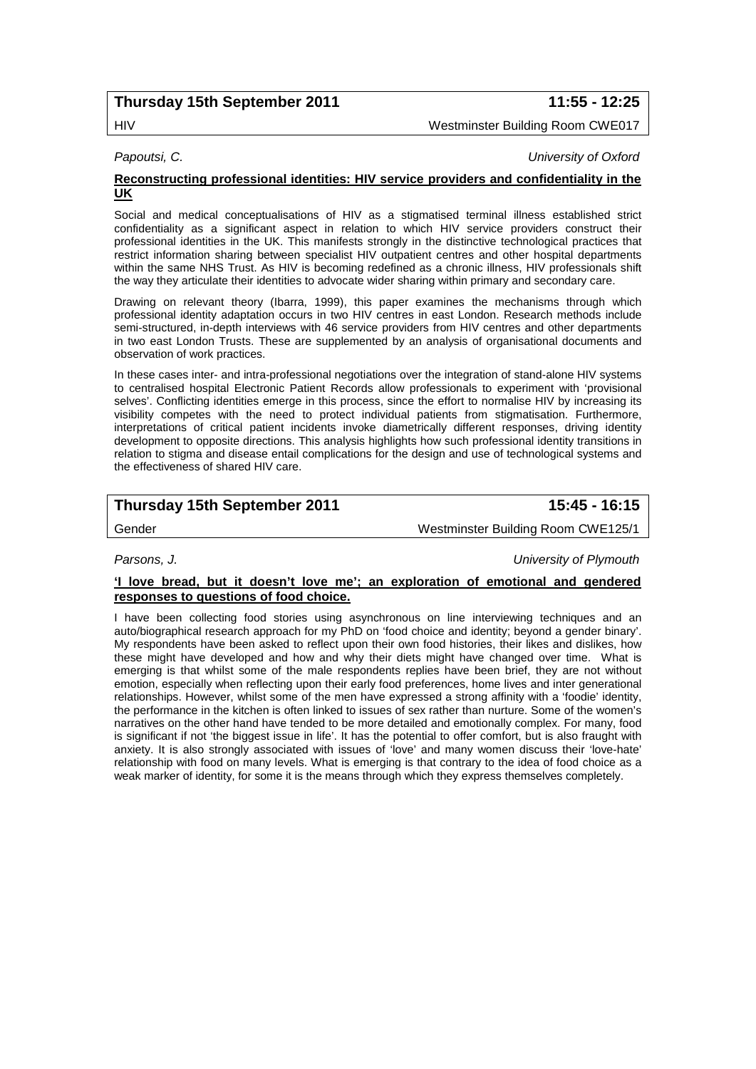# **Thursday 15th September 2011 11:55 - 12:25**

# HIV Westminster Building Room CWE017

*Papoutsi, C. University of Oxford*

#### **Reconstructing professional identities: HIV service providers and confidentiality in the UK**

Social and medical conceptualisations of HIV as a stigmatised terminal illness established strict confidentiality as a significant aspect in relation to which HIV service providers construct their professional identities in the UK. This manifests strongly in the distinctive technological practices that restrict information sharing between specialist HIV outpatient centres and other hospital departments within the same NHS Trust. As HIV is becoming redefined as a chronic illness, HIV professionals shift the way they articulate their identities to advocate wider sharing within primary and secondary care.

Drawing on relevant theory (Ibarra, 1999), this paper examines the mechanisms through which professional identity adaptation occurs in two HIV centres in east London. Research methods include semi-structured, in-depth interviews with 46 service providers from HIV centres and other departments in two east London Trusts. These are supplemented by an analysis of organisational documents and observation of work practices.

In these cases inter- and intra-professional negotiations over the integration of stand-alone HIV systems to centralised hospital Electronic Patient Records allow professionals to experiment with 'provisional selves'. Conflicting identities emerge in this process, since the effort to normalise HIV by increasing its visibility competes with the need to protect individual patients from stigmatisation. Furthermore, interpretations of critical patient incidents invoke diametrically different responses, driving identity development to opposite directions. This analysis highlights how such professional identity transitions in relation to stigma and disease entail complications for the design and use of technological systems and the effectiveness of shared HIV care.

# **Thursday 15th September 2011 15:45 - 16:15**

Gender **Gender** Westminster Building Room CWE125/1

*Parsons, J. University of Plymouth*

#### **'I love bread, but it doesn't love me'; an exploration of emotional and gendered responses to questions of food choice.**

I have been collecting food stories using asynchronous on line interviewing techniques and an auto/biographical research approach for my PhD on 'food choice and identity; beyond a gender binary'. My respondents have been asked to reflect upon their own food histories, their likes and dislikes, how these might have developed and how and why their diets might have changed over time. What is emerging is that whilst some of the male respondents replies have been brief, they are not without emotion, especially when reflecting upon their early food preferences, home lives and inter generational relationships. However, whilst some of the men have expressed a strong affinity with a 'foodie' identity, the performance in the kitchen is often linked to issues of sex rather than nurture. Some of the women's narratives on the other hand have tended to be more detailed and emotionally complex. For many, food is significant if not 'the biggest issue in life'. It has the potential to offer comfort, but is also fraught with anxiety. It is also strongly associated with issues of 'love' and many women discuss their 'love-hate' relationship with food on many levels. What is emerging is that contrary to the idea of food choice as a weak marker of identity, for some it is the means through which they express themselves completely.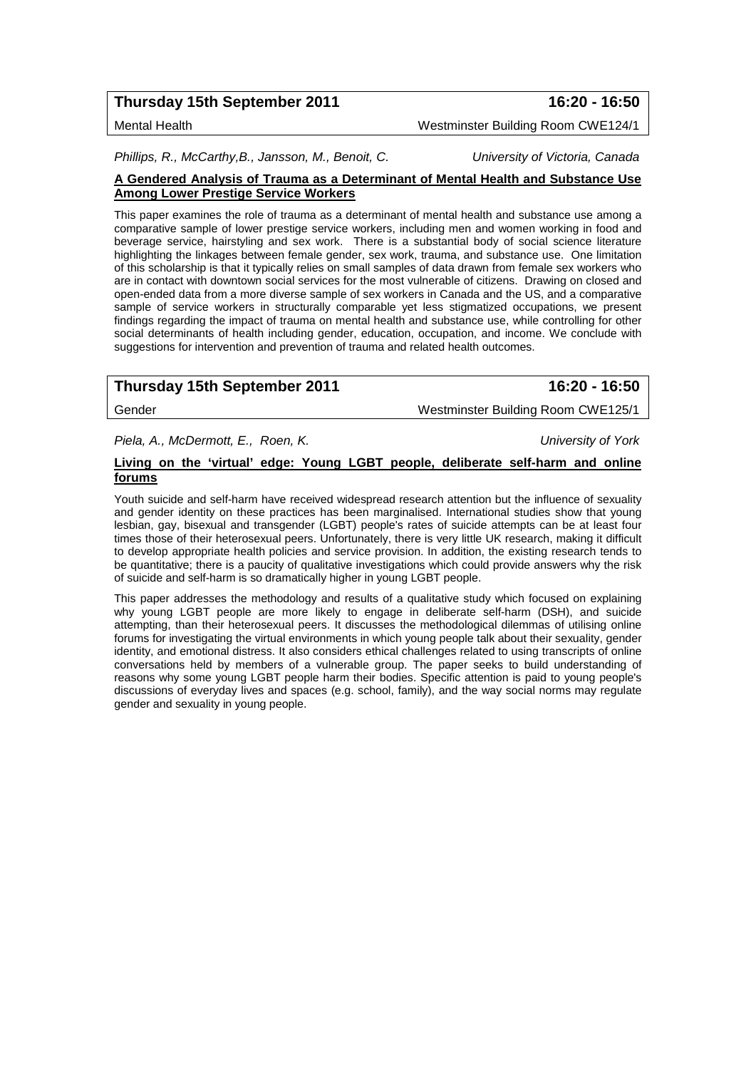# **Thursday 15th September 2011 16:20 - 16:50**

Mental Health Westminster Building Room CWE124/1

*Phillips, R., McCarthy,B., Jansson, M., Benoit, C. University of Victoria, Canada*

#### **A Gendered Analysis of Trauma as a Determinant of Mental Health and Substance Use Among Lower Prestige Service Workers**

This paper examines the role of trauma as a determinant of mental health and substance use among a comparative sample of lower prestige service workers, including men and women working in food and beverage service, hairstyling and sex work. There is a substantial body of social science literature highlighting the linkages between female gender, sex work, trauma, and substance use. One limitation of this scholarship is that it typically relies on small samples of data drawn from female sex workers who are in contact with downtown social services for the most vulnerable of citizens. Drawing on closed and open-ended data from a more diverse sample of sex workers in Canada and the US, and a comparative sample of service workers in structurally comparable yet less stigmatized occupations, we present findings regarding the impact of trauma on mental health and substance use, while controlling for other social determinants of health including gender, education, occupation, and income. We conclude with suggestions for intervention and prevention of trauma and related health outcomes.

# **Thursday 15th September 2011 16:20 - 16:50**

Gender Westminster Building Room CWE125/1

*Piela, A., McDermott, E., Roen, K. University of York*

### **Living on the 'virtual' edge: Young LGBT people, deliberate self-harm and online forums**

Youth suicide and self-harm have received widespread research attention but the influence of sexuality and gender identity on these practices has been marginalised. International studies show that young lesbian, gay, bisexual and transgender (LGBT) people's rates of suicide attempts can be at least four times those of their heterosexual peers. Unfortunately, there is very little UK research, making it difficult to develop appropriate health policies and service provision. In addition, the existing research tends to be quantitative; there is a paucity of qualitative investigations which could provide answers why the risk of suicide and self-harm is so dramatically higher in young LGBT people.

This paper addresses the methodology and results of a qualitative study which focused on explaining why young LGBT people are more likely to engage in deliberate self-harm (DSH), and suicide attempting, than their heterosexual peers. It discusses the methodological dilemmas of utilising online forums for investigating the virtual environments in which young people talk about their sexuality, gender identity, and emotional distress. It also considers ethical challenges related to using transcripts of online conversations held by members of a vulnerable group. The paper seeks to build understanding of reasons why some young LGBT people harm their bodies. Specific attention is paid to young people's discussions of everyday lives and spaces (e.g. school, family), and the way social norms may regulate gender and sexuality in young people.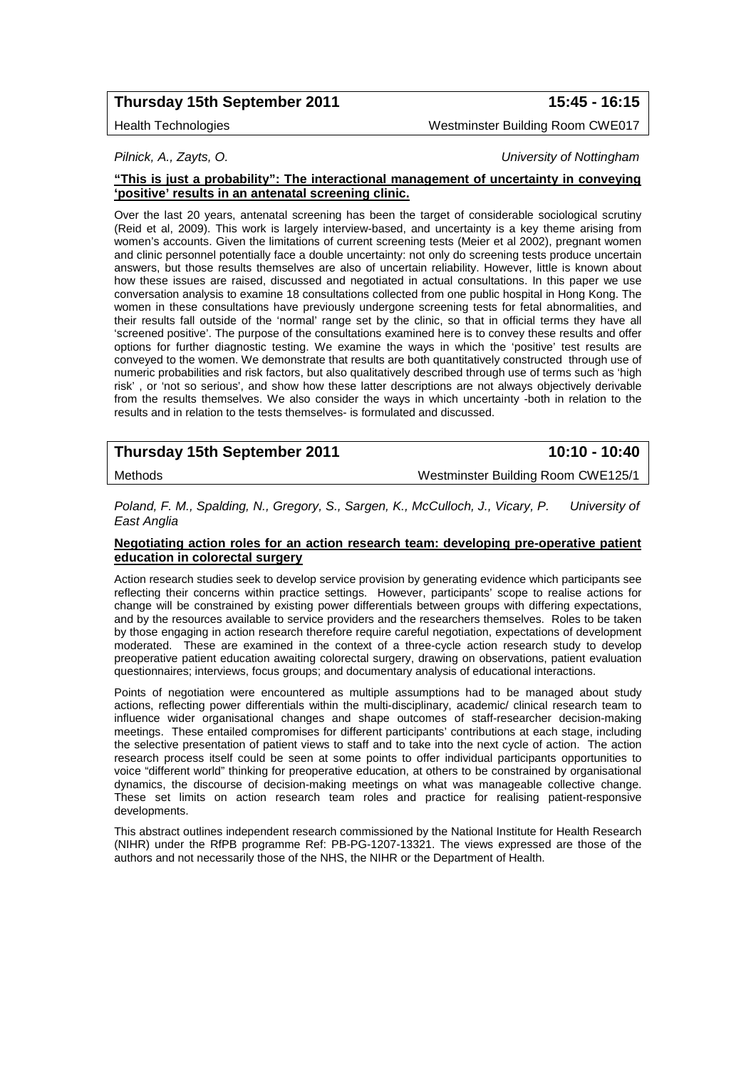# **Thursday 15th September 2011 15:45 - 16:15**

Health Technologies Westminster Building Room CWE017

*Pilnick, A., Zayts, O. University of Nottingham*

#### **"This is just a probability": The interactional management of uncertainty in conveying 'positive' results in an antenatal screening clinic.**

Over the last 20 years, antenatal screening has been the target of considerable sociological scrutiny (Reid et al, 2009). This work is largely interview-based, and uncertainty is a key theme arising from women's accounts. Given the limitations of current screening tests (Meier et al 2002), pregnant women and clinic personnel potentially face a double uncertainty: not only do screening tests produce uncertain answers, but those results themselves are also of uncertain reliability. However, little is known about how these issues are raised, discussed and negotiated in actual consultations. In this paper we use conversation analysis to examine 18 consultations collected from one public hospital in Hong Kong. The women in these consultations have previously undergone screening tests for fetal abnormalities, and their results fall outside of the 'normal' range set by the clinic, so that in official terms they have all 'screened positive'. The purpose of the consultations examined here is to convey these results and offer options for further diagnostic testing. We examine the ways in which the 'positive' test results are conveyed to the women. We demonstrate that results are both quantitatively constructed through use of numeric probabilities and risk factors, but also qualitatively described through use of terms such as 'high risk' , or 'not so serious', and show how these latter descriptions are not always objectively derivable from the results themselves. We also consider the ways in which uncertainty -both in relation to the results and in relation to the tests themselves- is formulated and discussed.

| Thursday 15th September 2011 | 10:10 - 10:40                      |
|------------------------------|------------------------------------|
| Methods                      | Westminster Building Room CWE125/1 |

*Poland, F. M., Spalding, N., Gregory, S., Sargen, K., McCulloch, J., Vicary, P. University of East Anglia*

### **Negotiating action roles for an action research team: developing pre-operative patient education in colorectal surgery**

Action research studies seek to develop service provision by generating evidence which participants see reflecting their concerns within practice settings. However, participants' scope to realise actions for change will be constrained by existing power differentials between groups with differing expectations, and by the resources available to service providers and the researchers themselves. Roles to be taken by those engaging in action research therefore require careful negotiation, expectations of development moderated. These are examined in the context of a three-cycle action research study to develop preoperative patient education awaiting colorectal surgery, drawing on observations, patient evaluation questionnaires; interviews, focus groups; and documentary analysis of educational interactions.

Points of negotiation were encountered as multiple assumptions had to be managed about study actions, reflecting power differentials within the multi-disciplinary, academic/ clinical research team to influence wider organisational changes and shape outcomes of staff-researcher decision-making meetings. These entailed compromises for different participants' contributions at each stage, including the selective presentation of patient views to staff and to take into the next cycle of action. The action research process itself could be seen at some points to offer individual participants opportunities to voice "different world" thinking for preoperative education, at others to be constrained by organisational dynamics, the discourse of decision-making meetings on what was manageable collective change. These set limits on action research team roles and practice for realising patient-responsive developments.

This abstract outlines independent research commissioned by the National Institute for Health Research (NIHR) under the RfPB programme Ref: PB-PG-1207-13321. The views expressed are those of the authors and not necessarily those of the NHS, the NIHR or the Department of Health.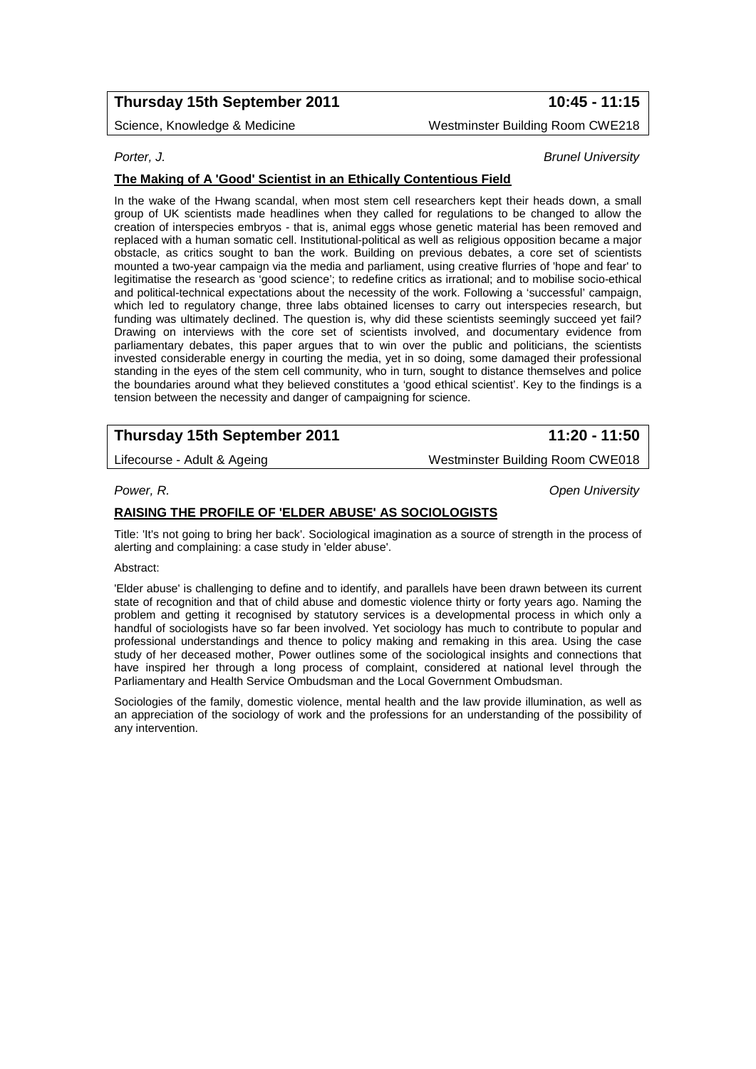# **Thursday 15th September 2011 10:45 - 11:15**

Science, Knowledge & Medicine Matchester Muslim and Mestminster Building Room CWE218

#### *Porter, J. Brunel University*

# **The Making of A 'Good' Scientist in an Ethically Contentious Field**

In the wake of the Hwang scandal, when most stem cell researchers kept their heads down, a small group of UK scientists made headlines when they called for regulations to be changed to allow the creation of interspecies embryos - that is, animal eggs whose genetic material has been removed and replaced with a human somatic cell. Institutional-political as well as religious opposition became a major obstacle, as critics sought to ban the work. Building on previous debates, a core set of scientists mounted a two-year campaign via the media and parliament, using creative flurries of 'hope and fear' to legitimatise the research as 'good science'; to redefine critics as irrational; and to mobilise socio-ethical and political-technical expectations about the necessity of the work. Following a 'successful' campaign, which led to regulatory change, three labs obtained licenses to carry out interspecies research, but funding was ultimately declined. The question is, why did these scientists seemingly succeed yet fail? Drawing on interviews with the core set of scientists involved, and documentary evidence from parliamentary debates, this paper argues that to win over the public and politicians, the scientists invested considerable energy in courting the media, yet in so doing, some damaged their professional standing in the eyes of the stem cell community, who in turn, sought to distance themselves and police the boundaries around what they believed constitutes a 'good ethical scientist'. Key to the findings is a tension between the necessity and danger of campaigning for science.

# **Thursday 15th September 2011 11:20 - 11:50**

Lifecourse - Adult & Ageing Messenger Muslim and Mestminster Building Room CWE018

*Power, R. Open University*

### **RAISING THE PROFILE OF 'ELDER ABUSE' AS SOCIOLOGISTS**

Title: 'It's not going to bring her back'. Sociological imagination as a source of strength in the process of alerting and complaining: a case study in 'elder abuse'.

#### Abstract:

'Elder abuse' is challenging to define and to identify, and parallels have been drawn between its current state of recognition and that of child abuse and domestic violence thirty or forty years ago. Naming the problem and getting it recognised by statutory services is a developmental process in which only a handful of sociologists have so far been involved. Yet sociology has much to contribute to popular and professional understandings and thence to policy making and remaking in this area. Using the case study of her deceased mother, Power outlines some of the sociological insights and connections that have inspired her through a long process of complaint, considered at national level through the Parliamentary and Health Service Ombudsman and the Local Government Ombudsman.

Sociologies of the family, domestic violence, mental health and the law provide illumination, as well as an appreciation of the sociology of work and the professions for an understanding of the possibility of any intervention.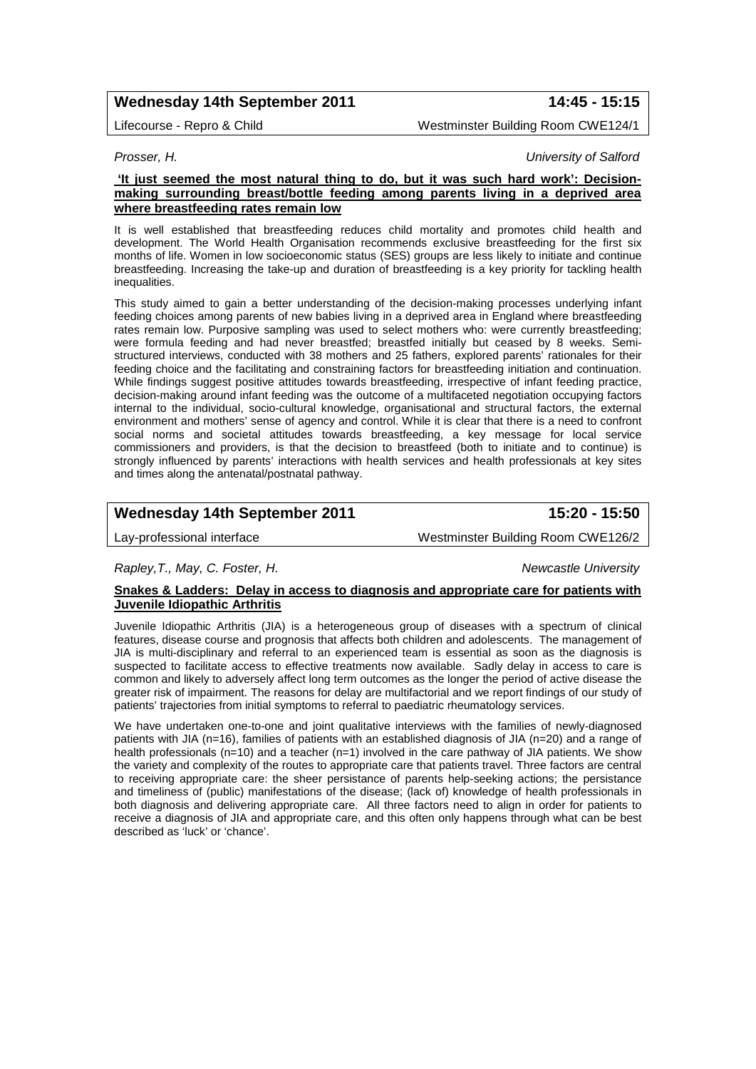# **Wednesday 14th September 2011 14:45 - 15:15**

Lifecourse - Repro & Child Westminster Building Room CWE124/1

*Prosser, H. University of Salford*

### **'It just seemed the most natural thing to do, but it was such hard work': Decisionmaking surrounding breast/bottle feeding among parents living in a deprived area where breastfeeding rates remain low**

It is well established that breastfeeding reduces child mortality and promotes child health and development. The World Health Organisation recommends exclusive breastfeeding for the first six months of life. Women in low socioeconomic status (SES) groups are less likely to initiate and continue breastfeeding. Increasing the take-up and duration of breastfeeding is a key priority for tackling health inequalities.

This study aimed to gain a better understanding of the decision-making processes underlying infant feeding choices among parents of new babies living in a deprived area in England where breastfeeding rates remain low. Purposive sampling was used to select mothers who: were currently breastfeeding; were formula feeding and had never breastfed; breastfed initially but ceased by 8 weeks. Semistructured interviews, conducted with 38 mothers and 25 fathers, explored parents' rationales for their feeding choice and the facilitating and constraining factors for breastfeeding initiation and continuation. While findings suggest positive attitudes towards breastfeeding, irrespective of infant feeding practice, decision-making around infant feeding was the outcome of a multifaceted negotiation occupying factors internal to the individual, socio-cultural knowledge, organisational and structural factors, the external environment and mothers' sense of agency and control. While it is clear that there is a need to confront social norms and societal attitudes towards breastfeeding, a key message for local service commissioners and providers, is that the decision to breastfeed (both to initiate and to continue) is strongly influenced by parents' interactions with health services and health professionals at key sites and times along the antenatal/postnatal pathway.

# **Wednesday 14th September 2011 15:20 - 15:50**

Lay-professional interface Westminster Building Room CWE126/2

#### *Rapley,T., May, C. Foster, H. Newcastle University*

### **Snakes & Ladders: Delay in access to diagnosis and appropriate care for patients with Juvenile Idiopathic Arthritis**

Juvenile Idiopathic Arthritis (JIA) is a heterogeneous group of diseases with a spectrum of clinical features, disease course and prognosis that affects both children and adolescents. The management of JIA is multi-disciplinary and referral to an experienced team is essential as soon as the diagnosis is suspected to facilitate access to effective treatments now available. Sadly delay in access to care is common and likely to adversely affect long term outcomes as the longer the period of active disease the greater risk of impairment. The reasons for delay are multifactorial and we report findings of our study of patients' trajectories from initial symptoms to referral to paediatric rheumatology services.

We have undertaken one-to-one and joint qualitative interviews with the families of newly-diagnosed patients with JIA (n=16), families of patients with an established diagnosis of JIA (n=20) and a range of health professionals ( $n=10$ ) and a teacher ( $n=1$ ) involved in the care pathway of JIA patients. We show the variety and complexity of the routes to appropriate care that patients travel. Three factors are central to receiving appropriate care: the sheer persistance of parents help-seeking actions; the persistance and timeliness of (public) manifestations of the disease; (lack of) knowledge of health professionals in both diagnosis and delivering appropriate care. All three factors need to align in order for patients to receive a diagnosis of JIA and appropriate care, and this often only happens through what can be best described as 'luck' or 'chance'.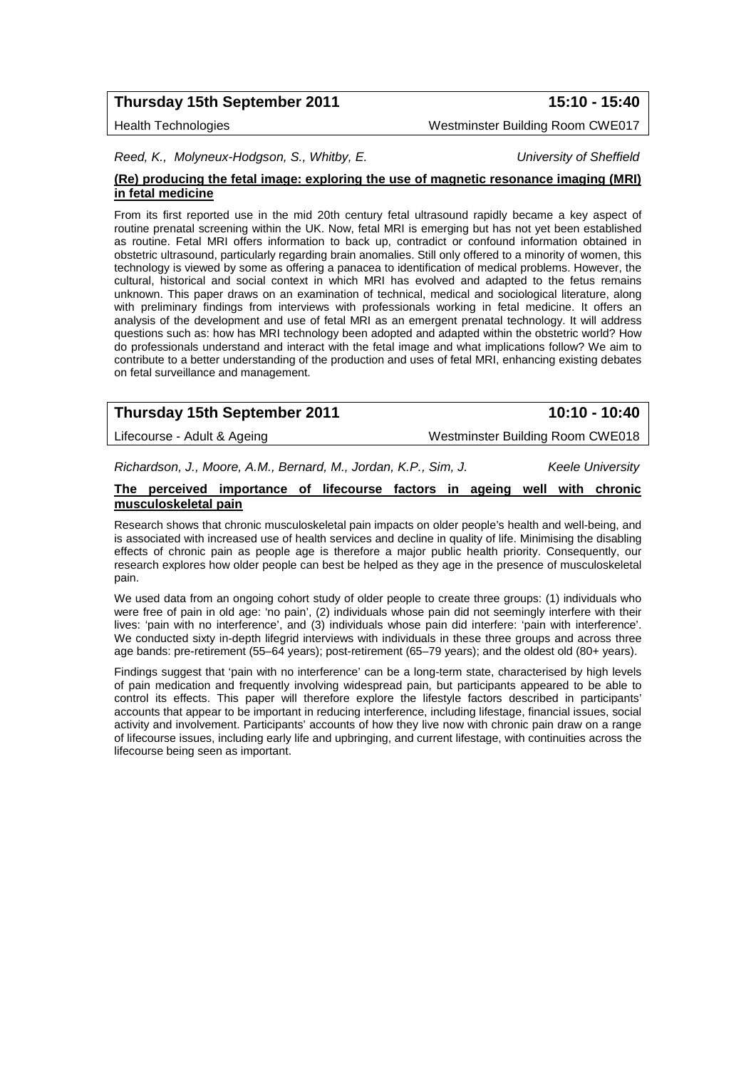# **Thursday 15th September 2011 15:10 - 15:40**

*Reed, K., Molyneux-Hodgson, S., Whitby, E. University of Sheffield*

### **(Re) producing the fetal image: exploring the use of magnetic resonance imaging (MRI) in fetal medicine**

From its first reported use in the mid 20th century fetal ultrasound rapidly became a key aspect of routine prenatal screening within the UK. Now, fetal MRI is emerging but has not yet been established as routine. Fetal MRI offers information to back up, contradict or confound information obtained in obstetric ultrasound, particularly regarding brain anomalies. Still only offered to a minority of women, this technology is viewed by some as offering a panacea to identification of medical problems. However, the cultural, historical and social context in which MRI has evolved and adapted to the fetus remains unknown. This paper draws on an examination of technical, medical and sociological literature, along with preliminary findings from interviews with professionals working in fetal medicine. It offers an analysis of the development and use of fetal MRI as an emergent prenatal technology. It will address questions such as: how has MRI technology been adopted and adapted within the obstetric world? How do professionals understand and interact with the fetal image and what implications follow? We aim to contribute to a better understanding of the production and uses of fetal MRI, enhancing existing debates on fetal surveillance and management.

| Thursday 15th September 2011 | 10:10 - 10:40                    |
|------------------------------|----------------------------------|
| Lifecourse - Adult & Ageing  | Westminster Building Room CWE018 |

*Richardson, J., Moore, A.M., Bernard, M., Jordan, K.P., Sim, J. Keele University*

#### **The perceived importance of lifecourse factors in ageing well with chronic musculoskeletal pain**

Research shows that chronic musculoskeletal pain impacts on older people's health and well-being, and is associated with increased use of health services and decline in quality of life. Minimising the disabling effects of chronic pain as people age is therefore a major public health priority. Consequently, our research explores how older people can best be helped as they age in the presence of musculoskeletal pain.

We used data from an ongoing cohort study of older people to create three groups: (1) individuals who were free of pain in old age: 'no pain', (2) individuals whose pain did not seemingly interfere with their lives: 'pain with no interference', and (3) individuals whose pain did interfere: 'pain with interference'. We conducted sixty in-depth lifegrid interviews with individuals in these three groups and across three age bands: pre-retirement (55–64 years); post-retirement (65–79 years); and the oldest old (80+ years).

Findings suggest that 'pain with no interference' can be a long-term state, characterised by high levels of pain medication and frequently involving widespread pain, but participants appeared to be able to control its effects. This paper will therefore explore the lifestyle factors described in participants' accounts that appear to be important in reducing interference, including lifestage, financial issues, social activity and involvement. Participants' accounts of how they live now with chronic pain draw on a range of lifecourse issues, including early life and upbringing, and current lifestage, with continuities across the lifecourse being seen as important.

Health Technologies Westminster Building Room CWE017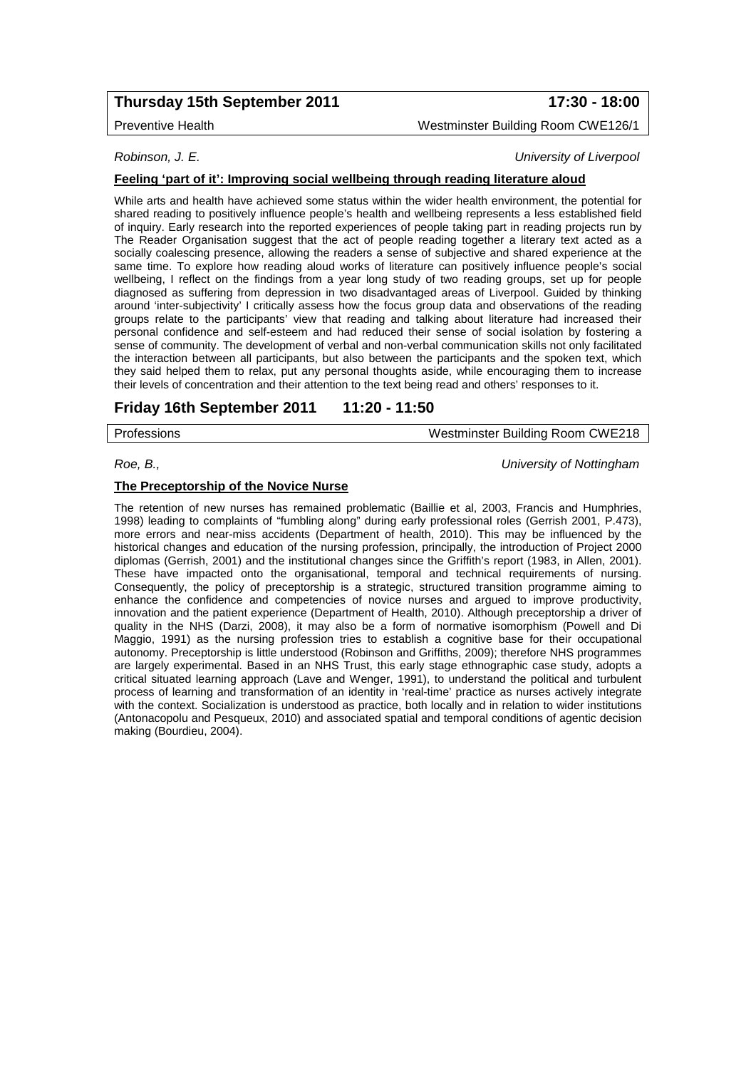# **Thursday 15th September 2011 17:30 - 18:00**

Preventive Health Westminster Building Room CWE126/1

*Robinson, J. E. University of Liverpool*

### **Feeling 'part of it': Improving social wellbeing through reading literature aloud**

While arts and health have achieved some status within the wider health environment, the potential for shared reading to positively influence people's health and wellbeing represents a less established field of inquiry. Early research into the reported experiences of people taking part in reading projects run by The Reader Organisation suggest that the act of people reading together a literary text acted as a socially coalescing presence, allowing the readers a sense of subjective and shared experience at the same time. To explore how reading aloud works of literature can positively influence people's social wellbeing, I reflect on the findings from a year long study of two reading groups, set up for people diagnosed as suffering from depression in two disadvantaged areas of Liverpool. Guided by thinking around 'inter-subjectivity' I critically assess how the focus group data and observations of the reading groups relate to the participants' view that reading and talking about literature had increased their personal confidence and self-esteem and had reduced their sense of social isolation by fostering a sense of community. The development of verbal and non-verbal communication skills not only facilitated the interaction between all participants, but also between the participants and the spoken text, which they said helped them to relax, put any personal thoughts aside, while encouraging them to increase their levels of concentration and their attention to the text being read and others' responses to it.

## **Friday 16th September 2011 11:20 - 11:50**

Professions Westminster Building Room CWE218

*Roe, B., University of Nottingham*

### **The Preceptorship of the Novice Nurse**

The retention of new nurses has remained problematic (Baillie et al, 2003, Francis and Humphries, 1998) leading to complaints of "fumbling along" during early professional roles (Gerrish 2001, P.473), more errors and near-miss accidents (Department of health, 2010). This may be influenced by the historical changes and education of the nursing profession, principally, the introduction of Project 2000 diplomas (Gerrish, 2001) and the institutional changes since the Griffith's report (1983, in Allen, 2001). These have impacted onto the organisational, temporal and technical requirements of nursing. Consequently, the policy of preceptorship is a strategic, structured transition programme aiming to enhance the confidence and competencies of novice nurses and argued to improve productivity, innovation and the patient experience (Department of Health, 2010). Although preceptorship a driver of quality in the NHS (Darzi, 2008), it may also be a form of normative isomorphism (Powell and Di Maggio, 1991) as the nursing profession tries to establish a cognitive base for their occupational autonomy. Preceptorship is little understood (Robinson and Griffiths, 2009); therefore NHS programmes are largely experimental. Based in an NHS Trust, this early stage ethnographic case study, adopts a critical situated learning approach (Lave and Wenger, 1991), to understand the political and turbulent process of learning and transformation of an identity in 'real-time' practice as nurses actively integrate with the context. Socialization is understood as practice, both locally and in relation to wider institutions (Antonacopolu and Pesqueux, 2010) and associated spatial and temporal conditions of agentic decision making (Bourdieu, 2004).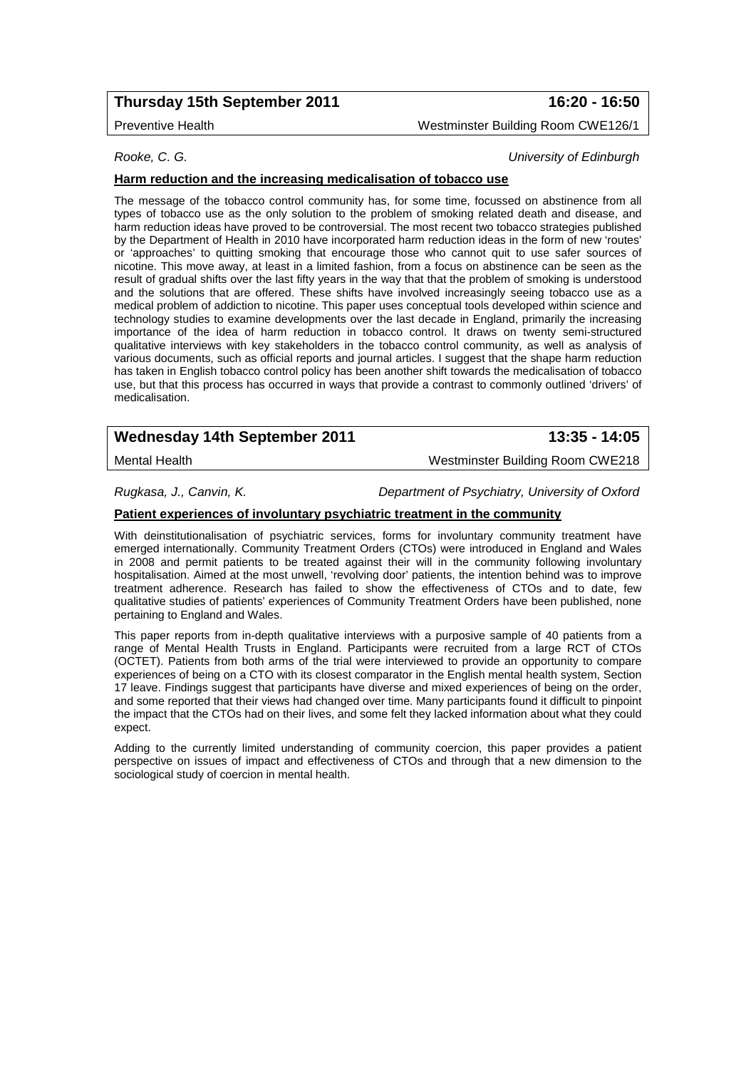# **Thursday 15th September 2011 16:20 - 16:50**

Preventive Health Westminster Building Room CWE126/1

*Rooke, C. G. University of Edinburgh*

## **Harm reduction and the increasing medicalisation of tobacco use**

The message of the tobacco control community has, for some time, focussed on abstinence from all types of tobacco use as the only solution to the problem of smoking related death and disease, and harm reduction ideas have proved to be controversial. The most recent two tobacco strategies published by the Department of Health in 2010 have incorporated harm reduction ideas in the form of new 'routes' or 'approaches' to quitting smoking that encourage those who cannot quit to use safer sources of nicotine. This move away, at least in a limited fashion, from a focus on abstinence can be seen as the result of gradual shifts over the last fifty years in the way that that the problem of smoking is understood and the solutions that are offered. These shifts have involved increasingly seeing tobacco use as a medical problem of addiction to nicotine. This paper uses conceptual tools developed within science and technology studies to examine developments over the last decade in England, primarily the increasing importance of the idea of harm reduction in tobacco control. It draws on twenty semi-structured qualitative interviews with key stakeholders in the tobacco control community, as well as analysis of various documents, such as official reports and journal articles. I suggest that the shape harm reduction has taken in English tobacco control policy has been another shift towards the medicalisation of tobacco use, but that this process has occurred in ways that provide a contrast to commonly outlined 'drivers' of medicalisation.

# **Wednesday 14th September 2011 13:35 - 14:05**

Mental Health Westminster Building Room CWE218

*Rugkasa, J., Canvin, K. Department of Psychiatry, University of Oxford*

### **Patient experiences of involuntary psychiatric treatment in the community**

With deinstitutionalisation of psychiatric services, forms for involuntary community treatment have emerged internationally. Community Treatment Orders (CTOs) were introduced in England and Wales in 2008 and permit patients to be treated against their will in the community following involuntary hospitalisation. Aimed at the most unwell, 'revolving door' patients, the intention behind was to improve treatment adherence. Research has failed to show the effectiveness of CTOs and to date, few qualitative studies of patients' experiences of Community Treatment Orders have been published, none pertaining to England and Wales.

This paper reports from in-depth qualitative interviews with a purposive sample of 40 patients from a range of Mental Health Trusts in England. Participants were recruited from a large RCT of CTOs (OCTET). Patients from both arms of the trial were interviewed to provide an opportunity to compare experiences of being on a CTO with its closest comparator in the English mental health system, Section 17 leave. Findings suggest that participants have diverse and mixed experiences of being on the order, and some reported that their views had changed over time. Many participants found it difficult to pinpoint the impact that the CTOs had on their lives, and some felt they lacked information about what they could expect.

Adding to the currently limited understanding of community coercion, this paper provides a patient perspective on issues of impact and effectiveness of CTOs and through that a new dimension to the sociological study of coercion in mental health.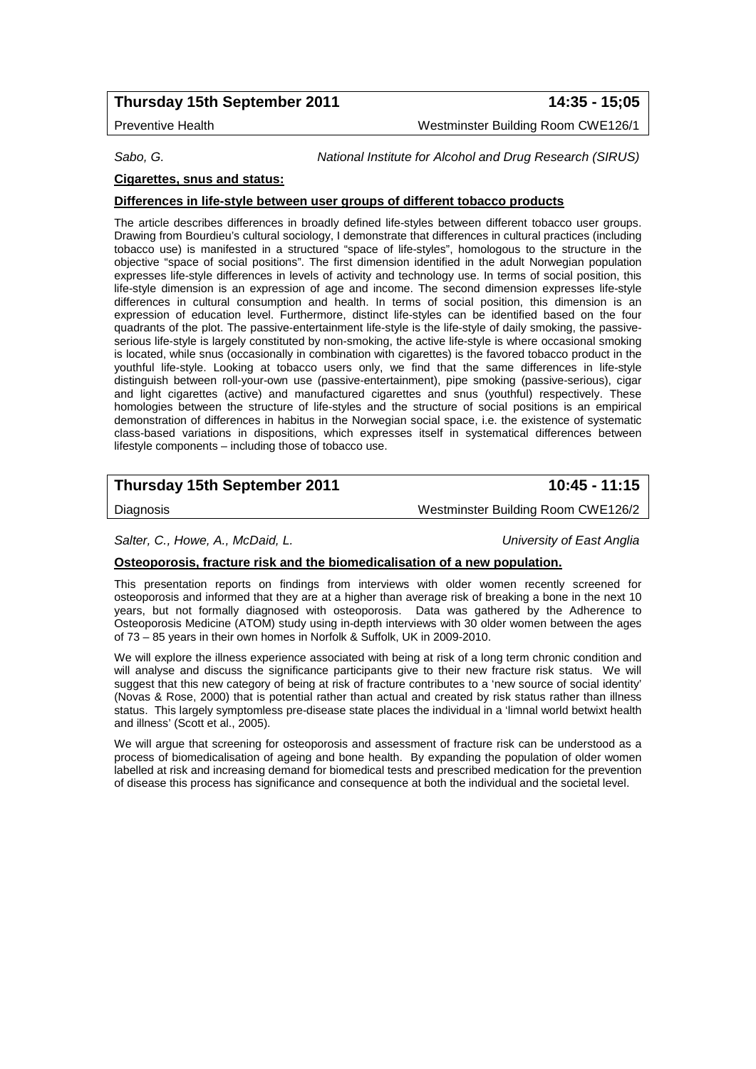## **Thursday 15th September 2011 14:35 - 15;05**

Preventive Health Westminster Building Room CWE126/1

*Sabo, G. National Institute for Alcohol and Drug Research (SIRUS)*

## **Cigarettes, snus and status:**

### **Differences in life-style between user groups of different tobacco products**

The article describes differences in broadly defined life-styles between different tobacco user groups. Drawing from Bourdieu's cultural sociology, I demonstrate that differences in cultural practices (including tobacco use) is manifested in a structured "space of life-styles", homologous to the structure in the objective "space of social positions". The first dimension identified in the adult Norwegian population expresses life-style differences in levels of activity and technology use. In terms of social position, this life-style dimension is an expression of age and income. The second dimension expresses life-style differences in cultural consumption and health. In terms of social position, this dimension is an expression of education level. Furthermore, distinct life-styles can be identified based on the four quadrants of the plot. The passive-entertainment life-style is the life-style of daily smoking, the passiveserious life-style is largely constituted by non-smoking, the active life-style is where occasional smoking is located, while snus (occasionally in combination with cigarettes) is the favored tobacco product in the youthful life-style. Looking at tobacco users only, we find that the same differences in life-style distinguish between roll-your-own use (passive-entertainment), pipe smoking (passive-serious), cigar and light cigarettes (active) and manufactured cigarettes and snus (youthful) respectively. These homologies between the structure of life-styles and the structure of social positions is an empirical demonstration of differences in habitus in the Norwegian social space, i.e. the existence of systematic class-based variations in dispositions, which expresses itself in systematical differences between lifestyle components – including those of tobacco use.

# **Thursday 15th September 2011 10:45 - 11:15**

Diagnosis Westminster Building Room CWE126/2

*Salter, C., Howe, A., McDaid, L. University of East Anglia*

### **Osteoporosis, fracture risk and the biomedicalisation of a new population.**

This presentation reports on findings from interviews with older women recently screened for osteoporosis and informed that they are at a higher than average risk of breaking a bone in the next 10 years, but not formally diagnosed with osteoporosis. Data was gathered by the Adherence to Osteoporosis Medicine (ATOM) study using in-depth interviews with 30 older women between the ages of 73 – 85 years in their own homes in Norfolk & Suffolk, UK in 2009-2010.

We will explore the illness experience associated with being at risk of a long term chronic condition and will analyse and discuss the significance participants give to their new fracture risk status. We will suggest that this new category of being at risk of fracture contributes to a 'new source of social identity' (Novas & Rose, 2000) that is potential rather than actual and created by risk status rather than illness status. This largely symptomless pre-disease state places the individual in a 'limnal world betwixt health and illness' (Scott et al., 2005).

We will argue that screening for osteoporosis and assessment of fracture risk can be understood as a process of biomedicalisation of ageing and bone health. By expanding the population of older women labelled at risk and increasing demand for biomedical tests and prescribed medication for the prevention of disease this process has significance and consequence at both the individual and the societal level.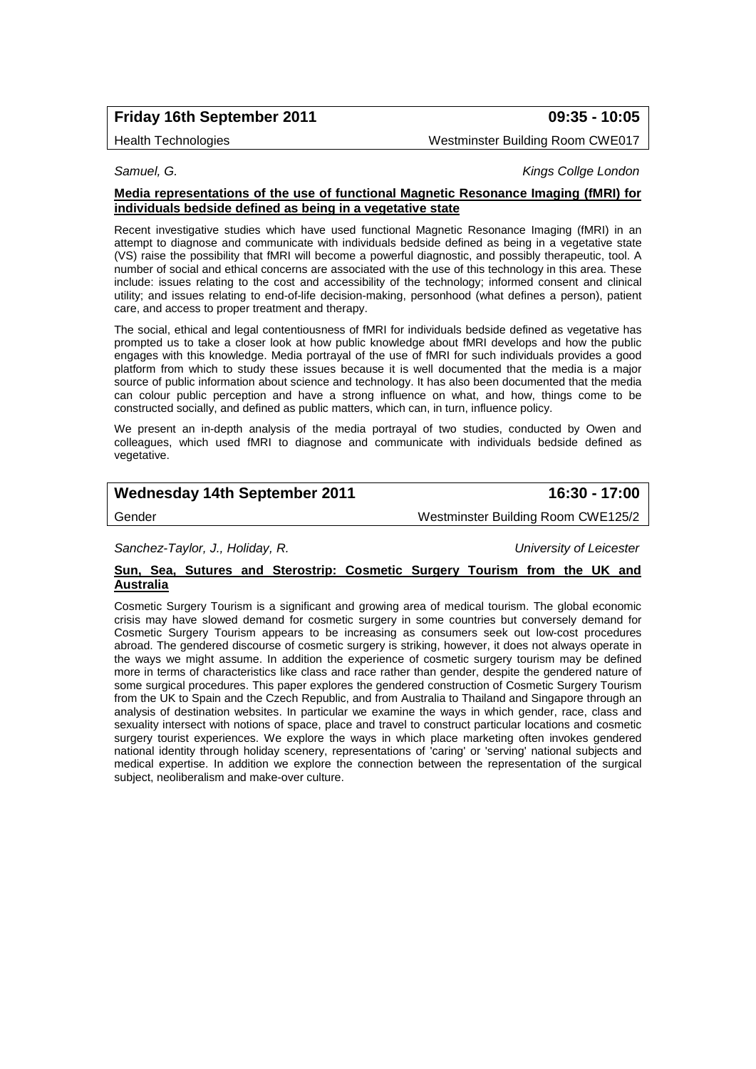# **Friday 16th September 2011 09:35 - 10:05**

Health Technologies Westminster Building Room CWE017

*Samuel, G. Kings Collge London*

### **Media representations of the use of functional Magnetic Resonance Imaging (fMRI) for individuals bedside defined as being in a vegetative state**

Recent investigative studies which have used functional Magnetic Resonance Imaging (fMRI) in an attempt to diagnose and communicate with individuals bedside defined as being in a vegetative state (VS) raise the possibility that fMRI will become a powerful diagnostic, and possibly therapeutic, tool. A number of social and ethical concerns are associated with the use of this technology in this area. These include: issues relating to the cost and accessibility of the technology; informed consent and clinical utility; and issues relating to end-of-life decision-making, personhood (what defines a person), patient care, and access to proper treatment and therapy.

The social, ethical and legal contentiousness of fMRI for individuals bedside defined as vegetative has prompted us to take a closer look at how public knowledge about fMRI develops and how the public engages with this knowledge. Media portrayal of the use of fMRI for such individuals provides a good platform from which to study these issues because it is well documented that the media is a major source of public information about science and technology. It has also been documented that the media can colour public perception and have a strong influence on what, and how, things come to be constructed socially, and defined as public matters, which can, in turn, influence policy.

We present an in-depth analysis of the media portrayal of two studies, conducted by Owen and colleagues, which used fMRI to diagnose and communicate with individuals bedside defined as vegetative.

# **Wednesday 14th September 2011 16:30 - 17:00**

Gender Westminster Building Room CWE125/2

*Sanchez-Taylor, J., Holiday, R. University of Leicester*

### **Sun, Sea, Sutures and Sterostrip: Cosmetic Surgery Tourism from the UK and Australia**

Cosmetic Surgery Tourism is a significant and growing area of medical tourism. The global economic crisis may have slowed demand for cosmetic surgery in some countries but conversely demand for Cosmetic Surgery Tourism appears to be increasing as consumers seek out low-cost procedures abroad. The gendered discourse of cosmetic surgery is striking, however, it does not always operate in the ways we might assume. In addition the experience of cosmetic surgery tourism may be defined more in terms of characteristics like class and race rather than gender, despite the gendered nature of some surgical procedures. This paper explores the gendered construction of Cosmetic Surgery Tourism from the UK to Spain and the Czech Republic, and from Australia to Thailand and Singapore through an analysis of destination websites. In particular we examine the ways in which gender, race, class and sexuality intersect with notions of space, place and travel to construct particular locations and cosmetic surgery tourist experiences. We explore the ways in which place marketing often invokes gendered national identity through holiday scenery, representations of 'caring' or 'serving' national subjects and medical expertise. In addition we explore the connection between the representation of the surgical subject, neoliberalism and make-over culture.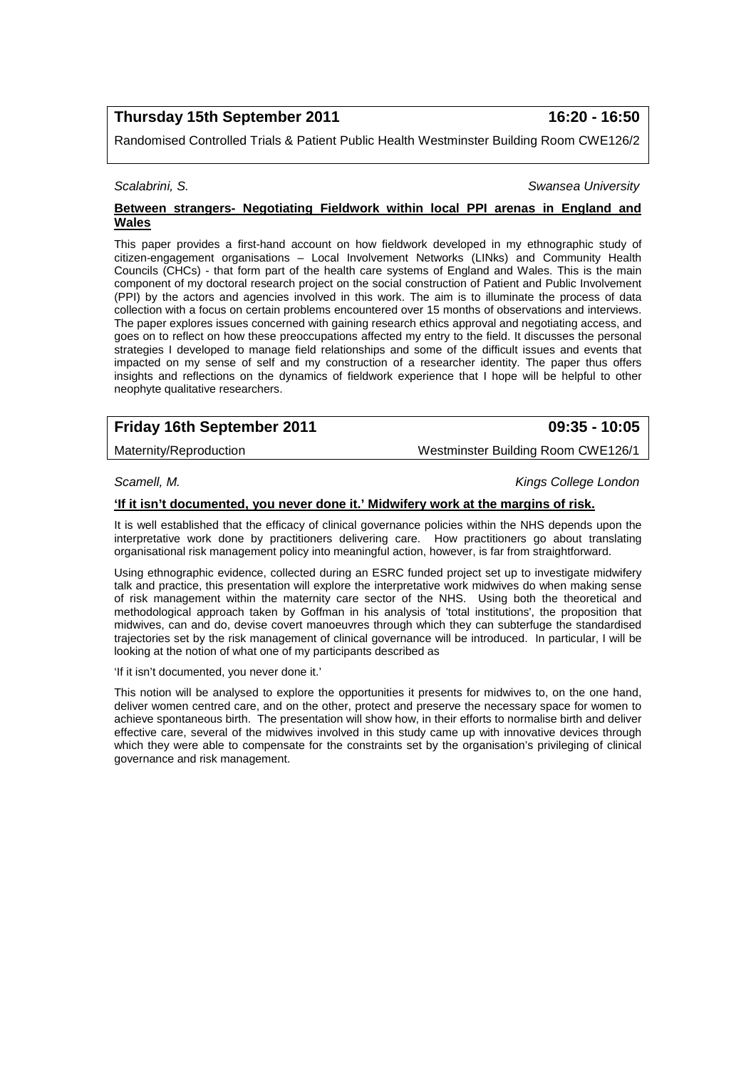## **Thursday 15th September 2011 16:20 - 16:50**

Randomised Controlled Trials & Patient Public Health Westminster Building Room CWE126/2

#### *Scalabrini, S. Swansea University*

### **Between strangers- Negotiating Fieldwork within local PPI arenas in England and Wales**

This paper provides a first-hand account on how fieldwork developed in my ethnographic study of citizen-engagement organisations – Local Involvement Networks (LINks) and Community Health Councils (CHCs) - that form part of the health care systems of England and Wales. This is the main component of my doctoral research project on the social construction of Patient and Public Involvement (PPI) by the actors and agencies involved in this work. The aim is to illuminate the process of data collection with a focus on certain problems encountered over 15 months of observations and interviews. The paper explores issues concerned with gaining research ethics approval and negotiating access, and goes on to reflect on how these preoccupations affected my entry to the field. It discusses the personal strategies I developed to manage field relationships and some of the difficult issues and events that impacted on my sense of self and my construction of a researcher identity. The paper thus offers insights and reflections on the dynamics of fieldwork experience that I hope will be helpful to other neophyte qualitative researchers.

# **Friday 16th September 2011 09:35 - 10:05**

Maternity/Reproduction Westminster Building Room CWE126/1

*Scamell, M. Kings College London*

### **'If it isn't documented, you never done it.' Midwifery work at the margins of risk.**

It is well established that the efficacy of clinical governance policies within the NHS depends upon the interpretative work done by practitioners delivering care. How practitioners go about translating organisational risk management policy into meaningful action, however, is far from straightforward.

Using ethnographic evidence, collected during an ESRC funded project set up to investigate midwifery talk and practice, this presentation will explore the interpretative work midwives do when making sense of risk management within the maternity care sector of the NHS. Using both the theoretical and methodological approach taken by Goffman in his analysis of 'total institutions', the proposition that midwives, can and do, devise covert manoeuvres through which they can subterfuge the standardised trajectories set by the risk management of clinical governance will be introduced. In particular, I will be looking at the notion of what one of my participants described as

'If it isn't documented, you never done it.'

This notion will be analysed to explore the opportunities it presents for midwives to, on the one hand, deliver women centred care, and on the other, protect and preserve the necessary space for women to achieve spontaneous birth. The presentation will show how, in their efforts to normalise birth and deliver effective care, several of the midwives involved in this study came up with innovative devices through which they were able to compensate for the constraints set by the organisation's privileging of clinical governance and risk management.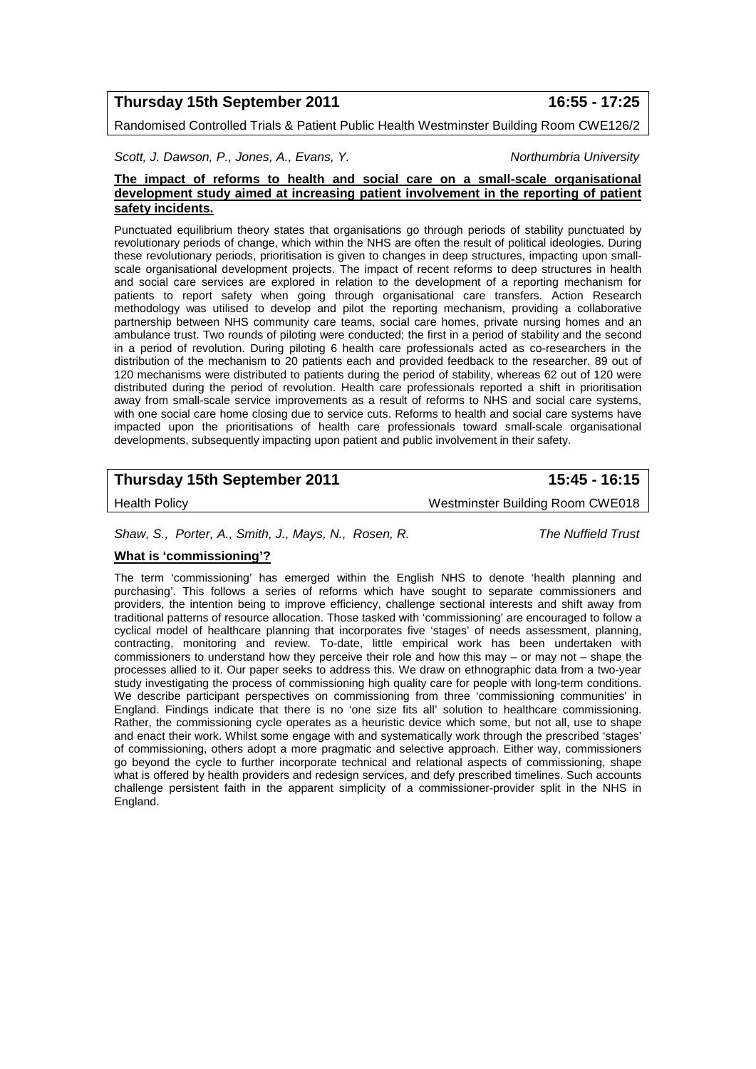## **Thursday 15th September 2011 16:55 - 17:25**

Randomised Controlled Trials & Patient Public Health Westminster Building Room CWE126/2

*Scott, J. Dawson, P., Jones, A., Evans, Y. Northumbria University*

### **The impact of reforms to health and social care on a small-scale organisational development study aimed at increasing patient involvement in the reporting of patient safety incidents.**

Punctuated equilibrium theory states that organisations go through periods of stability punctuated by revolutionary periods of change, which within the NHS are often the result of political ideologies. During these revolutionary periods, prioritisation is given to changes in deep structures, impacting upon smallscale organisational development projects. The impact of recent reforms to deep structures in health and social care services are explored in relation to the development of a reporting mechanism for patients to report safety when going through organisational care transfers. Action Research methodology was utilised to develop and pilot the reporting mechanism, providing a collaborative partnership between NHS community care teams, social care homes, private nursing homes and an ambulance trust. Two rounds of piloting were conducted; the first in a period of stability and the second in a period of revolution. During piloting 6 health care professionals acted as co-researchers in the distribution of the mechanism to 20 patients each and provided feedback to the researcher. 89 out of 120 mechanisms were distributed to patients during the period of stability, whereas 62 out of 120 were distributed during the period of revolution. Health care professionals reported a shift in prioritisation away from small-scale service improvements as a result of reforms to NHS and social care systems, with one social care home closing due to service cuts. Reforms to health and social care systems have impacted upon the prioritisations of health care professionals toward small-scale organisational developments, subsequently impacting upon patient and public involvement in their safety.

# **Thursday 15th September 2011 15:45 - 16:15**

Health Policy Westminster Building Room CWE018

*Shaw, S., Porter, A., Smith, J., Mays, N., Rosen, R. The Nuffield Trust*

## **What is 'commissioning'?**

The term 'commissioning' has emerged within the English NHS to denote 'health planning and purchasing'. This follows a series of reforms which have sought to separate commissioners and providers, the intention being to improve efficiency, challenge sectional interests and shift away from traditional patterns of resource allocation. Those tasked with 'commissioning' are encouraged to follow a cyclical model of healthcare planning that incorporates five 'stages' of needs assessment, planning, contracting, monitoring and review. To-date, little empirical work has been undertaken with commissioners to understand how they perceive their role and how this may – or may not – shape the processes allied to it. Our paper seeks to address this. We draw on ethnographic data from a two-year study investigating the process of commissioning high quality care for people with long-term conditions. We describe participant perspectives on commissioning from three 'commissioning communities' in England. Findings indicate that there is no 'one size fits all' solution to healthcare commissioning. Rather, the commissioning cycle operates as a heuristic device which some, but not all, use to shape and enact their work. Whilst some engage with and systematically work through the prescribed 'stages' of commissioning, others adopt a more pragmatic and selective approach. Either way, commissioners go beyond the cycle to further incorporate technical and relational aspects of commissioning, shape what is offered by health providers and redesign services, and defy prescribed timelines. Such accounts challenge persistent faith in the apparent simplicity of a commissioner-provider split in the NHS in England.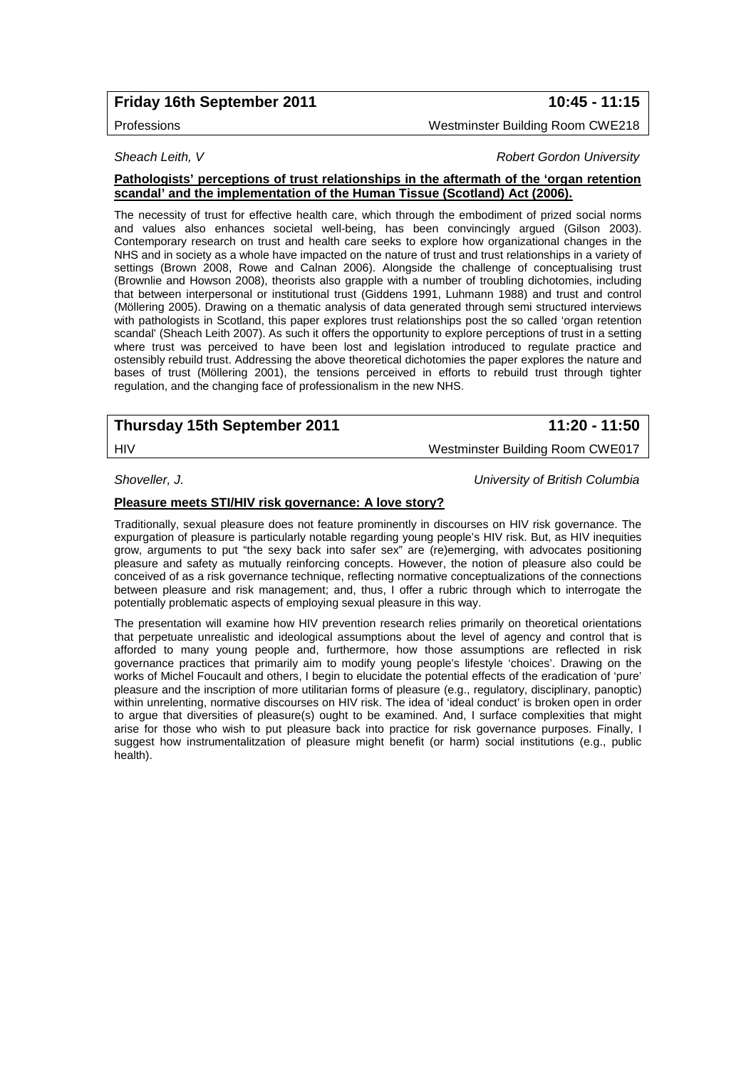# **Friday 16th September 2011 10:45 - 11:15**

### Professions Westminster Building Room CWE218

### **Sheach Leith, V** *Robert Gordon University Robert Gordon University*

### **Pathologists' perceptions of trust relationships in the aftermath of the 'organ retention scandal' and the implementation of the Human Tissue (Scotland) Act (2006).**

The necessity of trust for effective health care, which through the embodiment of prized social norms and values also enhances societal well-being, has been convincingly argued (Gilson 2003). Contemporary research on trust and health care seeks to explore how organizational changes in the NHS and in society as a whole have impacted on the nature of trust and trust relationships in a variety of settings (Brown 2008, Rowe and Calnan 2006). Alongside the challenge of conceptualising trust (Brownlie and Howson 2008), theorists also grapple with a number of troubling dichotomies, including that between interpersonal or institutional trust (Giddens 1991, Luhmann 1988) and trust and control (Möllering 2005). Drawing on a thematic analysis of data generated through semi structured interviews with pathologists in Scotland, this paper explores trust relationships post the so called 'organ retention scandal' (Sheach Leith 2007). As such it offers the opportunity to explore perceptions of trust in a setting where trust was perceived to have been lost and legislation introduced to regulate practice and ostensibly rebuild trust. Addressing the above theoretical dichotomies the paper explores the nature and bases of trust (Möllering 2001), the tensions perceived in efforts to rebuild trust through tighter regulation, and the changing face of professionalism in the new NHS.

# **Thursday 15th September 2011 11:20 - 11:50**

HIV Westminster Building Room CWE017

*Shoveller, J. University of British Columbia*

### **Pleasure meets STI/HIV risk governance: A love story?**

Traditionally, sexual pleasure does not feature prominently in discourses on HIV risk governance. The expurgation of pleasure is particularly notable regarding young people's HIV risk. But, as HIV inequities grow, arguments to put "the sexy back into safer sex" are (re)emerging, with advocates positioning pleasure and safety as mutually reinforcing concepts. However, the notion of pleasure also could be conceived of as a risk governance technique, reflecting normative conceptualizations of the connections between pleasure and risk management; and, thus, I offer a rubric through which to interrogate the potentially problematic aspects of employing sexual pleasure in this way.

The presentation will examine how HIV prevention research relies primarily on theoretical orientations that perpetuate unrealistic and ideological assumptions about the level of agency and control that is afforded to many young people and, furthermore, how those assumptions are reflected in risk governance practices that primarily aim to modify young people's lifestyle 'choices'. Drawing on the works of Michel Foucault and others, I begin to elucidate the potential effects of the eradication of 'pure' pleasure and the inscription of more utilitarian forms of pleasure (e.g., regulatory, disciplinary, panoptic) within unrelenting, normative discourses on HIV risk. The idea of 'ideal conduct' is broken open in order to argue that diversities of pleasure(s) ought to be examined. And, I surface complexities that might arise for those who wish to put pleasure back into practice for risk governance purposes. Finally, I suggest how instrumentalitzation of pleasure might benefit (or harm) social institutions (e.g., public health).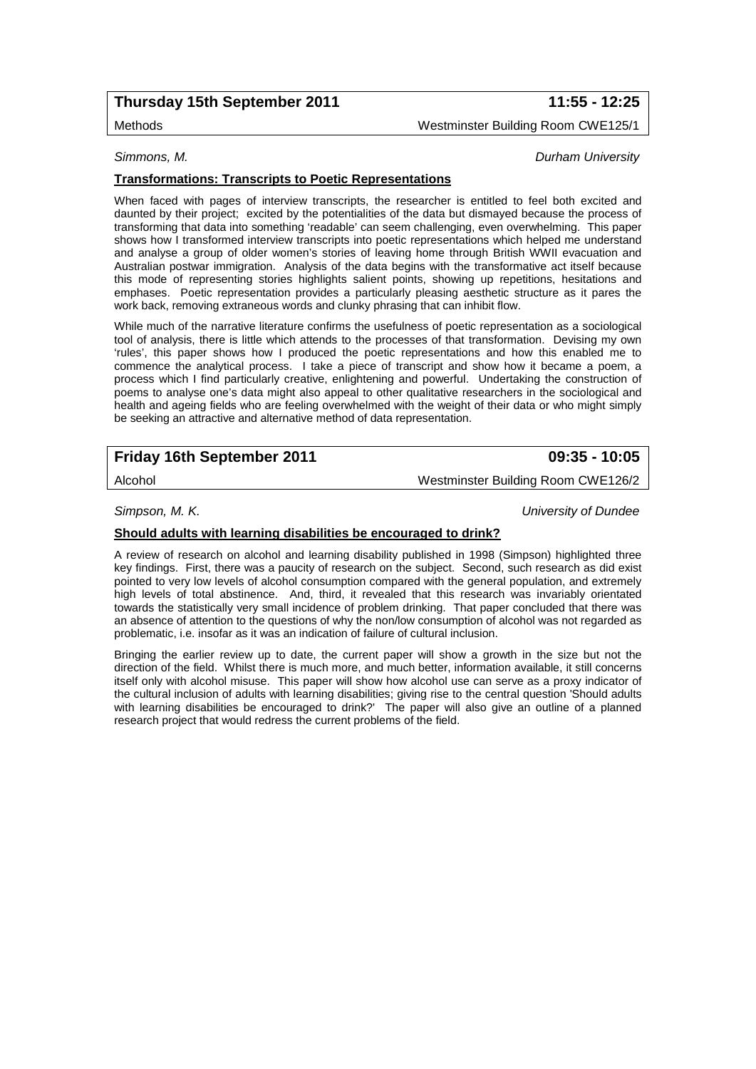## **Thursday 15th September 2011 11:55 - 12:25**

Methods Westminster Building Room CWE125/1

*Simmons, M. Durham University*

### **Transformations: Transcripts to Poetic Representations**

When faced with pages of interview transcripts, the researcher is entitled to feel both excited and daunted by their project; excited by the potentialities of the data but dismayed because the process of transforming that data into something 'readable' can seem challenging, even overwhelming. This paper shows how I transformed interview transcripts into poetic representations which helped me understand and analyse a group of older women's stories of leaving home through British WWII evacuation and Australian postwar immigration. Analysis of the data begins with the transformative act itself because this mode of representing stories highlights salient points, showing up repetitions, hesitations and emphases. Poetic representation provides a particularly pleasing aesthetic structure as it pares the work back, removing extraneous words and clunky phrasing that can inhibit flow.

While much of the narrative literature confirms the usefulness of poetic representation as a sociological tool of analysis, there is little which attends to the processes of that transformation. Devising my own 'rules', this paper shows how I produced the poetic representations and how this enabled me to commence the analytical process. I take a piece of transcript and show how it became a poem, a process which I find particularly creative, enlightening and powerful. Undertaking the construction of poems to analyse one's data might also appeal to other qualitative researchers in the sociological and health and ageing fields who are feeling overwhelmed with the weight of their data or who might simply be seeking an attractive and alternative method of data representation.

| Friday 16th September 2011 | 09:35 - 10:05 |
|----------------------------|---------------|

Alcohol Westminster Building Room CWE126/2

*Simpson, M. K. University of Dundee*

### **Should adults with learning disabilities be encouraged to drink?**

A review of research on alcohol and learning disability published in 1998 (Simpson) highlighted three key findings. First, there was a paucity of research on the subject. Second, such research as did exist pointed to very low levels of alcohol consumption compared with the general population, and extremely high levels of total abstinence. And, third, it revealed that this research was invariably orientated towards the statistically very small incidence of problem drinking. That paper concluded that there was an absence of attention to the questions of why the non/low consumption of alcohol was not regarded as problematic, i.e. insofar as it was an indication of failure of cultural inclusion.

Bringing the earlier review up to date, the current paper will show a growth in the size but not the direction of the field. Whilst there is much more, and much better, information available, it still concerns itself only with alcohol misuse. This paper will show how alcohol use can serve as a proxy indicator of the cultural inclusion of adults with learning disabilities; giving rise to the central question 'Should adults with learning disabilities be encouraged to drink?' The paper will also give an outline of a planned research project that would redress the current problems of the field.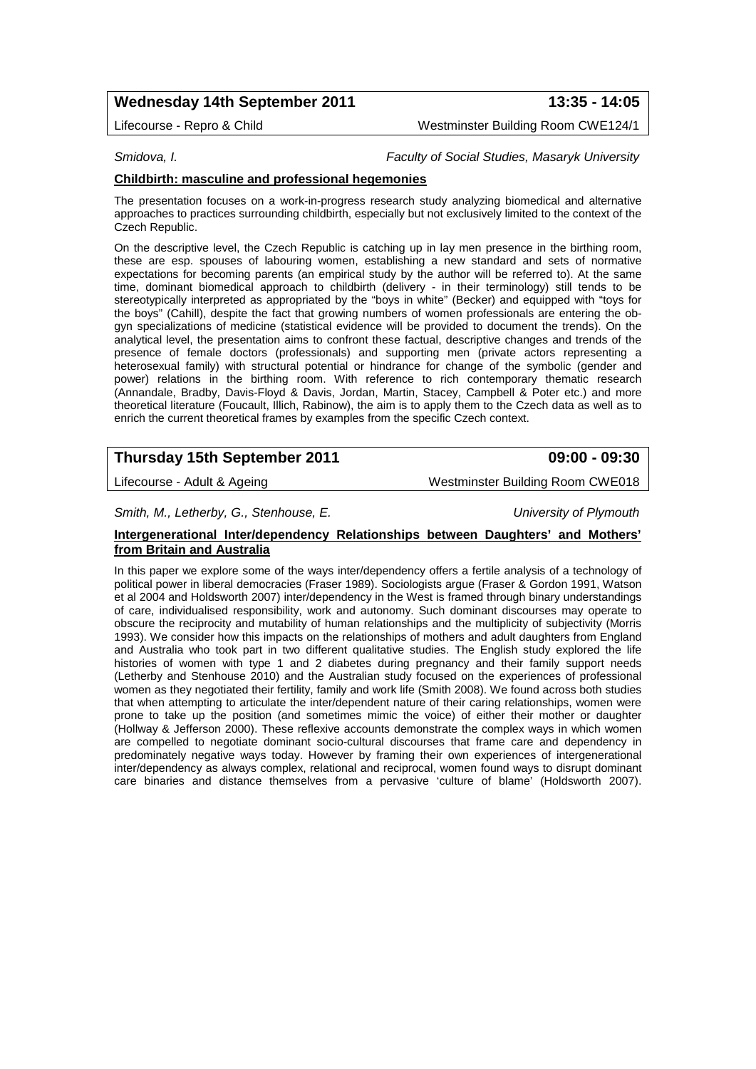# **Wednesday 14th September 2011 13:35 - 14:05**

Lifecourse - Repro & Child Westminster Building Room CWE124/1

*Smidova, I. Faculty of Social Studies, Masaryk University*

### **Childbirth: masculine and professional hegemonies**

The presentation focuses on a work-in-progress research study analyzing biomedical and alternative approaches to practices surrounding childbirth, especially but not exclusively limited to the context of the Czech Republic.

On the descriptive level, the Czech Republic is catching up in lay men presence in the birthing room, these are esp. spouses of labouring women, establishing a new standard and sets of normative expectations for becoming parents (an empirical study by the author will be referred to). At the same time, dominant biomedical approach to childbirth (delivery - in their terminology) still tends to be stereotypically interpreted as appropriated by the "boys in white" (Becker) and equipped with "toys for the boys" (Cahill), despite the fact that growing numbers of women professionals are entering the obgyn specializations of medicine (statistical evidence will be provided to document the trends). On the analytical level, the presentation aims to confront these factual, descriptive changes and trends of the presence of female doctors (professionals) and supporting men (private actors representing a heterosexual family) with structural potential or hindrance for change of the symbolic (gender and power) relations in the birthing room. With reference to rich contemporary thematic research (Annandale, Bradby, Davis-Floyd & Davis, Jordan, Martin, Stacey, Campbell & Poter etc.) and more theoretical literature (Foucault, Illich, Rabinow), the aim is to apply them to the Czech data as well as to enrich the current theoretical frames by examples from the specific Czech context.

## **Thursday 15th September 2011 09:00 - 09:30**

Lifecourse - Adult & Ageing Mestron CWE018

*Smith, M., Letherby, G., Stenhouse, E. University of Plymouth*

## **Intergenerational Inter/dependency Relationships between Daughters' and Mothers' from Britain and Australia**

In this paper we explore some of the ways inter/dependency offers a fertile analysis of a technology of political power in liberal democracies (Fraser 1989). Sociologists argue (Fraser & Gordon 1991, Watson et al 2004 and Holdsworth 2007) inter/dependency in the West is framed through binary understandings of care, individualised responsibility, work and autonomy. Such dominant discourses may operate to obscure the reciprocity and mutability of human relationships and the multiplicity of subjectivity (Morris 1993). We consider how this impacts on the relationships of mothers and adult daughters from England and Australia who took part in two different qualitative studies. The English study explored the life histories of women with type 1 and 2 diabetes during pregnancy and their family support needs (Letherby and Stenhouse 2010) and the Australian study focused on the experiences of professional women as they negotiated their fertility, family and work life (Smith 2008). We found across both studies that when attempting to articulate the inter/dependent nature of their caring relationships, women were prone to take up the position (and sometimes mimic the voice) of either their mother or daughter (Hollway & Jefferson 2000). These reflexive accounts demonstrate the complex ways in which women are compelled to negotiate dominant socio-cultural discourses that frame care and dependency in predominately negative ways today. However by framing their own experiences of intergenerational inter/dependency as always complex, relational and reciprocal, women found ways to disrupt dominant care binaries and distance themselves from a pervasive 'culture of blame' (Holdsworth 2007).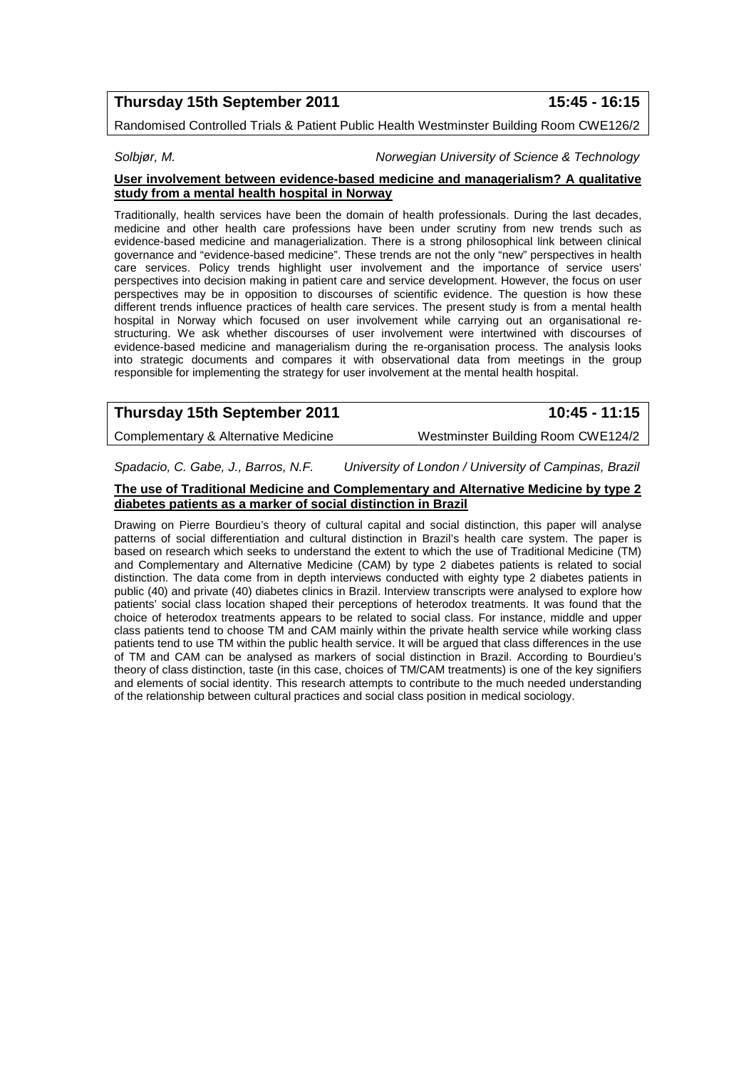## **Thursday 15th September 2011 15:45 - 16:15**

Randomised Controlled Trials & Patient Public Health Westminster Building Room CWE126/2

*Solbjør, M. Norwegian University of Science & Technology*

#### **User involvement between evidence-based medicine and managerialism? A qualitative study from a mental health hospital in Norway**

Traditionally, health services have been the domain of health professionals. During the last decades, medicine and other health care professions have been under scrutiny from new trends such as evidence-based medicine and managerialization. There is a strong philosophical link between clinical governance and "evidence-based medicine". These trends are not the only "new" perspectives in health care services. Policy trends highlight user involvement and the importance of service users' perspectives into decision making in patient care and service development. However, the focus on user perspectives may be in opposition to discourses of scientific evidence. The question is how these different trends influence practices of health care services. The present study is from a mental health hospital in Norway which focused on user involvement while carrying out an organisational restructuring. We ask whether discourses of user involvement were intertwined with discourses of evidence-based medicine and managerialism during the re-organisation process. The analysis looks into strategic documents and compares it with observational data from meetings in the group responsible for implementing the strategy for user involvement at the mental health hospital.

| Thursday 15th September 2011 | 10:45 - 11:15 |
|------------------------------|---------------|
|                              |               |

Complementary & Alternative Medicine Westminster Building Room CWE124/2

*Spadacio, C. Gabe, J., Barros, N.F. University of London / University of Campinas, Brazil*

#### **The use of Traditional Medicine and Complementary and Alternative Medicine by type 2 diabetes patients as a marker of social distinction in Brazil**

Drawing on Pierre Bourdieu's theory of cultural capital and social distinction, this paper will analyse patterns of social differentiation and cultural distinction in Brazil's health care system. The paper is based on research which seeks to understand the extent to which the use of Traditional Medicine (TM) and Complementary and Alternative Medicine (CAM) by type 2 diabetes patients is related to social distinction. The data come from in depth interviews conducted with eighty type 2 diabetes patients in public (40) and private (40) diabetes clinics in Brazil. Interview transcripts were analysed to explore how patients' social class location shaped their perceptions of heterodox treatments. It was found that the choice of heterodox treatments appears to be related to social class. For instance, middle and upper class patients tend to choose TM and CAM mainly within the private health service while working class patients tend to use TM within the public health service. It will be argued that class differences in the use of TM and CAM can be analysed as markers of social distinction in Brazil. According to Bourdieu's theory of class distinction, taste (in this case, choices of TM/CAM treatments) is one of the key signifiers and elements of social identity. This research attempts to contribute to the much needed understanding of the relationship between cultural practices and social class position in medical sociology.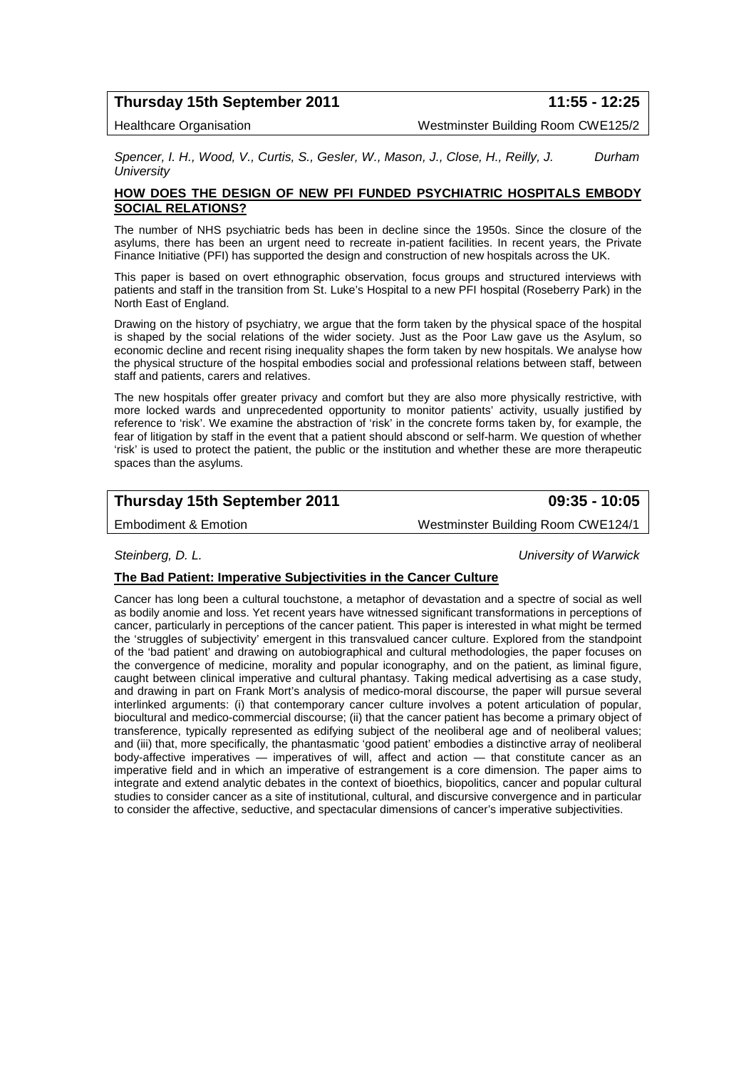## **Thursday 15th September 2011 11:55 - 12:25**

Healthcare Organisation Westminster Building Room CWE125/2

*Spencer, I. H., Wood, V., Curtis, S., Gesler, W., Mason, J., Close, H., Reilly, J. Durham University*

### **HOW DOES THE DESIGN OF NEW PFI FUNDED PSYCHIATRIC HOSPITALS EMBODY SOCIAL RELATIONS?**

The number of NHS psychiatric beds has been in decline since the 1950s. Since the closure of the asylums, there has been an urgent need to recreate in-patient facilities. In recent years, the Private Finance Initiative (PFI) has supported the design and construction of new hospitals across the UK.

This paper is based on overt ethnographic observation, focus groups and structured interviews with patients and staff in the transition from St. Luke's Hospital to a new PFI hospital (Roseberry Park) in the North East of England.

Drawing on the history of psychiatry, we argue that the form taken by the physical space of the hospital is shaped by the social relations of the wider society. Just as the Poor Law gave us the Asylum, so economic decline and recent rising inequality shapes the form taken by new hospitals. We analyse how the physical structure of the hospital embodies social and professional relations between staff, between staff and patients, carers and relatives.

The new hospitals offer greater privacy and comfort but they are also more physically restrictive, with more locked wards and unprecedented opportunity to monitor patients' activity, usually justified by reference to 'risk'. We examine the abstraction of 'risk' in the concrete forms taken by, for example, the fear of litigation by staff in the event that a patient should abscond or self-harm. We question of whether 'risk' is used to protect the patient, the public or the institution and whether these are more therapeutic spaces than the asylums.

# **Thursday 15th September 2011 09:35 - 10:05**

Embodiment & Emotion Westminster Building Room CWE124/1

*Steinberg, D. L. University of Warwick*

### **The Bad Patient: Imperative Subjectivities in the Cancer Culture**

Cancer has long been a cultural touchstone, a metaphor of devastation and a spectre of social as well as bodily anomie and loss. Yet recent years have witnessed significant transformations in perceptions of cancer, particularly in perceptions of the cancer patient. This paper is interested in what might be termed the 'struggles of subjectivity' emergent in this transvalued cancer culture. Explored from the standpoint of the 'bad patient' and drawing on autobiographical and cultural methodologies, the paper focuses on the convergence of medicine, morality and popular iconography, and on the patient, as liminal figure, caught between clinical imperative and cultural phantasy. Taking medical advertising as a case study, and drawing in part on Frank Mort's analysis of medico-moral discourse, the paper will pursue several interlinked arguments: (i) that contemporary cancer culture involves a potent articulation of popular, biocultural and medico-commercial discourse; (ii) that the cancer patient has become a primary object of transference, typically represented as edifying subject of the neoliberal age and of neoliberal values; and (iii) that, more specifically, the phantasmatic 'good patient' embodies a distinctive array of neoliberal body-affective imperatives — imperatives of will, affect and action — that constitute cancer as an imperative field and in which an imperative of estrangement is a core dimension. The paper aims to integrate and extend analytic debates in the context of bioethics, biopolitics, cancer and popular cultural studies to consider cancer as a site of institutional, cultural, and discursive convergence and in particular to consider the affective, seductive, and spectacular dimensions of cancer's imperative subjectivities.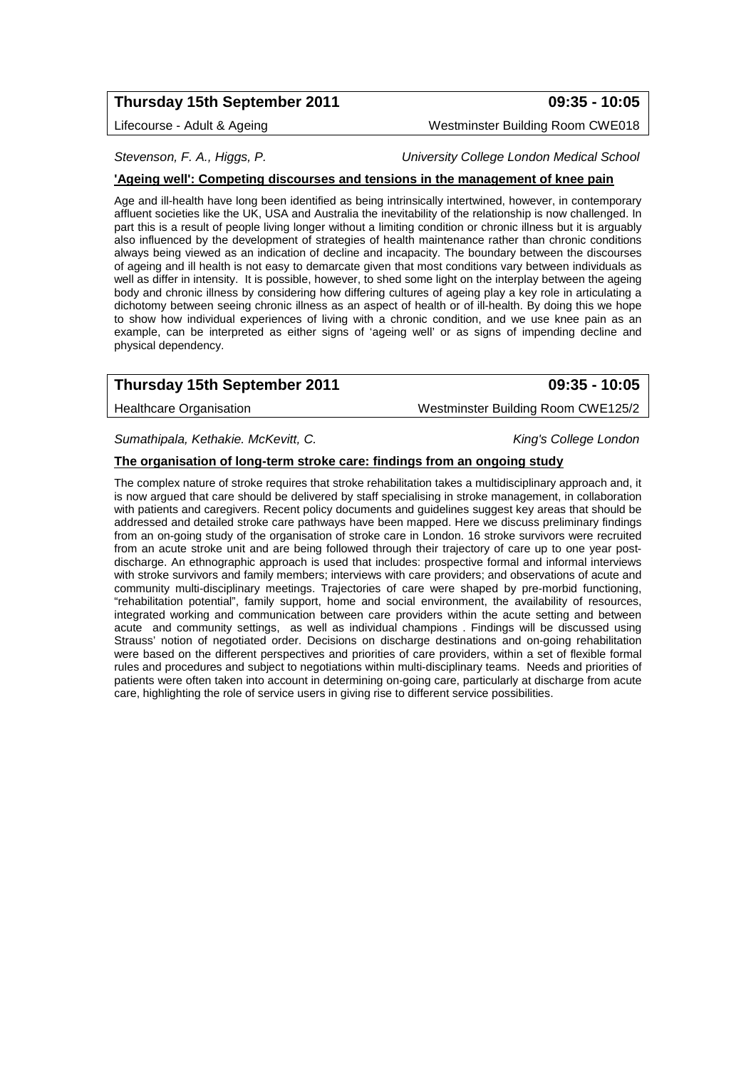# **Thursday 15th September 2011 09:35 - 10:05**

## Lifecourse - Adult & Ageing Mestrum Mestminster Building Room CWE018

## *Stevenson, F. A., Higgs, P. University College London Medical School*

## **'Ageing well': Competing discourses and tensions in the management of knee pain**

Age and ill-health have long been identified as being intrinsically intertwined, however, in contemporary affluent societies like the UK, USA and Australia the inevitability of the relationship is now challenged. In part this is a result of people living longer without a limiting condition or chronic illness but it is arguably also influenced by the development of strategies of health maintenance rather than chronic conditions always being viewed as an indication of decline and incapacity. The boundary between the discourses of ageing and ill health is not easy to demarcate given that most conditions vary between individuals as well as differ in intensity. It is possible, however, to shed some light on the interplay between the ageing body and chronic illness by considering how differing cultures of ageing play a key role in articulating a dichotomy between seeing chronic illness as an aspect of health or of ill-health. By doing this we hope to show how individual experiences of living with a chronic condition, and we use knee pain as an example, can be interpreted as either signs of 'ageing well' or as signs of impending decline and physical dependency.

# **Thursday 15th September 2011 09:35 - 10:05**

Healthcare Organisation **Mature 2018** Westminster Building Room CWE125/2

*Sumathipala, Kethakie. McKevitt, C. King's College London*

### **The organisation of long-term stroke care: findings from an ongoing study**

The complex nature of stroke requires that stroke rehabilitation takes a multidisciplinary approach and, it is now argued that care should be delivered by staff specialising in stroke management, in collaboration with patients and caregivers. Recent policy documents and guidelines suggest key areas that should be addressed and detailed stroke care pathways have been mapped. Here we discuss preliminary findings from an on-going study of the organisation of stroke care in London. 16 stroke survivors were recruited from an acute stroke unit and are being followed through their trajectory of care up to one year postdischarge. An ethnographic approach is used that includes: prospective formal and informal interviews with stroke survivors and family members; interviews with care providers; and observations of acute and community multi-disciplinary meetings. Trajectories of care were shaped by pre-morbid functioning, "rehabilitation potential", family support, home and social environment, the availability of resources, integrated working and communication between care providers within the acute setting and between acute and community settings, as well as individual champions . Findings will be discussed using Strauss' notion of negotiated order. Decisions on discharge destinations and on-going rehabilitation were based on the different perspectives and priorities of care providers, within a set of flexible formal rules and procedures and subject to negotiations within multi-disciplinary teams. Needs and priorities of patients were often taken into account in determining on-going care, particularly at discharge from acute care, highlighting the role of service users in giving rise to different service possibilities.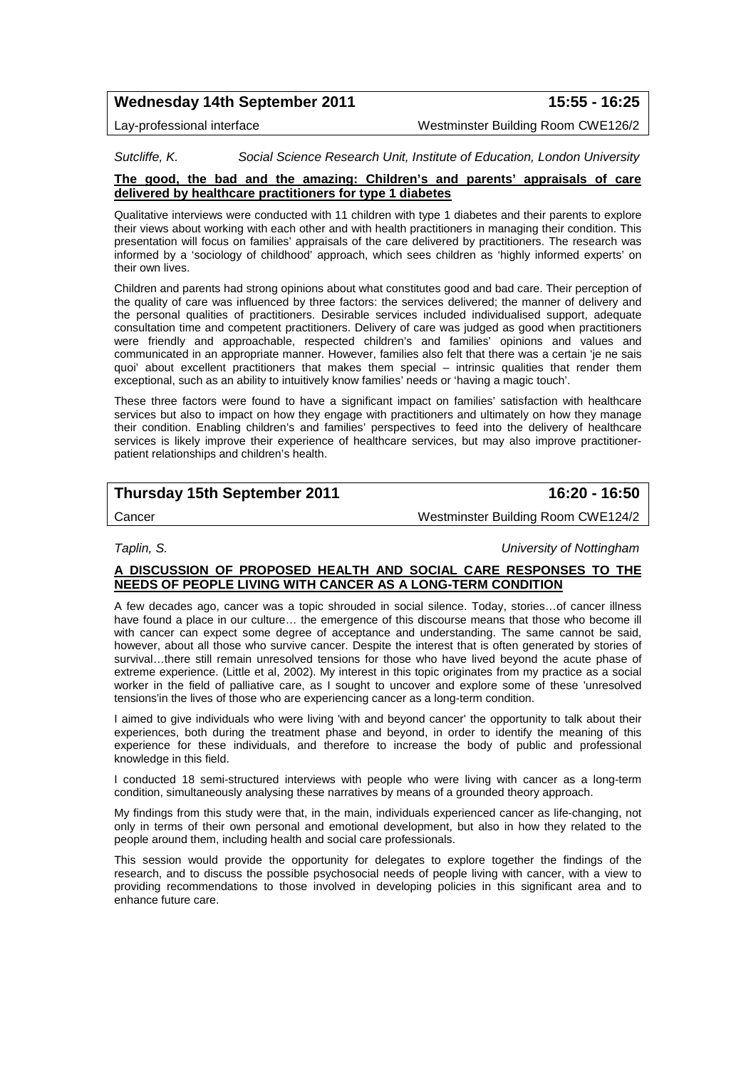# **Wednesday 14th September 2011 15:55 - 16:25**

Lay-professional interface Westminster Building Room CWE126/2

*Sutcliffe, K. Social Science Research Unit, Institute of Education, London University* 

### **The good, the bad and the amazing: Children's and parents' appraisals of care delivered by healthcare practitioners for type 1 diabetes**

Qualitative interviews were conducted with 11 children with type 1 diabetes and their parents to explore their views about working with each other and with health practitioners in managing their condition. This presentation will focus on families' appraisals of the care delivered by practitioners. The research was informed by a 'sociology of childhood' approach, which sees children as 'highly informed experts' on their own lives.

Children and parents had strong opinions about what constitutes good and bad care. Their perception of the quality of care was influenced by three factors: the services delivered; the manner of delivery and the personal qualities of practitioners. Desirable services included individualised support, adequate consultation time and competent practitioners. Delivery of care was judged as good when practitioners were friendly and approachable, respected children's and families' opinions and values and communicated in an appropriate manner. However, families also felt that there was a certain 'je ne sais quoi' about excellent practitioners that makes them special – intrinsic qualities that render them exceptional, such as an ability to intuitively know families' needs or 'having a magic touch'.

These three factors were found to have a significant impact on families' satisfaction with healthcare services but also to impact on how they engage with practitioners and ultimately on how they manage their condition. Enabling children's and families' perspectives to feed into the delivery of healthcare services is likely improve their experience of healthcare services, but may also improve practitionerpatient relationships and children's health.

# **Thursday 15th September 2011 16:20 - 16:50**

Cancer Westminster Building Room CWE124/2

*Taplin, S. University of Nottingham*

### **A DISCUSSION OF PROPOSED HEALTH AND SOCIAL CARE RESPONSES TO THE NEEDS OF PEOPLE LIVING WITH CANCER AS A LONG-TERM CONDITION**

A few decades ago, cancer was a topic shrouded in social silence. Today, stories…of cancer illness have found a place in our culture… the emergence of this discourse means that those who become ill with cancer can expect some degree of acceptance and understanding. The same cannot be said, however, about all those who survive cancer. Despite the interest that is often generated by stories of survival…there still remain unresolved tensions for those who have lived beyond the acute phase of extreme experience. (Little et al, 2002). My interest in this topic originates from my practice as a social worker in the field of palliative care, as I sought to uncover and explore some of these 'unresolved tensions'in the lives of those who are experiencing cancer as a long-term condition.

I aimed to give individuals who were living 'with and beyond cancer' the opportunity to talk about their experiences, both during the treatment phase and beyond, in order to identify the meaning of this experience for these individuals, and therefore to increase the body of public and professional knowledge in this field.

I conducted 18 semi-structured interviews with people who were living with cancer as a long-term condition, simultaneously analysing these narratives by means of a grounded theory approach.

My findings from this study were that, in the main, individuals experienced cancer as life-changing, not only in terms of their own personal and emotional development, but also in how they related to the people around them, including health and social care professionals.

This session would provide the opportunity for delegates to explore together the findings of the research, and to discuss the possible psychosocial needs of people living with cancer, with a view to providing recommendations to those involved in developing policies in this significant area and to enhance future care.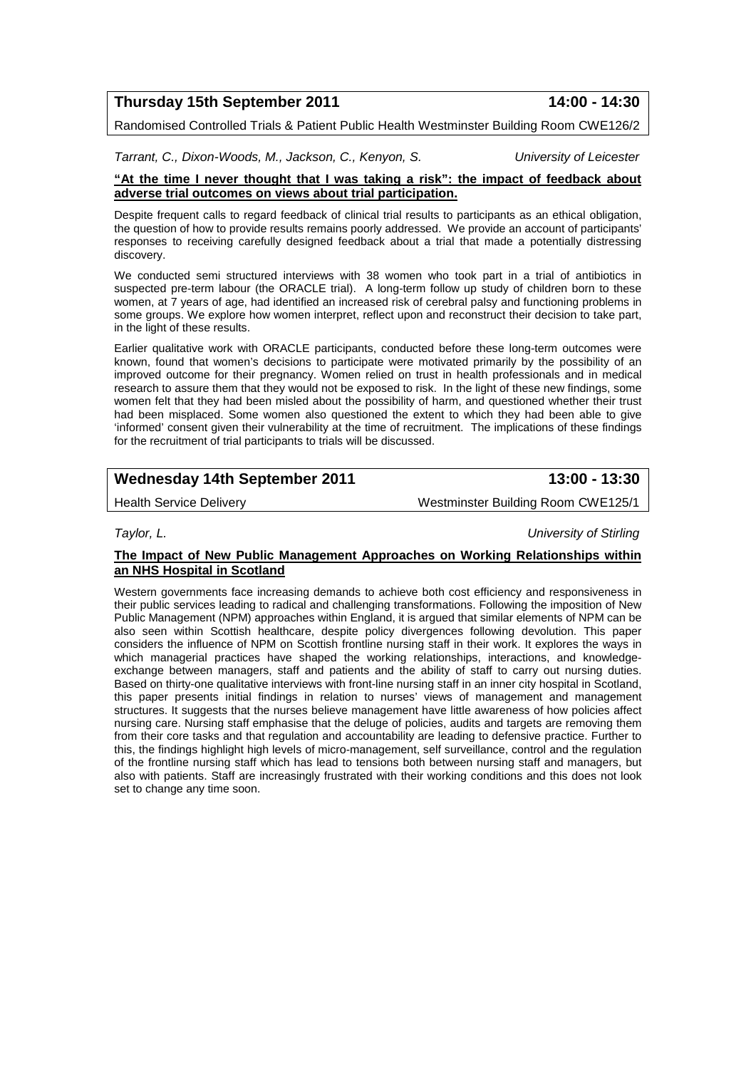**Thursday 15th September 2011 14:00 - 14:30**

Randomised Controlled Trials & Patient Public Health Westminster Building Room CWE126/2

*Tarrant, C., Dixon-Woods, M., Jackson, C., Kenyon, S. University of Leicester*

### **"At the time I never thought that I was taking a risk": the impact of feedback about adverse trial outcomes on views about trial participation.**

Despite frequent calls to regard feedback of clinical trial results to participants as an ethical obligation, the question of how to provide results remains poorly addressed. We provide an account of participants' responses to receiving carefully designed feedback about a trial that made a potentially distressing discovery.

We conducted semi structured interviews with 38 women who took part in a trial of antibiotics in suspected pre-term labour (the ORACLE trial). A long-term follow up study of children born to these women, at 7 years of age, had identified an increased risk of cerebral palsy and functioning problems in some groups. We explore how women interpret, reflect upon and reconstruct their decision to take part, in the light of these results.

Earlier qualitative work with ORACLE participants, conducted before these long-term outcomes were known, found that women's decisions to participate were motivated primarily by the possibility of an improved outcome for their pregnancy. Women relied on trust in health professionals and in medical research to assure them that they would not be exposed to risk. In the light of these new findings, some women felt that they had been misled about the possibility of harm, and questioned whether their trust had been misplaced. Some women also questioned the extent to which they had been able to give 'informed' consent given their vulnerability at the time of recruitment. The implications of these findings for the recruitment of trial participants to trials will be discussed.

# **Wednesday 14th September 2011 13:00 - 13:30**

Health Service Delivery Westminster Building Room CWE125/1

*Taylor, L. University of Stirling*

### **The Impact of New Public Management Approaches on Working Relationships within an NHS Hospital in Scotland**

Western governments face increasing demands to achieve both cost efficiency and responsiveness in their public services leading to radical and challenging transformations. Following the imposition of New Public Management (NPM) approaches within England, it is argued that similar elements of NPM can be also seen within Scottish healthcare, despite policy divergences following devolution. This paper considers the influence of NPM on Scottish frontline nursing staff in their work. It explores the ways in which managerial practices have shaped the working relationships, interactions, and knowledgeexchange between managers, staff and patients and the ability of staff to carry out nursing duties. Based on thirty-one qualitative interviews with front-line nursing staff in an inner city hospital in Scotland, this paper presents initial findings in relation to nurses' views of management and management structures. It suggests that the nurses believe management have little awareness of how policies affect nursing care. Nursing staff emphasise that the deluge of policies, audits and targets are removing them from their core tasks and that regulation and accountability are leading to defensive practice. Further to this, the findings highlight high levels of micro-management, self surveillance, control and the regulation of the frontline nursing staff which has lead to tensions both between nursing staff and managers, but also with patients. Staff are increasingly frustrated with their working conditions and this does not look set to change any time soon.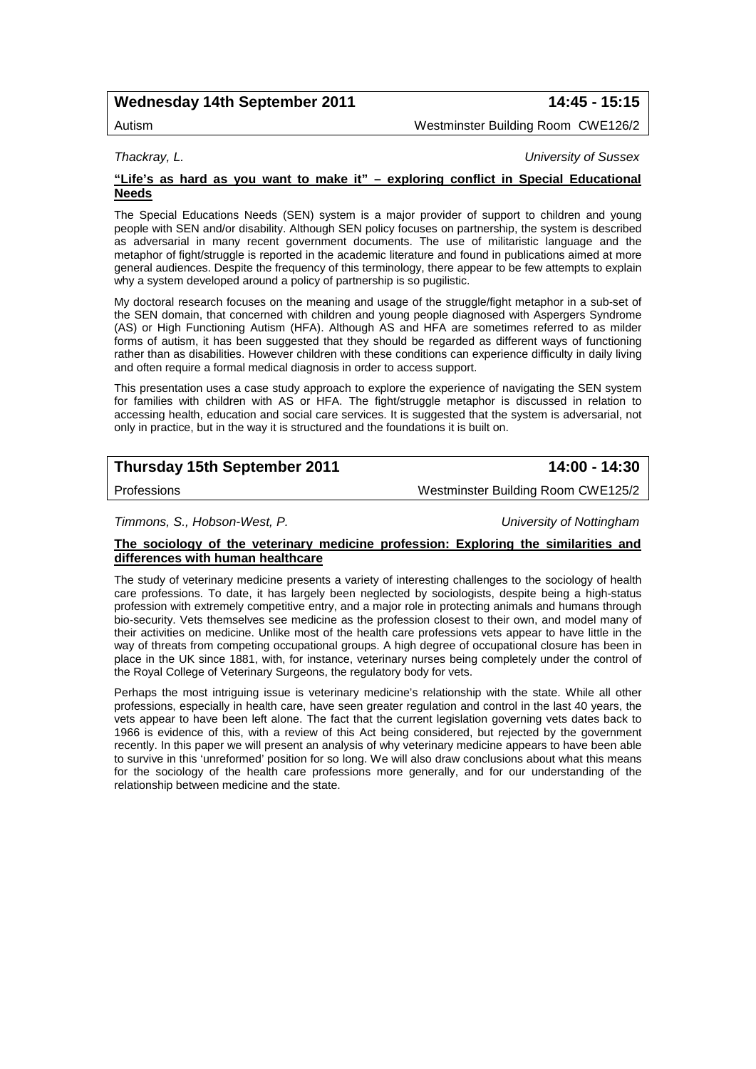## **Wednesday 14th September 2011 14:45 - 15:15**

Autism Westminster Building Room CWE126/2

*Thackray, L. University of Sussex*

### **"Life's as hard as you want to make it" – exploring conflict in Special Educational Needs**

The Special Educations Needs (SEN) system is a major provider of support to children and young people with SEN and/or disability. Although SEN policy focuses on partnership, the system is described as adversarial in many recent government documents. The use of militaristic language and the metaphor of fight/struggle is reported in the academic literature and found in publications aimed at more general audiences. Despite the frequency of this terminology, there appear to be few attempts to explain why a system developed around a policy of partnership is so pugilistic.

My doctoral research focuses on the meaning and usage of the struggle/fight metaphor in a sub-set of the SEN domain, that concerned with children and young people diagnosed with Aspergers Syndrome (AS) or High Functioning Autism (HFA). Although AS and HFA are sometimes referred to as milder forms of autism, it has been suggested that they should be regarded as different ways of functioning rather than as disabilities. However children with these conditions can experience difficulty in daily living and often require a formal medical diagnosis in order to access support.

This presentation uses a case study approach to explore the experience of navigating the SEN system for families with children with AS or HFA. The fight/struggle metaphor is discussed in relation to accessing health, education and social care services. It is suggested that the system is adversarial, not only in practice, but in the way it is structured and the foundations it is built on.

# **Thursday 15th September 2011 14:00 - 14:30**

Professions Westminster Building Room CWE125/2

*Timmons, S., Hobson-West, P. University of Nottingham*

## **The sociology of the veterinary medicine profession: Exploring the similarities and differences with human healthcare**

The study of veterinary medicine presents a variety of interesting challenges to the sociology of health care professions. To date, it has largely been neglected by sociologists, despite being a high-status profession with extremely competitive entry, and a major role in protecting animals and humans through bio-security. Vets themselves see medicine as the profession closest to their own, and model many of their activities on medicine. Unlike most of the health care professions vets appear to have little in the way of threats from competing occupational groups. A high degree of occupational closure has been in place in the UK since 1881, with, for instance, veterinary nurses being completely under the control of the Royal College of Veterinary Surgeons, the regulatory body for vets.

Perhaps the most intriguing issue is veterinary medicine's relationship with the state. While all other professions, especially in health care, have seen greater regulation and control in the last 40 years, the vets appear to have been left alone. The fact that the current legislation governing vets dates back to 1966 is evidence of this, with a review of this Act being considered, but rejected by the government recently. In this paper we will present an analysis of why veterinary medicine appears to have been able to survive in this 'unreformed' position for so long. We will also draw conclusions about what this means for the sociology of the health care professions more generally, and for our understanding of the relationship between medicine and the state.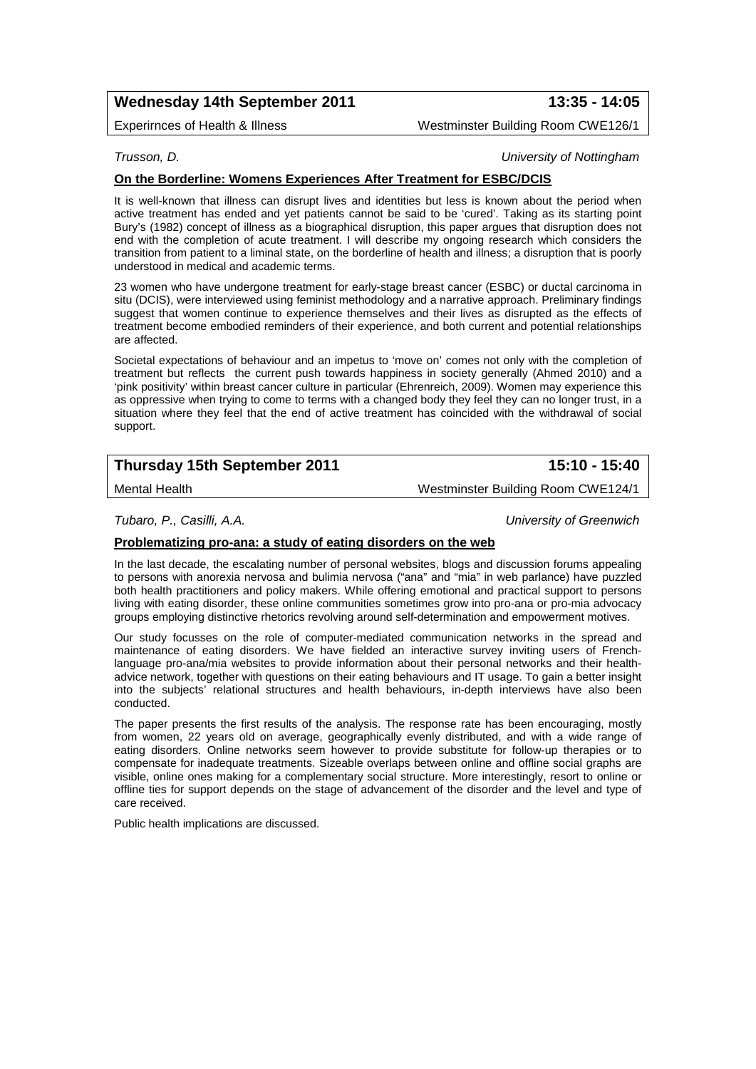# **Wednesday 14th September 2011 13:35 - 14:05**

Experirnces of Health & Illness Westminster Building Room CWE126/1

*Trusson, D. University of Nottingham*

### **On the Borderline: Womens Experiences After Treatment for ESBC/DCIS**

It is well-known that illness can disrupt lives and identities but less is known about the period when active treatment has ended and yet patients cannot be said to be 'cured'. Taking as its starting point Bury's (1982) concept of illness as a biographical disruption, this paper argues that disruption does not end with the completion of acute treatment. I will describe my ongoing research which considers the transition from patient to a liminal state, on the borderline of health and illness; a disruption that is poorly understood in medical and academic terms.

23 women who have undergone treatment for early-stage breast cancer (ESBC) or ductal carcinoma in situ (DCIS), were interviewed using feminist methodology and a narrative approach. Preliminary findings suggest that women continue to experience themselves and their lives as disrupted as the effects of treatment become embodied reminders of their experience, and both current and potential relationships are affected.

Societal expectations of behaviour and an impetus to 'move on' comes not only with the completion of treatment but reflects the current push towards happiness in society generally (Ahmed 2010) and a 'pink positivity' within breast cancer culture in particular (Ehrenreich, 2009). Women may experience this as oppressive when trying to come to terms with a changed body they feel they can no longer trust, in a situation where they feel that the end of active treatment has coincided with the withdrawal of social support.

# **Thursday 15th September 2011 15:10 - 15:40**

Mental Health Westminster Building Room CWE124/1

*Tubaro, P., Casilli, A.A. University of Greenwich*

#### **Problematizing pro-ana: a study of eating disorders on the web**

In the last decade, the escalating number of personal websites, blogs and discussion forums appealing to persons with anorexia nervosa and bulimia nervosa ("ana" and "mia" in web parlance) have puzzled both health practitioners and policy makers. While offering emotional and practical support to persons living with eating disorder, these online communities sometimes grow into pro-ana or pro-mia advocacy groups employing distinctive rhetorics revolving around self-determination and empowerment motives.

Our study focusses on the role of computer-mediated communication networks in the spread and maintenance of eating disorders. We have fielded an interactive survey inviting users of Frenchlanguage pro-ana/mia websites to provide information about their personal networks and their healthadvice network, together with questions on their eating behaviours and IT usage. To gain a better insight into the subjects' relational structures and health behaviours, in-depth interviews have also been conducted.

The paper presents the first results of the analysis. The response rate has been encouraging, mostly from women, 22 years old on average, geographically evenly distributed, and with a wide range of eating disorders. Online networks seem however to provide substitute for follow-up therapies or to compensate for inadequate treatments. Sizeable overlaps between online and offline social graphs are visible, online ones making for a complementary social structure. More interestingly, resort to online or offline ties for support depends on the stage of advancement of the disorder and the level and type of care received.

Public health implications are discussed.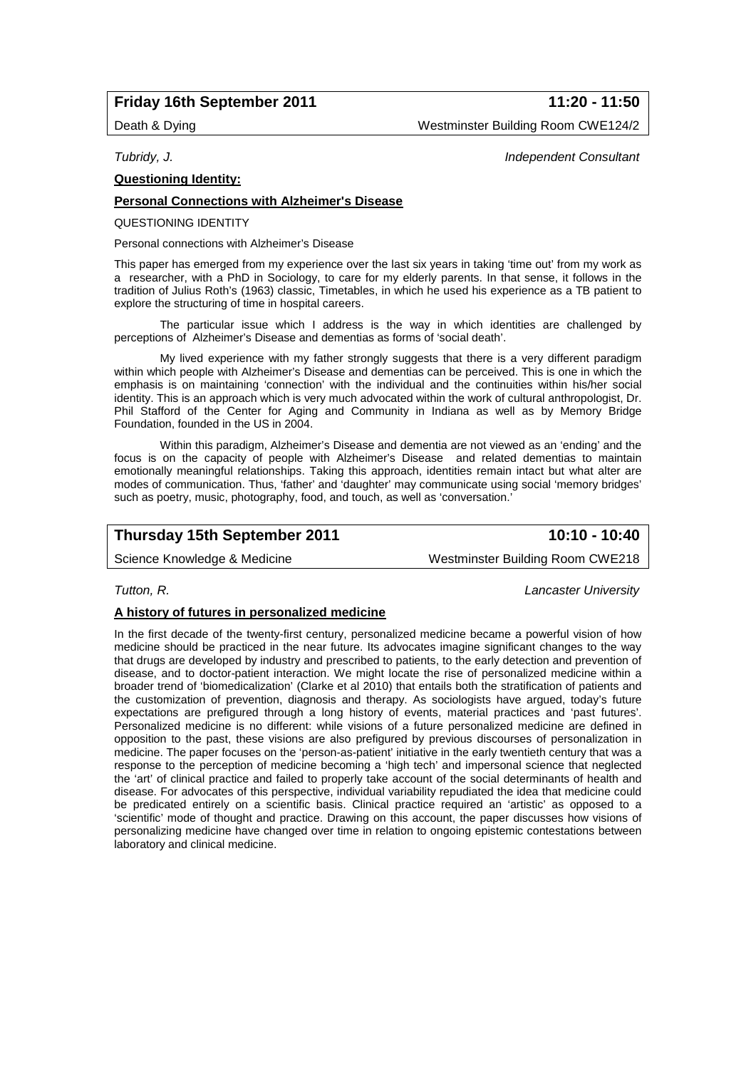## **Friday 16th September 2011 11:20 - 11:50**

Death & Dying **Network** Westminster Building Room CWE124/2

### **Questioning Identity:**

## **Personal Connections with Alzheimer's Disease**

QUESTIONING IDENTITY

Personal connections with Alzheimer's Disease

This paper has emerged from my experience over the last six years in taking 'time out' from my work as a researcher, with a PhD in Sociology, to care for my elderly parents. In that sense, it follows in the tradition of Julius Roth's (1963) classic, Timetables, in which he used his experience as a TB patient to explore the structuring of time in hospital careers.

The particular issue which I address is the way in which identities are challenged by perceptions of Alzheimer's Disease and dementias as forms of 'social death'.

My lived experience with my father strongly suggests that there is a very different paradigm within which people with Alzheimer's Disease and dementias can be perceived. This is one in which the emphasis is on maintaining 'connection' with the individual and the continuities within his/her social identity. This is an approach which is very much advocated within the work of cultural anthropologist, Dr. Phil Stafford of the Center for Aging and Community in Indiana as well as by Memory Bridge Foundation, founded in the US in 2004.

Within this paradigm, Alzheimer's Disease and dementia are not viewed as an 'ending' and the focus is on the capacity of people with Alzheimer's Disease and related dementias to maintain emotionally meaningful relationships. Taking this approach, identities remain intact but what alter are modes of communication. Thus, 'father' and 'daughter' may communicate using social 'memory bridges' such as poetry, music, photography, food, and touch, as well as 'conversation.'

## **Thursday 15th September 2011 10:10 - 10:40**

Science Knowledge & Medicine Westminster Building Room CWE218

*Tutton, R. Lancaster University*

**A history of futures in personalized medicine**

In the first decade of the twenty-first century, personalized medicine became a powerful vision of how medicine should be practiced in the near future. Its advocates imagine significant changes to the way that drugs are developed by industry and prescribed to patients, to the early detection and prevention of disease, and to doctor-patient interaction. We might locate the rise of personalized medicine within a broader trend of 'biomedicalization' (Clarke et al 2010) that entails both the stratification of patients and the customization of prevention, diagnosis and therapy. As sociologists have argued, today's future expectations are prefigured through a long history of events, material practices and 'past futures'. Personalized medicine is no different: while visions of a future personalized medicine are defined in opposition to the past, these visions are also prefigured by previous discourses of personalization in medicine. The paper focuses on the 'person-as-patient' initiative in the early twentieth century that was a response to the perception of medicine becoming a 'high tech' and impersonal science that neglected the 'art' of clinical practice and failed to properly take account of the social determinants of health and disease. For advocates of this perspective, individual variability repudiated the idea that medicine could be predicated entirely on a scientific basis. Clinical practice required an 'artistic' as opposed to a 'scientific' mode of thought and practice. Drawing on this account, the paper discusses how visions of personalizing medicine have changed over time in relation to ongoing epistemic contestations between laboratory and clinical medicine.

*Tubridy, J. Independent Consultant*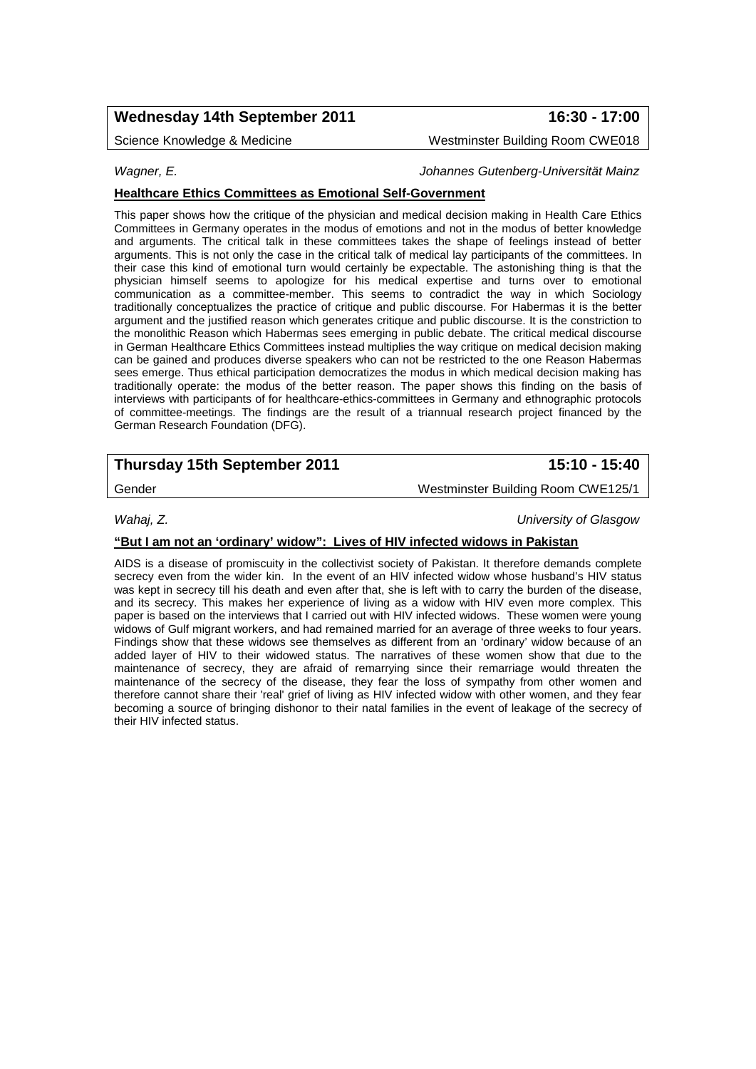# **Wednesday 14th September 2011 16:30 - 17:00**

Science Knowledge & Medicine New York Westminster Building Room CWE018

*Wagner, E. Johannes Gutenberg-Universität Mainz*

## **Healthcare Ethics Committees as Emotional Self-Government**

This paper shows how the critique of the physician and medical decision making in Health Care Ethics Committees in Germany operates in the modus of emotions and not in the modus of better knowledge and arguments. The critical talk in these committees takes the shape of feelings instead of better arguments. This is not only the case in the critical talk of medical lay participants of the committees. In their case this kind of emotional turn would certainly be expectable. The astonishing thing is that the physician himself seems to apologize for his medical expertise and turns over to emotional communication as a committee-member. This seems to contradict the way in which Sociology traditionally conceptualizes the practice of critique and public discourse. For Habermas it is the better argument and the justified reason which generates critique and public discourse. It is the constriction to the monolithic Reason which Habermas sees emerging in public debate. The critical medical discourse in German Healthcare Ethics Committees instead multiplies the way critique on medical decision making can be gained and produces diverse speakers who can not be restricted to the one Reason Habermas sees emerge. Thus ethical participation democratizes the modus in which medical decision making has traditionally operate: the modus of the better reason. The paper shows this finding on the basis of interviews with participants of for healthcare-ethics-committees in Germany and ethnographic protocols of committee-meetings. The findings are the result of a triannual research project financed by the German Research Foundation (DFG).

# **Thursday 15th September 2011 15:10 - 15:40**

Gender **Gender** Westminster Building Room CWE125/1

*Wahaj, Z. University of Glasgow*

### **"But I am not an 'ordinary' widow": Lives of HIV infected widows in Pakistan**

AIDS is a disease of promiscuity in the collectivist society of Pakistan. It therefore demands complete secrecy even from the wider kin. In the event of an HIV infected widow whose husband's HIV status was kept in secrecy till his death and even after that, she is left with to carry the burden of the disease, and its secrecy. This makes her experience of living as a widow with HIV even more complex. This paper is based on the interviews that I carried out with HIV infected widows. These women were young widows of Gulf migrant workers, and had remained married for an average of three weeks to four years. Findings show that these widows see themselves as different from an 'ordinary' widow because of an added layer of HIV to their widowed status. The narratives of these women show that due to the maintenance of secrecy, they are afraid of remarrying since their remarriage would threaten the maintenance of the secrecy of the disease, they fear the loss of sympathy from other women and therefore cannot share their 'real' grief of living as HIV infected widow with other women, and they fear becoming a source of bringing dishonor to their natal families in the event of leakage of the secrecy of their HIV infected status.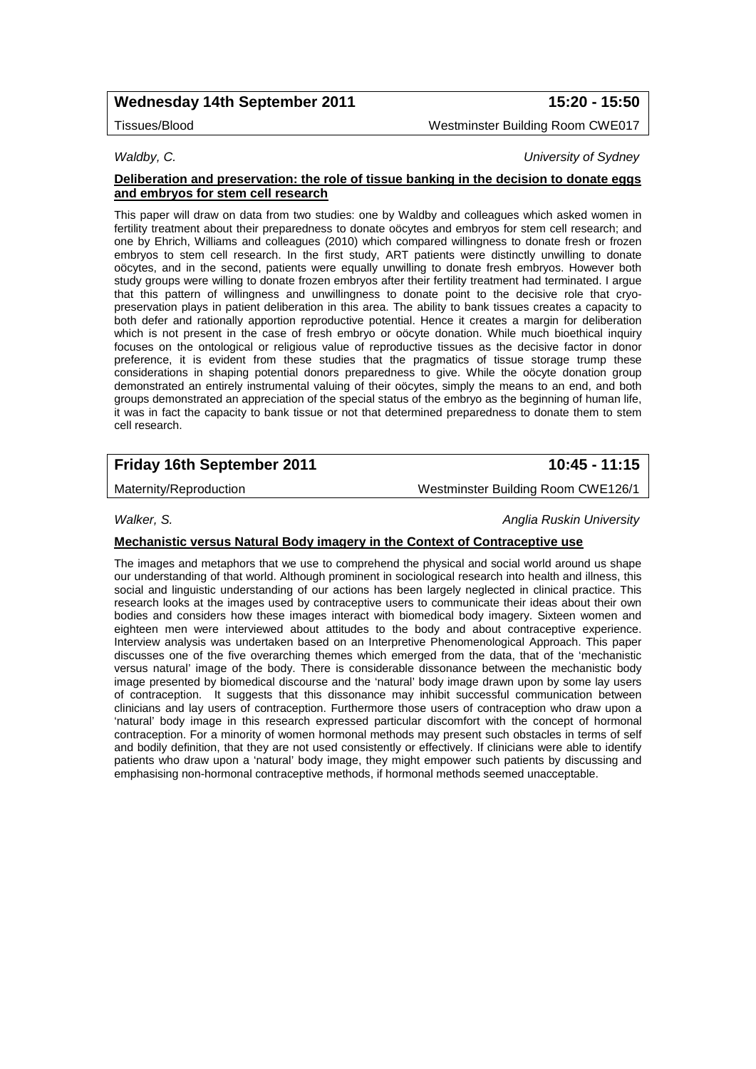## **Wednesday 14th September 2011 15:20 - 15:50**

Tissues/Blood Westminster Building Room CWE017

*Waldby, C. University of Sydney*

#### **Deliberation and preservation: the role of tissue banking in the decision to donate eggs and embryos for stem cell research**

This paper will draw on data from two studies: one by Waldby and colleagues which asked women in fertility treatment about their preparedness to donate oöcytes and embryos for stem cell research; and one by Ehrich, Williams and colleagues (2010) which compared willingness to donate fresh or frozen embryos to stem cell research. In the first study, ART patients were distinctly unwilling to donate oöcytes, and in the second, patients were equally unwilling to donate fresh embryos. However both study groups were willing to donate frozen embryos after their fertility treatment had terminated. I argue that this pattern of willingness and unwillingness to donate point to the decisive role that cryopreservation plays in patient deliberation in this area. The ability to bank tissues creates a capacity to both defer and rationally apportion reproductive potential. Hence it creates a margin for deliberation which is not present in the case of fresh embryo or oöcyte donation. While much bioethical inquiry focuses on the ontological or religious value of reproductive tissues as the decisive factor in donor preference, it is evident from these studies that the pragmatics of tissue storage trump these considerations in shaping potential donors preparedness to give. While the oöcyte donation group demonstrated an entirely instrumental valuing of their oöcytes, simply the means to an end, and both groups demonstrated an appreciation of the special status of the embryo as the beginning of human life, it was in fact the capacity to bank tissue or not that determined preparedness to donate them to stem cell research.

# **Friday 16th September 2011 10:45 - 11:15**

Maternity/Reproduction Maternity/Reproduction Messenger Messential Messential Messential Messential Messential

### **Mechanistic versus Natural Body imagery in the Context of Contraceptive use**

The images and metaphors that we use to comprehend the physical and social world around us shape our understanding of that world. Although prominent in sociological research into health and illness, this social and linguistic understanding of our actions has been largely neglected in clinical practice. This research looks at the images used by contraceptive users to communicate their ideas about their own bodies and considers how these images interact with biomedical body imagery. Sixteen women and eighteen men were interviewed about attitudes to the body and about contraceptive experience. Interview analysis was undertaken based on an Interpretive Phenomenological Approach. This paper discusses one of the five overarching themes which emerged from the data, that of the 'mechanistic versus natural' image of the body. There is considerable dissonance between the mechanistic body image presented by biomedical discourse and the 'natural' body image drawn upon by some lay users of contraception. It suggests that this dissonance may inhibit successful communication between clinicians and lay users of contraception. Furthermore those users of contraception who draw upon a 'natural' body image in this research expressed particular discomfort with the concept of hormonal contraception. For a minority of women hormonal methods may present such obstacles in terms of self and bodily definition, that they are not used consistently or effectively. If clinicians were able to identify patients who draw upon a 'natural' body image, they might empower such patients by discussing and emphasising non-hormonal contraceptive methods, if hormonal methods seemed unacceptable.

# *Walker, S. Anglia Ruskin University*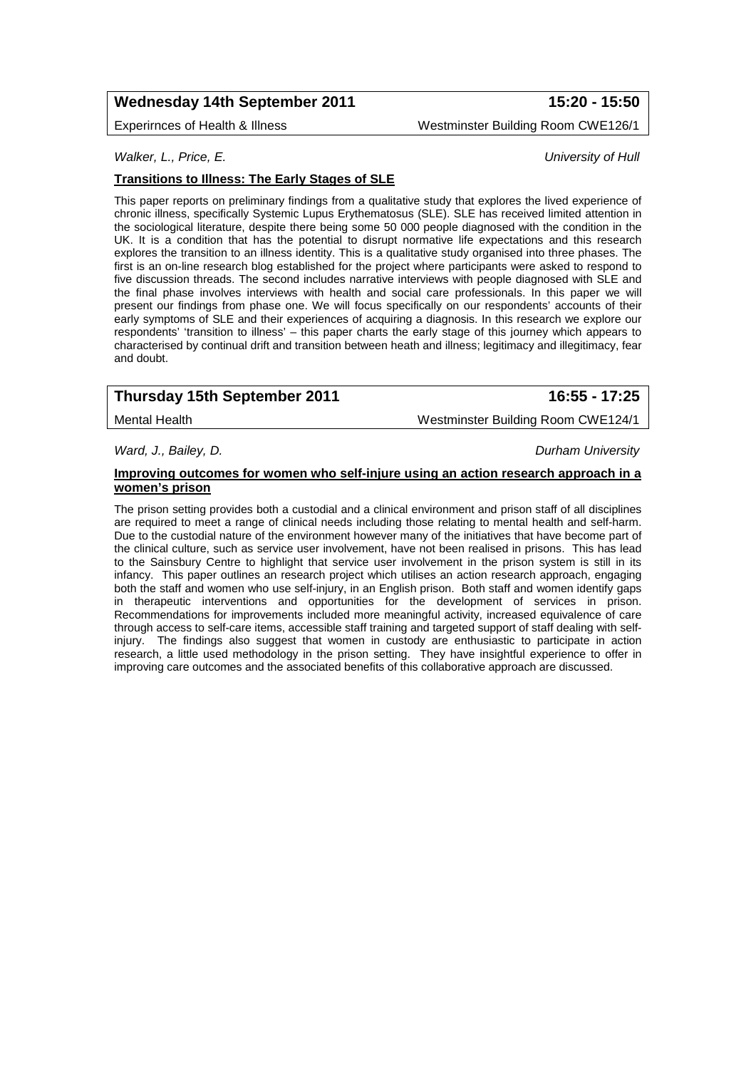## **Wednesday 14th September 2011 15:20 - 15:50**

Experirnces of Health & Illness Westminster Building Room CWE126/1

*Walker, L., Price, E. University of Hull*

### **Transitions to Illness: The Early Stages of SLE**

This paper reports on preliminary findings from a qualitative study that explores the lived experience of chronic illness, specifically Systemic Lupus Erythematosus (SLE). SLE has received limited attention in the sociological literature, despite there being some 50 000 people diagnosed with the condition in the UK. It is a condition that has the potential to disrupt normative life expectations and this research explores the transition to an illness identity. This is a qualitative study organised into three phases. The first is an on-line research blog established for the project where participants were asked to respond to five discussion threads. The second includes narrative interviews with people diagnosed with SLE and the final phase involves interviews with health and social care professionals. In this paper we will present our findings from phase one. We will focus specifically on our respondents' accounts of their early symptoms of SLE and their experiences of acquiring a diagnosis. In this research we explore our respondents' 'transition to illness' – this paper charts the early stage of this journey which appears to characterised by continual drift and transition between heath and illness; legitimacy and illegitimacy, fear and doubt.

# **Thursday 15th September 2011 16:55 - 17:25**

Mental Health Westminster Building Room CWE124/1

*Ward, J., Bailey, D. Durham University*

#### **Improving outcomes for women who self-injure using an action research approach in a women's prison**

The prison setting provides both a custodial and a clinical environment and prison staff of all disciplines are required to meet a range of clinical needs including those relating to mental health and self-harm. Due to the custodial nature of the environment however many of the initiatives that have become part of the clinical culture, such as service user involvement, have not been realised in prisons. This has lead to the Sainsbury Centre to highlight that service user involvement in the prison system is still in its infancy. This paper outlines an research project which utilises an action research approach, engaging both the staff and women who use self-injury, in an English prison. Both staff and women identify gaps in therapeutic interventions and opportunities for the development of services in prison. Recommendations for improvements included more meaningful activity, increased equivalence of care through access to self-care items, accessible staff training and targeted support of staff dealing with selfinjury. The findings also suggest that women in custody are enthusiastic to participate in action research, a little used methodology in the prison setting. They have insightful experience to offer in improving care outcomes and the associated benefits of this collaborative approach are discussed.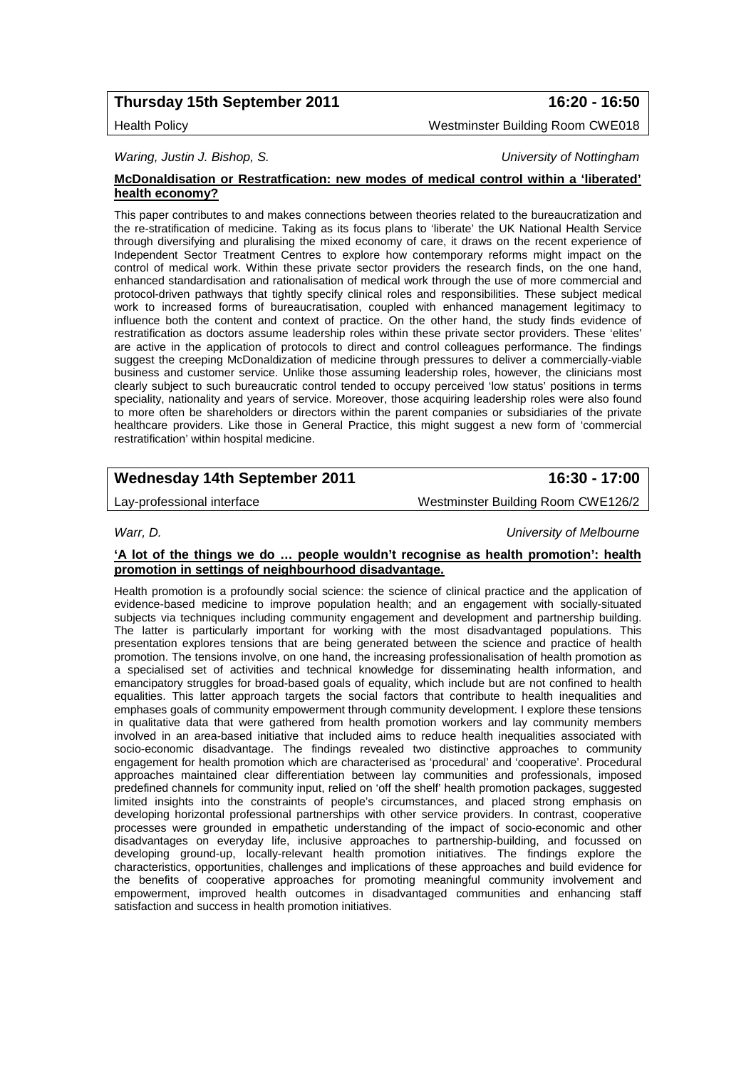# **Thursday 15th September 2011 16:20 - 16:50**

### Health Policy Westminster Building Room CWE018

### *Waring, Justin J. Bishop, S. University of Nottingham*

#### **McDonaldisation or Restratfication: new modes of medical control within a 'liberated' health economy?**

This paper contributes to and makes connections between theories related to the bureaucratization and the re-stratification of medicine. Taking as its focus plans to 'liberate' the UK National Health Service through diversifying and pluralising the mixed economy of care, it draws on the recent experience of Independent Sector Treatment Centres to explore how contemporary reforms might impact on the control of medical work. Within these private sector providers the research finds, on the one hand, enhanced standardisation and rationalisation of medical work through the use of more commercial and protocol-driven pathways that tightly specify clinical roles and responsibilities. These subject medical work to increased forms of bureaucratisation, coupled with enhanced management legitimacy to influence both the content and context of practice. On the other hand, the study finds evidence of restratification as doctors assume leadership roles within these private sector providers. These 'elites' are active in the application of protocols to direct and control colleagues performance. The findings suggest the creeping McDonaldization of medicine through pressures to deliver a commercially-viable business and customer service. Unlike those assuming leadership roles, however, the clinicians most clearly subject to such bureaucratic control tended to occupy perceived 'low status' positions in terms speciality, nationality and years of service. Moreover, those acquiring leadership roles were also found to more often be shareholders or directors within the parent companies or subsidiaries of the private healthcare providers. Like those in General Practice, this might suggest a new form of 'commercial restratification' within hospital medicine.

# **Wednesday 14th September 2011 16:30 - 17:00**

Lay-professional interface Westminster Building Room CWE126/2

*Warr, D. University of Melbourne*

#### **'A lot of the things we do … people wouldn't recognise as health promotion': health promotion in settings of neighbourhood disadvantage.**

Health promotion is a profoundly social science: the science of clinical practice and the application of evidence-based medicine to improve population health; and an engagement with socially-situated subjects via techniques including community engagement and development and partnership building. The latter is particularly important for working with the most disadvantaged populations. This presentation explores tensions that are being generated between the science and practice of health promotion. The tensions involve, on one hand, the increasing professionalisation of health promotion as a specialised set of activities and technical knowledge for disseminating health information, and emancipatory struggles for broad-based goals of equality, which include but are not confined to health equalities. This latter approach targets the social factors that contribute to health inequalities and emphases goals of community empowerment through community development. I explore these tensions in qualitative data that were gathered from health promotion workers and lay community members involved in an area-based initiative that included aims to reduce health inequalities associated with socio-economic disadvantage. The findings revealed two distinctive approaches to community engagement for health promotion which are characterised as 'procedural' and 'cooperative'. Procedural approaches maintained clear differentiation between lay communities and professionals, imposed predefined channels for community input, relied on 'off the shelf' health promotion packages, suggested limited insights into the constraints of people's circumstances, and placed strong emphasis on developing horizontal professional partnerships with other service providers. In contrast, cooperative processes were grounded in empathetic understanding of the impact of socio-economic and other disadvantages on everyday life, inclusive approaches to partnership-building, and focussed on developing ground-up, locally-relevant health promotion initiatives. The findings explore the characteristics, opportunities, challenges and implications of these approaches and build evidence for the benefits of cooperative approaches for promoting meaningful community involvement and empowerment, improved health outcomes in disadvantaged communities and enhancing staff satisfaction and success in health promotion initiatives.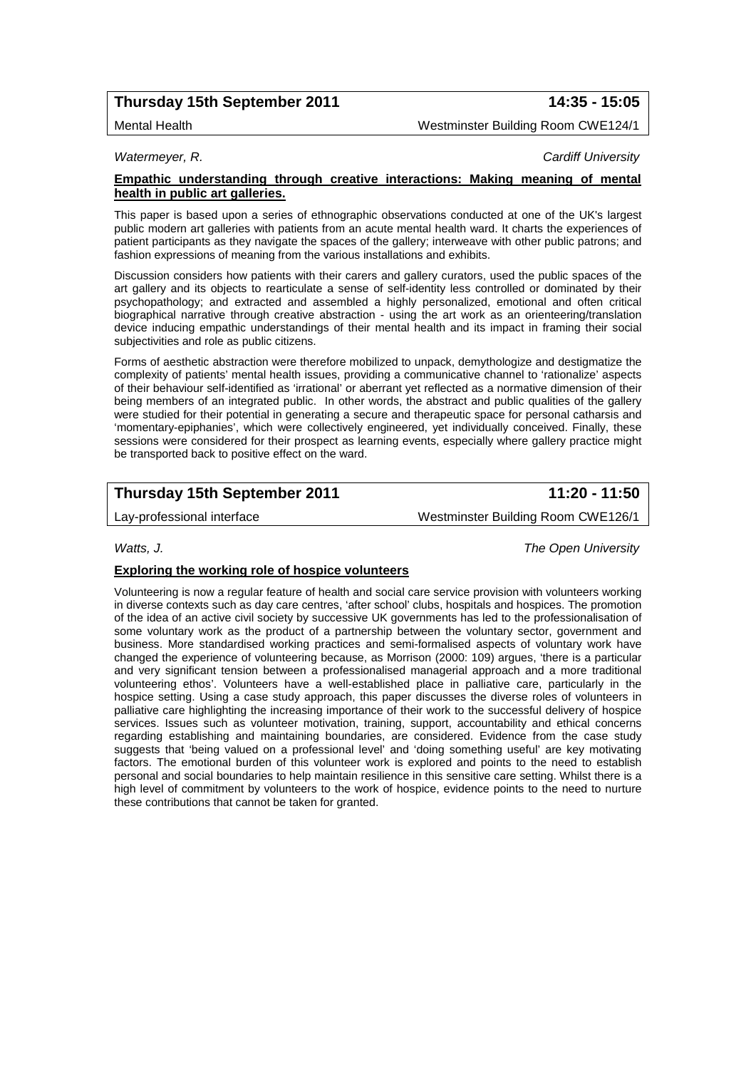# **Thursday 15th September 2011 14:35 - 15:05**

Mental Health Westminster Building Room CWE124/1

*Watermeyer, R. Cardiff University*

### **Empathic understanding through creative interactions: Making meaning of mental health in public art galleries.**

This paper is based upon a series of ethnographic observations conducted at one of the UK's largest public modern art galleries with patients from an acute mental health ward. It charts the experiences of patient participants as they navigate the spaces of the gallery; interweave with other public patrons; and fashion expressions of meaning from the various installations and exhibits.

Discussion considers how patients with their carers and gallery curators, used the public spaces of the art gallery and its objects to rearticulate a sense of self-identity less controlled or dominated by their psychopathology; and extracted and assembled a highly personalized, emotional and often critical biographical narrative through creative abstraction - using the art work as an orienteering/translation device inducing empathic understandings of their mental health and its impact in framing their social subjectivities and role as public citizens.

Forms of aesthetic abstraction were therefore mobilized to unpack, demythologize and destigmatize the complexity of patients' mental health issues, providing a communicative channel to 'rationalize' aspects of their behaviour self-identified as 'irrational' or aberrant yet reflected as a normative dimension of their being members of an integrated public. In other words, the abstract and public qualities of the gallery were studied for their potential in generating a secure and therapeutic space for personal catharsis and 'momentary-epiphanies', which were collectively engineered, yet individually conceived. Finally, these sessions were considered for their prospect as learning events, especially where gallery practice might be transported back to positive effect on the ward.

# **Thursday 15th September 2011 11:20 - 11:50**

Lay-professional interface Westminster Building Room CWE126/1

*Watts, J. The Open University*

## **Exploring the working role of hospice volunteers**

Volunteering is now a regular feature of health and social care service provision with volunteers working in diverse contexts such as day care centres, 'after school' clubs, hospitals and hospices. The promotion of the idea of an active civil society by successive UK governments has led to the professionalisation of some voluntary work as the product of a partnership between the voluntary sector, government and business. More standardised working practices and semi-formalised aspects of voluntary work have changed the experience of volunteering because, as Morrison (2000: 109) argues, 'there is a particular and very significant tension between a professionalised managerial approach and a more traditional volunteering ethos'. Volunteers have a well-established place in palliative care, particularly in the hospice setting. Using a case study approach, this paper discusses the diverse roles of volunteers in palliative care highlighting the increasing importance of their work to the successful delivery of hospice services. Issues such as volunteer motivation, training, support, accountability and ethical concerns regarding establishing and maintaining boundaries, are considered. Evidence from the case study suggests that 'being valued on a professional level' and 'doing something useful' are key motivating factors. The emotional burden of this volunteer work is explored and points to the need to establish personal and social boundaries to help maintain resilience in this sensitive care setting. Whilst there is a high level of commitment by volunteers to the work of hospice, evidence points to the need to nurture these contributions that cannot be taken for granted.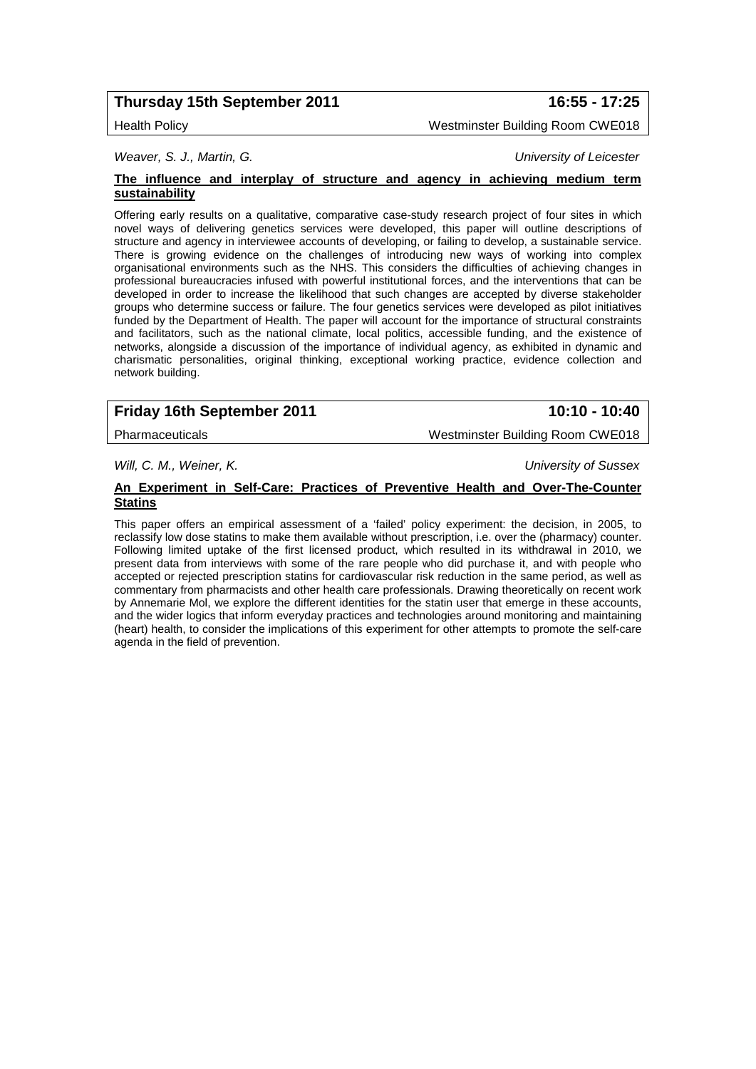# **Thursday 15th September 2011 16:55 - 17:25**

*Weaver, S. J., Martin, G. University of Leicester*

### **The influence and interplay of structure and agency in achieving medium term sustainability**

Offering early results on a qualitative, comparative case-study research project of four sites in which novel ways of delivering genetics services were developed, this paper will outline descriptions of structure and agency in interviewee accounts of developing, or failing to develop, a sustainable service. There is growing evidence on the challenges of introducing new ways of working into complex organisational environments such as the NHS. This considers the difficulties of achieving changes in professional bureaucracies infused with powerful institutional forces, and the interventions that can be developed in order to increase the likelihood that such changes are accepted by diverse stakeholder groups who determine success or failure. The four genetics services were developed as pilot initiatives funded by the Department of Health. The paper will account for the importance of structural constraints and facilitators, such as the national climate, local politics, accessible funding, and the existence of networks, alongside a discussion of the importance of individual agency, as exhibited in dynamic and charismatic personalities, original thinking, exceptional working practice, evidence collection and network building.

# **Friday 16th September 2011 10:10 - 10:40**

Pharmaceuticals Westminster Building Room CWE018

*Will, C. M., Weiner, K. University of Sussex*

#### **An Experiment in Self-Care: Practices of Preventive Health and Over-The-Counter Statins**

This paper offers an empirical assessment of a 'failed' policy experiment: the decision, in 2005, to reclassify low dose statins to make them available without prescription, i.e. over the (pharmacy) counter. Following limited uptake of the first licensed product, which resulted in its withdrawal in 2010, we present data from interviews with some of the rare people who did purchase it, and with people who accepted or rejected prescription statins for cardiovascular risk reduction in the same period, as well as commentary from pharmacists and other health care professionals. Drawing theoretically on recent work by Annemarie Mol, we explore the different identities for the statin user that emerge in these accounts, and the wider logics that inform everyday practices and technologies around monitoring and maintaining (heart) health, to consider the implications of this experiment for other attempts to promote the self-care agenda in the field of prevention.

Health Policy Westminster Building Room CWE018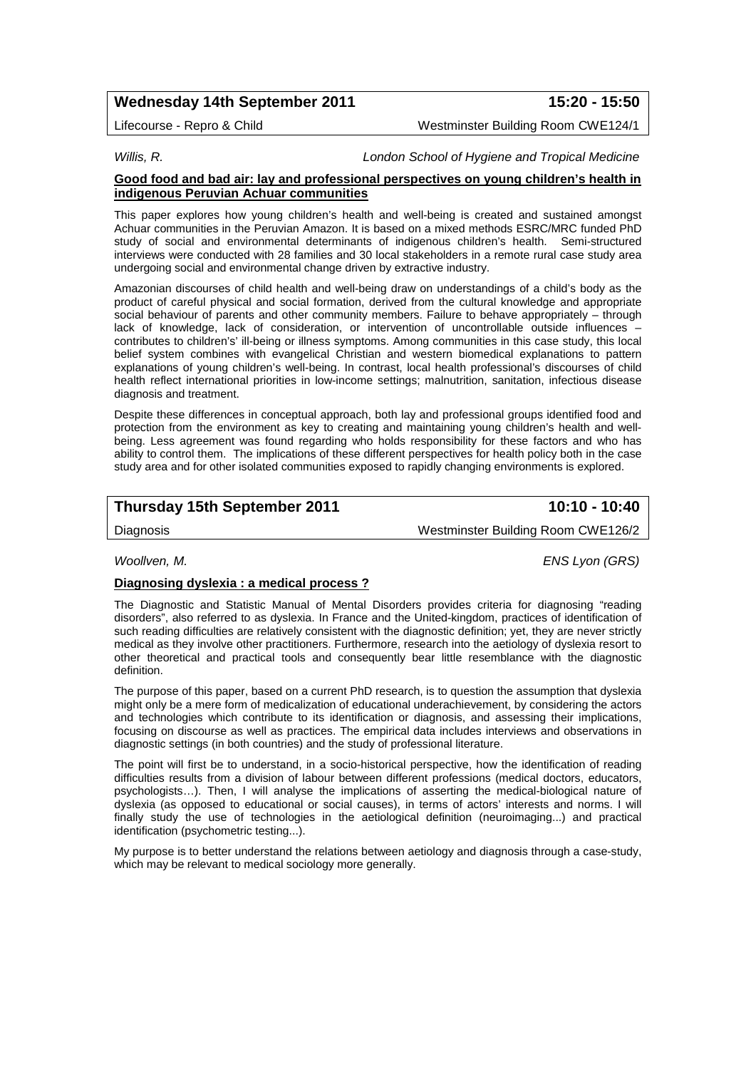## **Wednesday 14th September 2011 15:20 - 15:50**

Lifecourse - Repro & Child Westminster Building Room CWE124/1

### *Willis, R. London School of Hygiene and Tropical Medicine*

### **Good food and bad air: lay and professional perspectives on young children's health in indigenous Peruvian Achuar communities**

This paper explores how young children's health and well-being is created and sustained amongst Achuar communities in the Peruvian Amazon. It is based on a mixed methods ESRC/MRC funded PhD study of social and environmental determinants of indigenous children's health. Semi-structured interviews were conducted with 28 families and 30 local stakeholders in a remote rural case study area undergoing social and environmental change driven by extractive industry.

Amazonian discourses of child health and well-being draw on understandings of a child's body as the product of careful physical and social formation, derived from the cultural knowledge and appropriate social behaviour of parents and other community members. Failure to behave appropriately – through lack of knowledge, lack of consideration, or intervention of uncontrollable outside influences – contributes to children's' ill-being or illness symptoms. Among communities in this case study, this local belief system combines with evangelical Christian and western biomedical explanations to pattern explanations of young children's well-being. In contrast, local health professional's discourses of child health reflect international priorities in low-income settings; malnutrition, sanitation, infectious disease diagnosis and treatment.

Despite these differences in conceptual approach, both lay and professional groups identified food and protection from the environment as key to creating and maintaining young children's health and wellbeing. Less agreement was found regarding who holds responsibility for these factors and who has ability to control them. The implications of these different perspectives for health policy both in the case study area and for other isolated communities exposed to rapidly changing environments is explored.

## **Thursday 15th September 2011 10:10 - 10:40**

Diagnosis Westminster Building Room CWE126/2

*Woollven, M. ENS Lyon (GRS)*

### **Diagnosing dyslexia : a medical process ?**

The Diagnostic and Statistic Manual of Mental Disorders provides criteria for diagnosing "reading disorders", also referred to as dyslexia. In France and the United-kingdom, practices of identification of such reading difficulties are relatively consistent with the diagnostic definition; yet, they are never strictly medical as they involve other practitioners. Furthermore, research into the aetiology of dyslexia resort to other theoretical and practical tools and consequently bear little resemblance with the diagnostic definition.

The purpose of this paper, based on a current PhD research, is to question the assumption that dyslexia might only be a mere form of medicalization of educational underachievement, by considering the actors and technologies which contribute to its identification or diagnosis, and assessing their implications, focusing on discourse as well as practices. The empirical data includes interviews and observations in diagnostic settings (in both countries) and the study of professional literature.

The point will first be to understand, in a socio-historical perspective, how the identification of reading difficulties results from a division of labour between different professions (medical doctors, educators, psychologists…). Then, I will analyse the implications of asserting the medical-biological nature of dyslexia (as opposed to educational or social causes), in terms of actors' interests and norms. I will finally study the use of technologies in the aetiological definition (neuroimaging...) and practical identification (psychometric testing...).

My purpose is to better understand the relations between aetiology and diagnosis through a case-study, which may be relevant to medical sociology more generally.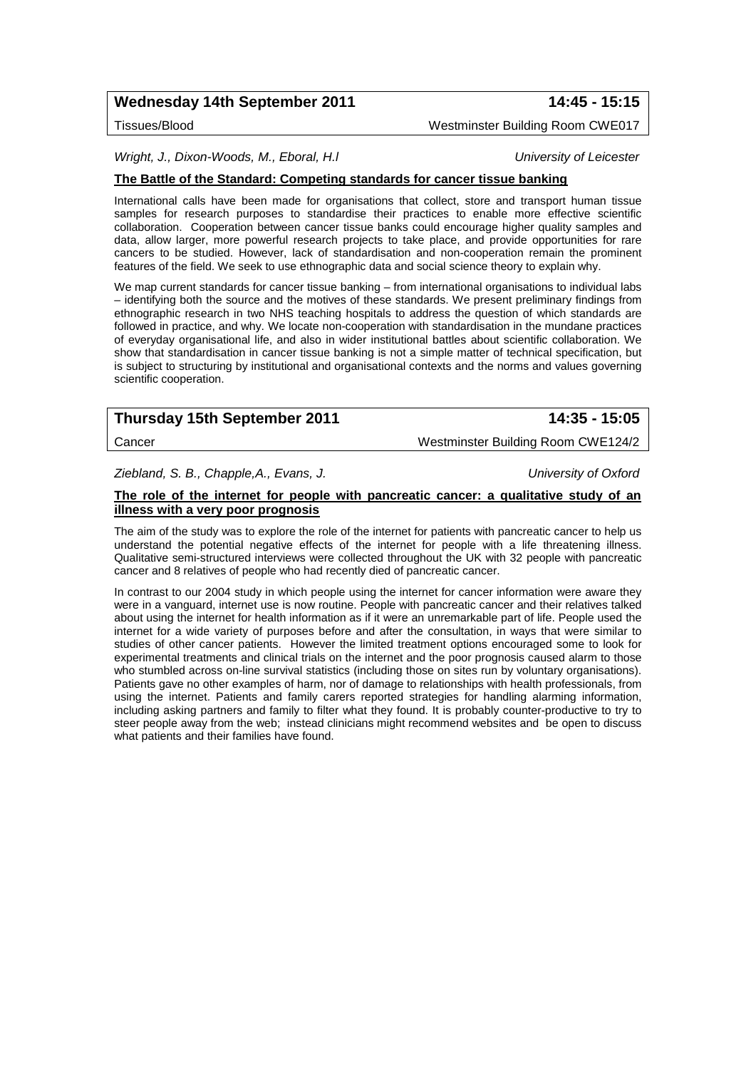## **Wednesday 14th September 2011 14:45 - 15:15**

Tissues/Blood Westminster Building Room CWE017

*Wright, J., Dixon-Woods, M., Eboral, H.l University of Leicester*

## **The Battle of the Standard: Competing standards for cancer tissue banking**

International calls have been made for organisations that collect, store and transport human tissue samples for research purposes to standardise their practices to enable more effective scientific collaboration. Cooperation between cancer tissue banks could encourage higher quality samples and data, allow larger, more powerful research projects to take place, and provide opportunities for rare cancers to be studied. However, lack of standardisation and non-cooperation remain the prominent features of the field. We seek to use ethnographic data and social science theory to explain why.

We map current standards for cancer tissue banking – from international organisations to individual labs – identifying both the source and the motives of these standards. We present preliminary findings from ethnographic research in two NHS teaching hospitals to address the question of which standards are followed in practice, and why. We locate non-cooperation with standardisation in the mundane practices of everyday organisational life, and also in wider institutional battles about scientific collaboration. We show that standardisation in cancer tissue banking is not a simple matter of technical specification, but is subject to structuring by institutional and organisational contexts and the norms and values governing scientific cooperation.

| Thursday 15th September 2011 | 14:35 - 15:05                      |
|------------------------------|------------------------------------|
| Cancer                       | Westminster Building Room CWE124/2 |

*Ziebland, S. B., Chapple,A., Evans, J. University of Oxford*

#### **The role of the internet for people with pancreatic cancer: a qualitative study of an illness with a very poor prognosis**

The aim of the study was to explore the role of the internet for patients with pancreatic cancer to help us understand the potential negative effects of the internet for people with a life threatening illness. Qualitative semi-structured interviews were collected throughout the UK with 32 people with pancreatic cancer and 8 relatives of people who had recently died of pancreatic cancer.

In contrast to our 2004 study in which people using the internet for cancer information were aware they were in a vanguard, internet use is now routine. People with pancreatic cancer and their relatives talked about using the internet for health information as if it were an unremarkable part of life. People used the internet for a wide variety of purposes before and after the consultation, in ways that were similar to studies of other cancer patients. However the limited treatment options encouraged some to look for experimental treatments and clinical trials on the internet and the poor prognosis caused alarm to those who stumbled across on-line survival statistics (including those on sites run by voluntary organisations). Patients gave no other examples of harm, nor of damage to relationships with health professionals, from using the internet. Patients and family carers reported strategies for handling alarming information, including asking partners and family to filter what they found. It is probably counter-productive to try to steer people away from the web; instead clinicians might recommend websites and be open to discuss what patients and their families have found.